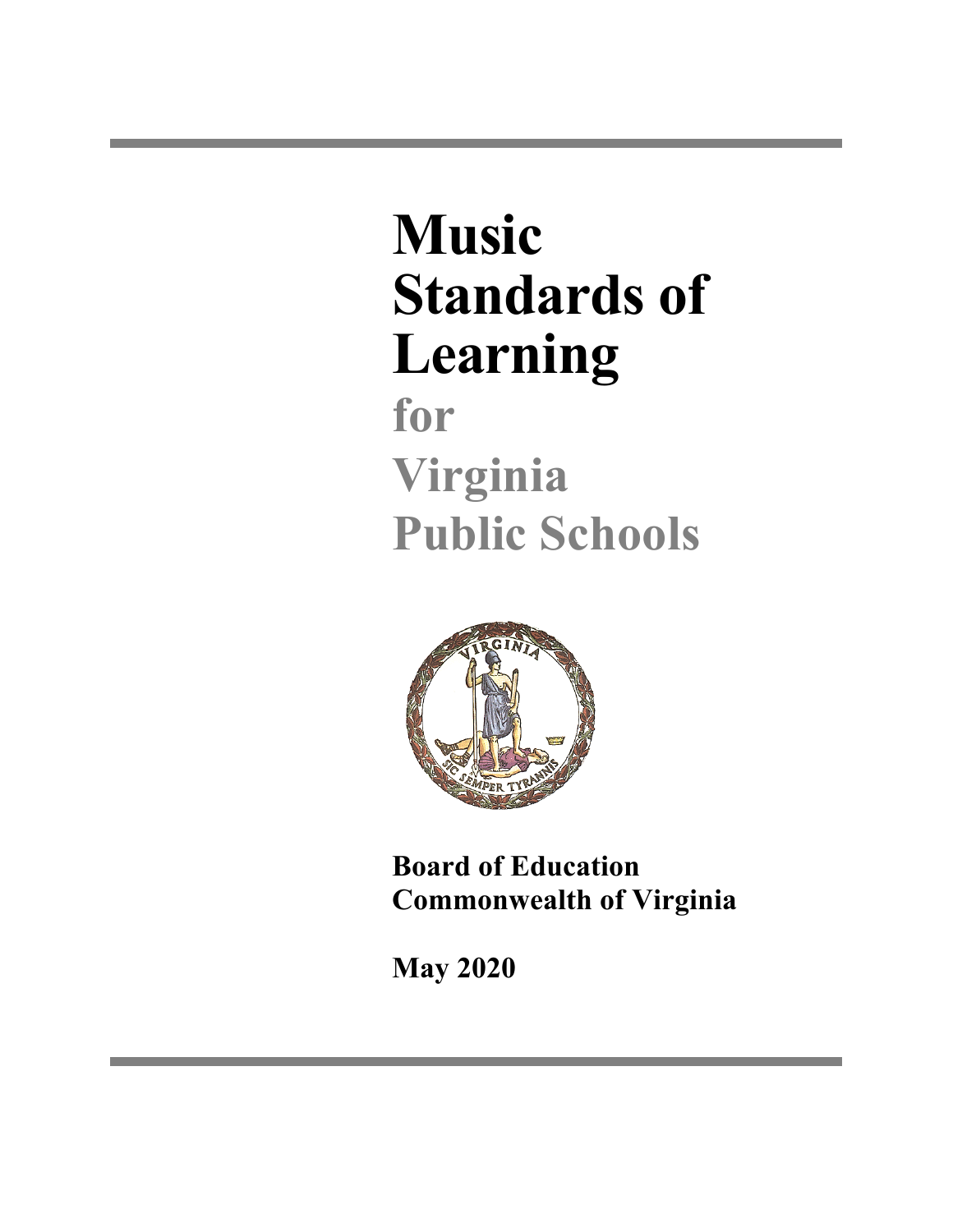# **Music Standards of Learning**

**for Virginia Public Schools**



**Board of Education Commonwealth of Virginia**

**May 2020**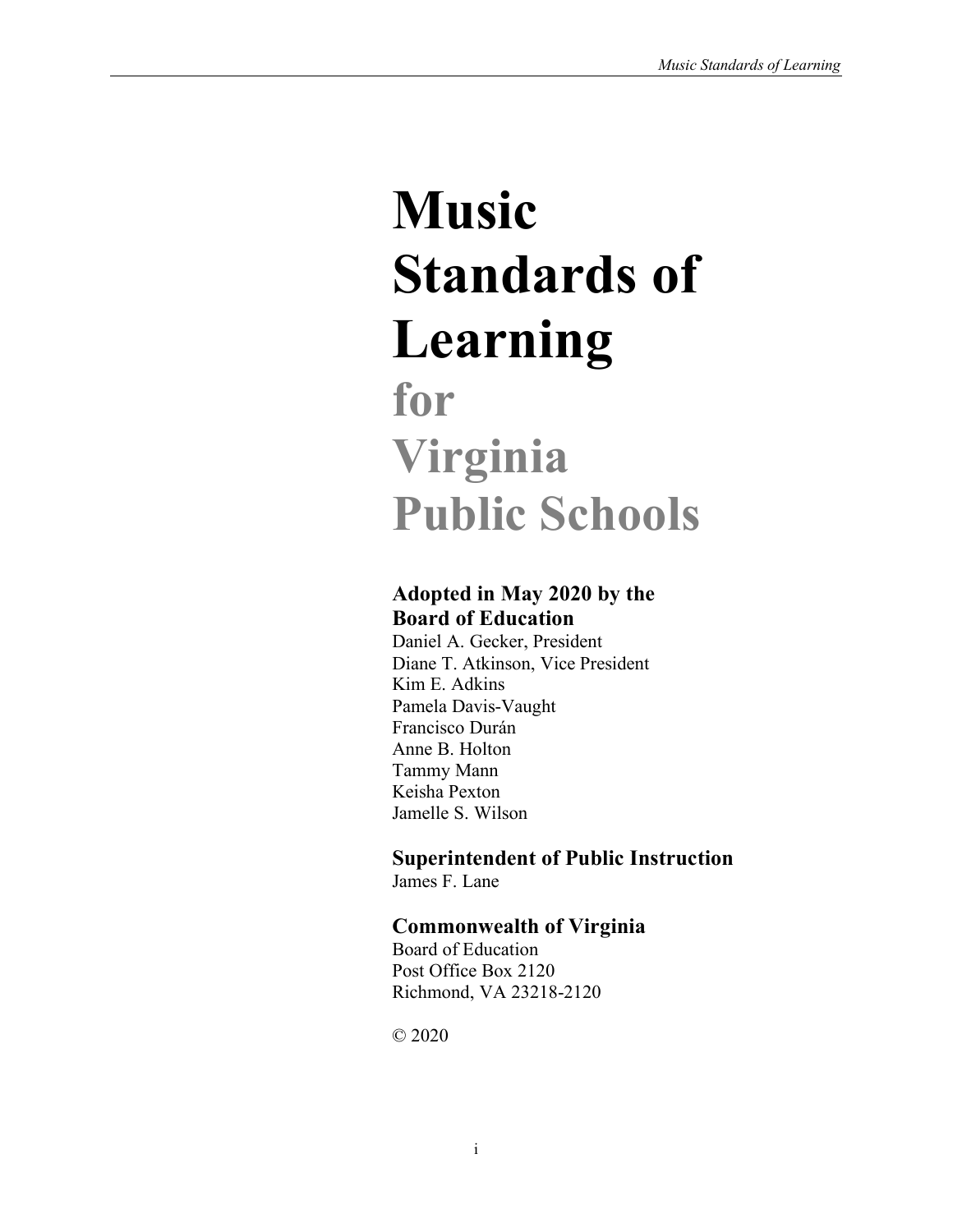# **Music Standards of Learning for Virginia Public Schools**

# **Adopted in May 2020 by the Board of Education**

Daniel A. Gecker, President Diane T. Atkinson, Vice President Kim E. Adkins Pamela Davis-Vaught Francisco Durán Anne B. Holton Tammy Mann Keisha Pexton Jamelle S. Wilson

# **Superintendent of Public Instruction**

James F. Lane

# **Commonwealth of Virginia**

Board of Education Post Office Box 2120 Richmond, VA 23218-2120

© 2020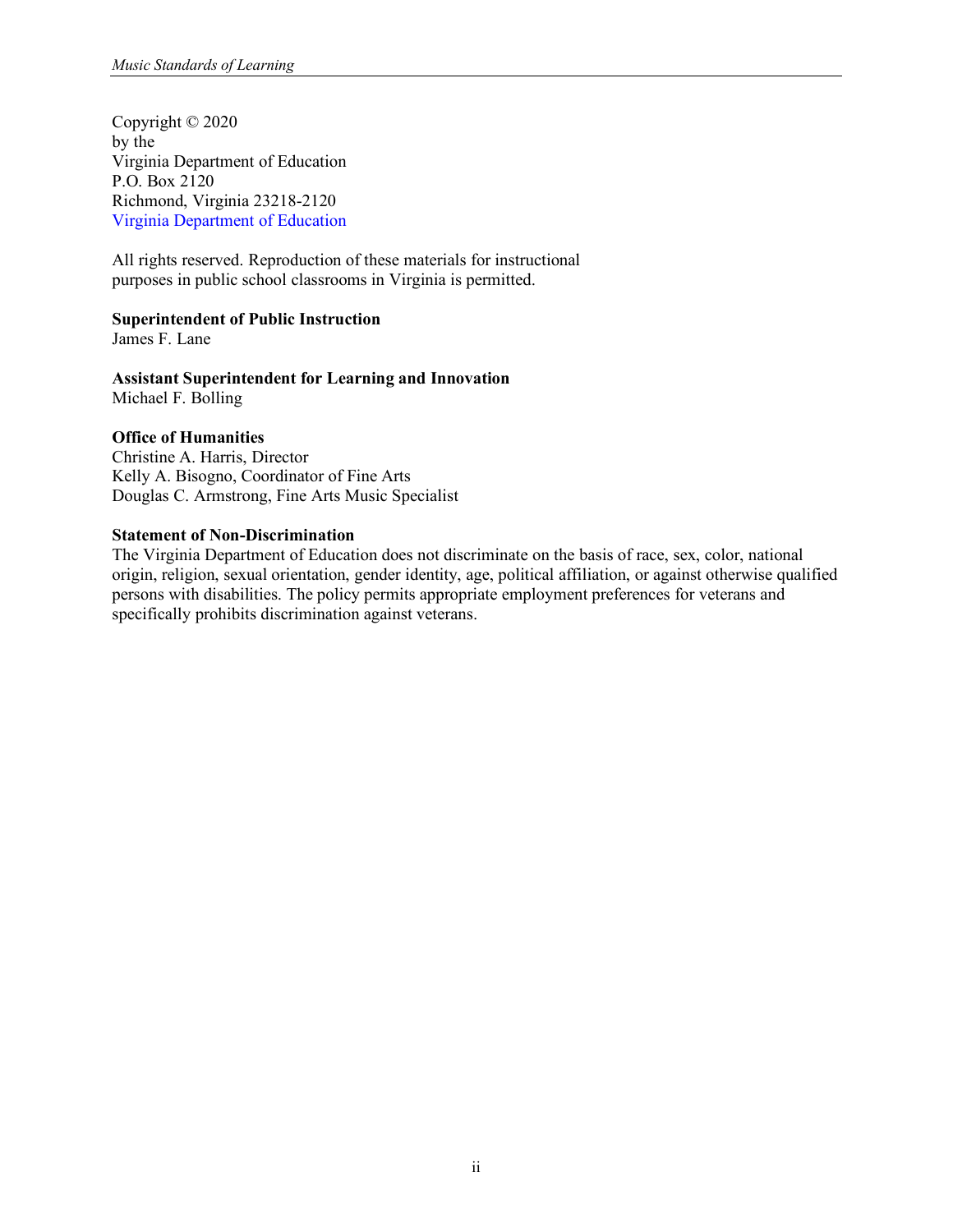Copyright © 2020 by the Virginia Department of Education P.O. Box 2120 Richmond, Virginia 23218-2120 [Virginia Department of Education](http://www.doe.virginia.gov/)

All rights reserved. Reproduction of these materials for instructional purposes in public school classrooms in Virginia is permitted.

#### **Superintendent of Public Instruction**

James F. Lane

**Assistant Superintendent for Learning and Innovation** Michael F. Bolling

#### **Office of Humanities**

Christine A. Harris, Director Kelly A. Bisogno, Coordinator of Fine Arts Douglas C. Armstrong, Fine Arts Music Specialist

#### **Statement of Non-Discrimination**

The Virginia Department of Education does not discriminate on the basis of race, sex, color, national origin, religion, sexual orientation, gender identity, age, political affiliation, or against otherwise qualified persons with disabilities. The policy permits appropriate employment preferences for veterans and specifically prohibits discrimination against veterans.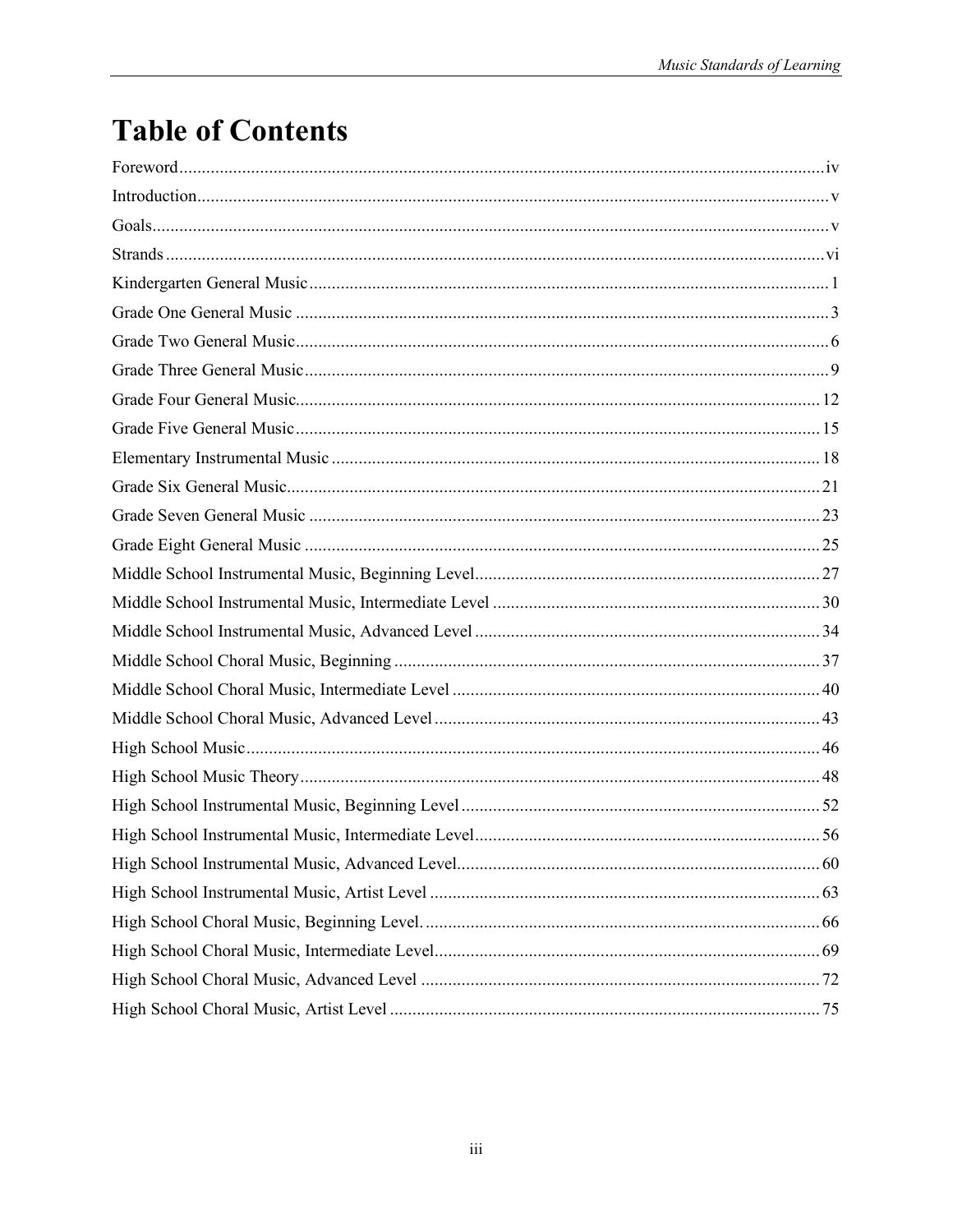# **Table of Contents**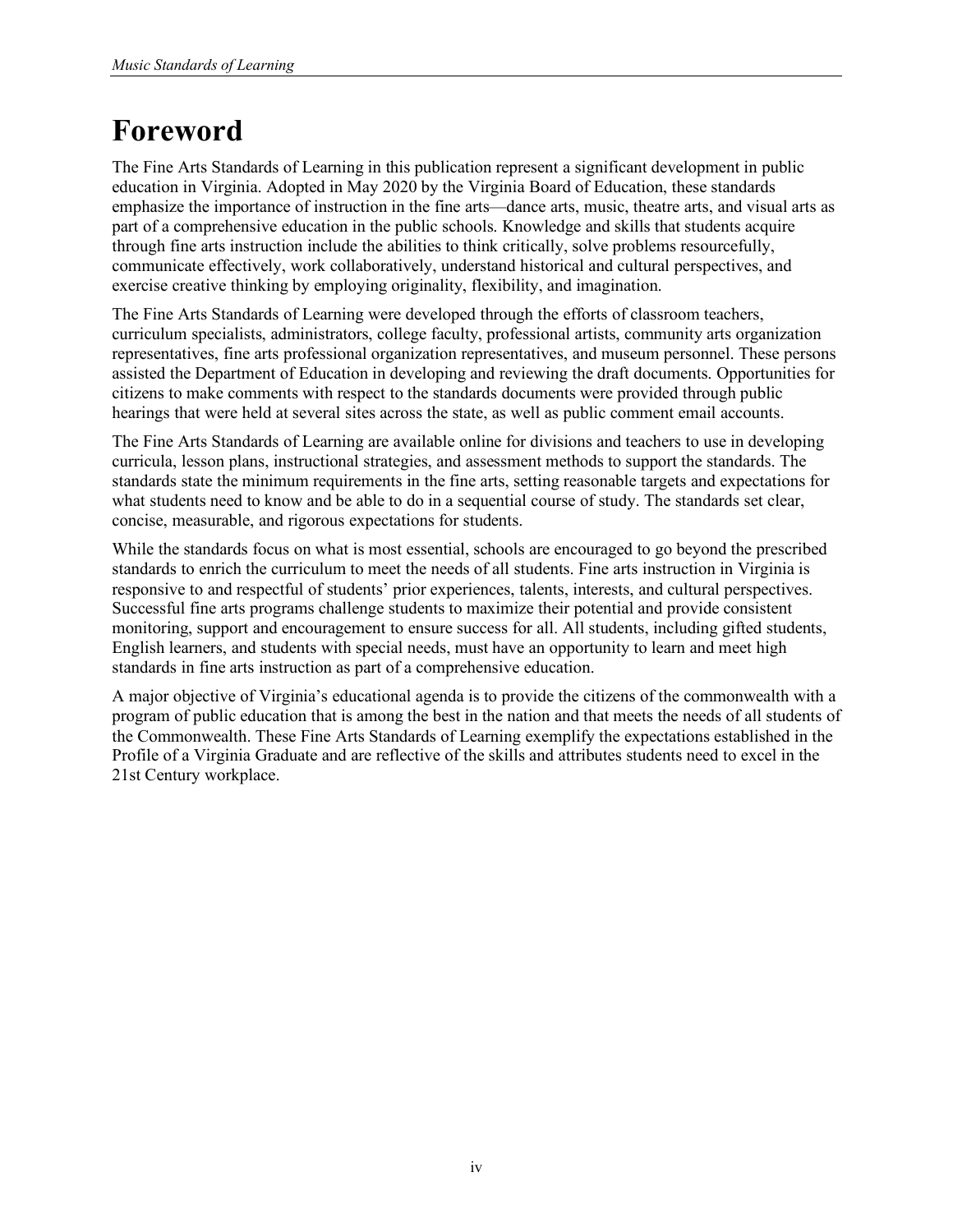# <span id="page-5-0"></span>**Foreword**

The Fine Arts Standards of Learning in this publication represent a significant development in public education in Virginia. Adopted in May 2020 by the Virginia Board of Education, these standards emphasize the importance of instruction in the fine arts—dance arts, music, theatre arts, and visual arts as part of a comprehensive education in the public schools. Knowledge and skills that students acquire through fine arts instruction include the abilities to think critically, solve problems resourcefully, communicate effectively, work collaboratively, understand historical and cultural perspectives, and exercise creative thinking by employing originality, flexibility, and imagination.

The Fine Arts Standards of Learning were developed through the efforts of classroom teachers, curriculum specialists, administrators, college faculty, professional artists, community arts organization representatives, fine arts professional organization representatives, and museum personnel. These persons assisted the Department of Education in developing and reviewing the draft documents. Opportunities for citizens to make comments with respect to the standards documents were provided through public hearings that were held at several sites across the state, as well as public comment email accounts.

The Fine Arts Standards of Learning are available online for divisions and teachers to use in developing curricula, lesson plans, instructional strategies, and assessment methods to support the standards. The standards state the minimum requirements in the fine arts, setting reasonable targets and expectations for what students need to know and be able to do in a sequential course of study. The standards set clear, concise, measurable, and rigorous expectations for students.

While the standards focus on what is most essential, schools are encouraged to go beyond the prescribed standards to enrich the curriculum to meet the needs of all students. Fine arts instruction in Virginia is responsive to and respectful of students' prior experiences, talents, interests, and cultural perspectives. Successful fine arts programs challenge students to maximize their potential and provide consistent monitoring, support and encouragement to ensure success for all. All students, including gifted students, English learners, and students with special needs, must have an opportunity to learn and meet high standards in fine arts instruction as part of a comprehensive education.

A major objective of Virginia's educational agenda is to provide the citizens of the commonwealth with a program of public education that is among the best in the nation and that meets the needs of all students of the Commonwealth. These Fine Arts Standards of Learning exemplify the expectations established in the Profile of a Virginia Graduate and are reflective of the skills and attributes students need to excel in the 21st Century workplace.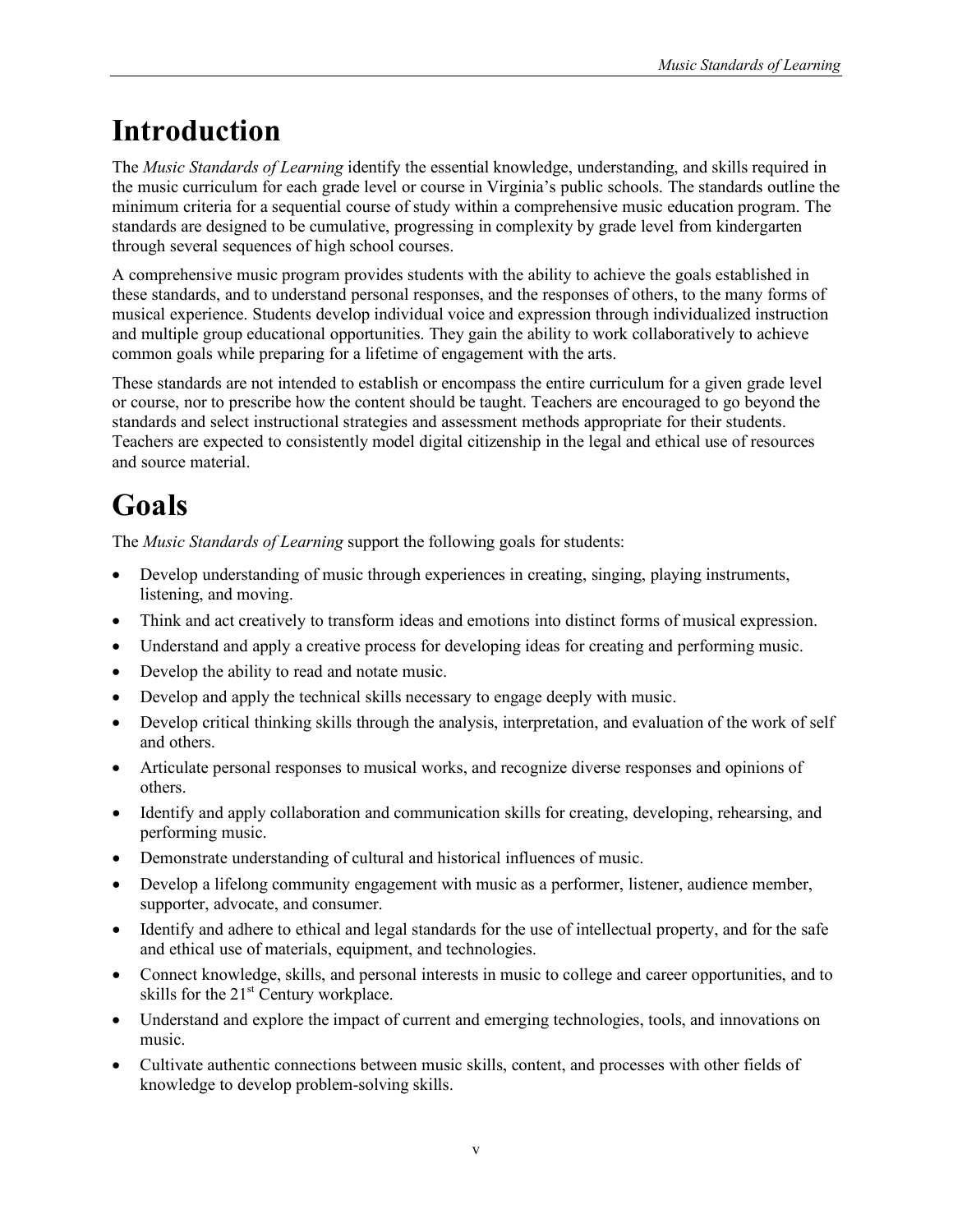# <span id="page-6-0"></span>**Introduction**

The *Music Standards of Learning* identify the essential knowledge, understanding, and skills required in the music curriculum for each grade level or course in Virginia's public schools. The standards outline the minimum criteria for a sequential course of study within a comprehensive music education program. The standards are designed to be cumulative, progressing in complexity by grade level from kindergarten through several sequences of high school courses.

A comprehensive music program provides students with the ability to achieve the goals established in these standards, and to understand personal responses, and the responses of others, to the many forms of musical experience. Students develop individual voice and expression through individualized instruction and multiple group educational opportunities. They gain the ability to work collaboratively to achieve common goals while preparing for a lifetime of engagement with the arts.

These standards are not intended to establish or encompass the entire curriculum for a given grade level or course, nor to prescribe how the content should be taught. Teachers are encouraged to go beyond the standards and select instructional strategies and assessment methods appropriate for their students. Teachers are expected to consistently model digital citizenship in the legal and ethical use of resources and source material.

# <span id="page-6-1"></span>**Goals**

The *Music Standards of Learning* support the following goals for students:

- <span id="page-6-2"></span>• Develop understanding of music through experiences in creating, singing, playing instruments, listening, and moving.
- Think and act creatively to transform ideas and emotions into distinct forms of musical expression.
- Understand and apply a creative process for developing ideas for creating and performing music.
- Develop the ability to read and notate music.
- Develop and apply the technical skills necessary to engage deeply with music.
- Develop critical thinking skills through the analysis, interpretation, and evaluation of the work of self and others.
- Articulate personal responses to musical works, and recognize diverse responses and opinions of others.
- Identify and apply collaboration and communication skills for creating, developing, rehearsing, and performing music.
- Demonstrate understanding of cultural and historical influences of music.
- Develop a lifelong community engagement with music as a performer, listener, audience member, supporter, advocate, and consumer.
- Identify and adhere to ethical and legal standards for the use of intellectual property, and for the safe and ethical use of materials, equipment, and technologies.
- Connect knowledge, skills, and personal interests in music to college and career opportunities, and to skills for the  $21<sup>st</sup>$  Century workplace.
- Understand and explore the impact of current and emerging technologies, tools, and innovations on music.
- Cultivate authentic connections between music skills, content, and processes with other fields of knowledge to develop problem-solving skills.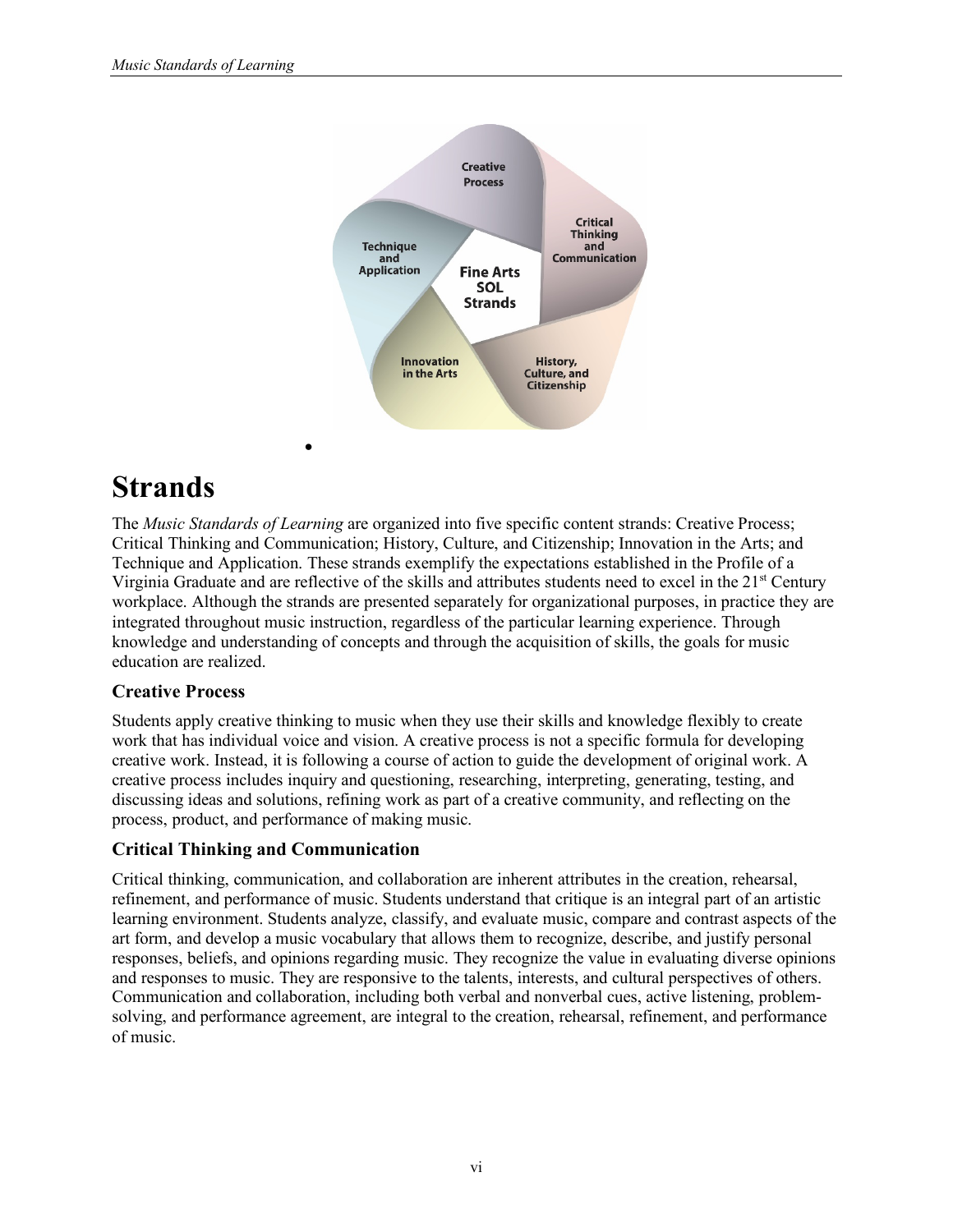

# **Strands**

The *Music Standards of Learning* are organized into five specific content strands: Creative Process; Critical Thinking and Communication; History, Culture, and Citizenship; Innovation in the Arts; and Technique and Application. These strands exemplify the expectations established in the Profile of a Virginia Graduate and are reflective of the skills and attributes students need to excel in the 21<sup>st</sup> Century workplace. Although the strands are presented separately for organizational purposes, in practice they are integrated throughout music instruction, regardless of the particular learning experience. Through knowledge and understanding of concepts and through the acquisition of skills, the goals for music education are realized.

# **Creative Process**

Students apply creative thinking to music when they use their skills and knowledge flexibly to create work that has individual voice and vision. A creative process is not a specific formula for developing creative work. Instead, it is following a course of action to guide the development of original work. A creative process includes inquiry and questioning, researching, interpreting, generating, testing, and discussing ideas and solutions, refining work as part of a creative community, and reflecting on the process, product, and performance of making music.

# **Critical Thinking and Communication**

Critical thinking, communication, and collaboration are inherent attributes in the creation, rehearsal, refinement, and performance of music. Students understand that critique is an integral part of an artistic learning environment. Students analyze, classify, and evaluate music, compare and contrast aspects of the art form, and develop a music vocabulary that allows them to recognize, describe, and justify personal responses, beliefs, and opinions regarding music. They recognize the value in evaluating diverse opinions and responses to music. They are responsive to the talents, interests, and cultural perspectives of others. Communication and collaboration, including both verbal and nonverbal cues, active listening, problemsolving, and performance agreement, are integral to the creation, rehearsal, refinement, and performance of music.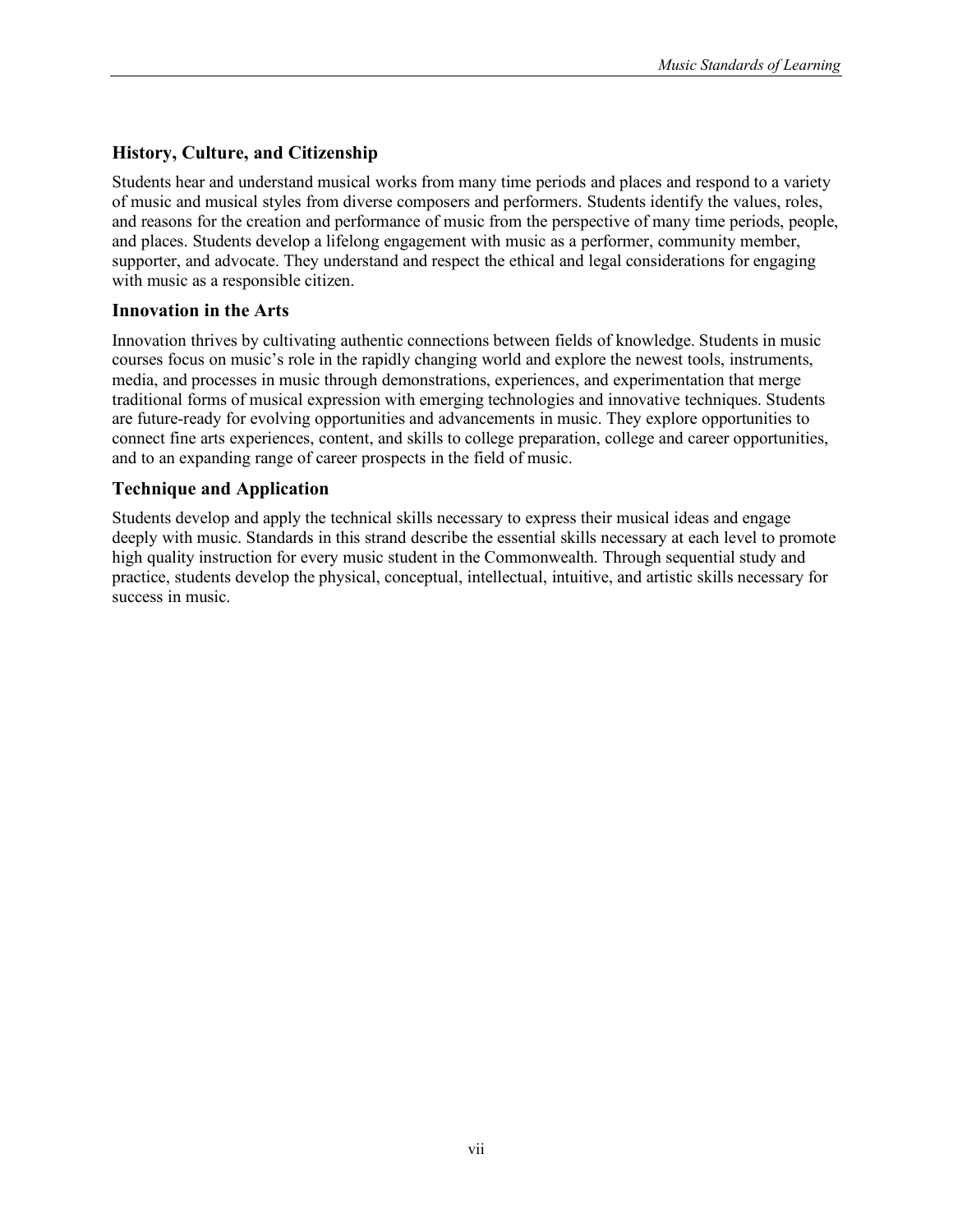# **History, Culture, and Citizenship**

Students hear and understand musical works from many time periods and places and respond to a variety of music and musical styles from diverse composers and performers. Students identify the values, roles, and reasons for the creation and performance of music from the perspective of many time periods, people, and places. Students develop a lifelong engagement with music as a performer, community member, supporter, and advocate. They understand and respect the ethical and legal considerations for engaging with music as a responsible citizen.

### **Innovation in the Arts**

Innovation thrives by cultivating authentic connections between fields of knowledge. Students in music courses focus on music's role in the rapidly changing world and explore the newest tools, instruments, media, and processes in music through demonstrations, experiences, and experimentation that merge traditional forms of musical expression with emerging technologies and innovative techniques. Students are future-ready for evolving opportunities and advancements in music. They explore opportunities to connect fine arts experiences, content, and skills to college preparation, college and career opportunities, and to an expanding range of career prospects in the field of music.

### **Technique and Application**

Students develop and apply the technical skills necessary to express their musical ideas and engage deeply with music. Standards in this strand describe the essential skills necessary at each level to promote high quality instruction for every music student in the Commonwealth. Through sequential study and practice, students develop the physical, conceptual, intellectual, intuitive, and artistic skills necessary for success in music.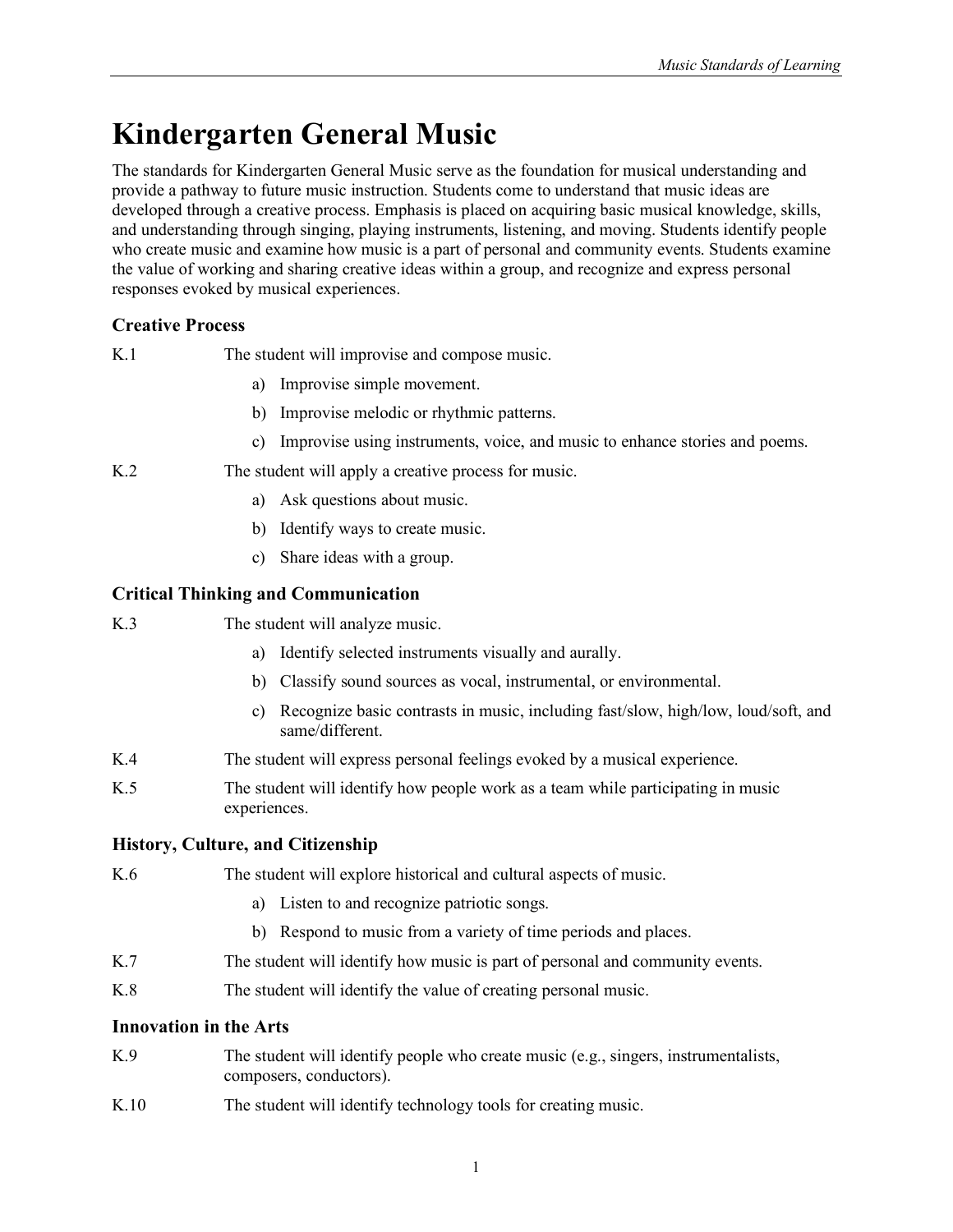# <span id="page-10-0"></span>**Kindergarten General Music**

The standards for Kindergarten General Music serve as the foundation for musical understanding and provide a pathway to future music instruction. Students come to understand that music ideas are developed through a creative process. Emphasis is placed on acquiring basic musical knowledge, skills, and understanding through singing, playing instruments, listening, and moving. Students identify people who create music and examine how music is a part of personal and community events. Students examine the value of working and sharing creative ideas within a group, and recognize and express personal responses evoked by musical experiences.

# **Creative Process**

| K.1 | The student will improvise and compose music. |  |  |  |
|-----|-----------------------------------------------|--|--|--|
|     |                                               |  |  |  |
|     |                                               |  |  |  |
|     |                                               |  |  |  |

- a) Improvise simple movement.
- b) Improvise melodic or rhythmic patterns.
- c) Improvise using instruments, voice, and music to enhance stories and poems.
- K.2 The student will apply a creative process for music.
	- a) Ask questions about music.
	- b) Identify ways to create music.
	- c) Share ideas with a group.

### **Critical Thinking and Communication**

| K.3 | The student will analyze music. |
|-----|---------------------------------|
|-----|---------------------------------|

- a) Identify selected instruments visually and aurally.
- b) Classify sound sources as vocal, instrumental, or environmental.
- c) Recognize basic contrasts in music, including fast/slow, high/low, loud/soft, and same/different.
- K.4 The student will express personal feelings evoked by a musical experience.
- K.5 The student will identify how people work as a team while participating in music experiences.

### **History, Culture, and Citizenship**

### K.6 The student will explore historical and cultural aspects of music.

- a) Listen to and recognize patriotic songs.
- b) Respond to music from a variety of time periods and places.
- K.7 The student will identify how music is part of personal and community events.
- K.8 The student will identify the value of creating personal music.

### **Innovation in the Arts**

- K.9 The student will identify people who create music (e.g., singers, instrumentalists, composers, conductors).
- K.10 The student will identify technology tools for creating music.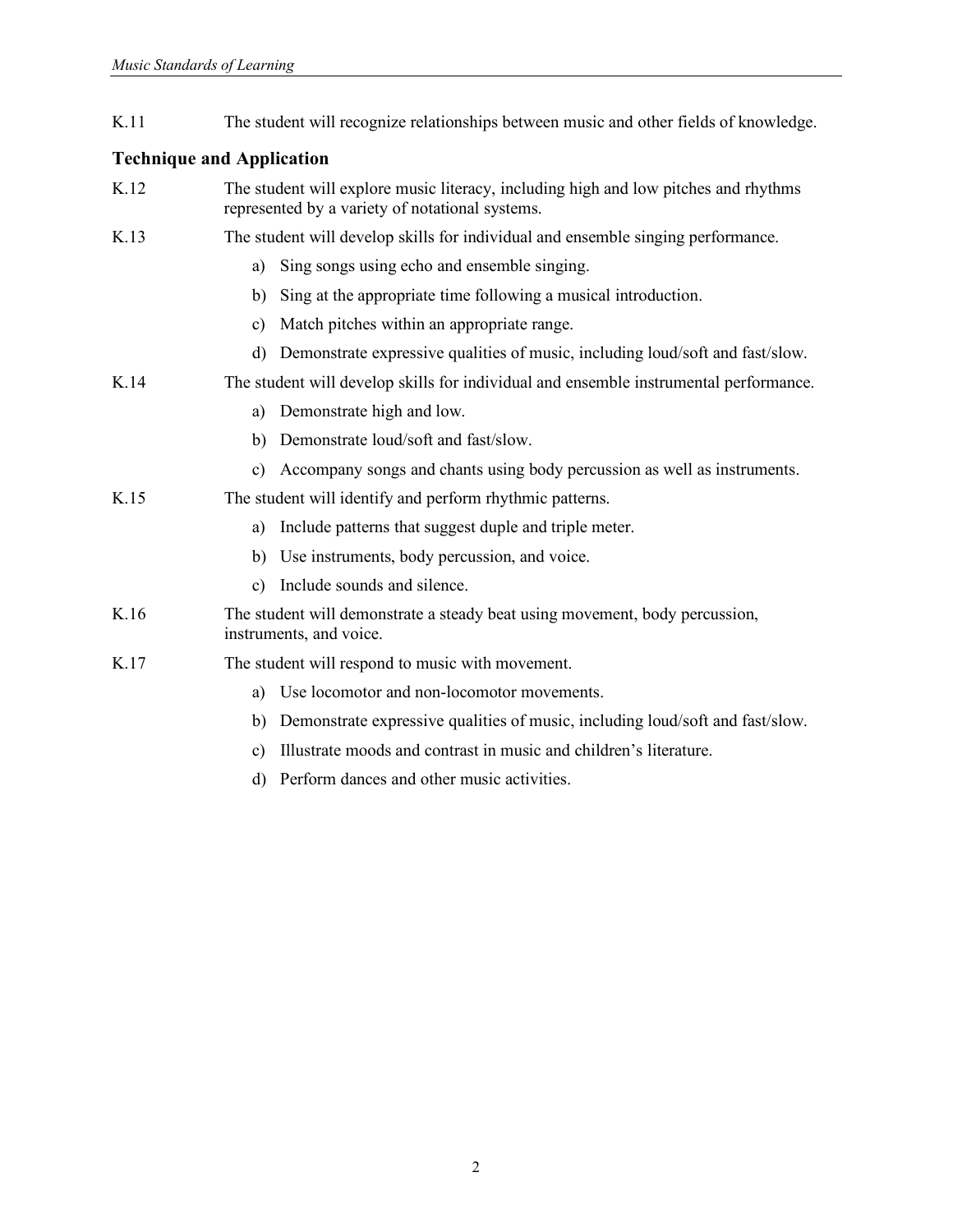K.11 The student will recognize relationships between music and other fields of knowledge.

- K.12 The student will explore music literacy, including high and low pitches and rhythms represented by a variety of notational systems.
- K.13 The student will develop skills for individual and ensemble singing performance.
	- a) Sing songs using echo and ensemble singing.
	- b) Sing at the appropriate time following a musical introduction.
	- c) Match pitches within an appropriate range.
	- d) Demonstrate expressive qualities of music, including loud/soft and fast/slow.
- K.14 The student will develop skills for individual and ensemble instrumental performance.
	- a) Demonstrate high and low.
	- b) Demonstrate loud/soft and fast/slow.
	- c) Accompany songs and chants using body percussion as well as instruments.
- K.15 The student will identify and perform rhythmic patterns.
	- a) Include patterns that suggest duple and triple meter.
	- b) Use instruments, body percussion, and voice.
	- c) Include sounds and silence.
- K.16 The student will demonstrate a steady beat using movement, body percussion, instruments, and voice.
- K.17 The student will respond to music with movement.
	- a) Use locomotor and non-locomotor movements.
	- b) Demonstrate expressive qualities of music, including loud/soft and fast/slow.
	- c) Illustrate moods and contrast in music and children's literature.
	- d) Perform dances and other music activities.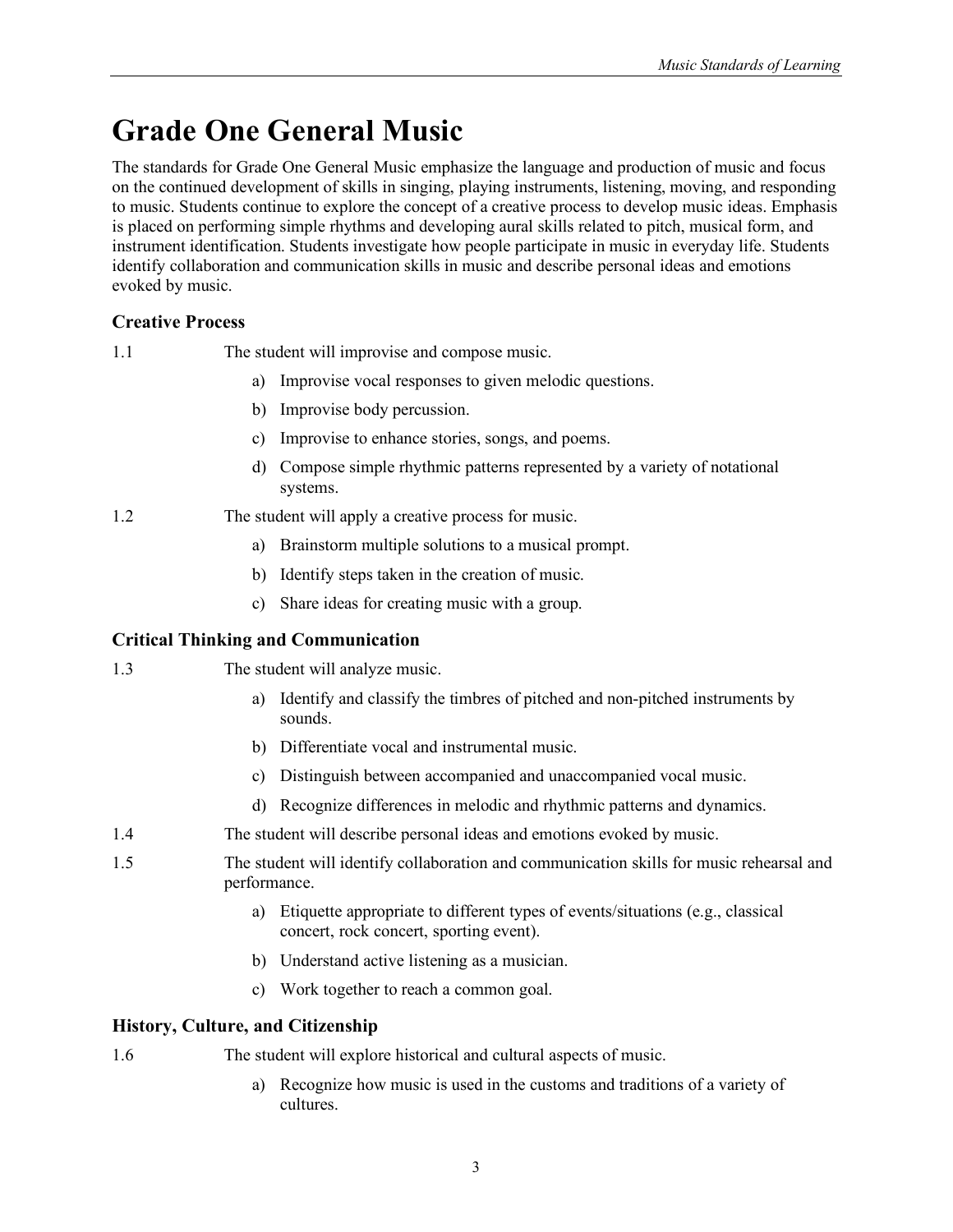# <span id="page-12-0"></span>**Grade One General Music**

The standards for Grade One General Music emphasize the language and production of music and focus on the continued development of skills in singing, playing instruments, listening, moving, and responding to music. Students continue to explore the concept of a creative process to develop music ideas. Emphasis is placed on performing simple rhythms and developing aural skills related to pitch, musical form, and instrument identification. Students investigate how people participate in music in everyday life. Students identify collaboration and communication skills in music and describe personal ideas and emotions evoked by music.

# **Creative Process**

1.1 The student will improvise and compose music.

- a) Improvise vocal responses to given melodic questions.
- b) Improvise body percussion.
- c) Improvise to enhance stories, songs, and poems.
- d) Compose simple rhythmic patterns represented by a variety of notational systems.
- 1.2 The student will apply a creative process for music.
	- a) Brainstorm multiple solutions to a musical prompt.
	- b) Identify steps taken in the creation of music.
	- c) Share ideas for creating music with a group.

# **Critical Thinking and Communication**

- 1.3 The student will analyze music.
	- a) Identify and classify the timbres of pitched and non-pitched instruments by sounds.
	- b) Differentiate vocal and instrumental music.
	- c) Distinguish between accompanied and unaccompanied vocal music.
	- d) Recognize differences in melodic and rhythmic patterns and dynamics.
- 1.4 The student will describe personal ideas and emotions evoked by music.
- 1.5 The student will identify collaboration and communication skills for music rehearsal and performance.
	- a) Etiquette appropriate to different types of events/situations (e.g., classical concert, rock concert, sporting event).
	- b) Understand active listening as a musician.
	- c) Work together to reach a common goal.

# **History, Culture, and Citizenship**

1.6 The student will explore historical and cultural aspects of music.

a) Recognize how music is used in the customs and traditions of a variety of cultures.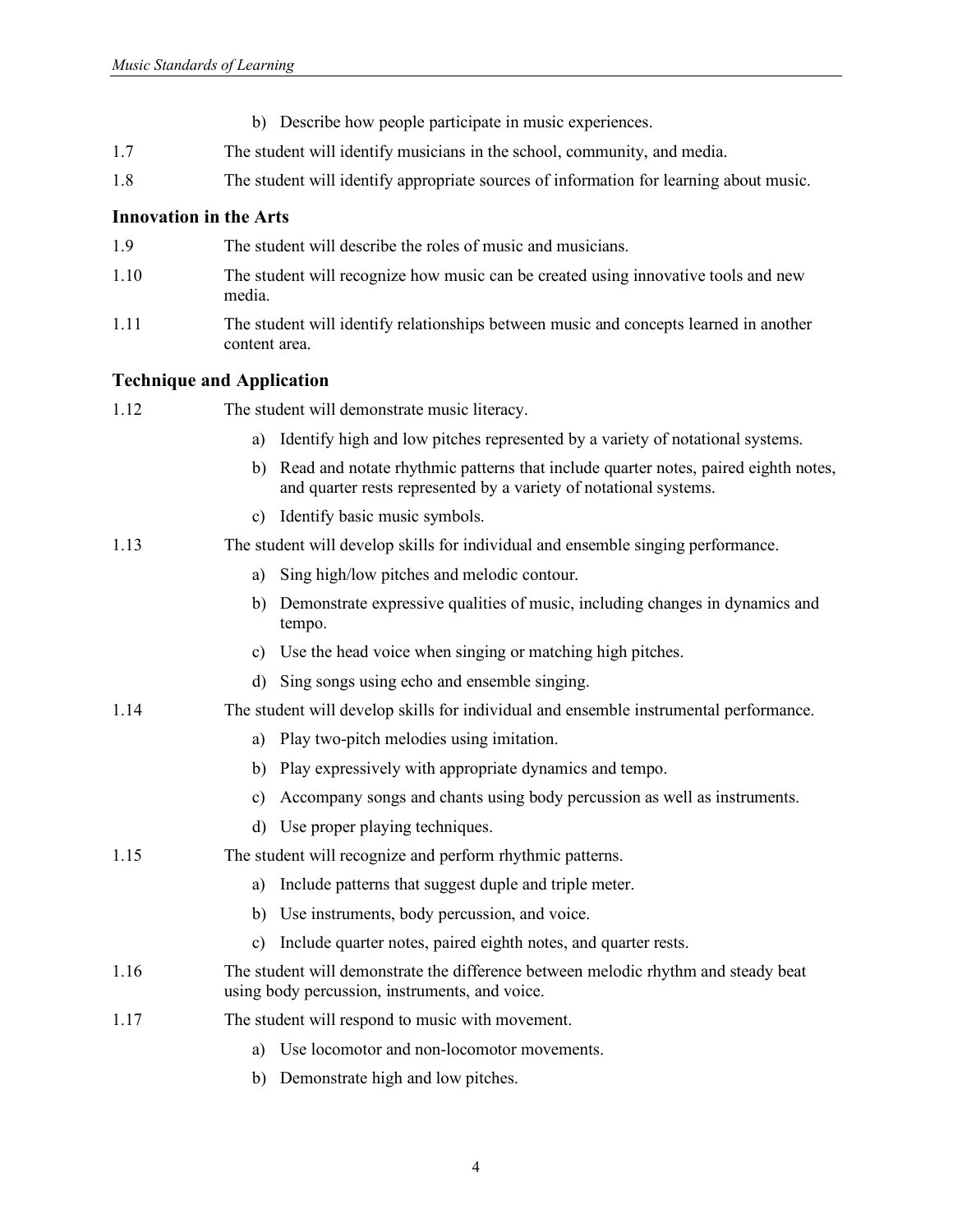- b) Describe how people participate in music experiences.
- 1.7 The student will identify musicians in the school, community, and media.
- 1.8 The student will identify appropriate sources of information for learning about music.

- 1.9 The student will describe the roles of music and musicians.
- 1.10 The student will recognize how music can be created using innovative tools and new media.
- 1.11 The student will identify relationships between music and concepts learned in another content area.

| 1.12 | The student will demonstrate music literacy.                                                                                                                  |
|------|---------------------------------------------------------------------------------------------------------------------------------------------------------------|
|      | Identify high and low pitches represented by a variety of notational systems.<br>a)                                                                           |
|      | Read and notate rhythmic patterns that include quarter notes, paired eighth notes,<br>b)<br>and quarter rests represented by a variety of notational systems. |
|      | c) Identify basic music symbols.                                                                                                                              |
| 1.13 | The student will develop skills for individual and ensemble singing performance.                                                                              |
|      | Sing high/low pitches and melodic contour.<br>a)                                                                                                              |
|      | Demonstrate expressive qualities of music, including changes in dynamics and<br>b)<br>tempo.                                                                  |
|      | c) Use the head voice when singing or matching high pitches.                                                                                                  |
|      | Sing songs using echo and ensemble singing.<br>d)                                                                                                             |
| 1.14 | The student will develop skills for individual and ensemble instrumental performance.                                                                         |
|      | Play two-pitch melodies using imitation.<br>a)                                                                                                                |
|      | b) Play expressively with appropriate dynamics and tempo.                                                                                                     |
|      | Accompany songs and chants using body percussion as well as instruments.<br>c)                                                                                |
|      | d) Use proper playing techniques.                                                                                                                             |
| 1.15 | The student will recognize and perform rhythmic patterns.                                                                                                     |
|      | Include patterns that suggest duple and triple meter.<br>a)                                                                                                   |
|      | b) Use instruments, body percussion, and voice.                                                                                                               |
|      | Include quarter notes, paired eighth notes, and quarter rests.<br>$\mathbf{c})$                                                                               |
| 1.16 | The student will demonstrate the difference between melodic rhythm and steady beat<br>using body percussion, instruments, and voice.                          |
| 1.17 | The student will respond to music with movement.                                                                                                              |
|      | Use locomotor and non-locomotor movements.<br>a)                                                                                                              |
|      | b) Demonstrate high and low pitches.                                                                                                                          |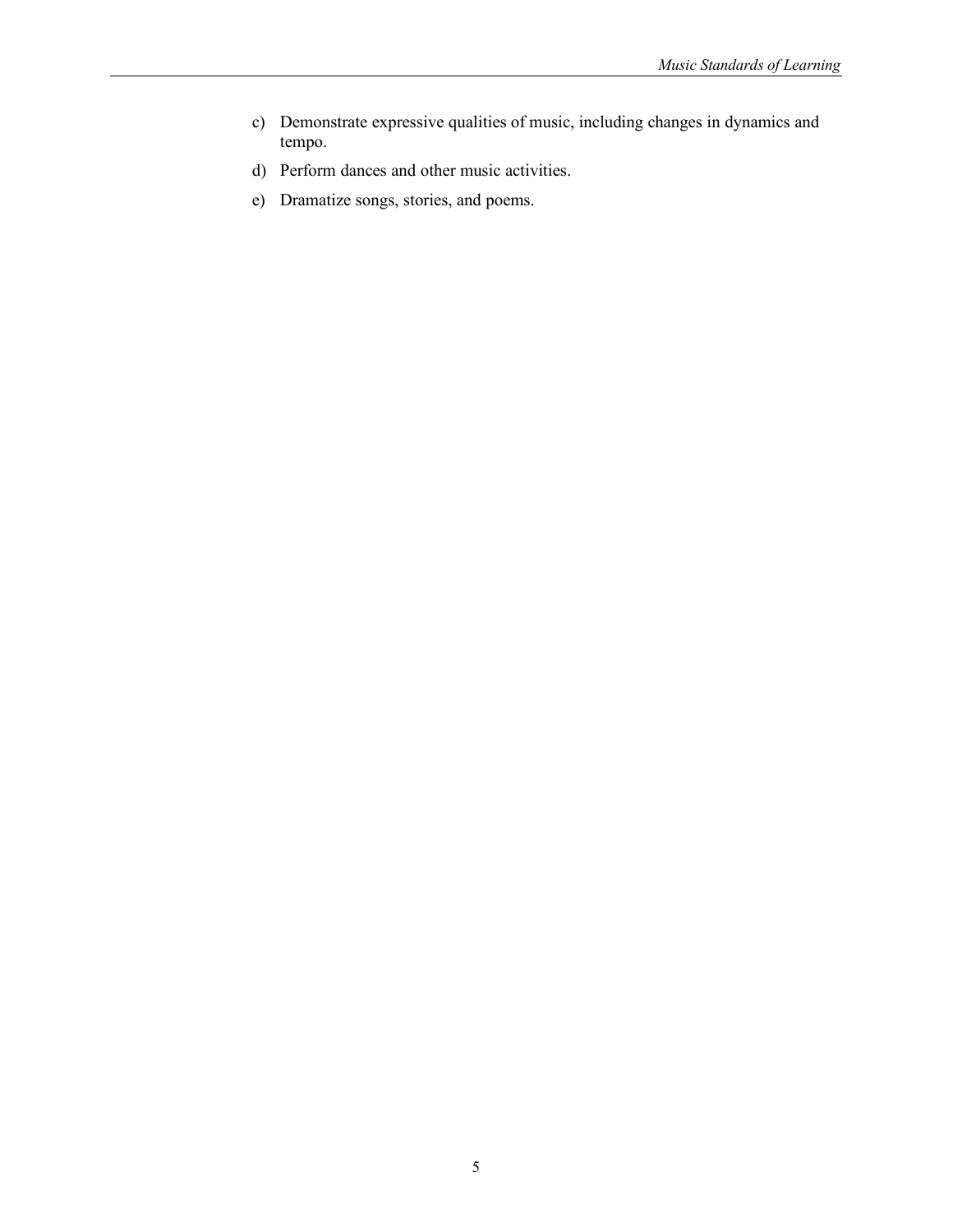- c) Demonstrate expressive qualities of music, including changes in dynamics and tempo.
- d) Perform dances and other music activities.
- e) Dramatize songs, stories, and poems.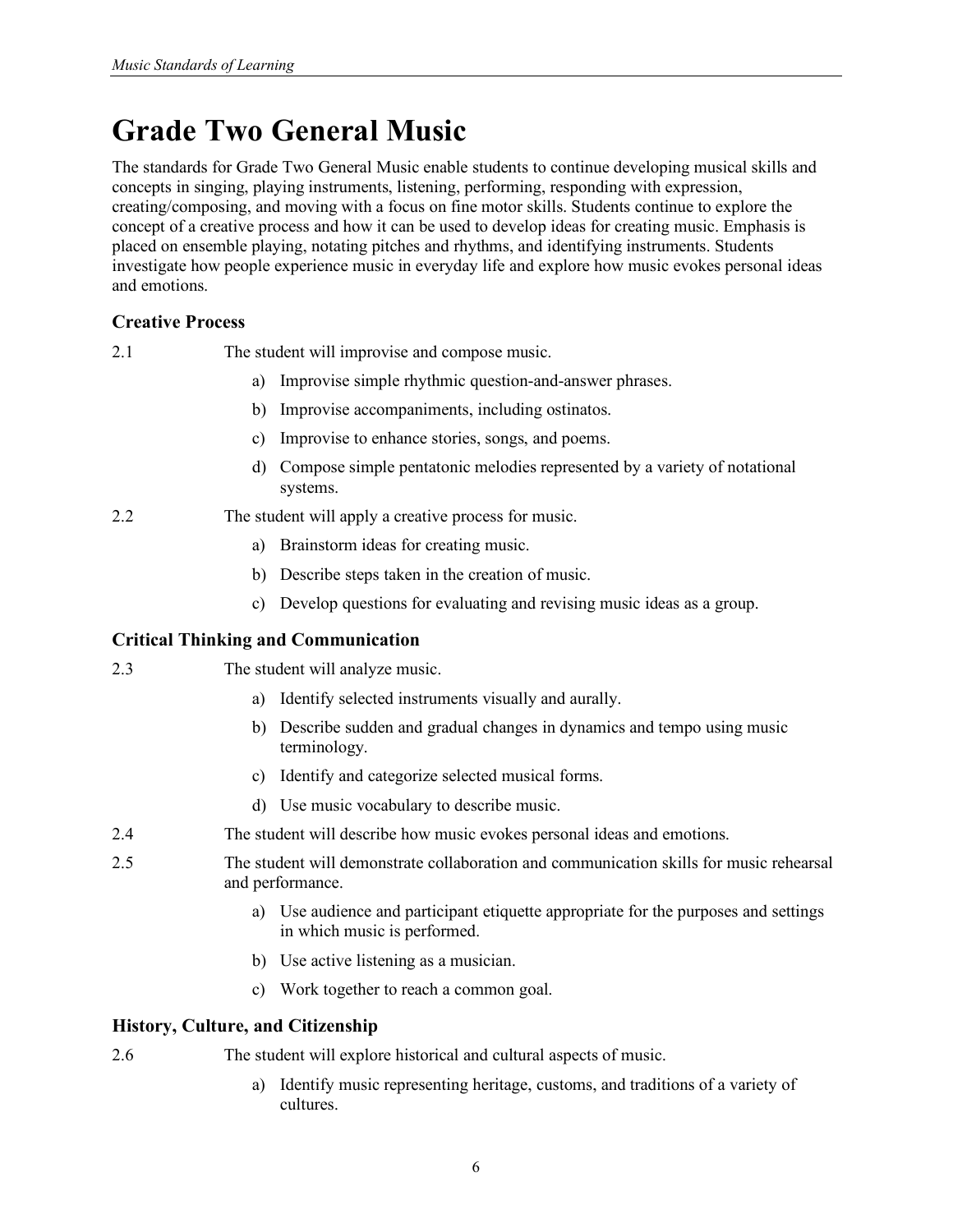# <span id="page-15-0"></span>**Grade Two General Music**

The standards for Grade Two General Music enable students to continue developing musical skills and concepts in singing, playing instruments, listening, performing, responding with expression, creating/composing, and moving with a focus on fine motor skills. Students continue to explore the concept of a creative process and how it can be used to develop ideas for creating music. Emphasis is placed on ensemble playing, notating pitches and rhythms, and identifying instruments. Students investigate how people experience music in everyday life and explore how music evokes personal ideas and emotions.

# **Creative Process**

| 2.1 |  |  | The student will improvise and compose music. |  |
|-----|--|--|-----------------------------------------------|--|
|-----|--|--|-----------------------------------------------|--|

- a) Improvise simple rhythmic question-and-answer phrases.
- b) Improvise accompaniments, including ostinatos.
- c) Improvise to enhance stories, songs, and poems.
- d) Compose simple pentatonic melodies represented by a variety of notational systems.

2.2 The student will apply a creative process for music.

- a) Brainstorm ideas for creating music.
- b) Describe steps taken in the creation of music.
- c) Develop questions for evaluating and revising music ideas as a group.

# **Critical Thinking and Communication**

- 2.3 The student will analyze music.
	- a) Identify selected instruments visually and aurally.
	- b) Describe sudden and gradual changes in dynamics and tempo using music terminology.
	- c) Identify and categorize selected musical forms.
	- d) Use music vocabulary to describe music.
- 2.4 The student will describe how music evokes personal ideas and emotions.
- 2.5 The student will demonstrate collaboration and communication skills for music rehearsal and performance.
	- a) Use audience and participant etiquette appropriate for the purposes and settings in which music is performed.
	- b) Use active listening as a musician.
	- c) Work together to reach a common goal.

# **History, Culture, and Citizenship**

2.6 The student will explore historical and cultural aspects of music.

cultures.

a) Identify music representing heritage, customs, and traditions of a variety of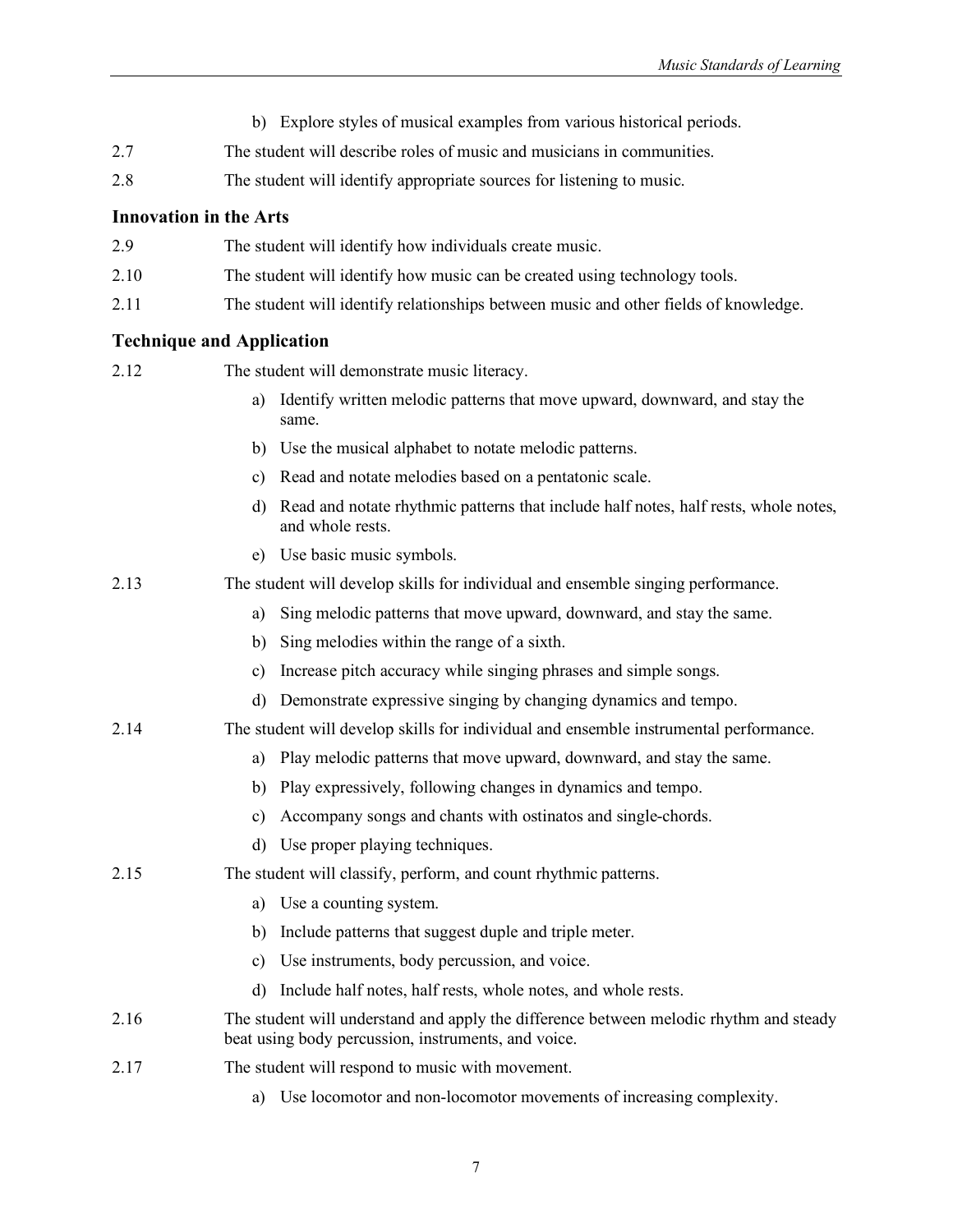- b) Explore styles of musical examples from various historical periods.
- 2.7 The student will describe roles of music and musicians in communities.
- 2.8 The student will identify appropriate sources for listening to music.

| 2.9 | The student will identify how individuals create music. |
|-----|---------------------------------------------------------|
|-----|---------------------------------------------------------|

- 2.10 The student will identify how music can be created using technology tools.
- 2.11 The student will identify relationships between music and other fields of knowledge.

#### **Technique and Application**

| <b>Technique and Application</b> |               |                                                                                                                                               |
|----------------------------------|---------------|-----------------------------------------------------------------------------------------------------------------------------------------------|
| 2.12                             |               | The student will demonstrate music literacy.                                                                                                  |
|                                  | a)            | Identify written melodic patterns that move upward, downward, and stay the<br>same.                                                           |
|                                  |               | b) Use the musical alphabet to notate melodic patterns.                                                                                       |
|                                  | C)            | Read and notate melodies based on a pentatonic scale.                                                                                         |
|                                  | d)            | Read and notate rhythmic patterns that include half notes, half rests, whole notes,<br>and whole rests.                                       |
|                                  | e)            | Use basic music symbols.                                                                                                                      |
| 2.13                             |               | The student will develop skills for individual and ensemble singing performance.                                                              |
|                                  | a)            | Sing melodic patterns that move upward, downward, and stay the same.                                                                          |
|                                  | b)            | Sing melodies within the range of a sixth.                                                                                                    |
|                                  | $\mathbf{c})$ | Increase pitch accuracy while singing phrases and simple songs.                                                                               |
|                                  | d)            | Demonstrate expressive singing by changing dynamics and tempo.                                                                                |
| 2.14                             |               | The student will develop skills for individual and ensemble instrumental performance.                                                         |
|                                  | a)            | Play melodic patterns that move upward, downward, and stay the same.                                                                          |
|                                  | b)            | Play expressively, following changes in dynamics and tempo.                                                                                   |
|                                  | c)            | Accompany songs and chants with ostinatos and single-chords.                                                                                  |
|                                  | d)            | Use proper playing techniques.                                                                                                                |
| 2.15                             |               | The student will classify, perform, and count rhythmic patterns.                                                                              |
|                                  | a)            | Use a counting system.                                                                                                                        |
|                                  | b)            | Include patterns that suggest duple and triple meter.                                                                                         |
|                                  | $\mathbf{c})$ | Use instruments, body percussion, and voice.                                                                                                  |
|                                  | d)            | Include half notes, half rests, whole notes, and whole rests.                                                                                 |
| 2.16                             |               | The student will understand and apply the difference between melodic rhythm and steady<br>beat using body percussion, instruments, and voice. |
| 2.17                             |               | The student will respond to music with movement.                                                                                              |

a) Use locomotor and non-locomotor movements of increasing complexity.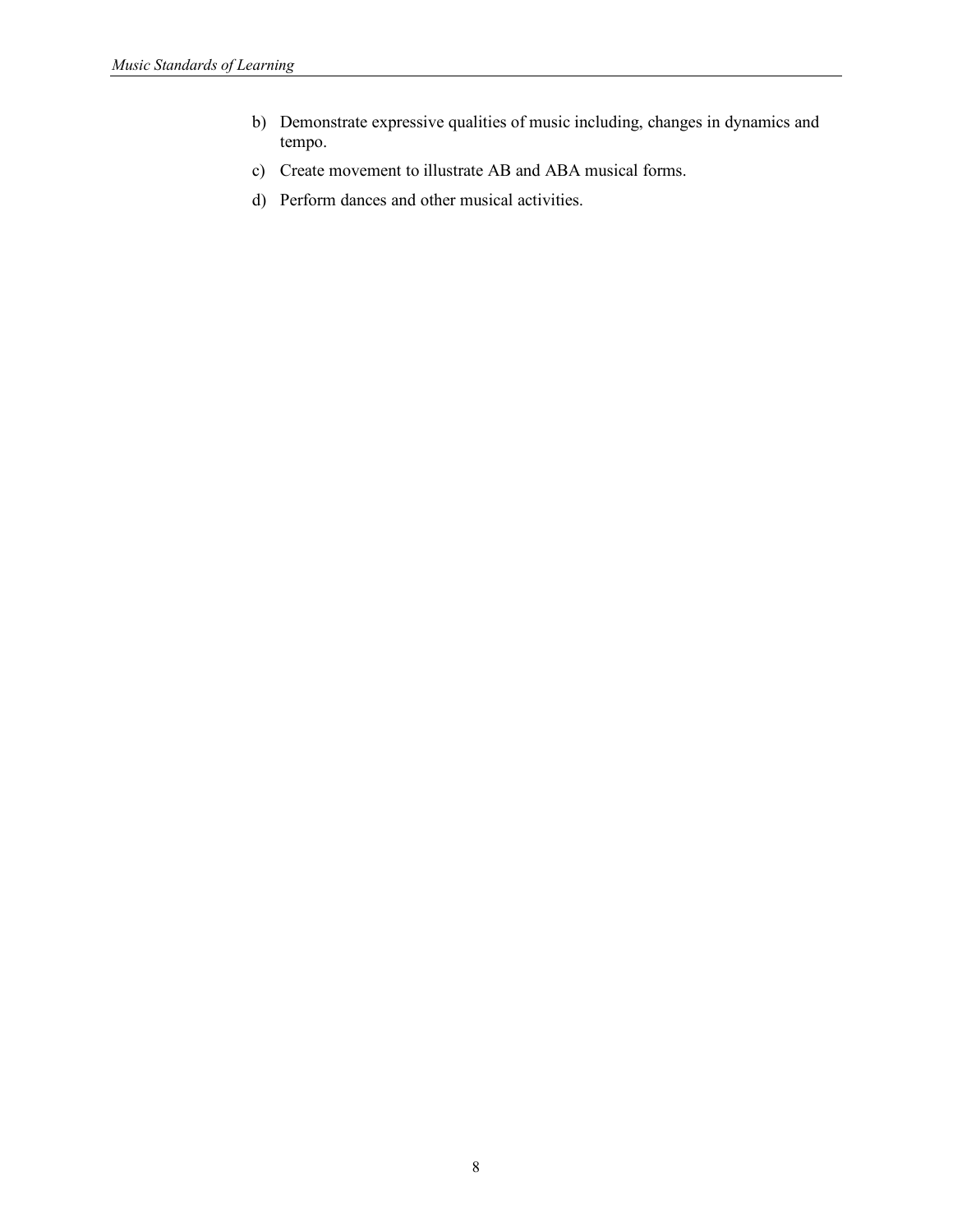- b) Demonstrate expressive qualities of music including, changes in dynamics and tempo.
- c) Create movement to illustrate AB and ABA musical forms.
- d) Perform dances and other musical activities.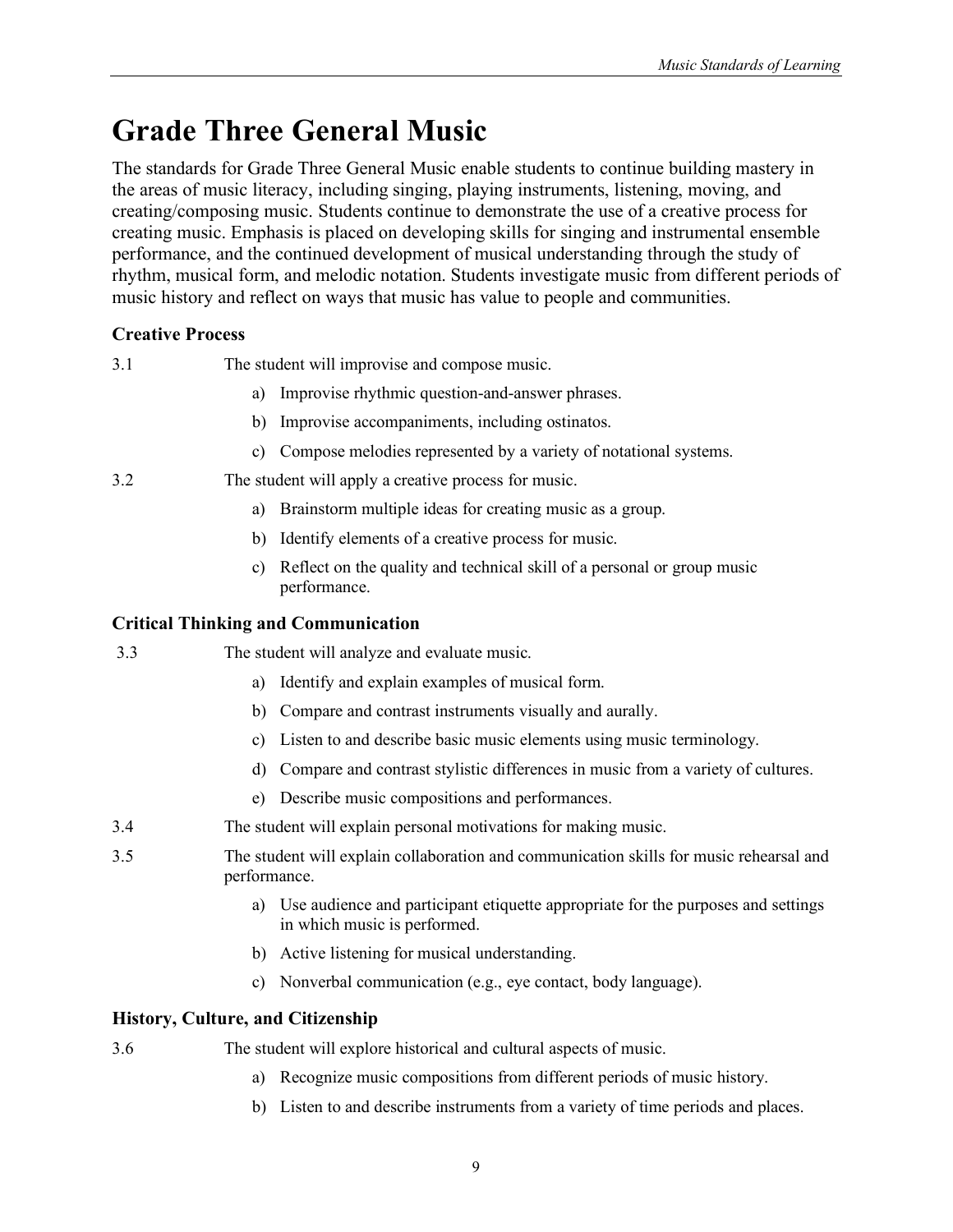# <span id="page-18-0"></span>**Grade Three General Music**

The standards for Grade Three General Music enable students to continue building mastery in the areas of music literacy, including singing, playing instruments, listening, moving, and creating/composing music. Students continue to demonstrate the use of a creative process for creating music. Emphasis is placed on developing skills for singing and instrumental ensemble performance, and the continued development of musical understanding through the study of rhythm, musical form, and melodic notation. Students investigate music from different periods of music history and reflect on ways that music has value to people and communities.

# **Creative Process**

3.1 The student will improvise and compose music.

- a) Improvise rhythmic question-and-answer phrases.
- b) Improvise accompaniments, including ostinatos.
- c) Compose melodies represented by a variety of notational systems.

# 3.2 The student will apply a creative process for music.

- a) Brainstorm multiple ideas for creating music as a group.
- b) Identify elements of a creative process for music.
- c) Reflect on the quality and technical skill of a personal or group music performance.

# **Critical Thinking and Communication**

3.3 The student will analyze and evaluate music.

- a) Identify and explain examples of musical form.
- b) Compare and contrast instruments visually and aurally.
- c) Listen to and describe basic music elements using music terminology.
- d) Compare and contrast stylistic differences in music from a variety of cultures.
- e) Describe music compositions and performances.
- 3.4 The student will explain personal motivations for making music.
- 3.5 The student will explain collaboration and communication skills for music rehearsal and performance.
	- a) Use audience and participant etiquette appropriate for the purposes and settings in which music is performed.
	- b) Active listening for musical understanding.
	- c) Nonverbal communication (e.g., eye contact, body language).

# **History, Culture, and Citizenship**

- 3.6 The student will explore historical and cultural aspects of music.
	- a) Recognize music compositions from different periods of music history.
	- b) Listen to and describe instruments from a variety of time periods and places.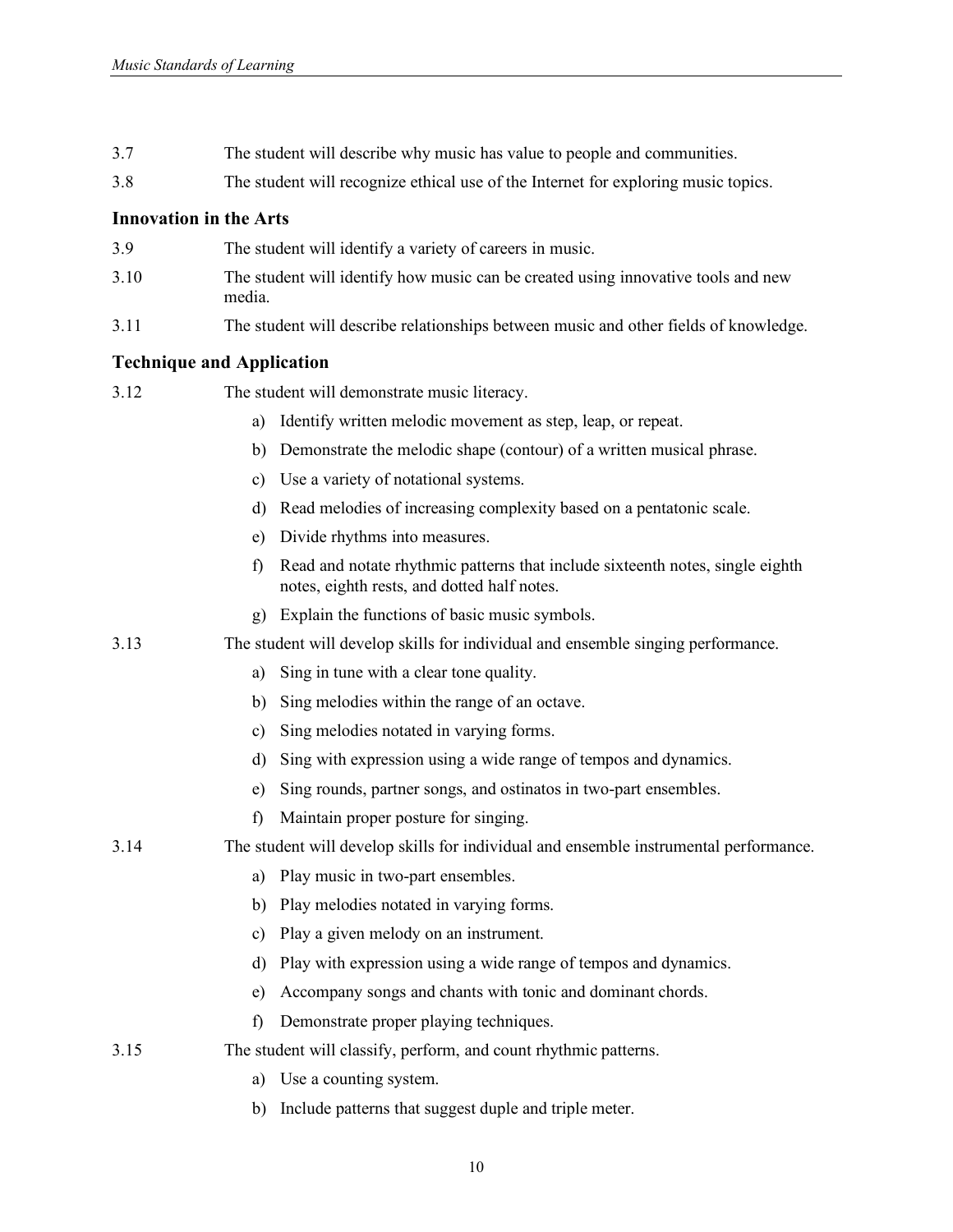- 3.7 The student will describe why music has value to people and communities.
- 3.8 The student will recognize ethical use of the Internet for exploring music topics.

- 3.9 The student will identify a variety of careers in music.
- 3.10 The student will identify how music can be created using innovative tools and new media.
- 3.11 The student will describe relationships between music and other fields of knowledge.

#### **Technique and Application**

3.12 The student will demonstrate music literacy.

|  |  | a) Identify written melodic movement as step, leap, or repeat. |  |  |
|--|--|----------------------------------------------------------------|--|--|
|  |  |                                                                |  |  |

- b) Demonstrate the melodic shape (contour) of a written musical phrase.
- c) Use a variety of notational systems.
- d) Read melodies of increasing complexity based on a pentatonic scale.
- e) Divide rhythms into measures.
- f) Read and notate rhythmic patterns that include sixteenth notes, single eighth notes, eighth rests, and dotted half notes.
- g) Explain the functions of basic music symbols.
- 3.13 The student will develop skills for individual and ensemble singing performance.
	- a) Sing in tune with a clear tone quality.
	- b) Sing melodies within the range of an octave.
	- c) Sing melodies notated in varying forms.
	- d) Sing with expression using a wide range of tempos and dynamics.
	- e) Sing rounds, partner songs, and ostinatos in two-part ensembles.
	- f) Maintain proper posture for singing.
- 3.14 The student will develop skills for individual and ensemble instrumental performance.
	- a) Play music in two-part ensembles.
	- b) Play melodies notated in varying forms.
	- c) Play a given melody on an instrument.
	- d) Play with expression using a wide range of tempos and dynamics.
	- e) Accompany songs and chants with tonic and dominant chords.
	- f) Demonstrate proper playing techniques.
- 3.15 The student will classify, perform, and count rhythmic patterns.
	- a) Use a counting system.
	- b) Include patterns that suggest duple and triple meter.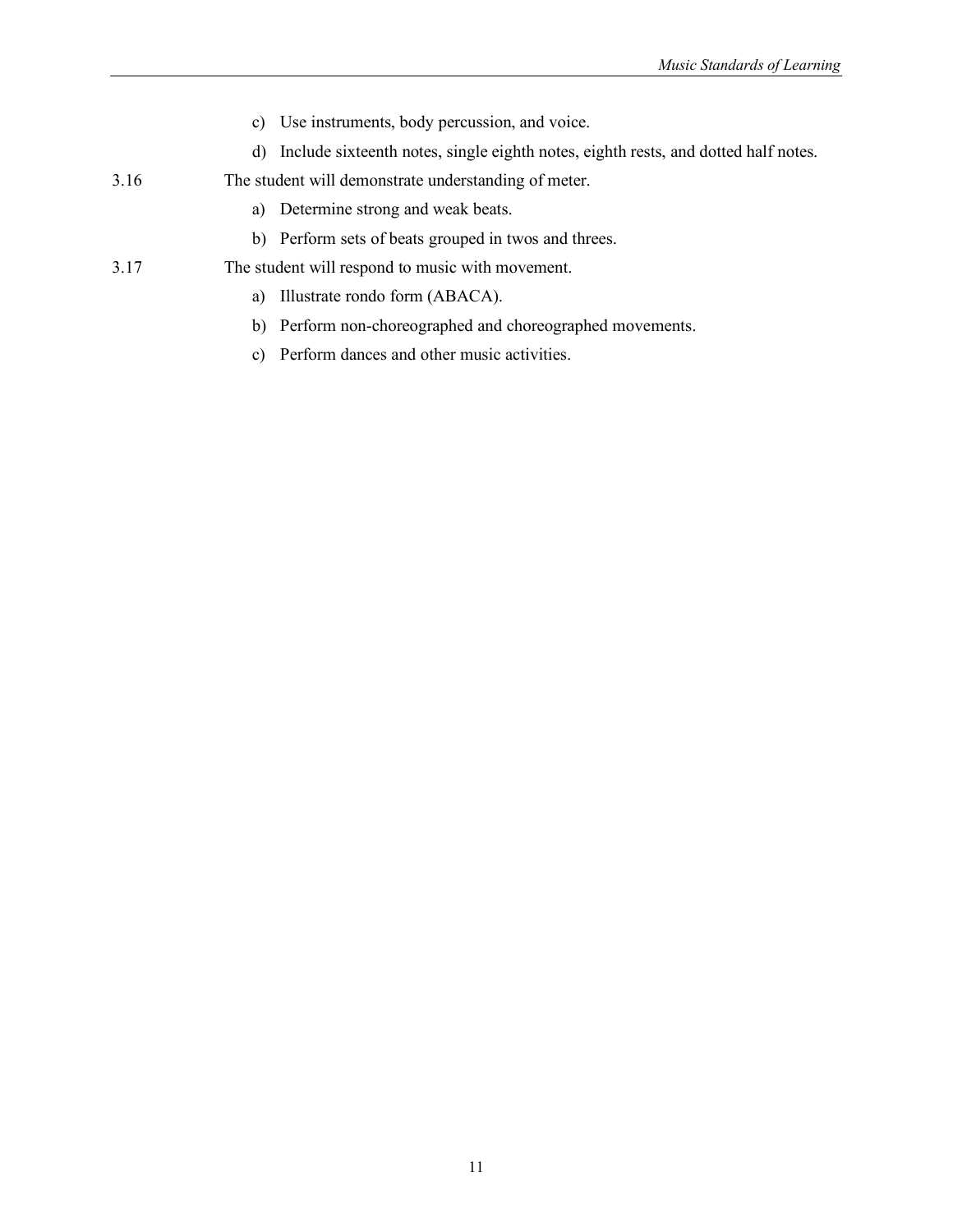- c) Use instruments, body percussion, and voice.
- d) Include sixteenth notes, single eighth notes, eighth rests, and dotted half notes.
- 3.16 The student will demonstrate understanding of meter.
	- a) Determine strong and weak beats.
	- b) Perform sets of beats grouped in twos and threes.
- 3.17 The student will respond to music with movement.
	- a) Illustrate rondo form (ABACA).
	- b) Perform non-choreographed and choreographed movements.
	- c) Perform dances and other music activities.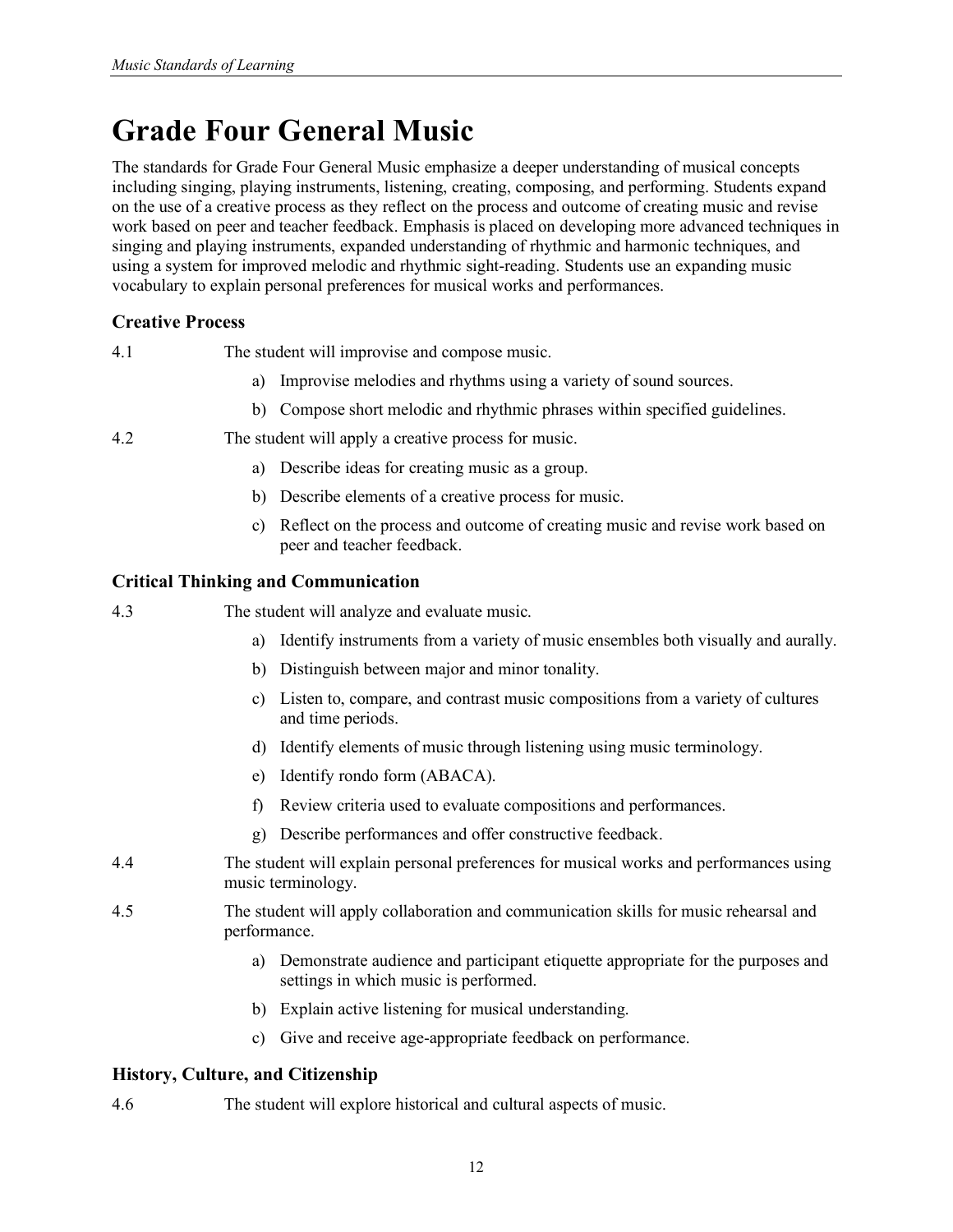# <span id="page-21-0"></span>**Grade Four General Music**

The standards for Grade Four General Music emphasize a deeper understanding of musical concepts including singing, playing instruments, listening, creating, composing, and performing. Students expand on the use of a creative process as they reflect on the process and outcome of creating music and revise work based on peer and teacher feedback. Emphasis is placed on developing more advanced techniques in singing and playing instruments, expanded understanding of rhythmic and harmonic techniques, and using a system for improved melodic and rhythmic sight-reading. Students use an expanding music vocabulary to explain personal preferences for musical works and performances.

# **Creative Process**

- 4.1 The student will improvise and compose music.
	- a) Improvise melodies and rhythms using a variety of sound sources.
	- b) Compose short melodic and rhythmic phrases within specified guidelines.
- 4.2 The student will apply a creative process for music.
	- a) Describe ideas for creating music as a group.
	- b) Describe elements of a creative process for music.
	- c) Reflect on the process and outcome of creating music and revise work based on peer and teacher feedback.

### **Critical Thinking and Communication**

- 4.3 The student will analyze and evaluate music.
	- a) Identify instruments from a variety of music ensembles both visually and aurally.
	- b) Distinguish between major and minor tonality.
	- c) Listen to, compare, and contrast music compositions from a variety of cultures and time periods.
	- d) Identify elements of music through listening using music terminology.
	- e) Identify rondo form (ABACA).
	- f) Review criteria used to evaluate compositions and performances.
	- g) Describe performances and offer constructive feedback.
- 4.4 The student will explain personal preferences for musical works and performances using music terminology.
- 4.5 The student will apply collaboration and communication skills for music rehearsal and performance.
	- a) Demonstrate audience and participant etiquette appropriate for the purposes and settings in which music is performed.
	- b) Explain active listening for musical understanding.
	- c) Give and receive age-appropriate feedback on performance.

### **History, Culture, and Citizenship**

4.6 The student will explore historical and cultural aspects of music.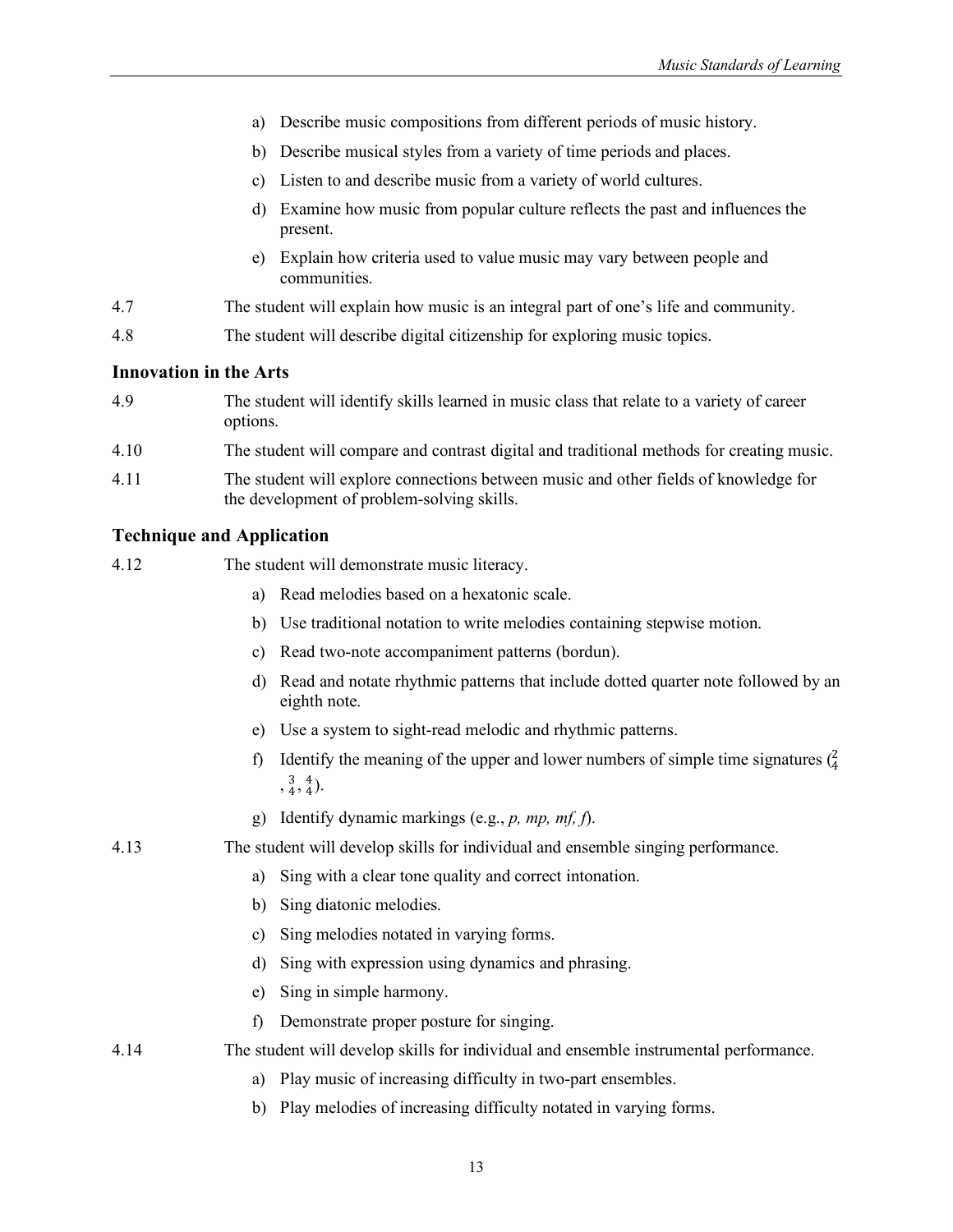- a) Describe music compositions from different periods of music history.
- b) Describe musical styles from a variety of time periods and places.
- c) Listen to and describe music from a variety of world cultures.
- d) Examine how music from popular culture reflects the past and influences the present.
- e) Explain how criteria used to value music may vary between people and communities.
- 4.7 The student will explain how music is an integral part of one's life and community.
- 4.8 The student will describe digital citizenship for exploring music topics.

- 4.9 The student will identify skills learned in music class that relate to a variety of career options.
- 4.10 The student will compare and contrast digital and traditional methods for creating music.
- 4.11 The student will explore connections between music and other fields of knowledge for the development of problem-solving skills.

#### **Technique and Application**

| 4.12 |               | The student will demonstrate music literacy.                                                                                                                                                                        |
|------|---------------|---------------------------------------------------------------------------------------------------------------------------------------------------------------------------------------------------------------------|
|      | a)            | Read melodies based on a hexatonic scale.                                                                                                                                                                           |
|      | b)            | Use traditional notation to write melodies containing stepwise motion.                                                                                                                                              |
|      | $\mathbf{c})$ | Read two-note accompaniment patterns (bordun).                                                                                                                                                                      |
|      | d)            | Read and notate rhythmic patterns that include dotted quarter note followed by an<br>eighth note.                                                                                                                   |
|      | e)            | Use a system to sight-read melodic and rhythmic patterns.                                                                                                                                                           |
|      | $\hat{D}$     | Identify the meaning of the upper and lower numbers of simple time signatures $\binom{2}{4}$<br>$\frac{3}{4}, \frac{4}{4}$ ).                                                                                       |
|      | $\Omega$      | Identify dynamic markings (e.g., $p$ , mp, mf, f).                                                                                                                                                                  |
| 4.13 |               | The student will develop skills for individual and ensemble singing performance.                                                                                                                                    |
|      | a)            | Sing with a clear tone quality and correct intonation.                                                                                                                                                              |
|      | b)            | Sing diatonic melodies.                                                                                                                                                                                             |
|      | c)            | Sing melodies notated in varying forms.                                                                                                                                                                             |
|      | d)            | Sing with expression using dynamics and phrasing.                                                                                                                                                                   |
|      | e)            | Sing in simple harmony.                                                                                                                                                                                             |
|      | $\mathbf f$   | Demonstrate proper posture for singing.                                                                                                                                                                             |
| 4.14 |               | The student will develop skills for individual and ensemble instrumental performance.                                                                                                                               |
|      | a)            | Play music of increasing difficulty in two-part ensembles.                                                                                                                                                          |
|      |               | $\mathbf{L} \setminus \mathbf{D}$ described and $\mathbf{L}$ in consideration of $\mathbf{L}$ and $\mathbf{L}$ is a set of $\mathbf{L}$ in $\mathbf{L}$ and $\mathbf{L}$ is the set of $\mathbf{L}$ in $\mathbf{L}$ |

b) Play melodies of increasing difficulty notated in varying forms.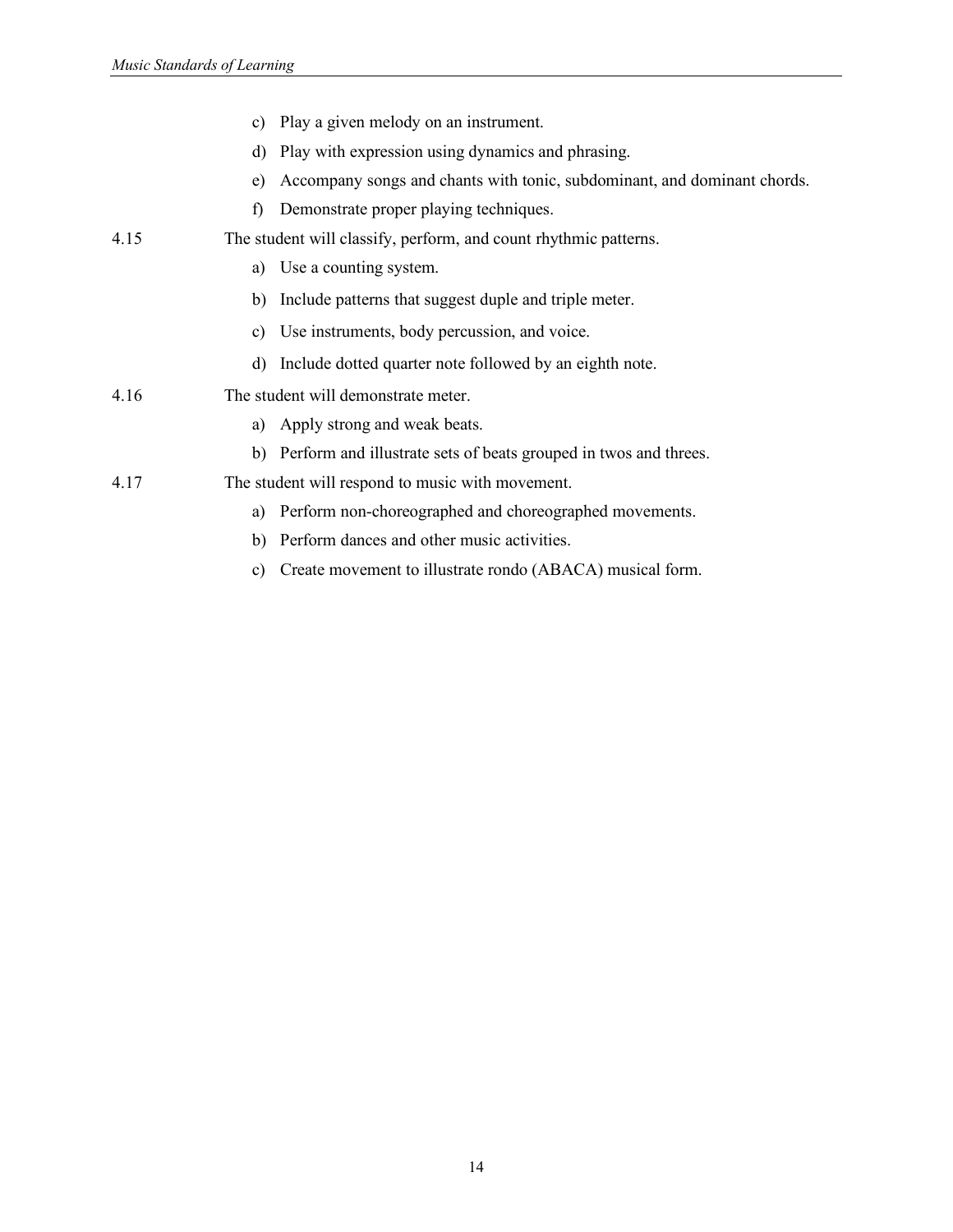|      | c) Play a given melody on an instrument.                                       |
|------|--------------------------------------------------------------------------------|
|      | d) Play with expression using dynamics and phrasing.                           |
|      | Accompany songs and chants with tonic, subdominant, and dominant chords.<br>e) |
|      | Demonstrate proper playing techniques.<br>f)                                   |
| 4.15 | The student will classify, perform, and count rhythmic patterns.               |
|      | Use a counting system.<br>a)                                                   |
|      | b) Include patterns that suggest duple and triple meter.                       |
|      | c) Use instruments, body percussion, and voice.                                |
|      | d) Include dotted quarter note followed by an eighth note.                     |
| 4.16 | The student will demonstrate meter.                                            |
|      | a) Apply strong and weak beats.                                                |
|      | b) Perform and illustrate sets of beats grouped in twos and threes.            |
| 4.17 | The student will respond to music with movement.                               |
|      | Perform non-choreographed and choreographed movements.<br>a)                   |
|      | b) Perform dances and other music activities.                                  |

c) Create movement to illustrate rondo (ABACA) musical form.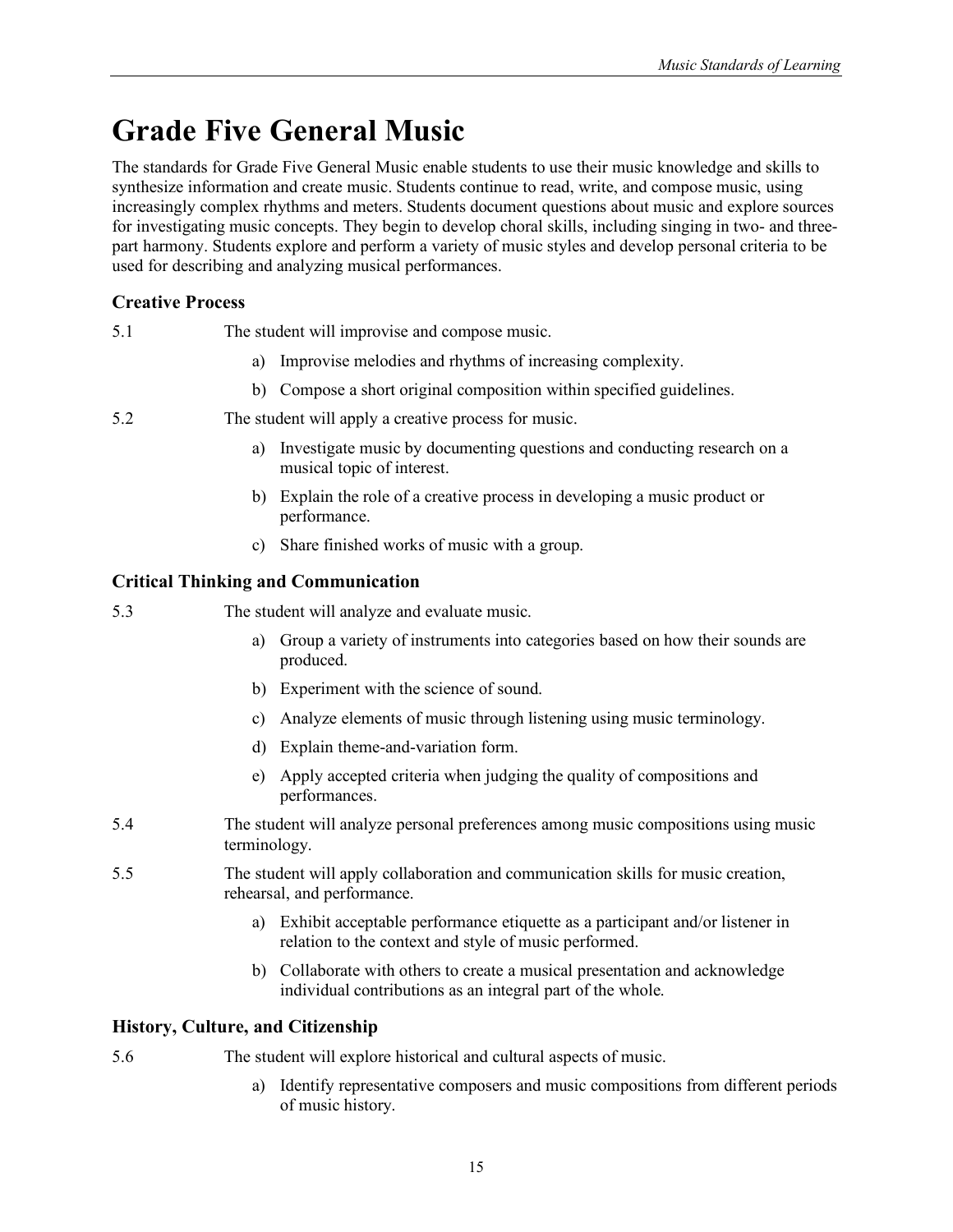# <span id="page-24-0"></span>**Grade Five General Music**

The standards for Grade Five General Music enable students to use their music knowledge and skills to synthesize information and create music. Students continue to read, write, and compose music, using increasingly complex rhythms and meters. Students document questions about music and explore sources for investigating music concepts. They begin to develop choral skills, including singing in two- and threepart harmony. Students explore and perform a variety of music styles and develop personal criteria to be used for describing and analyzing musical performances.

# **Creative Process**

- 5.1 The student will improvise and compose music.
	- a) Improvise melodies and rhythms of increasing complexity.
	- b) Compose a short original composition within specified guidelines.
- 5.2 The student will apply a creative process for music.
	- a) Investigate music by documenting questions and conducting research on a musical topic of interest.
	- b) Explain the role of a creative process in developing a music product or performance.
	- c) Share finished works of music with a group.

# **Critical Thinking and Communication**

- 5.3 The student will analyze and evaluate music.
	- a) Group a variety of instruments into categories based on how their sounds are produced.
	- b) Experiment with the science of sound.
	- c) Analyze elements of music through listening using music terminology.
	- d) Explain theme-and-variation form.
	- e) Apply accepted criteria when judging the quality of compositions and performances.
- 5.4 The student will analyze personal preferences among music compositions using music terminology.
- 5.5 The student will apply collaboration and communication skills for music creation, rehearsal, and performance.
	- a) Exhibit acceptable performance etiquette as a participant and/or listener in relation to the context and style of music performed.
	- b) Collaborate with others to create a musical presentation and acknowledge individual contributions as an integral part of the whole.

# **History, Culture, and Citizenship**

5.6 The student will explore historical and cultural aspects of music.

a) Identify representative composers and music compositions from different periods of music history.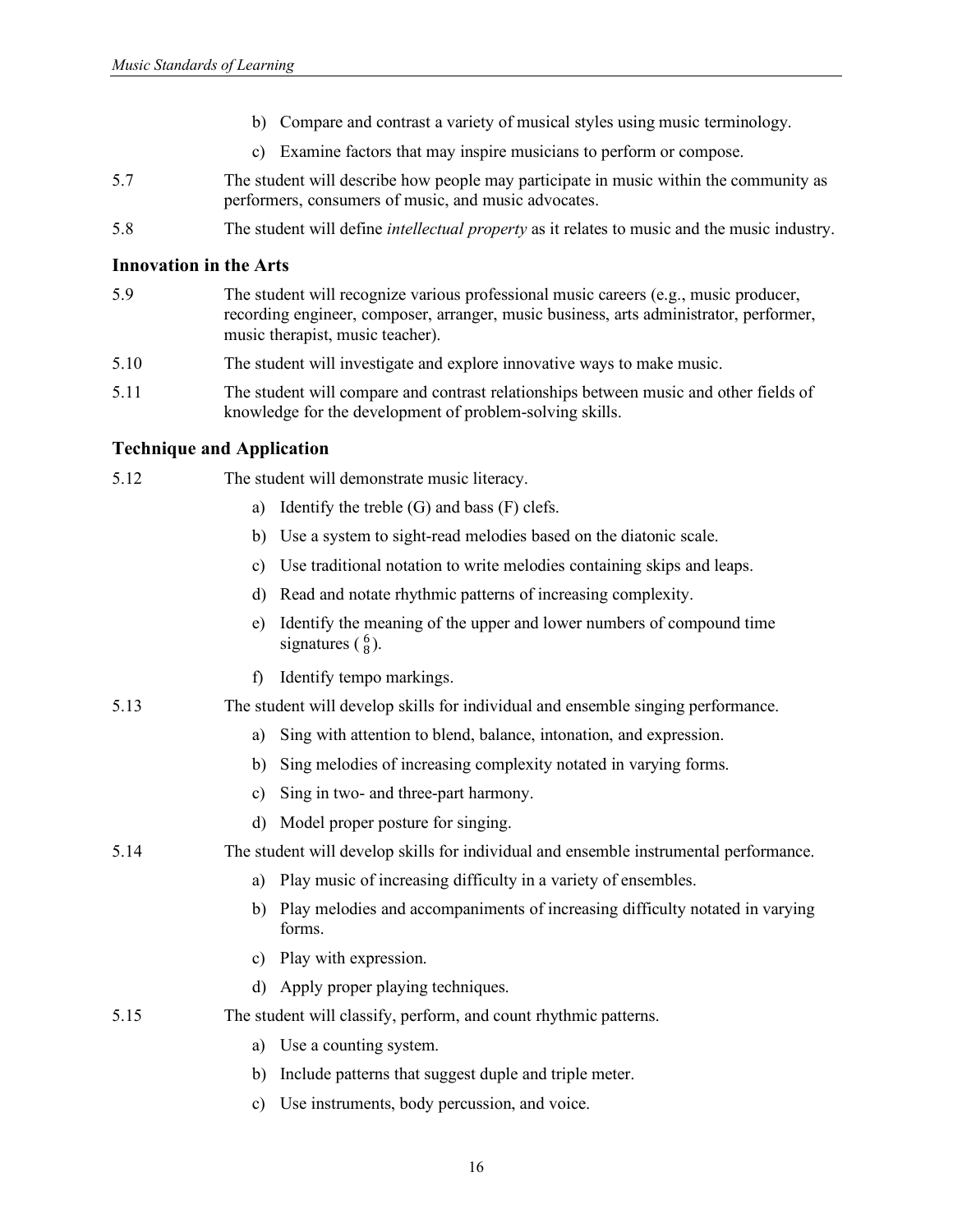- b) Compare and contrast a variety of musical styles using music terminology.
- c) Examine factors that may inspire musicians to perform or compose.
- 5.7 The student will describe how people may participate in music within the community as performers, consumers of music, and music advocates.
- 5.8 The student will define *intellectual property* as it relates to music and the music industry.

- 5.9 The student will recognize various professional music careers (e.g., music producer, recording engineer, composer, arranger, music business, arts administrator, performer, music therapist, music teacher).
- 5.10 The student will investigate and explore innovative ways to make music.
- 5.11 The student will compare and contrast relationships between music and other fields of knowledge for the development of problem-solving skills.

| 5.12 | The student will demonstrate music literacy.                                                              |
|------|-----------------------------------------------------------------------------------------------------------|
|      | Identify the treble (G) and bass (F) clefs.<br>a)                                                         |
|      | Use a system to sight-read melodies based on the diatonic scale.<br>b)                                    |
|      | Use traditional notation to write melodies containing skips and leaps.<br>c)                              |
|      | Read and notate rhythmic patterns of increasing complexity.<br>d)                                         |
|      | Identify the meaning of the upper and lower numbers of compound time<br>e)<br>signatures $\binom{6}{8}$ . |
|      | Identify tempo markings.<br>f                                                                             |
| 5.13 | The student will develop skills for individual and ensemble singing performance.                          |
|      | Sing with attention to blend, balance, intonation, and expression.<br>a)                                  |
|      | Sing melodies of increasing complexity notated in varying forms.<br>b)                                    |
|      | Sing in two- and three-part harmony.<br>$\mathbf{c})$                                                     |
|      | Model proper posture for singing.<br>d)                                                                   |
| 5.14 | The student will develop skills for individual and ensemble instrumental performance.                     |
|      | Play music of increasing difficulty in a variety of ensembles.<br>a)                                      |
|      | Play melodies and accompaniments of increasing difficulty notated in varying<br>b)<br>forms.              |
|      | Play with expression.<br>C)                                                                               |
|      | Apply proper playing techniques.<br>d)                                                                    |
| 5.15 | The student will classify, perform, and count rhythmic patterns.                                          |
|      | Use a counting system.<br>a)                                                                              |
|      | Include patterns that suggest duple and triple meter.<br>b)                                               |
|      | Use instruments, body percussion, and voice.<br>c)                                                        |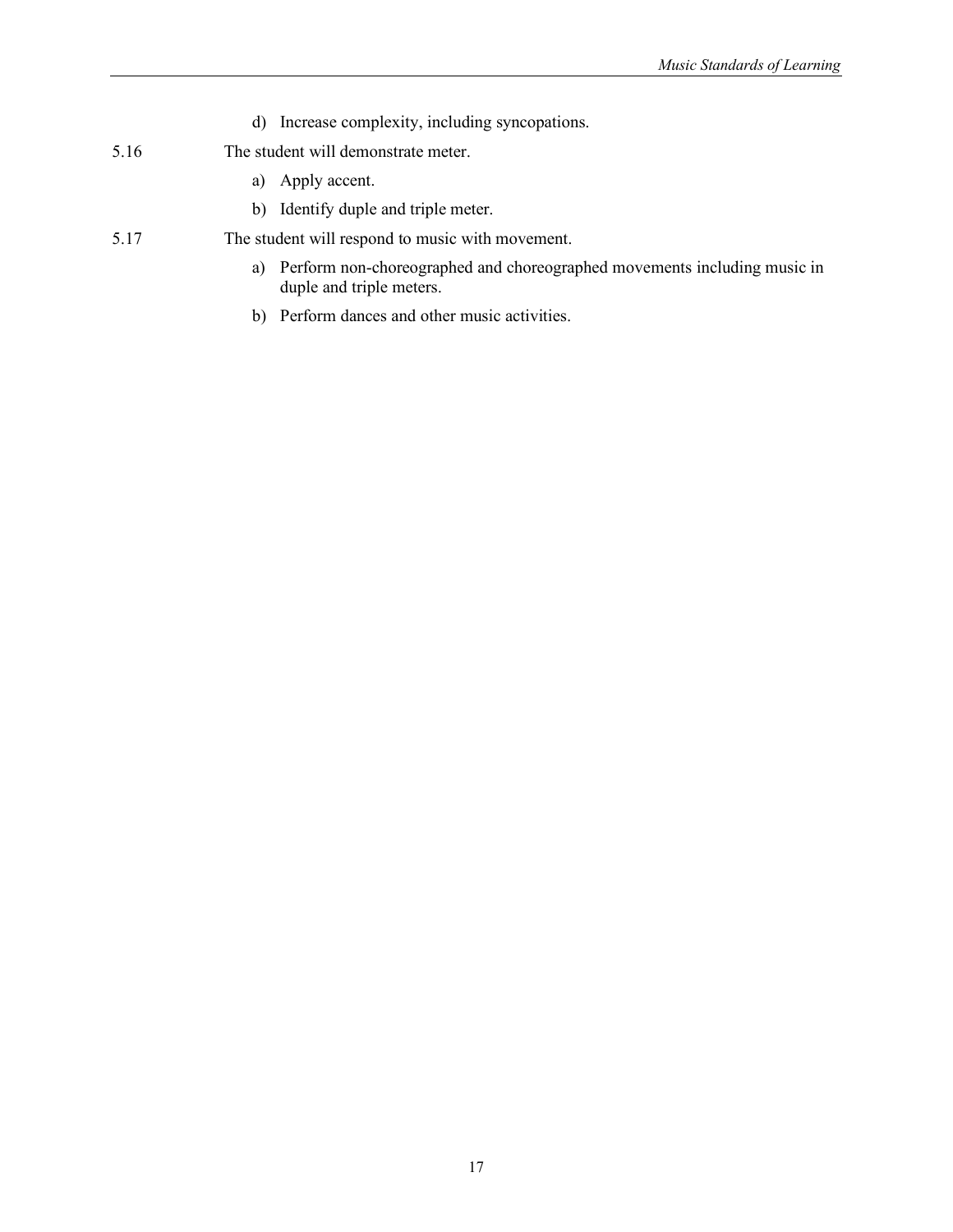- d) Increase complexity, including syncopations.
- 5.16 The student will demonstrate meter.
	- a) Apply accent.
	- b) Identify duple and triple meter.
- 5.17 The student will respond to music with movement.
	- a) Perform non-choreographed and choreographed movements including music in duple and triple meters.
	- b) Perform dances and other music activities.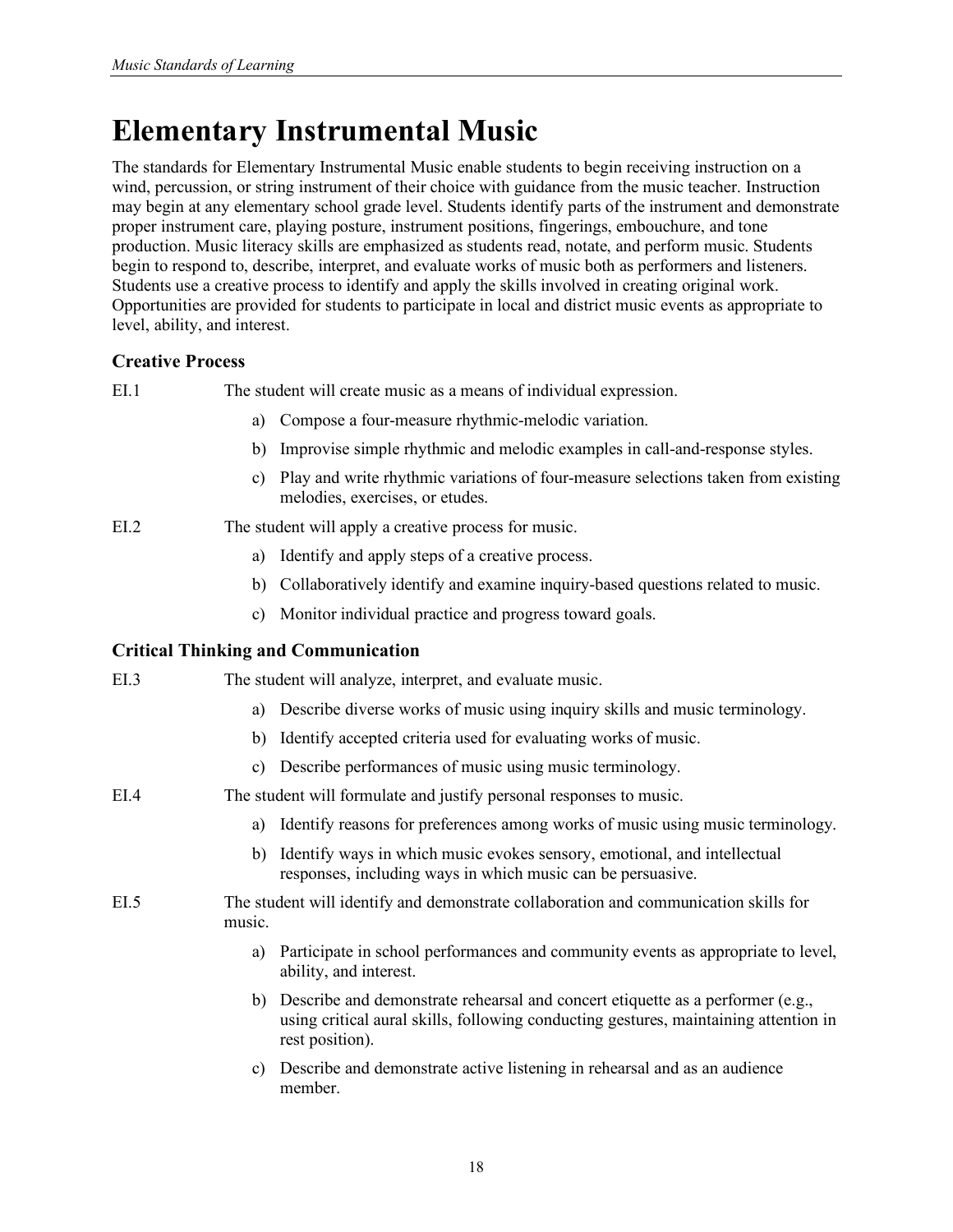# <span id="page-27-0"></span>**Elementary Instrumental Music**

The standards for Elementary Instrumental Music enable students to begin receiving instruction on a wind, percussion, or string instrument of their choice with guidance from the music teacher. Instruction may begin at any elementary school grade level. Students identify parts of the instrument and demonstrate proper instrument care, playing posture, instrument positions, fingerings, embouchure, and tone production. Music literacy skills are emphasized as students read, notate, and perform music. Students begin to respond to, describe, interpret, and evaluate works of music both as performers and listeners. Students use a creative process to identify and apply the skills involved in creating original work. Opportunities are provided for students to participate in local and district music events as appropriate to level, ability, and interest.

# **Creative Process**

EI.1 The student will create music as a means of individual expression.

- a) Compose a four-measure rhythmic-melodic variation.
- b) Improvise simple rhythmic and melodic examples in call-and-response styles.
- c) Play and write rhythmic variations of four-measure selections taken from existing melodies, exercises, or etudes.

### EI.2 The student will apply a creative process for music.

- a) Identify and apply steps of a creative process.
- b) Collaboratively identify and examine inquiry-based questions related to music.
- c) Monitor individual practice and progress toward goals.

# **Critical Thinking and Communication**

| E <sub>L</sub> 3 |        | The student will analyze, interpret, and evaluate music.                                                                                                                                     |
|------------------|--------|----------------------------------------------------------------------------------------------------------------------------------------------------------------------------------------------|
|                  |        | a) Describe diverse works of music using inquiry skills and music terminology.                                                                                                               |
|                  | b)     | Identify accepted criteria used for evaluating works of music.                                                                                                                               |
|                  | C)     | Describe performances of music using music terminology.                                                                                                                                      |
| EIA              |        | The student will formulate and justify personal responses to music.                                                                                                                          |
|                  | a)     | Identify reasons for preferences among works of music using music terminology.                                                                                                               |
|                  | b)     | Identify ways in which music evokes sensory, emotional, and intellectual<br>responses, including ways in which music can be persuasive.                                                      |
| E <sub>L.5</sub> | music. | The student will identify and demonstrate collaboration and communication skills for                                                                                                         |
|                  | a)     | Participate in school performances and community events as appropriate to level,<br>ability, and interest.                                                                                   |
|                  |        | b) Describe and demonstrate rehearsal and concert etiquette as a performer (e.g.,<br>using critical aural skills, following conducting gestures, maintaining attention in<br>rest position). |
|                  | c)     | Describe and demonstrate active listening in rehearsal and as an audience<br>member.                                                                                                         |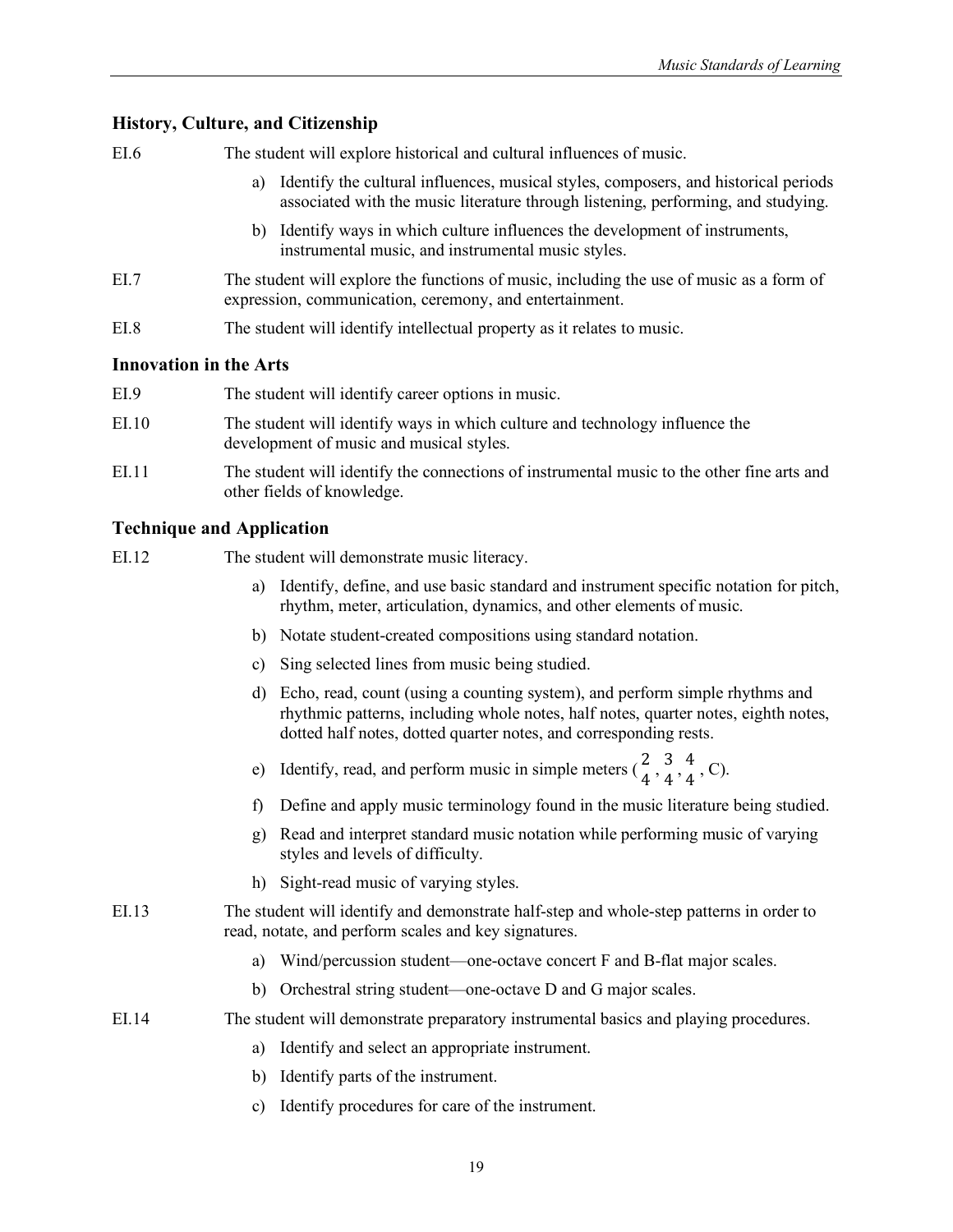### **History, Culture, and Citizenship**

EI.6 The student will explore historical and cultural influences of music.

- a) Identify the cultural influences, musical styles, composers, and historical periods associated with the music literature through listening, performing, and studying.
- b) Identify ways in which culture influences the development of instruments, instrumental music, and instrumental music styles.
- EI.7 The student will explore the functions of music, including the use of music as a form of expression, communication, ceremony, and entertainment.
- EI.8 The student will identify intellectual property as it relates to music.

#### **Innovation in the Arts**

| EI.9  | The student will identify career options in music.                                                                       |
|-------|--------------------------------------------------------------------------------------------------------------------------|
| EI.10 | The student will identify ways in which culture and technology influence the<br>development of music and musical styles. |
| EI.11 | The student will identify the connections of instrumental music to the other fine arts and<br>other fields of knowledge. |

- EI.12 The student will demonstrate music literacy.
	- a) Identify, define, and use basic standard and instrument specific notation for pitch, rhythm, meter, articulation, dynamics, and other elements of music.
	- b) Notate student-created compositions using standard notation.
	- c) Sing selected lines from music being studied.
	- d) Echo, read, count (using a counting system), and perform simple rhythms and rhythmic patterns, including whole notes, half notes, quarter notes, eighth notes, dotted half notes, dotted quarter notes, and corresponding rests.
	- e) Identify, read, and perform music in simple meters  $(\frac{2}{4}, \frac{3}{4}, \frac{4}{4}, C)$ .
	- f) Define and apply music terminology found in the music literature being studied.
	- g) Read and interpret standard music notation while performing music of varying styles and levels of difficulty.
	- h) Sight-read music of varying styles.
- EI.13 The student will identify and demonstrate half-step and whole-step patterns in order to read, notate, and perform scales and key signatures.
	- a) Wind/percussion student—one-octave concert F and B-flat major scales.
	- b) Orchestral string student—one-octave D and G major scales.
- EI.14 The student will demonstrate preparatory instrumental basics and playing procedures.
	- a) Identify and select an appropriate instrument.
	- b) Identify parts of the instrument.
	- c) Identify procedures for care of the instrument.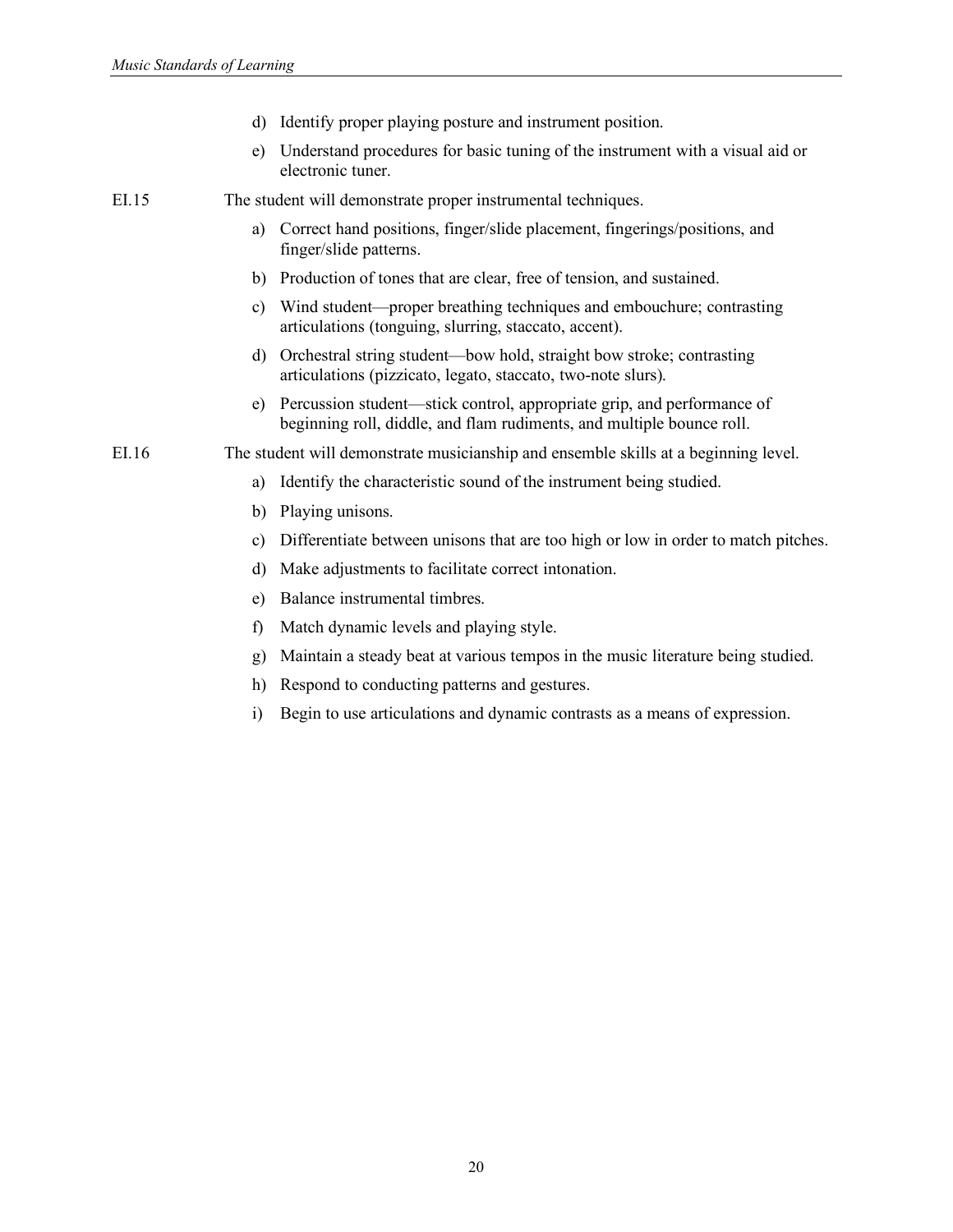- d) Identify proper playing posture and instrument position.
- e) Understand procedures for basic tuning of the instrument with a visual aid or electronic tuner.

EI.15 The student will demonstrate proper instrumental techniques.

- a) Correct hand positions, finger/slide placement, fingerings/positions, and finger/slide patterns.
- b) Production of tones that are clear, free of tension, and sustained.
- c) Wind student—proper breathing techniques and embouchure; contrasting articulations (tonguing, slurring, staccato, accent).
- d) Orchestral string student—bow hold, straight bow stroke; contrasting articulations (pizzicato, legato, staccato, two-note slurs).
- e) Percussion student—stick control, appropriate grip, and performance of beginning roll, diddle, and flam rudiments, and multiple bounce roll.

EI.16 The student will demonstrate musicianship and ensemble skills at a beginning level.

- a) Identify the characteristic sound of the instrument being studied.
- b) Playing unisons.
- c) Differentiate between unisons that are too high or low in order to match pitches.
- d) Make adjustments to facilitate correct intonation.
- e) Balance instrumental timbres.
- f) Match dynamic levels and playing style.
- g) Maintain a steady beat at various tempos in the music literature being studied.
- h) Respond to conducting patterns and gestures.
- i) Begin to use articulations and dynamic contrasts as a means of expression.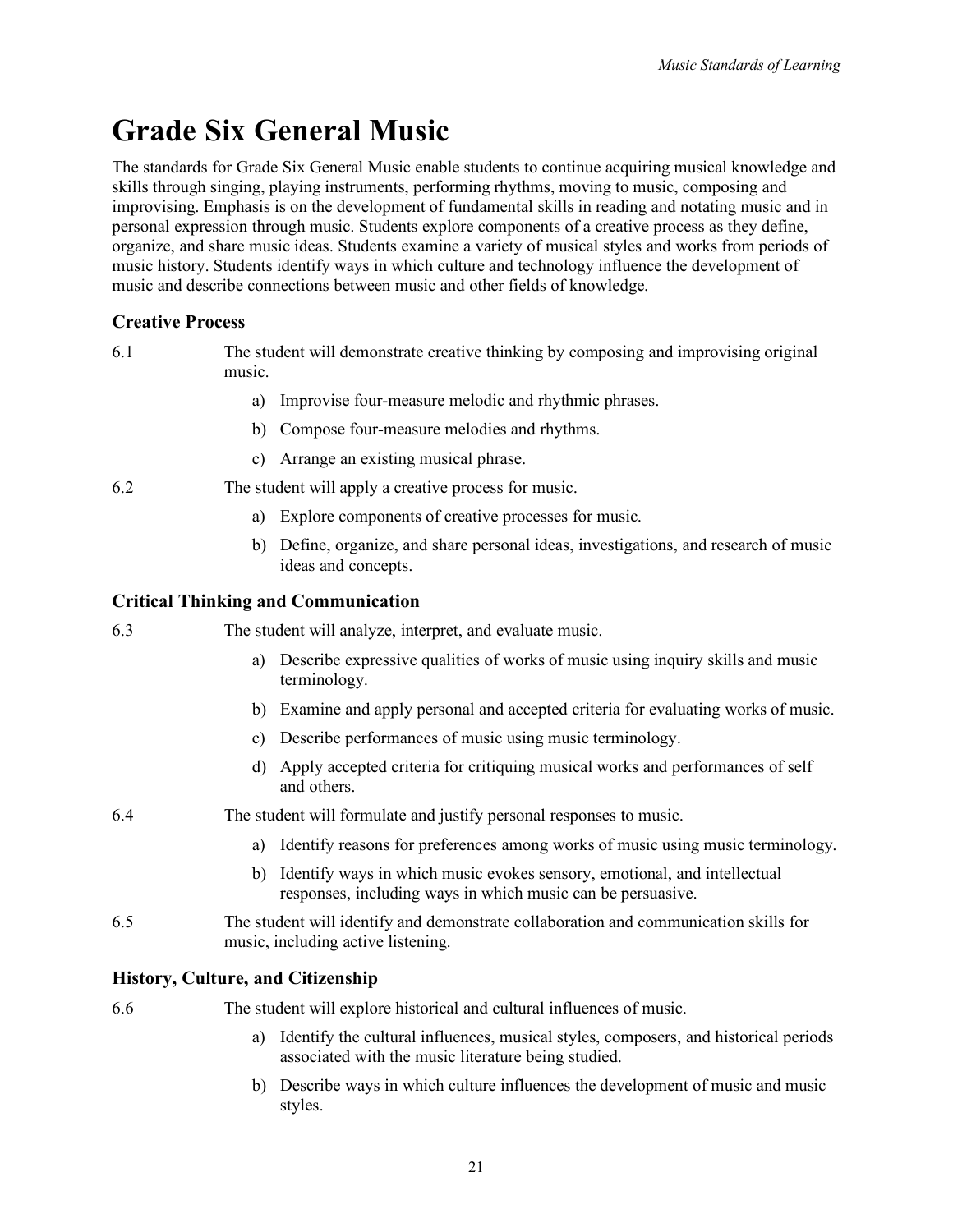# <span id="page-30-0"></span>**Grade Six General Music**

The standards for Grade Six General Music enable students to continue acquiring musical knowledge and skills through singing, playing instruments, performing rhythms, moving to music, composing and improvising. Emphasis is on the development of fundamental skills in reading and notating music and in personal expression through music. Students explore components of a creative process as they define, organize, and share music ideas. Students examine a variety of musical styles and works from periods of music history. Students identify ways in which culture and technology influence the development of music and describe connections between music and other fields of knowledge.

# **Creative Process**

6.1 The student will demonstrate creative thinking by composing and improvising original music.

- a) Improvise four-measure melodic and rhythmic phrases.
- b) Compose four-measure melodies and rhythms.
- c) Arrange an existing musical phrase.
- 6.2 The student will apply a creative process for music.
	- a) Explore components of creative processes for music.
	- b) Define, organize, and share personal ideas, investigations, and research of music ideas and concepts.

# **Critical Thinking and Communication**

- 6.3 The student will analyze, interpret, and evaluate music.
	- a) Describe expressive qualities of works of music using inquiry skills and music terminology.
	- b) Examine and apply personal and accepted criteria for evaluating works of music.
	- c) Describe performances of music using music terminology.
	- d) Apply accepted criteria for critiquing musical works and performances of self and others.
- 6.4 The student will formulate and justify personal responses to music.
	- a) Identify reasons for preferences among works of music using music terminology.
	- b) Identify ways in which music evokes sensory, emotional, and intellectual responses, including ways in which music can be persuasive.
- 6.5 The student will identify and demonstrate collaboration and communication skills for music, including active listening.

### **History, Culture, and Citizenship**

6.6 The student will explore historical and cultural influences of music.

- a) Identify the cultural influences, musical styles, composers, and historical periods associated with the music literature being studied.
- b) Describe ways in which culture influences the development of music and music styles.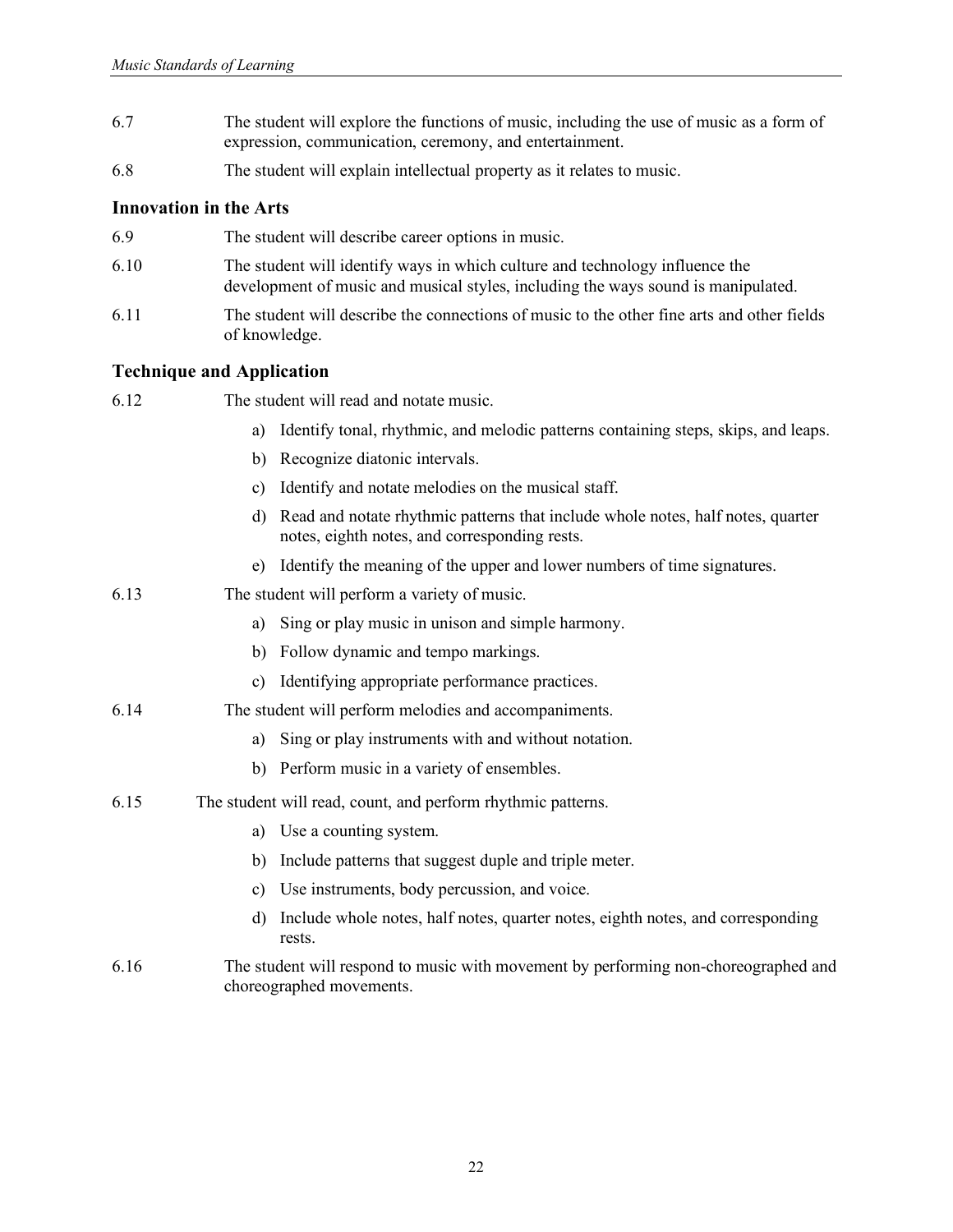- 6.7 The student will explore the functions of music, including the use of music as a form of expression, communication, ceremony, and entertainment.
- 6.8 The student will explain intellectual property as it relates to music.

- 6.9 The student will describe career options in music.
- 6.10 The student will identify ways in which culture and technology influence the development of music and musical styles, including the ways sound is manipulated.
- 6.11 The student will describe the connections of music to the other fine arts and other fields of knowledge.

- 6.12 The student will read and notate music.
	- a) Identify tonal, rhythmic, and melodic patterns containing steps, skips, and leaps.
	- b) Recognize diatonic intervals.
	- c) Identify and notate melodies on the musical staff.
	- d) Read and notate rhythmic patterns that include whole notes, half notes, quarter notes, eighth notes, and corresponding rests.
	- e) Identify the meaning of the upper and lower numbers of time signatures.
- 6.13 The student will perform a variety of music.
	- a) Sing or play music in unison and simple harmony.
	- b) Follow dynamic and tempo markings.
	- c) Identifying appropriate performance practices.
- 6.14 The student will perform melodies and accompaniments.
	- a) Sing or play instruments with and without notation.
	- b) Perform music in a variety of ensembles.
- 6.15 The student will read, count, and perform rhythmic patterns.
	- a) Use a counting system.
	- b) Include patterns that suggest duple and triple meter.
	- c) Use instruments, body percussion, and voice.
	- d) Include whole notes, half notes, quarter notes, eighth notes, and corresponding rests.
- 6.16 The student will respond to music with movement by performing non-choreographed and choreographed movements.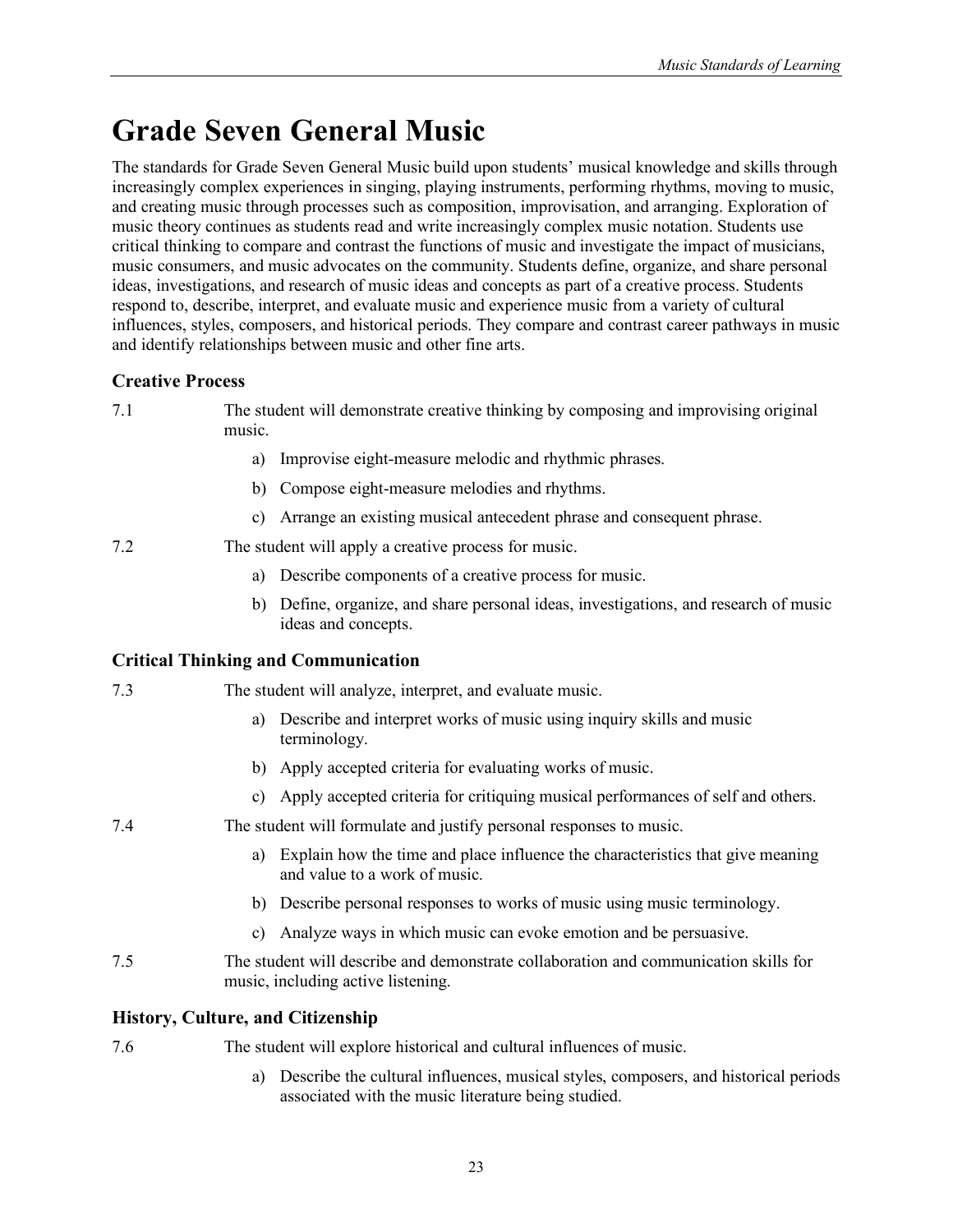# <span id="page-32-0"></span>**Grade Seven General Music**

The standards for Grade Seven General Music build upon students' musical knowledge and skills through increasingly complex experiences in singing, playing instruments, performing rhythms, moving to music, and creating music through processes such as composition, improvisation, and arranging. Exploration of music theory continues as students read and write increasingly complex music notation. Students use critical thinking to compare and contrast the functions of music and investigate the impact of musicians, music consumers, and music advocates on the community. Students define, organize, and share personal ideas, investigations, and research of music ideas and concepts as part of a creative process. Students respond to, describe, interpret, and evaluate music and experience music from a variety of cultural influences, styles, composers, and historical periods. They compare and contrast career pathways in music and identify relationships between music and other fine arts.

# **Creative Process**

- 7.1 The student will demonstrate creative thinking by composing and improvising original music.
	- a) Improvise eight-measure melodic and rhythmic phrases.
	- b) Compose eight-measure melodies and rhythms.
	- c) Arrange an existing musical antecedent phrase and consequent phrase.
- 7.2 The student will apply a creative process for music.
	- a) Describe components of a creative process for music.
	- b) Define, organize, and share personal ideas, investigations, and research of music ideas and concepts.

# **Critical Thinking and Communication**

- 7.3 The student will analyze, interpret, and evaluate music.
	- a) Describe and interpret works of music using inquiry skills and music terminology.
	- b) Apply accepted criteria for evaluating works of music.
	- c) Apply accepted criteria for critiquing musical performances of self and others.
- 7.4 The student will formulate and justify personal responses to music.
	- a) Explain how the time and place influence the characteristics that give meaning and value to a work of music.
	- b) Describe personal responses to works of music using music terminology.
	- c) Analyze ways in which music can evoke emotion and be persuasive.
- 7.5 The student will describe and demonstrate collaboration and communication skills for music, including active listening.

# **History, Culture, and Citizenship**

- 7.6 The student will explore historical and cultural influences of music.
	- a) Describe the cultural influences, musical styles, composers, and historical periods associated with the music literature being studied.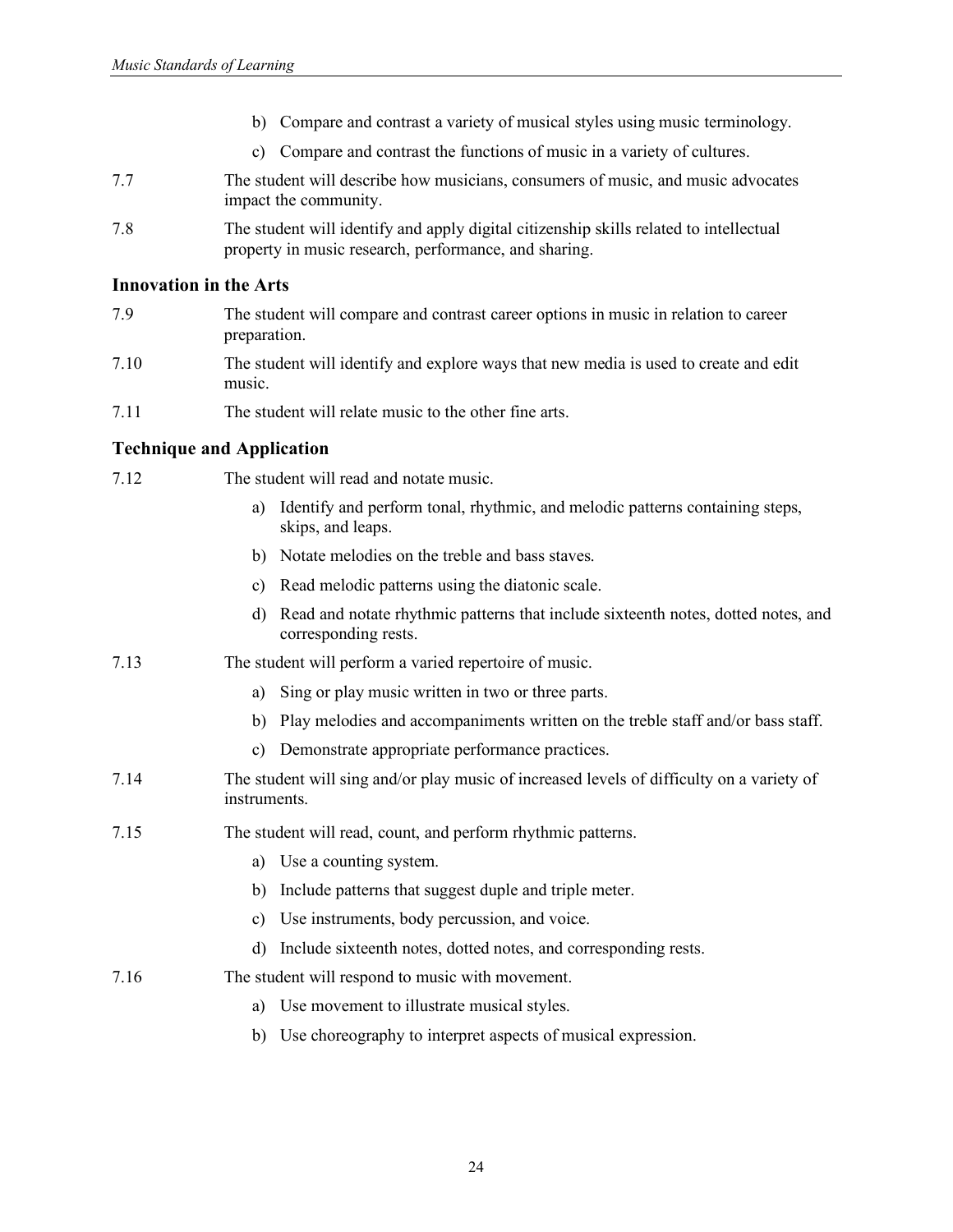- b) Compare and contrast a variety of musical styles using music terminology.
- c) Compare and contrast the functions of music in a variety of cultures.
- 7.7 The student will describe how musicians, consumers of music, and music advocates impact the community.
- 7.8 The student will identify and apply digital citizenship skills related to intellectual property in music research, performance, and sharing.

- 7.9 The student will compare and contrast career options in music in relation to career preparation.
- 7.10 The student will identify and explore ways that new media is used to create and edit music.
- 7.11 The student will relate music to the other fine arts.

| 7.12 | The student will read and notate music.                                                                         |  |
|------|-----------------------------------------------------------------------------------------------------------------|--|
|      | Identify and perform tonal, rhythmic, and melodic patterns containing steps,<br>a)<br>skips, and leaps.         |  |
|      | b) Notate melodies on the treble and bass staves.                                                               |  |
|      | c) Read melodic patterns using the diatonic scale.                                                              |  |
|      | Read and notate rhythmic patterns that include sixteenth notes, dotted notes, and<br>d)<br>corresponding rests. |  |
| 7.13 | The student will perform a varied repertoire of music.                                                          |  |
|      | Sing or play music written in two or three parts.<br>a)                                                         |  |
|      | b) Play melodies and accompaniments written on the treble staff and/or bass staff.                              |  |
|      | Demonstrate appropriate performance practices.<br>$\mathbf{c}$ )                                                |  |
| 7.14 | The student will sing and/or play music of increased levels of difficulty on a variety of<br>instruments.       |  |
| 7.15 | The student will read, count, and perform rhythmic patterns.                                                    |  |
|      | Use a counting system.<br>a)                                                                                    |  |
|      | b) Include patterns that suggest duple and triple meter.                                                        |  |
|      | Use instruments, body percussion, and voice.<br>c)                                                              |  |
|      | Include sixteenth notes, dotted notes, and corresponding rests.<br>d)                                           |  |
| 7.16 | The student will respond to music with movement.                                                                |  |
|      | Use movement to illustrate musical styles.<br>a)                                                                |  |
|      | b) Use choreography to interpret aspects of musical expression.                                                 |  |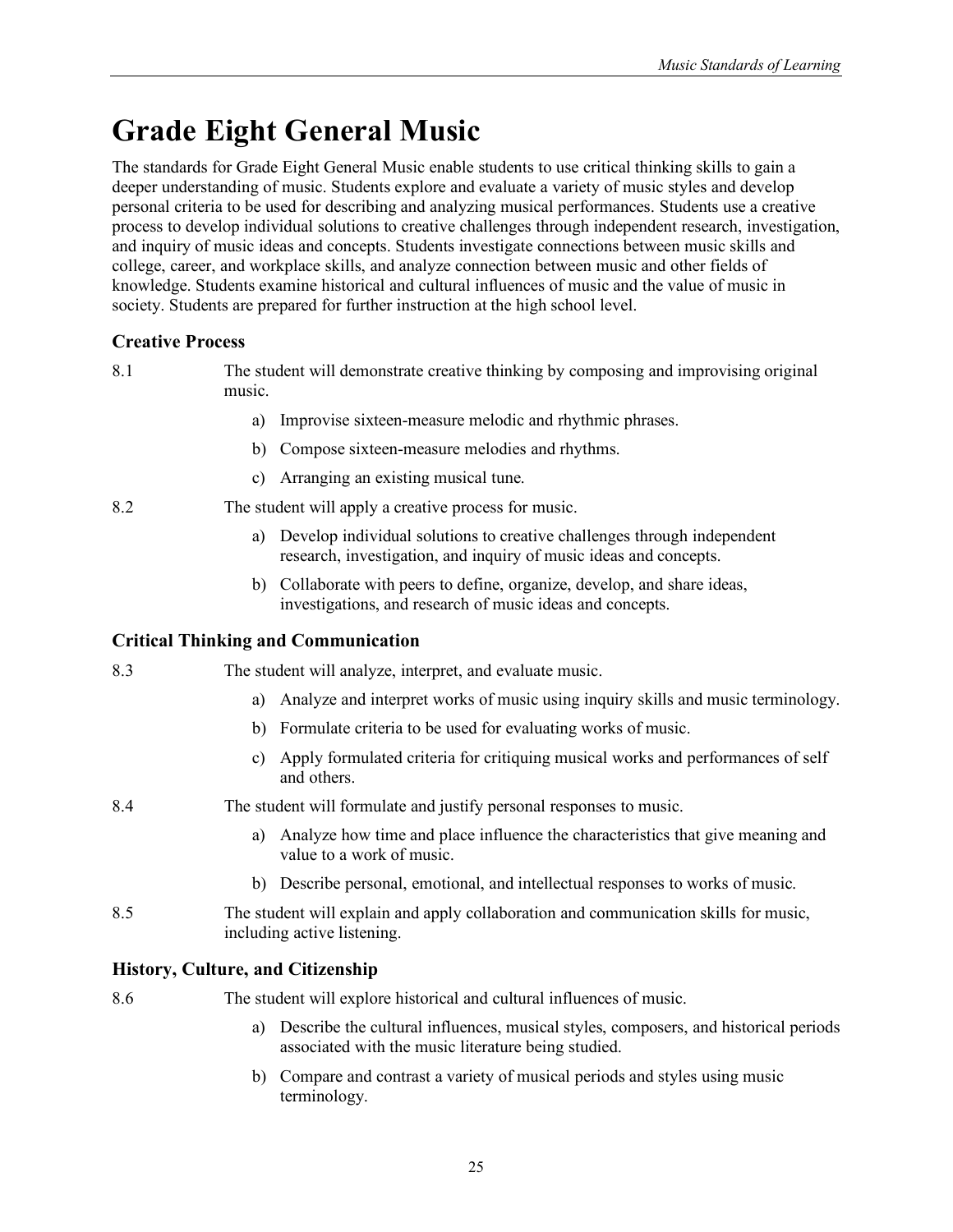# <span id="page-34-0"></span>**Grade Eight General Music**

The standards for Grade Eight General Music enable students to use critical thinking skills to gain a deeper understanding of music. Students explore and evaluate a variety of music styles and develop personal criteria to be used for describing and analyzing musical performances. Students use a creative process to develop individual solutions to creative challenges through independent research, investigation, and inquiry of music ideas and concepts. Students investigate connections between music skills and college, career, and workplace skills, and analyze connection between music and other fields of knowledge. Students examine historical and cultural influences of music and the value of music in society. Students are prepared for further instruction at the high school level.

# **Creative Process**

8.1 The student will demonstrate creative thinking by composing and improvising original music.

- a) Improvise sixteen-measure melodic and rhythmic phrases.
- b) Compose sixteen-measure melodies and rhythms.
- c) Arranging an existing musical tune.
- 8.2 The student will apply a creative process for music.
	- a) Develop individual solutions to creative challenges through independent research, investigation, and inquiry of music ideas and concepts.
	- b) Collaborate with peers to define, organize, develop, and share ideas, investigations, and research of music ideas and concepts.

# **Critical Thinking and Communication**

8.3 The student will analyze, interpret, and evaluate music.

- a) Analyze and interpret works of music using inquiry skills and music terminology.
- b) Formulate criteria to be used for evaluating works of music.
- c) Apply formulated criteria for critiquing musical works and performances of self and others.
- 8.4 The student will formulate and justify personal responses to music.
	- a) Analyze how time and place influence the characteristics that give meaning and value to a work of music.
	- b) Describe personal, emotional, and intellectual responses to works of music.
- 8.5 The student will explain and apply collaboration and communication skills for music, including active listening.

### **History, Culture, and Citizenship**

8.6 The student will explore historical and cultural influences of music.

- a) Describe the cultural influences, musical styles, composers, and historical periods associated with the music literature being studied.
- b) Compare and contrast a variety of musical periods and styles using music terminology.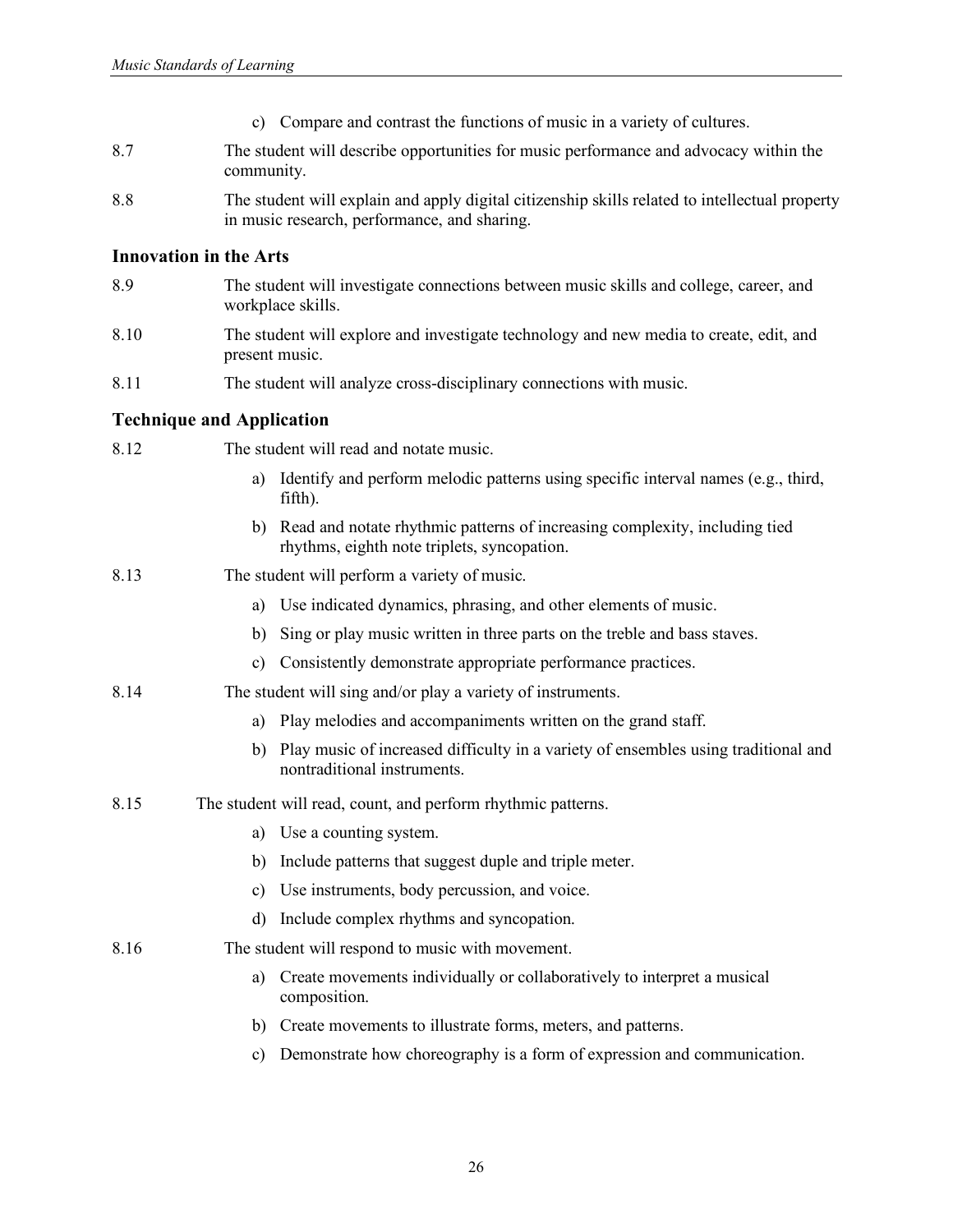- c) Compare and contrast the functions of music in a variety of cultures.
- 8.7 The student will describe opportunities for music performance and advocacy within the community.
- 8.8 The student will explain and apply digital citizenship skills related to intellectual property in music research, performance, and sharing.

- 8.9 The student will investigate connections between music skills and college, career, and workplace skills.
- 8.10 The student will explore and investigate technology and new media to create, edit, and present music.
- 8.11 The student will analyze cross-disciplinary connections with music.

| 8.12 |               | The student will read and notate music.                                                                                      |
|------|---------------|------------------------------------------------------------------------------------------------------------------------------|
|      | a)            | Identify and perform melodic patterns using specific interval names (e.g., third,<br>fifth).                                 |
|      |               | b) Read and notate rhythmic patterns of increasing complexity, including tied<br>rhythms, eighth note triplets, syncopation. |
| 8.13 |               | The student will perform a variety of music.                                                                                 |
|      | a)            | Use indicated dynamics, phrasing, and other elements of music.                                                               |
|      | b)            | Sing or play music written in three parts on the treble and bass staves.                                                     |
|      | $\mathbf{c})$ | Consistently demonstrate appropriate performance practices.                                                                  |
| 8.14 |               | The student will sing and/or play a variety of instruments.                                                                  |
|      | a)            | Play melodies and accompaniments written on the grand staff.                                                                 |
|      | b)            | Play music of increased difficulty in a variety of ensembles using traditional and<br>nontraditional instruments.            |
| 8.15 |               | The student will read, count, and perform rhythmic patterns.                                                                 |
|      | a)            | Use a counting system.                                                                                                       |
|      | b)            | Include patterns that suggest duple and triple meter.                                                                        |
|      | c)            | Use instruments, body percussion, and voice.                                                                                 |
|      | d)            | Include complex rhythms and syncopation.                                                                                     |
| 8.16 |               | The student will respond to music with movement.                                                                             |
|      | a)            | Create movements individually or collaboratively to interpret a musical<br>composition.                                      |

- b) Create movements to illustrate forms, meters, and patterns.
- c) Demonstrate how choreography is a form of expression and communication.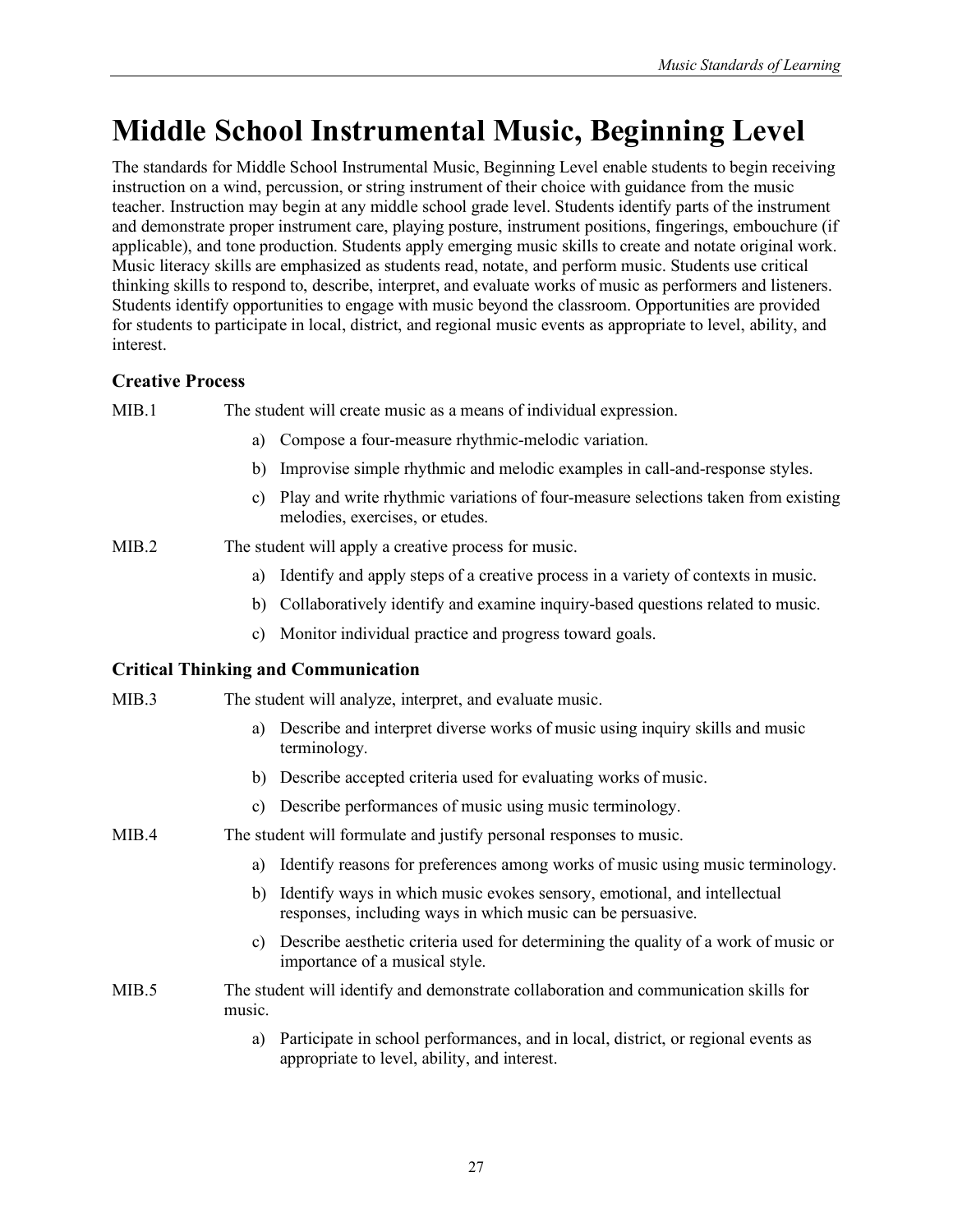# **Middle School Instrumental Music, Beginning Level**

The standards for Middle School Instrumental Music, Beginning Level enable students to begin receiving instruction on a wind, percussion, or string instrument of their choice with guidance from the music teacher. Instruction may begin at any middle school grade level. Students identify parts of the instrument and demonstrate proper instrument care, playing posture, instrument positions, fingerings, embouchure (if applicable), and tone production. Students apply emerging music skills to create and notate original work. Music literacy skills are emphasized as students read, notate, and perform music. Students use critical thinking skills to respond to, describe, interpret, and evaluate works of music as performers and listeners. Students identify opportunities to engage with music beyond the classroom. Opportunities are provided for students to participate in local, district, and regional music events as appropriate to level, ability, and interest.

## **Creative Process**

| MIB.1 | The student will create music as a means of individual expression. |  |
|-------|--------------------------------------------------------------------|--|
|       |                                                                    |  |

- a) Compose a four-measure rhythmic-melodic variation.
- b) Improvise simple rhythmic and melodic examples in call-and-response styles.
- c) Play and write rhythmic variations of four-measure selections taken from existing melodies, exercises, or etudes.
- MIB.2 The student will apply a creative process for music.
	- a) Identify and apply steps of a creative process in a variety of contexts in music.
	- b) Collaboratively identify and examine inquiry-based questions related to music.
	- c) Monitor individual practice and progress toward goals.

| MIB.3 | The student will analyze, interpret, and evaluate music.                                                                                      |
|-------|-----------------------------------------------------------------------------------------------------------------------------------------------|
|       | Describe and interpret diverse works of music using inquiry skills and music<br>a)<br>terminology.                                            |
|       | b) Describe accepted criteria used for evaluating works of music.                                                                             |
|       | Describe performances of music using music terminology.<br>C)                                                                                 |
| MIB.4 | The student will formulate and justify personal responses to music.                                                                           |
|       | Identify reasons for preferences among works of music using music terminology.<br>a)                                                          |
|       | Identify ways in which music evokes sensory, emotional, and intellectual<br>b)<br>responses, including ways in which music can be persuasive. |
|       | Describe aesthetic criteria used for determining the quality of a work of music or<br>C)<br>importance of a musical style.                    |
| MIB.5 | The student will identify and demonstrate collaboration and communication skills for<br>music.                                                |
|       | Participate in school performances, and in local, district, or regional events as<br>a)<br>appropriate to level, ability, and interest.       |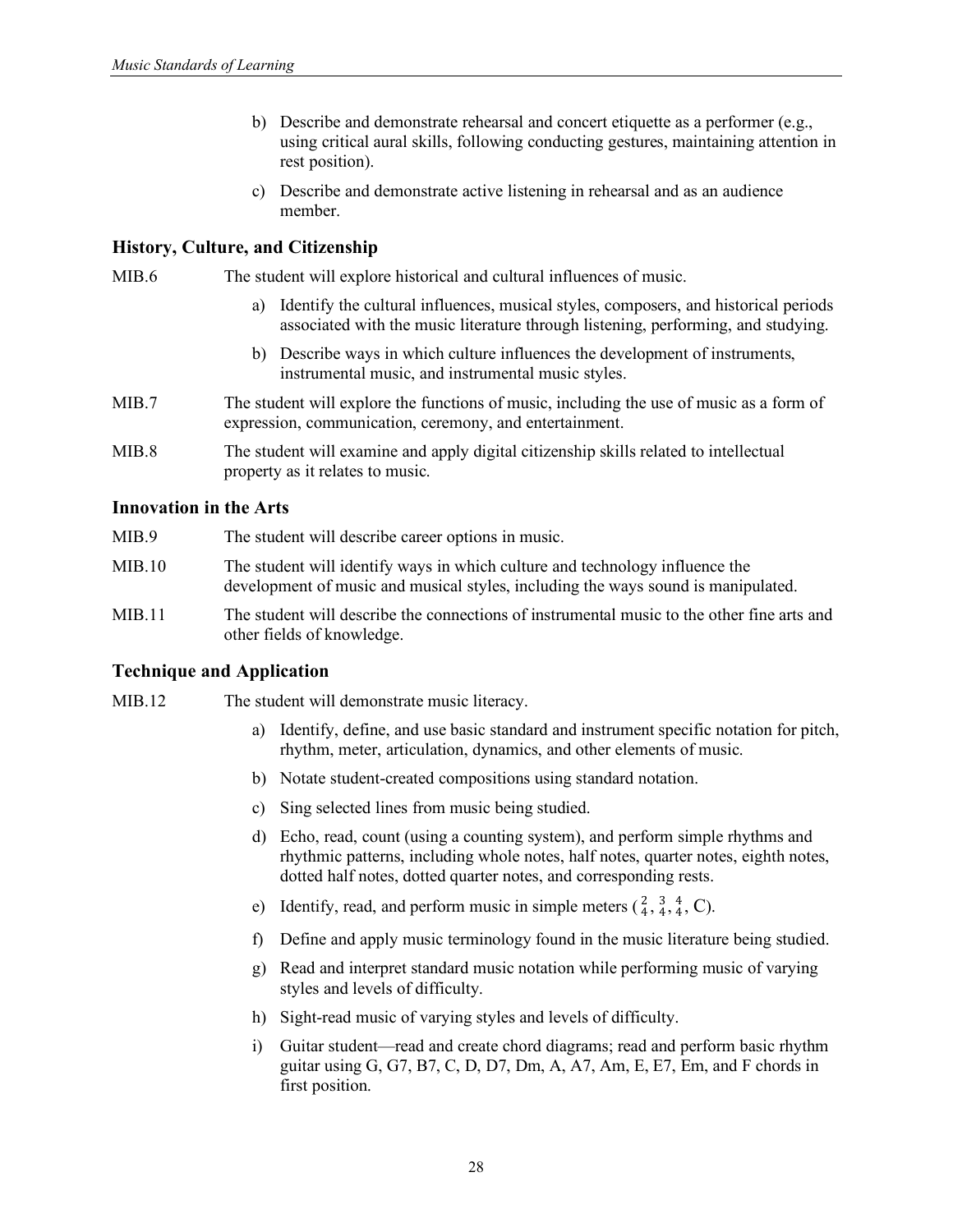- b) Describe and demonstrate rehearsal and concert etiquette as a performer (e.g., using critical aural skills, following conducting gestures, maintaining attention in rest position).
- c) Describe and demonstrate active listening in rehearsal and as an audience member.

MIB.6 The student will explore historical and cultural influences of music.

- a) Identify the cultural influences, musical styles, composers, and historical periods associated with the music literature through listening, performing, and studying.
- b) Describe ways in which culture influences the development of instruments, instrumental music, and instrumental music styles.
- MIB.7 The student will explore the functions of music, including the use of music as a form of expression, communication, ceremony, and entertainment.
- MIB.8 The student will examine and apply digital citizenship skills related to intellectual property as it relates to music.

## **Innovation in the Arts**

- MIB.9 The student will describe career options in music.
- MIB.10 The student will identify ways in which culture and technology influence the development of music and musical styles, including the ways sound is manipulated.
- MIB.11 The student will describe the connections of instrumental music to the other fine arts and other fields of knowledge.

- MIB.12 The student will demonstrate music literacy.
	- a) Identify, define, and use basic standard and instrument specific notation for pitch, rhythm, meter, articulation, dynamics, and other elements of music.
	- b) Notate student-created compositions using standard notation.
	- c) Sing selected lines from music being studied.
	- d) Echo, read, count (using a counting system), and perform simple rhythms and rhythmic patterns, including whole notes, half notes, quarter notes, eighth notes, dotted half notes, dotted quarter notes, and corresponding rests.
	- e) Identify, read, and perform music in simple meters  $(\frac{2}{4}, \frac{3}{4}, \frac{4}{4}, C)$ .
	- f) Define and apply music terminology found in the music literature being studied.
	- g) Read and interpret standard music notation while performing music of varying styles and levels of difficulty.
	- h) Sight-read music of varying styles and levels of difficulty.
	- i) Guitar student—read and create chord diagrams; read and perform basic rhythm guitar using G, G7, B7, C, D, D7, Dm, A, A7, Am, E, E7, Em, and F chords in first position.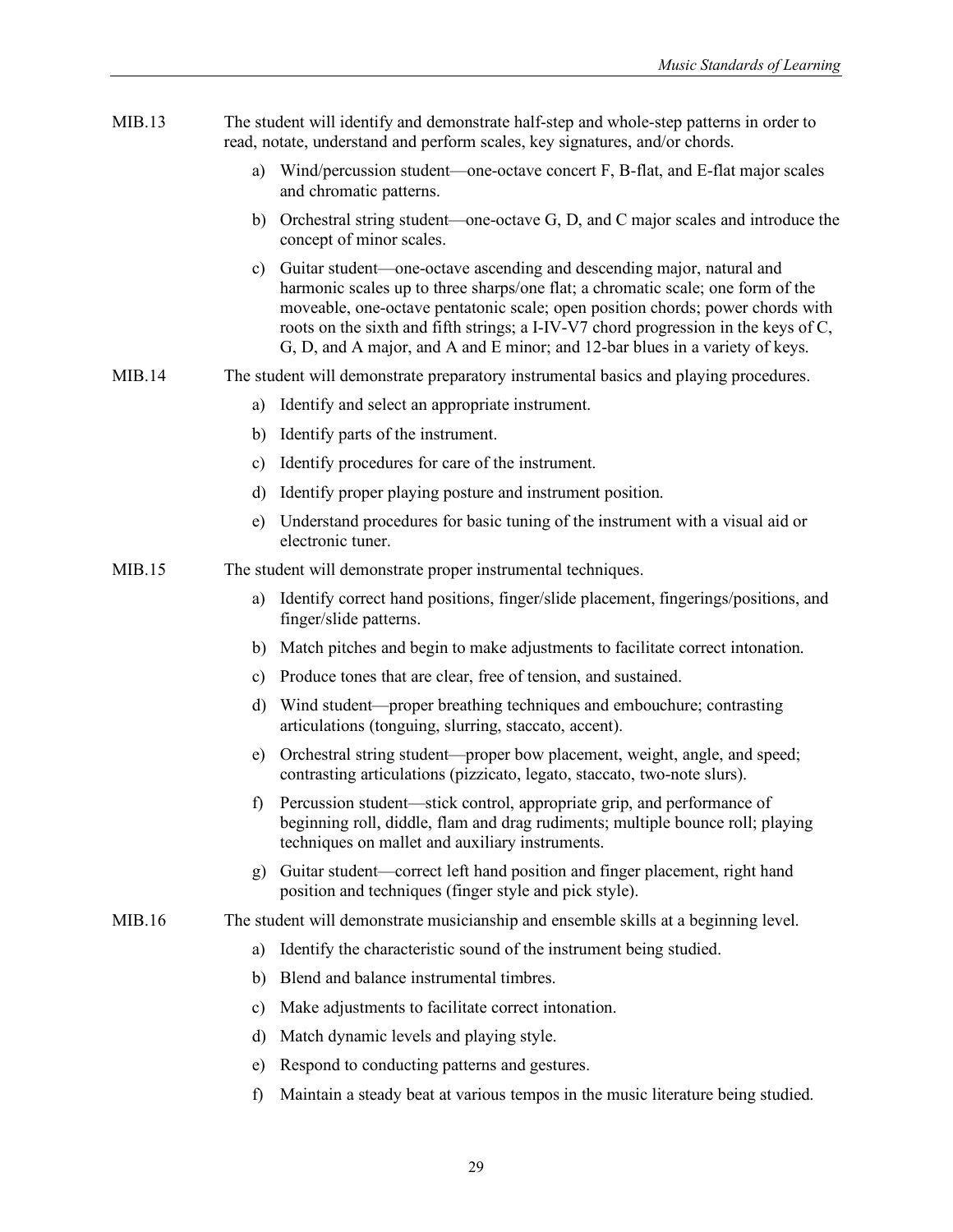| MIB.13 |               | The student will identify and demonstrate half-step and whole-step patterns in order to<br>read, notate, understand and perform scales, key signatures, and/or chords.                                                                                                                                                                                                                                            |
|--------|---------------|-------------------------------------------------------------------------------------------------------------------------------------------------------------------------------------------------------------------------------------------------------------------------------------------------------------------------------------------------------------------------------------------------------------------|
|        | a)            | Wind/percussion student—one-octave concert F, B-flat, and E-flat major scales<br>and chromatic patterns.                                                                                                                                                                                                                                                                                                          |
|        |               | b) Orchestral string student—one-octave G, D, and C major scales and introduce the<br>concept of minor scales.                                                                                                                                                                                                                                                                                                    |
|        | c)            | Guitar student—one-octave ascending and descending major, natural and<br>harmonic scales up to three sharps/one flat; a chromatic scale; one form of the<br>moveable, one-octave pentatonic scale; open position chords; power chords with<br>roots on the sixth and fifth strings; a I-IV-V7 chord progression in the keys of C,<br>G, D, and A major, and A and E minor; and 12-bar blues in a variety of keys. |
| MIB.14 |               | The student will demonstrate preparatory instrumental basics and playing procedures.                                                                                                                                                                                                                                                                                                                              |
|        | a)            | Identify and select an appropriate instrument.                                                                                                                                                                                                                                                                                                                                                                    |
|        | b)            | Identify parts of the instrument.                                                                                                                                                                                                                                                                                                                                                                                 |
|        | $\mathbf{c})$ | Identify procedures for care of the instrument.                                                                                                                                                                                                                                                                                                                                                                   |
|        | d)            | Identify proper playing posture and instrument position.                                                                                                                                                                                                                                                                                                                                                          |
|        | e)            | Understand procedures for basic tuning of the instrument with a visual aid or<br>electronic tuner.                                                                                                                                                                                                                                                                                                                |
| MIB.15 |               | The student will demonstrate proper instrumental techniques.                                                                                                                                                                                                                                                                                                                                                      |
|        | a)            | Identify correct hand positions, finger/slide placement, fingerings/positions, and<br>finger/slide patterns.                                                                                                                                                                                                                                                                                                      |
|        | b)            | Match pitches and begin to make adjustments to facilitate correct intonation.                                                                                                                                                                                                                                                                                                                                     |
|        | c)            | Produce tones that are clear, free of tension, and sustained.                                                                                                                                                                                                                                                                                                                                                     |
|        | d)            | Wind student—proper breathing techniques and embouchure; contrasting<br>articulations (tonguing, slurring, staccato, accent).                                                                                                                                                                                                                                                                                     |
|        | e)            | Orchestral string student-proper bow placement, weight, angle, and speed;<br>contrasting articulations (pizzicato, legato, staccato, two-note slurs).                                                                                                                                                                                                                                                             |
|        |               | f) Percussion student—stick control, appropriate grip, and performance of<br>beginning roll, diddle, flam and drag rudiments; multiple bounce roll; playing<br>techniques on mallet and auxiliary instruments.                                                                                                                                                                                                    |
|        | g)            | Guitar student—correct left hand position and finger placement, right hand<br>position and techniques (finger style and pick style).                                                                                                                                                                                                                                                                              |
| MIB.16 |               | The student will demonstrate musicianship and ensemble skills at a beginning level.                                                                                                                                                                                                                                                                                                                               |
|        | a)            | Identify the characteristic sound of the instrument being studied.                                                                                                                                                                                                                                                                                                                                                |
|        | b)            | Blend and balance instrumental timbres.                                                                                                                                                                                                                                                                                                                                                                           |
|        | c)            | Make adjustments to facilitate correct intonation.                                                                                                                                                                                                                                                                                                                                                                |
|        | d)            | Match dynamic levels and playing style.                                                                                                                                                                                                                                                                                                                                                                           |
|        | e)            | Respond to conducting patterns and gestures.                                                                                                                                                                                                                                                                                                                                                                      |
|        | $\mathbf f$   | Maintain a steady beat at various tempos in the music literature being studied.                                                                                                                                                                                                                                                                                                                                   |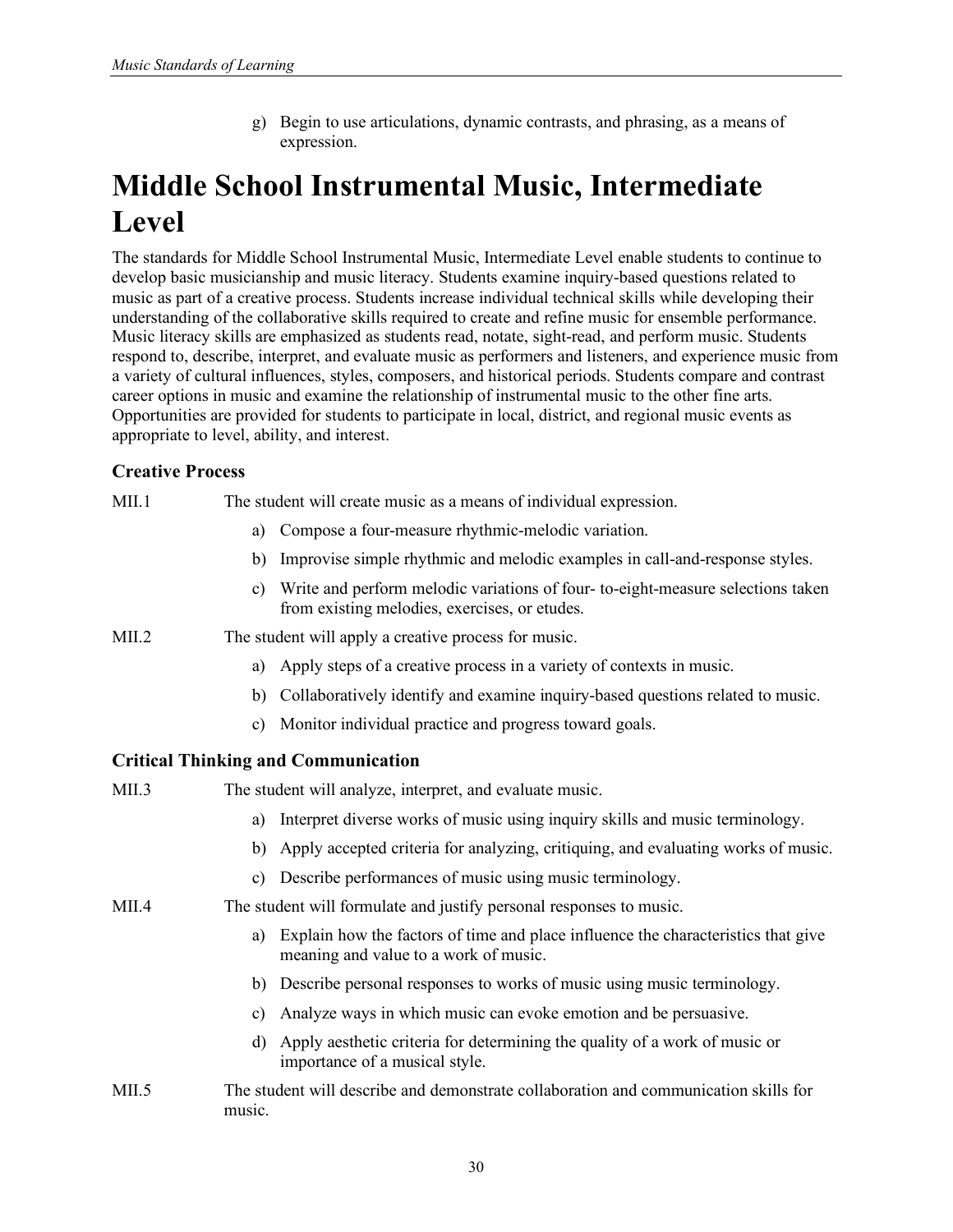g) Begin to use articulations, dynamic contrasts, and phrasing, as a means of expression.

# **Middle School Instrumental Music, Intermediate Level**

The standards for Middle School Instrumental Music, Intermediate Level enable students to continue to develop basic musicianship and music literacy. Students examine inquiry-based questions related to music as part of a creative process. Students increase individual technical skills while developing their understanding of the collaborative skills required to create and refine music for ensemble performance. Music literacy skills are emphasized as students read, notate, sight-read, and perform music. Students respond to, describe, interpret, and evaluate music as performers and listeners, and experience music from a variety of cultural influences, styles, composers, and historical periods. Students compare and contrast career options in music and examine the relationship of instrumental music to the other fine arts. Opportunities are provided for students to participate in local, district, and regional music events as appropriate to level, ability, and interest.

## **Creative Process**

| MII.1             |               | The student will create music as a means of individual expression.                                                              |
|-------------------|---------------|---------------------------------------------------------------------------------------------------------------------------------|
|                   | a)            | Compose a four-measure rhythmic-melodic variation.                                                                              |
|                   | b)            | Improvise simple rhythmic and melodic examples in call-and-response styles.                                                     |
|                   | $\mathbf{c}$  | Write and perform melodic variations of four-to-eight-measure selections taken<br>from existing melodies, exercises, or etudes. |
| MII.2             |               | The student will apply a creative process for music.                                                                            |
|                   | a)            | Apply steps of a creative process in a variety of contexts in music.                                                            |
|                   | b)            | Collaboratively identify and examine inquiry-based questions related to music.                                                  |
|                   | c)            | Monitor individual practice and progress toward goals.                                                                          |
|                   |               | <b>Critical Thinking and Communication</b>                                                                                      |
| MII.3             |               | The student will analyze, interpret, and evaluate music.                                                                        |
|                   | a)            | Interpret diverse works of music using inquiry skills and music terminology.                                                    |
|                   | b)            | Apply accepted criteria for analyzing, critiquing, and evaluating works of music.                                               |
|                   | $\mathbf{c})$ | Describe performances of music using music terminology.                                                                         |
| MII.4             |               | The student will formulate and justify personal responses to music.                                                             |
|                   | a)            | Explain how the factors of time and place influence the characteristics that give<br>meaning and value to a work of music.      |
|                   |               | b) Describe personal responses to works of music using music terminology.                                                       |
|                   | c)            | Analyze ways in which music can evoke emotion and be persuasive.                                                                |
|                   | $\mathbf{d}$  | Apply aesthetic criteria for determining the quality of a work of music or<br>importance of a musical style.                    |
| MI <sub>1.5</sub> | music.        | The student will describe and demonstrate collaboration and communication skills for                                            |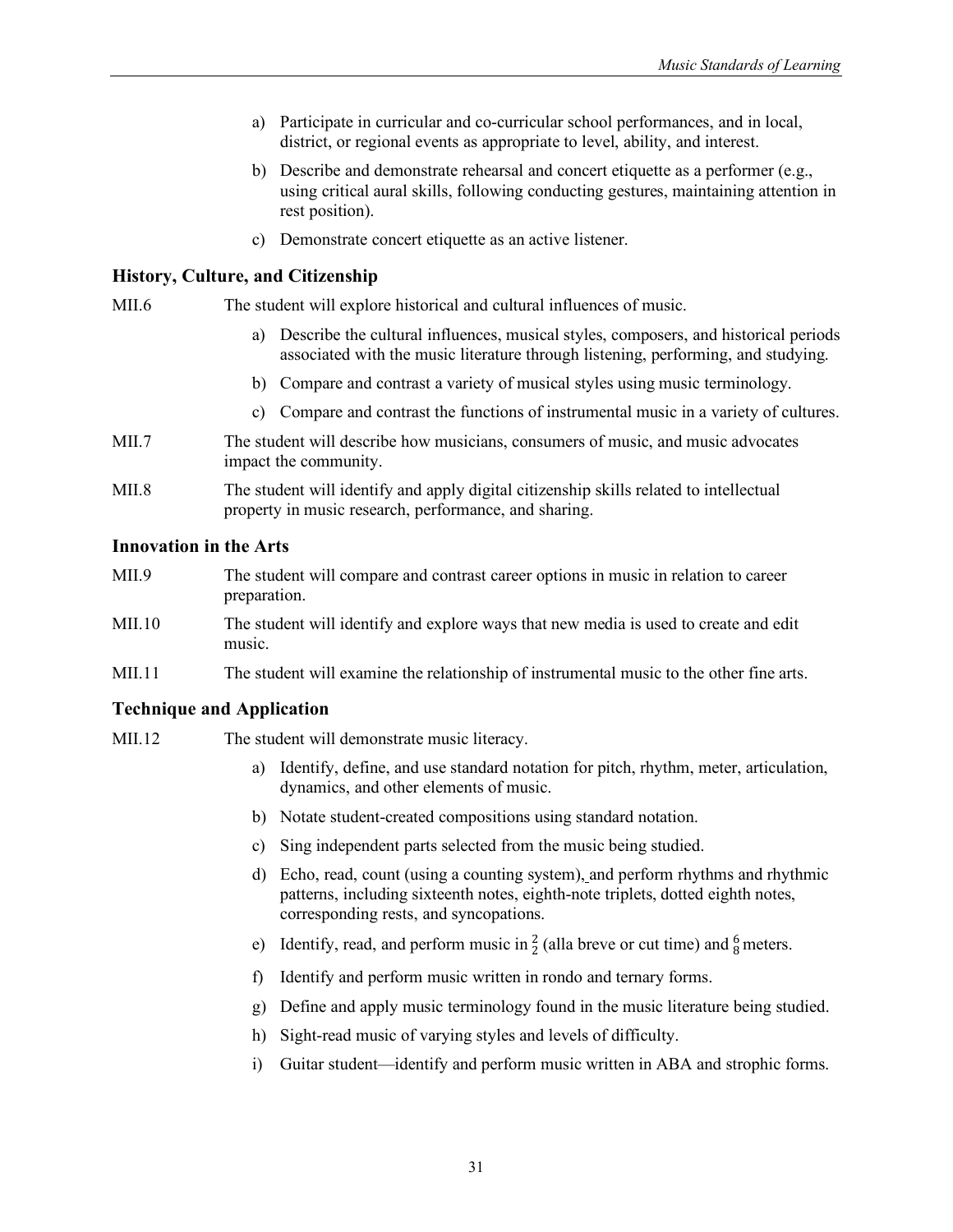- a) Participate in curricular and co-curricular school performances, and in local, district, or regional events as appropriate to level, ability, and interest.
- b) Describe and demonstrate rehearsal and concert etiquette as a performer (e.g., using critical aural skills, following conducting gestures, maintaining attention in rest position).
- c) Demonstrate concert etiquette as an active listener.

MII.6 The student will explore historical and cultural influences of music.

- a) Describe the cultural influences, musical styles, composers, and historical periods associated with the music literature through listening, performing, and studying.
- b) Compare and contrast a variety of musical styles using music terminology.
- c) Compare and contrast the functions of instrumental music in a variety of cultures.
- MII.7 The student will describe how musicians, consumers of music, and music advocates impact the community.
- MII.8 The student will identify and apply digital citizenship skills related to intellectual property in music research, performance, and sharing.

#### **Innovation in the Arts**

| MIL9    | The student will compare and contrast career options in music in relation to career<br>preparation. |
|---------|-----------------------------------------------------------------------------------------------------|
| MIL 10- | The student will identify and explore ways that new media is used to create and edit<br>music.      |

MII.11 The student will examine the relationship of instrumental music to the other fine arts.

- MII.12 The student will demonstrate music literacy.
	- a) Identify, define, and use standard notation for pitch, rhythm, meter, articulation, dynamics, and other elements of music.
	- b) Notate student-created compositions using standard notation.
	- c) Sing independent parts selected from the music being studied.
	- d) Echo, read, count (using a counting system), and perform rhythms and rhythmic patterns, including sixteenth notes, eighth-note triplets, dotted eighth notes, corresponding rests, and syncopations.
	- e) Identify, read, and perform music in  $\frac{2}{2}$  (alla breve or cut time) and  $\frac{6}{8}$  meters.
	- f) Identify and perform music written in rondo and ternary forms.
	- g) Define and apply music terminology found in the music literature being studied.
	- h) Sight-read music of varying styles and levels of difficulty.
	- i) Guitar student—identify and perform music written in ABA and strophic forms.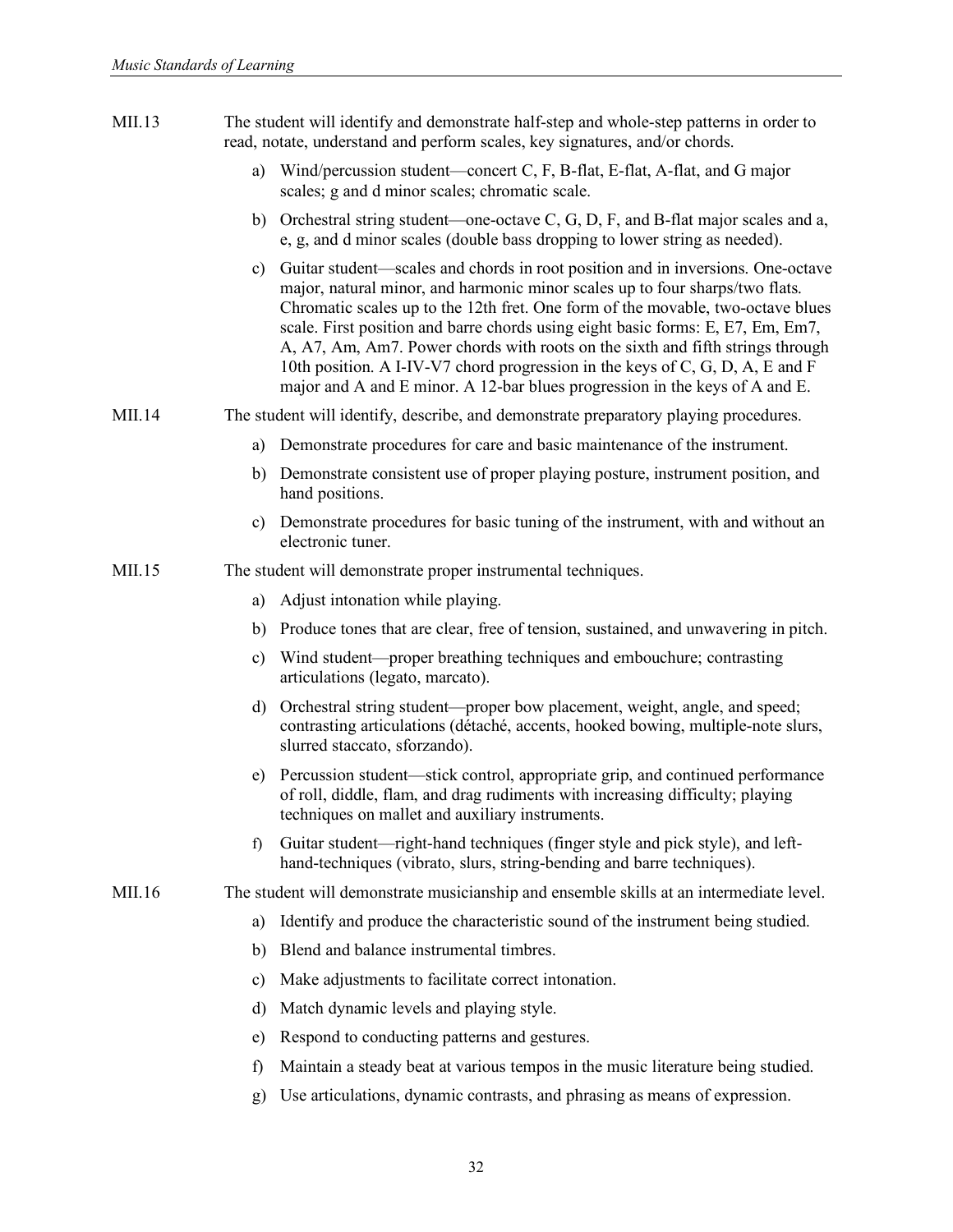| MII.13 |               | The student will identify and demonstrate half-step and whole-step patterns in order to<br>read, notate, understand and perform scales, key signatures, and/or chords.                                                                                                                                                                                                                                                                                                                                                                                                                  |
|--------|---------------|-----------------------------------------------------------------------------------------------------------------------------------------------------------------------------------------------------------------------------------------------------------------------------------------------------------------------------------------------------------------------------------------------------------------------------------------------------------------------------------------------------------------------------------------------------------------------------------------|
|        |               | a) Wind/percussion student—concert C, F, B-flat, E-flat, A-flat, and G major<br>scales; g and d minor scales; chromatic scale.                                                                                                                                                                                                                                                                                                                                                                                                                                                          |
|        |               | b) Orchestral string student—one-octave C, G, D, F, and B-flat major scales and a,<br>e, g, and d minor scales (double bass dropping to lower string as needed).                                                                                                                                                                                                                                                                                                                                                                                                                        |
|        | c)            | Guitar student—scales and chords in root position and in inversions. One-octave<br>major, natural minor, and harmonic minor scales up to four sharps/two flats.<br>Chromatic scales up to the 12th fret. One form of the movable, two-octave blues<br>scale. First position and barre chords using eight basic forms: E, E7, Em, Em7,<br>A, A7, Am, Am7. Power chords with roots on the sixth and fifth strings through<br>10th position. A I-IV-V7 chord progression in the keys of C, G, D, A, E and F<br>major and A and E minor. A 12-bar blues progression in the keys of A and E. |
| MII.14 |               | The student will identify, describe, and demonstrate preparatory playing procedures.                                                                                                                                                                                                                                                                                                                                                                                                                                                                                                    |
|        | a)            | Demonstrate procedures for care and basic maintenance of the instrument.                                                                                                                                                                                                                                                                                                                                                                                                                                                                                                                |
|        |               | b) Demonstrate consistent use of proper playing posture, instrument position, and<br>hand positions.                                                                                                                                                                                                                                                                                                                                                                                                                                                                                    |
|        | C)            | Demonstrate procedures for basic tuning of the instrument, with and without an<br>electronic tuner.                                                                                                                                                                                                                                                                                                                                                                                                                                                                                     |
| MII.15 |               | The student will demonstrate proper instrumental techniques.                                                                                                                                                                                                                                                                                                                                                                                                                                                                                                                            |
|        | a)            | Adjust intonation while playing.                                                                                                                                                                                                                                                                                                                                                                                                                                                                                                                                                        |
|        | b)            | Produce tones that are clear, free of tension, sustained, and unwavering in pitch.                                                                                                                                                                                                                                                                                                                                                                                                                                                                                                      |
|        | c)            | Wind student—proper breathing techniques and embouchure; contrasting<br>articulations (legato, marcato).                                                                                                                                                                                                                                                                                                                                                                                                                                                                                |
|        | d)            | Orchestral string student—proper bow placement, weight, angle, and speed;<br>contrasting articulations (détaché, accents, hooked bowing, multiple-note slurs,<br>slurred staccato, sforzando).                                                                                                                                                                                                                                                                                                                                                                                          |
|        | e)            | Percussion student—stick control, appropriate grip, and continued performance<br>of roll, diddle, flam, and drag rudiments with increasing difficulty; playing<br>techniques on mallet and auxiliary instruments.                                                                                                                                                                                                                                                                                                                                                                       |
|        | f             | Guitar student—right-hand techniques (finger style and pick style), and left-<br>hand-techniques (vibrato, slurs, string-bending and barre techniques).                                                                                                                                                                                                                                                                                                                                                                                                                                 |
| MII.16 |               | The student will demonstrate musicianship and ensemble skills at an intermediate level.                                                                                                                                                                                                                                                                                                                                                                                                                                                                                                 |
|        | a)            | Identify and produce the characteristic sound of the instrument being studied.                                                                                                                                                                                                                                                                                                                                                                                                                                                                                                          |
|        | b)            | Blend and balance instrumental timbres.                                                                                                                                                                                                                                                                                                                                                                                                                                                                                                                                                 |
|        | $\mathbf{c})$ | Make adjustments to facilitate correct intonation.                                                                                                                                                                                                                                                                                                                                                                                                                                                                                                                                      |
|        | d)            | Match dynamic levels and playing style.                                                                                                                                                                                                                                                                                                                                                                                                                                                                                                                                                 |
|        | e)            | Respond to conducting patterns and gestures.                                                                                                                                                                                                                                                                                                                                                                                                                                                                                                                                            |
|        | f)            | Maintain a steady beat at various tempos in the music literature being studied.                                                                                                                                                                                                                                                                                                                                                                                                                                                                                                         |
|        | g)            | Use articulations, dynamic contrasts, and phrasing as means of expression.                                                                                                                                                                                                                                                                                                                                                                                                                                                                                                              |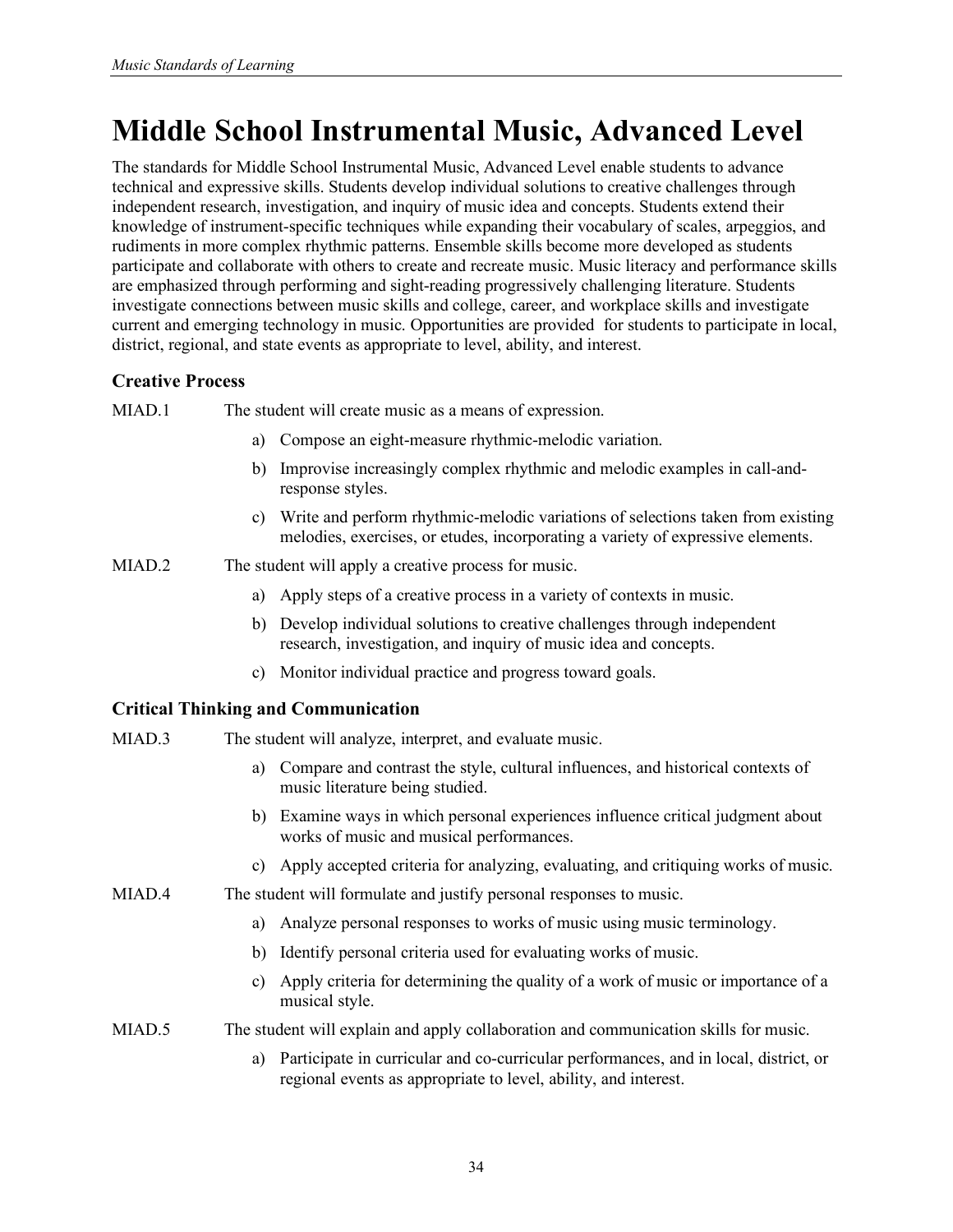# **Middle School Instrumental Music, Advanced Level**

The standards for Middle School Instrumental Music, Advanced Level enable students to advance technical and expressive skills. Students develop individual solutions to creative challenges through independent research, investigation, and inquiry of music idea and concepts. Students extend their knowledge of instrument-specific techniques while expanding their vocabulary of scales, arpeggios, and rudiments in more complex rhythmic patterns. Ensemble skills become more developed as students participate and collaborate with others to create and recreate music. Music literacy and performance skills are emphasized through performing and sight-reading progressively challenging literature. Students investigate connections between music skills and college, career, and workplace skills and investigate current and emerging technology in music. Opportunities are provided for students to participate in local, district, regional, and state events as appropriate to level, ability, and interest.

# **Creative Process**

MIAD.1 The student will create music as a means of expression.

- a) Compose an eight-measure rhythmic-melodic variation.
- b) Improvise increasingly complex rhythmic and melodic examples in call-andresponse styles.
- c) Write and perform rhythmic-melodic variations of selections taken from existing melodies, exercises, or etudes, incorporating a variety of expressive elements.

MIAD.2 The student will apply a creative process for music.

- a) Apply steps of a creative process in a variety of contexts in music.
- b) Develop individual solutions to creative challenges through independent research, investigation, and inquiry of music idea and concepts.
- c) Monitor individual practice and progress toward goals.

## **Critical Thinking and Communication**

- MIAD.3 The student will analyze, interpret, and evaluate music.
	- a) Compare and contrast the style, cultural influences, and historical contexts of music literature being studied.
	- b) Examine ways in which personal experiences influence critical judgment about works of music and musical performances.
	- c) Apply accepted criteria for analyzing, evaluating, and critiquing works of music.
- MIAD.4 The student will formulate and justify personal responses to music.
	- a) Analyze personal responses to works of music using music terminology.
	- b) Identify personal criteria used for evaluating works of music.
	- c) Apply criteria for determining the quality of a work of music or importance of a musical style.

## MIAD.5 The student will explain and apply collaboration and communication skills for music.

a) Participate in curricular and co-curricular performances, and in local, district, or regional events as appropriate to level, ability, and interest.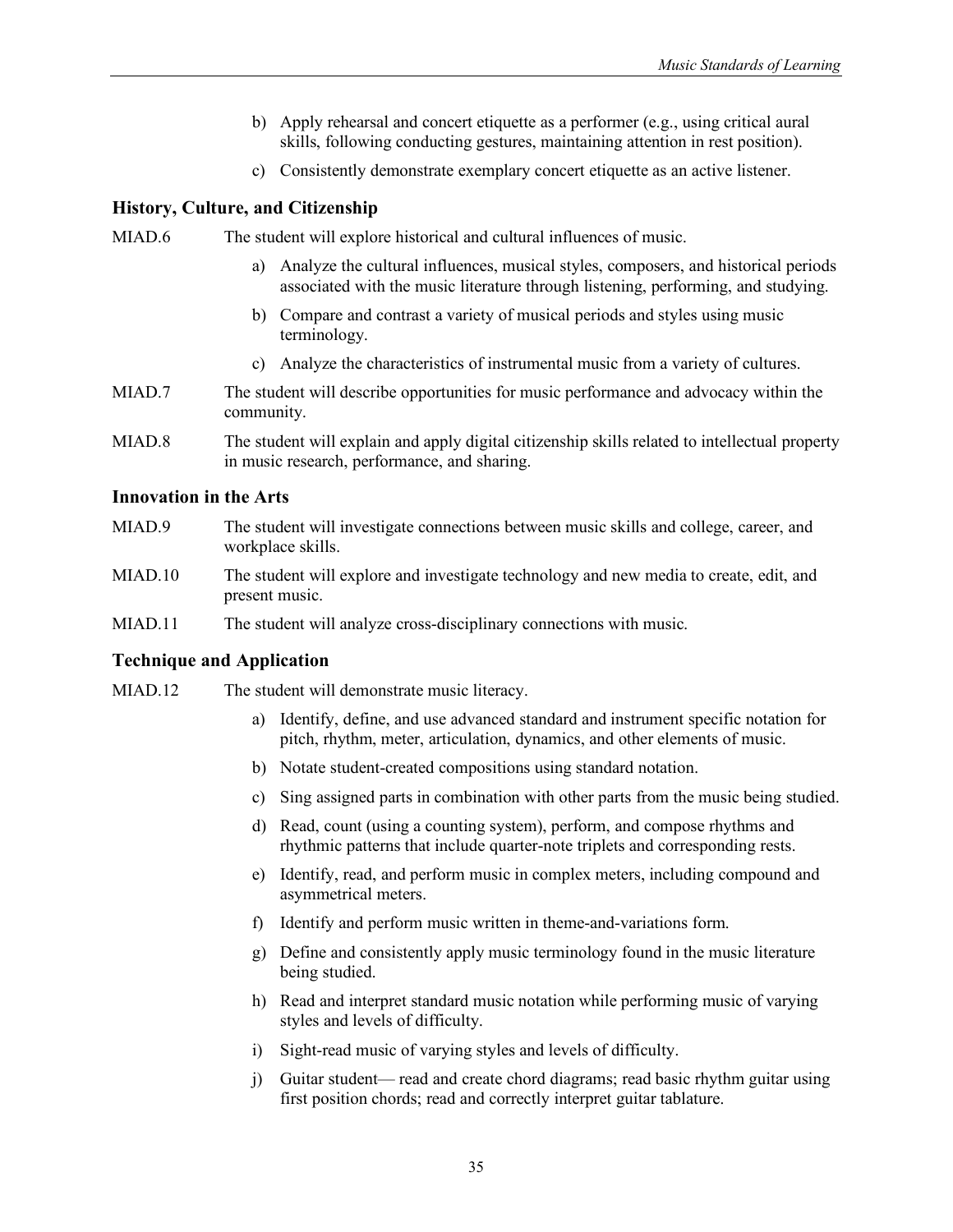- b) Apply rehearsal and concert etiquette as a performer (e.g., using critical aural skills, following conducting gestures, maintaining attention in rest position).
- c) Consistently demonstrate exemplary concert etiquette as an active listener.

MIAD.6 The student will explore historical and cultural influences of music.

- a) Analyze the cultural influences, musical styles, composers, and historical periods associated with the music literature through listening, performing, and studying.
- b) Compare and contrast a variety of musical periods and styles using music terminology.
- c) Analyze the characteristics of instrumental music from a variety of cultures.
- MIAD.7 The student will describe opportunities for music performance and advocacy within the community.
- MIAD.8 The student will explain and apply digital citizenship skills related to intellectual property in music research, performance, and sharing.

#### **Innovation in the Arts**

- MIAD.9 The student will investigate connections between music skills and college, career, and workplace skills.
- MIAD.10 The student will explore and investigate technology and new media to create, edit, and present music.
- MIAD.11 The student will analyze cross-disciplinary connections with music.

- MIAD.12 The student will demonstrate music literacy.
	- a) Identify, define, and use advanced standard and instrument specific notation for pitch, rhythm, meter, articulation, dynamics, and other elements of music.
	- b) Notate student-created compositions using standard notation.
	- c) Sing assigned parts in combination with other parts from the music being studied.
	- d) Read, count (using a counting system), perform, and compose rhythms and rhythmic patterns that include quarter-note triplets and corresponding rests.
	- e) Identify, read, and perform music in complex meters, including compound and asymmetrical meters.
	- f) Identify and perform music written in theme-and-variations form.
	- g) Define and consistently apply music terminology found in the music literature being studied.
	- h) Read and interpret standard music notation while performing music of varying styles and levels of difficulty.
	- i) Sight-read music of varying styles and levels of difficulty.
	- j) Guitar student— read and create chord diagrams; read basic rhythm guitar using first position chords; read and correctly interpret guitar tablature.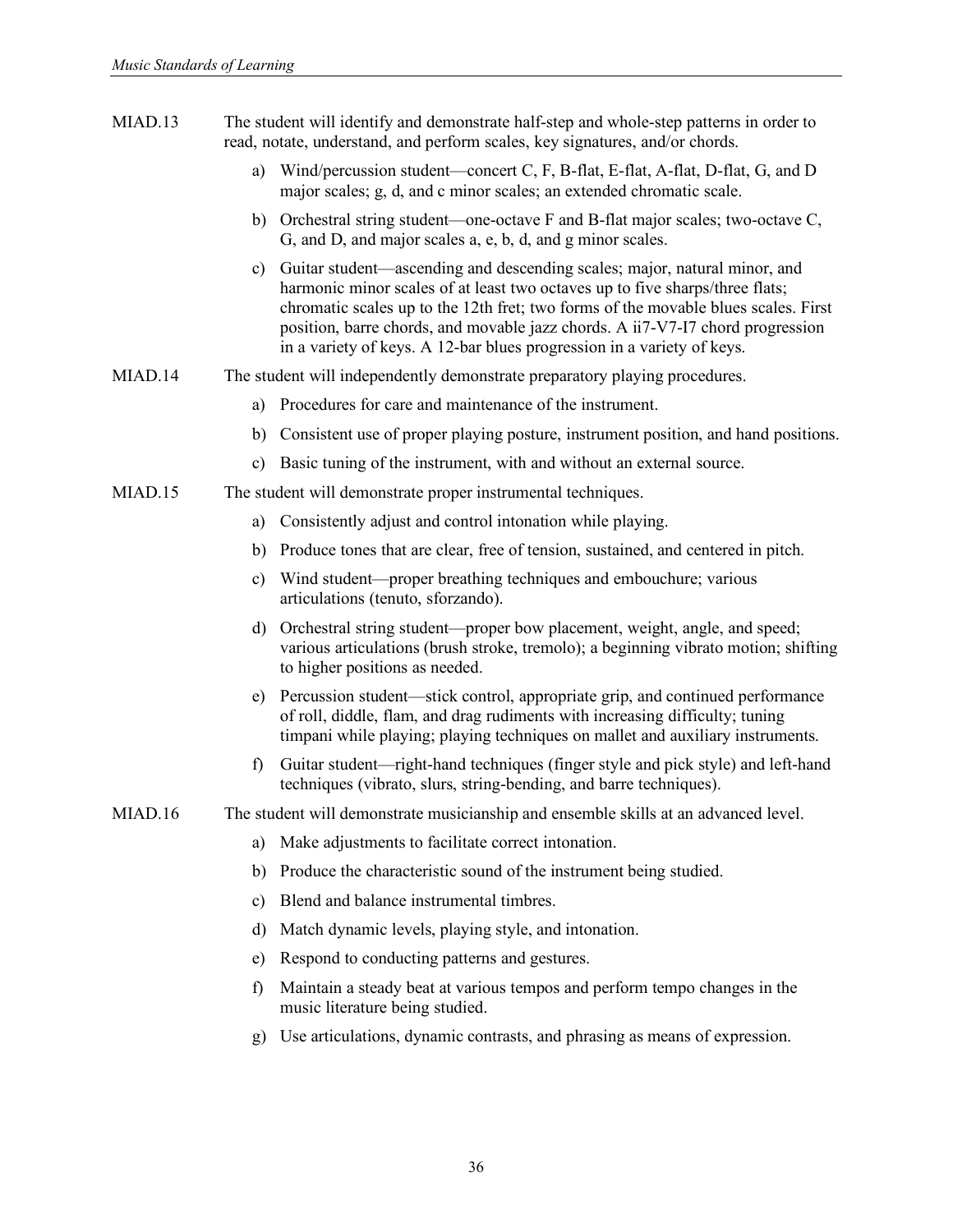- MIAD.13 The student will identify and demonstrate half-step and whole-step patterns in order to read, notate, understand, and perform scales, key signatures, and/or chords.
	- a) Wind/percussion student—concert C, F, B-flat, E-flat, A-flat, D-flat, G, and D major scales; g, d, and c minor scales; an extended chromatic scale.
	- b) Orchestral string student—one-octave F and B-flat major scales; two-octave C, G, and D, and major scales a, e, b, d, and g minor scales.
	- c) Guitar student—ascending and descending scales; major, natural minor, and harmonic minor scales of at least two octaves up to five sharps/three flats; chromatic scales up to the 12th fret; two forms of the movable blues scales. First position, barre chords, and movable jazz chords. A ii7-V7-I7 chord progression in a variety of keys. A 12-bar blues progression in a variety of keys.
- MIAD.14 The student will independently demonstrate preparatory playing procedures.
	- a) Procedures for care and maintenance of the instrument.
	- b) Consistent use of proper playing posture, instrument position, and hand positions.
	- c) Basic tuning of the instrument, with and without an external source.
- MIAD.15 The student will demonstrate proper instrumental techniques.
	- a) Consistently adjust and control intonation while playing.
	- b) Produce tones that are clear, free of tension, sustained, and centered in pitch.
	- c) Wind student—proper breathing techniques and embouchure; various articulations (tenuto, sforzando).
	- d) Orchestral string student—proper bow placement, weight, angle, and speed; various articulations (brush stroke, tremolo); a beginning vibrato motion; shifting to higher positions as needed.
	- e) Percussion student—stick control, appropriate grip, and continued performance of roll, diddle, flam, and drag rudiments with increasing difficulty; tuning timpani while playing; playing techniques on mallet and auxiliary instruments.
	- f) Guitar student—right-hand techniques (finger style and pick style) and left-hand techniques (vibrato, slurs, string-bending, and barre techniques).
- MIAD.16 The student will demonstrate musicianship and ensemble skills at an advanced level.
	- a) Make adjustments to facilitate correct intonation.
	- b) Produce the characteristic sound of the instrument being studied.
	- c) Blend and balance instrumental timbres.
	- d) Match dynamic levels, playing style, and intonation.
	- e) Respond to conducting patterns and gestures.
	- f) Maintain a steady beat at various tempos and perform tempo changes in the music literature being studied.
	- g) Use articulations, dynamic contrasts, and phrasing as means of expression.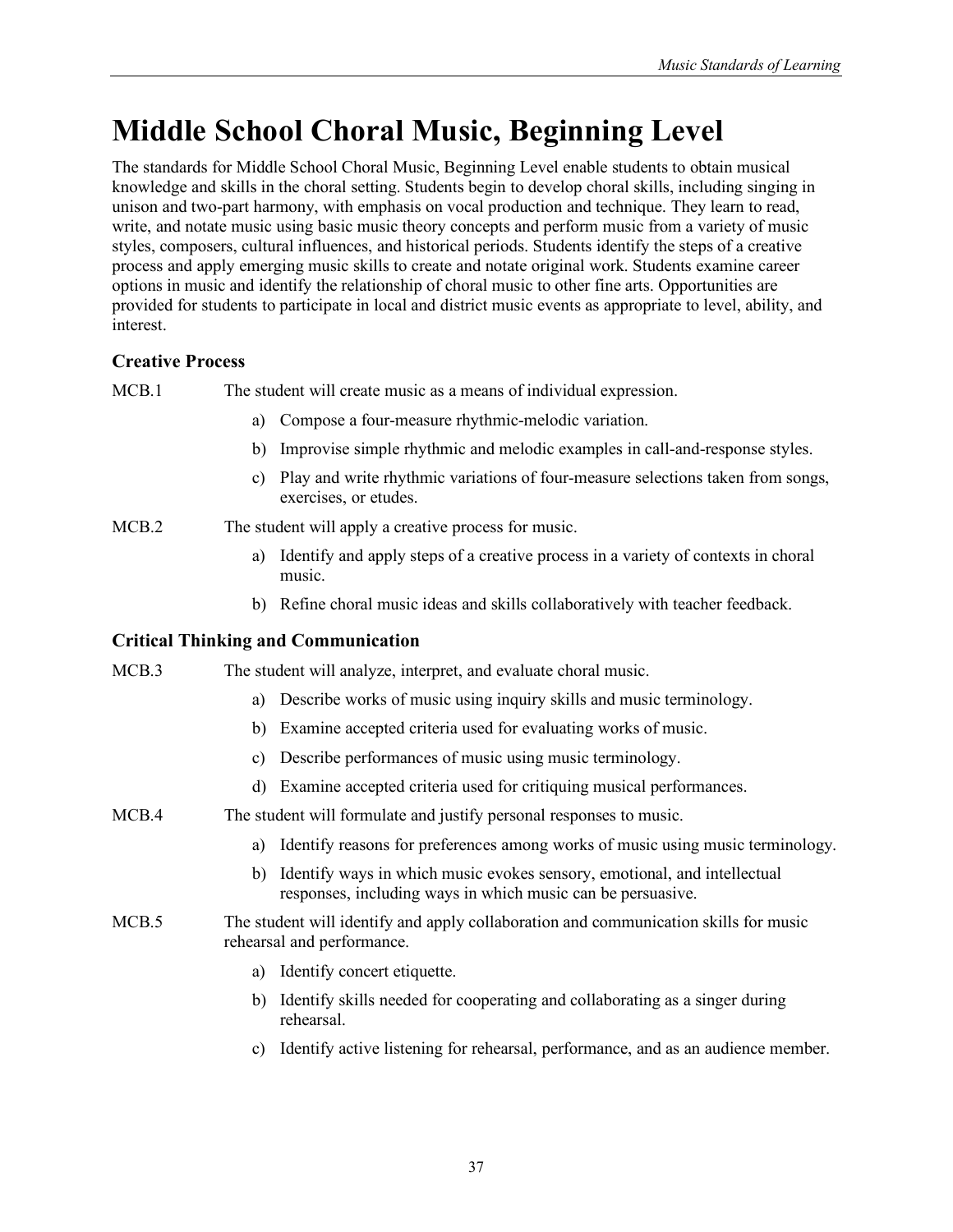# **Middle School Choral Music, Beginning Level**

The standards for Middle School Choral Music, Beginning Level enable students to obtain musical knowledge and skills in the choral setting. Students begin to develop choral skills, including singing in unison and two-part harmony, with emphasis on vocal production and technique. They learn to read, write, and notate music using basic music theory concepts and perform music from a variety of music styles, composers, cultural influences, and historical periods. Students identify the steps of a creative process and apply emerging music skills to create and notate original work. Students examine career options in music and identify the relationship of choral music to other fine arts. Opportunities are provided for students to participate in local and district music events as appropriate to level, ability, and interest.

# **Creative Process**

MCB.1 The student will create music as a means of individual expression.

- a) Compose a four-measure rhythmic-melodic variation.
- b) Improvise simple rhythmic and melodic examples in call-and-response styles.
- c) Play and write rhythmic variations of four-measure selections taken from songs, exercises, or etudes.

MCB.2 The student will apply a creative process for music.

- a) Identify and apply steps of a creative process in a variety of contexts in choral music.
- b) Refine choral music ideas and skills collaboratively with teacher feedback.

## **Critical Thinking and Communication**

MCB.3 The student will analyze, interpret, and evaluate choral music.

- a) Describe works of music using inquiry skills and music terminology.
- b) Examine accepted criteria used for evaluating works of music.
- c) Describe performances of music using music terminology.
- d) Examine accepted criteria used for critiquing musical performances.
- MCB.4 The student will formulate and justify personal responses to music.
	- a) Identify reasons for preferences among works of music using music terminology.
	- b) Identify ways in which music evokes sensory, emotional, and intellectual responses, including ways in which music can be persuasive.
- MCB.5 The student will identify and apply collaboration and communication skills for music rehearsal and performance.
	- a) Identify concert etiquette.
	- b) Identify skills needed for cooperating and collaborating as a singer during rehearsal.
	- c) Identify active listening for rehearsal, performance, and as an audience member.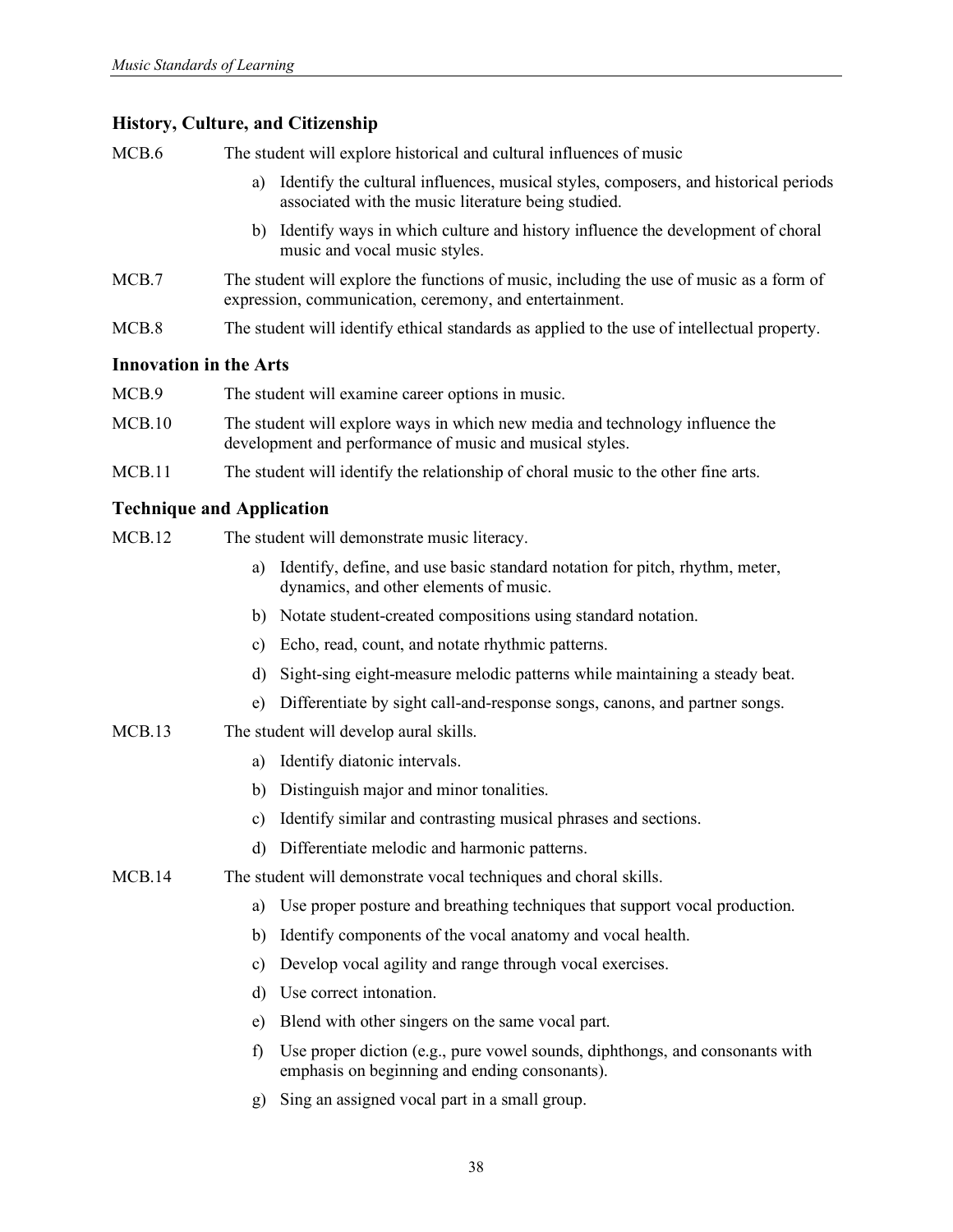MCB.6 The student will explore historical and cultural influences of music

- a) Identify the cultural influences, musical styles, composers, and historical periods associated with the music literature being studied.
- b) Identify ways in which culture and history influence the development of choral music and vocal music styles.
- MCB.7 The student will explore the functions of music, including the use of music as a form of expression, communication, ceremony, and entertainment.
- MCB.8 The student will identify ethical standards as applied to the use of intellectual property.

#### **Innovation in the Arts**

| MCB.9  | The student will examine career options in music.                                                                                         |
|--------|-------------------------------------------------------------------------------------------------------------------------------------------|
| MCB.10 | The student will explore ways in which new media and technology influence the<br>development and performance of music and musical styles. |
| MCB.11 | The student will identify the relationship of choral music to the other fine arts.                                                        |

# **Technique and Application**

- MCB.12 The student will demonstrate music literacy.
	- a) Identify, define, and use basic standard notation for pitch, rhythm, meter, dynamics, and other elements of music.
	- b) Notate student-created compositions using standard notation.
	- c) Echo, read, count, and notate rhythmic patterns.
	- d) Sight-sing eight-measure melodic patterns while maintaining a steady beat.
	- e) Differentiate by sight call-and-response songs, canons, and partner songs.

## MCB.13 The student will develop aural skills.

- a) Identify diatonic intervals.
- b) Distinguish major and minor tonalities.
- c) Identify similar and contrasting musical phrases and sections.
- d) Differentiate melodic and harmonic patterns.
- MCB.14 The student will demonstrate vocal techniques and choral skills.
	- a) Use proper posture and breathing techniques that support vocal production.
	- b) Identify components of the vocal anatomy and vocal health.
	- c) Develop vocal agility and range through vocal exercises.
	- d) Use correct intonation.
	- e) Blend with other singers on the same vocal part.
	- f) Use proper diction (e.g., pure vowel sounds, diphthongs, and consonants with emphasis on beginning and ending consonants).
	- g) Sing an assigned vocal part in a small group.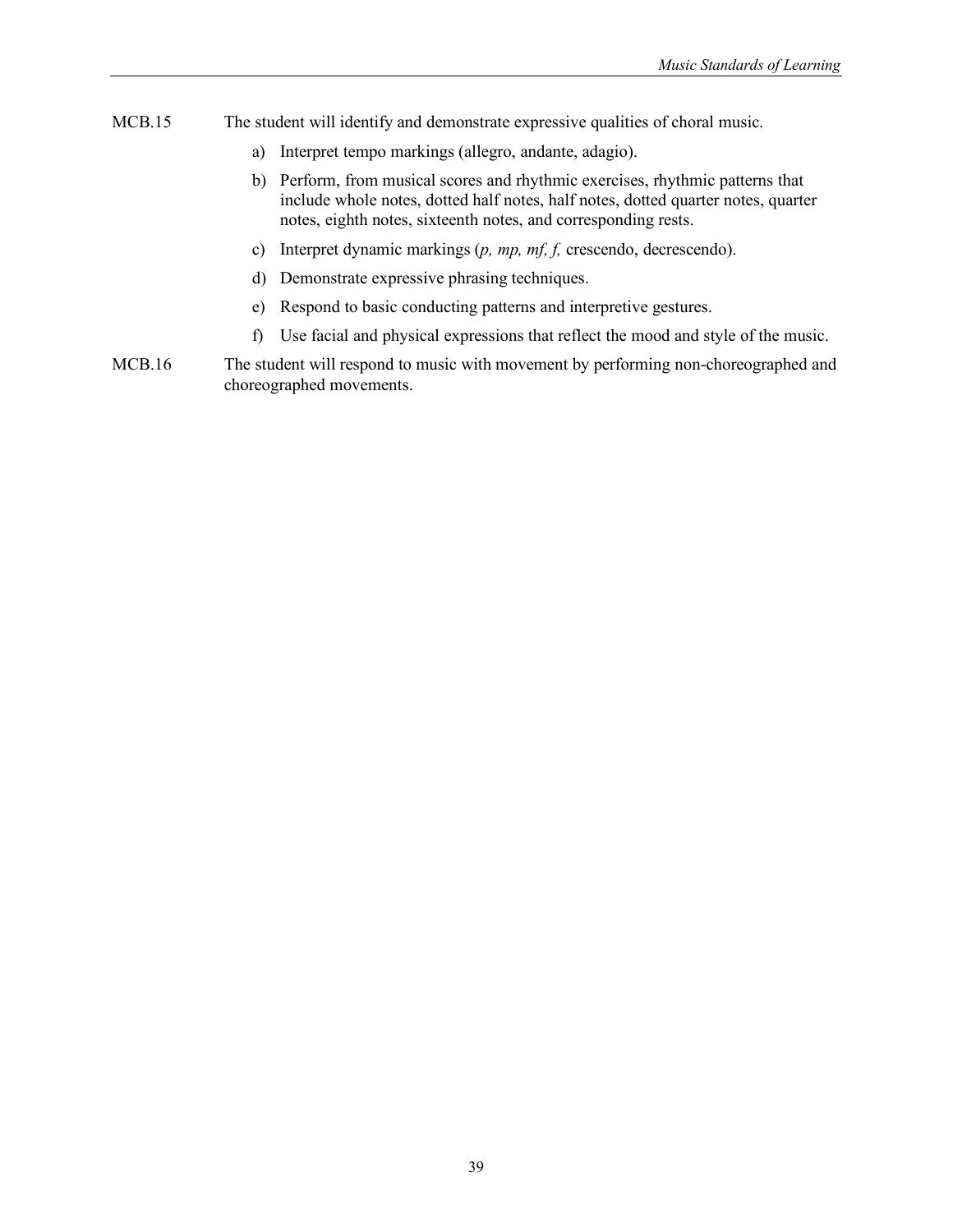- MCB.15 The student will identify and demonstrate expressive qualities of choral music.
	- a) Interpret tempo markings (allegro, andante, adagio).
	- b) Perform, from musical scores and rhythmic exercises, rhythmic patterns that include whole notes, dotted half notes, half notes, dotted quarter notes, quarter notes, eighth notes, sixteenth notes, and corresponding rests.
	- c) Interpret dynamic markings (*p, mp, mf, f,* crescendo, decrescendo).
	- d) Demonstrate expressive phrasing techniques.
	- e) Respond to basic conducting patterns and interpretive gestures.
	- f) Use facial and physical expressions that reflect the mood and style of the music.
- MCB.16 The student will respond to music with movement by performing non-choreographed and choreographed movements.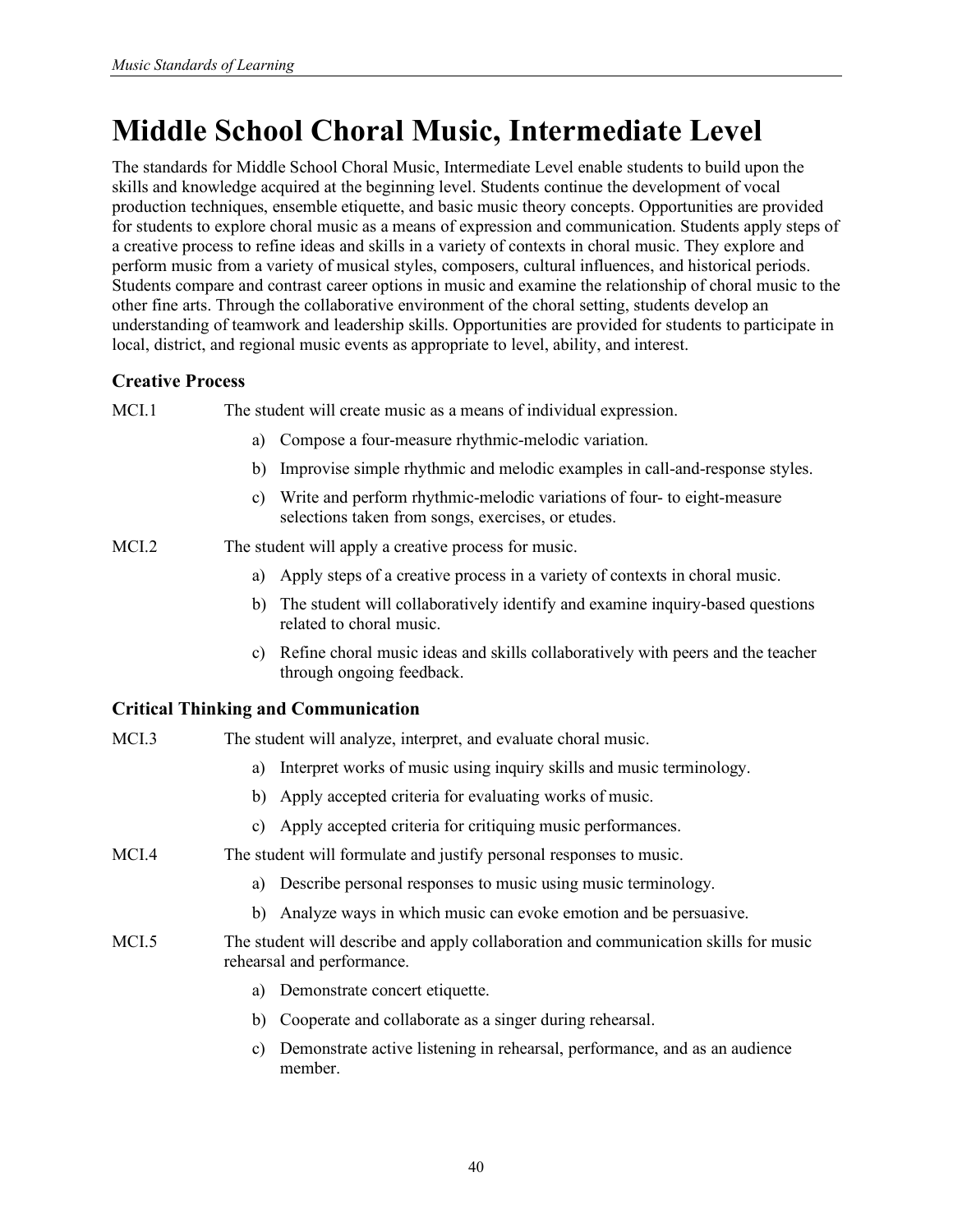# **Middle School Choral Music, Intermediate Level**

The standards for Middle School Choral Music, Intermediate Level enable students to build upon the skills and knowledge acquired at the beginning level. Students continue the development of vocal production techniques, ensemble etiquette, and basic music theory concepts. Opportunities are provided for students to explore choral music as a means of expression and communication. Students apply steps of a creative process to refine ideas and skills in a variety of contexts in choral music. They explore and perform music from a variety of musical styles, composers, cultural influences, and historical periods. Students compare and contrast career options in music and examine the relationship of choral music to the other fine arts. Through the collaborative environment of the choral setting, students develop an understanding of teamwork and leadership skills. Opportunities are provided for students to participate in local, district, and regional music events as appropriate to level, ability, and interest.

# **Creative Process**

| MCL1 | The student will create music as a means of individual expression. |  |
|------|--------------------------------------------------------------------|--|
|      |                                                                    |  |

- a) Compose a four-measure rhythmic-melodic variation.
- b) Improvise simple rhythmic and melodic examples in call-and-response styles.
- c) Write and perform rhythmic-melodic variations of four- to eight-measure selections taken from songs, exercises, or etudes.
- MCI.2 The student will apply a creative process for music.
	- a) Apply steps of a creative process in a variety of contexts in choral music.
	- b) The student will collaboratively identify and examine inquiry-based questions related to choral music.
	- c) Refine choral music ideas and skills collaboratively with peers and the teacher through ongoing feedback.

| MCI.3 | The student will analyze, interpret, and evaluate choral music.                                                    |
|-------|--------------------------------------------------------------------------------------------------------------------|
|       | Interpret works of music using inquiry skills and music terminology.<br>a)                                         |
|       | b) Apply accepted criteria for evaluating works of music.                                                          |
|       | Apply accepted criteria for critiquing music performances.<br>C)                                                   |
| MCI.4 | The student will formulate and justify personal responses to music.                                                |
|       | Describe personal responses to music using music terminology.<br>a)                                                |
|       | b) Analyze ways in which music can evoke emotion and be persuasive.                                                |
| MCI.5 | The student will describe and apply collaboration and communication skills for music<br>rehearsal and performance. |
|       | Demonstrate concert etiquette.<br>a)                                                                               |
|       | Cooperate and collaborate as a singer during rehearsal.<br>b)                                                      |
|       | Demonstrate active listening in rehearsal, performance, and as an audience<br>c)<br>member                         |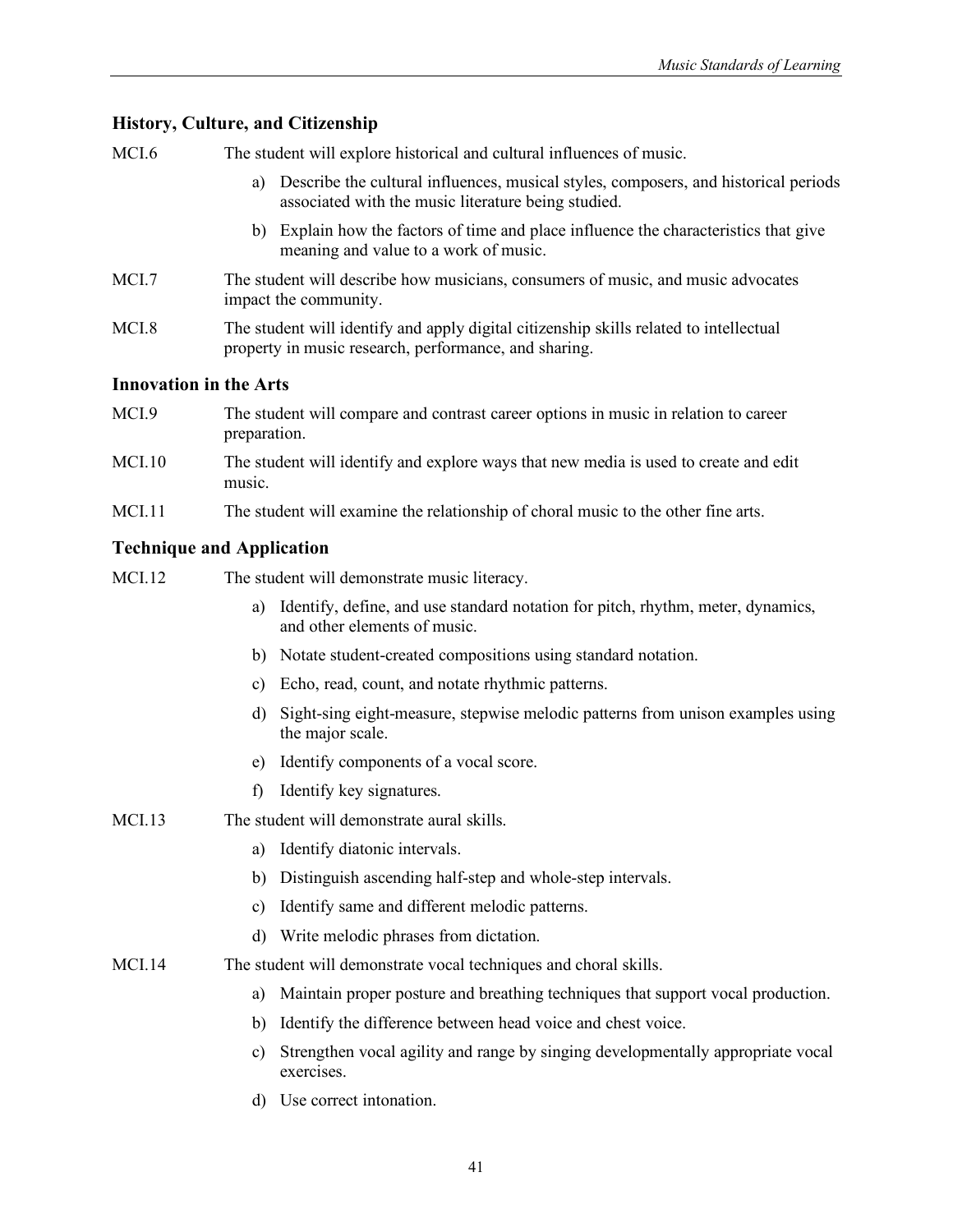MCI.6 The student will explore historical and cultural influences of music. a) Describe the cultural influences, musical styles, composers, and historical periods associated with the music literature being studied. b) Explain how the factors of time and place influence the characteristics that give meaning and value to a work of music. MCI.7 The student will describe how musicians, consumers of music, and music advocates impact the community. MCI.8 The student will identify and apply digital citizenship skills related to intellectual property in music research, performance, and sharing. **Innovation in the Arts** MCI.9 The student will compare and contrast career options in music in relation to career preparation. MCI.10 The student will identify and explore ways that new media is used to create and edit music. MCI.11 The student will examine the relationship of choral music to the other fine arts. **Technique and Application** MCI.12 The student will demonstrate music literacy. a) Identify, define, and use standard notation for pitch, rhythm, meter, dynamics, and other elements of music. b) Notate student-created compositions using standard notation. c) Echo, read, count, and notate rhythmic patterns. d) Sight-sing eight-measure, stepwise melodic patterns from unison examples using the major scale. e) Identify components of a vocal score. f) Identify key signatures. MCI.13 The student will demonstrate aural skills. a) Identify diatonic intervals. b) Distinguish ascending half-step and whole-step intervals. c) Identify same and different melodic patterns. d) Write melodic phrases from dictation. MCI.14 The student will demonstrate vocal techniques and choral skills. a) Maintain proper posture and breathing techniques that support vocal production. b) Identify the difference between head voice and chest voice. c) Strengthen vocal agility and range by singing developmentally appropriate vocal exercises. d) Use correct intonation.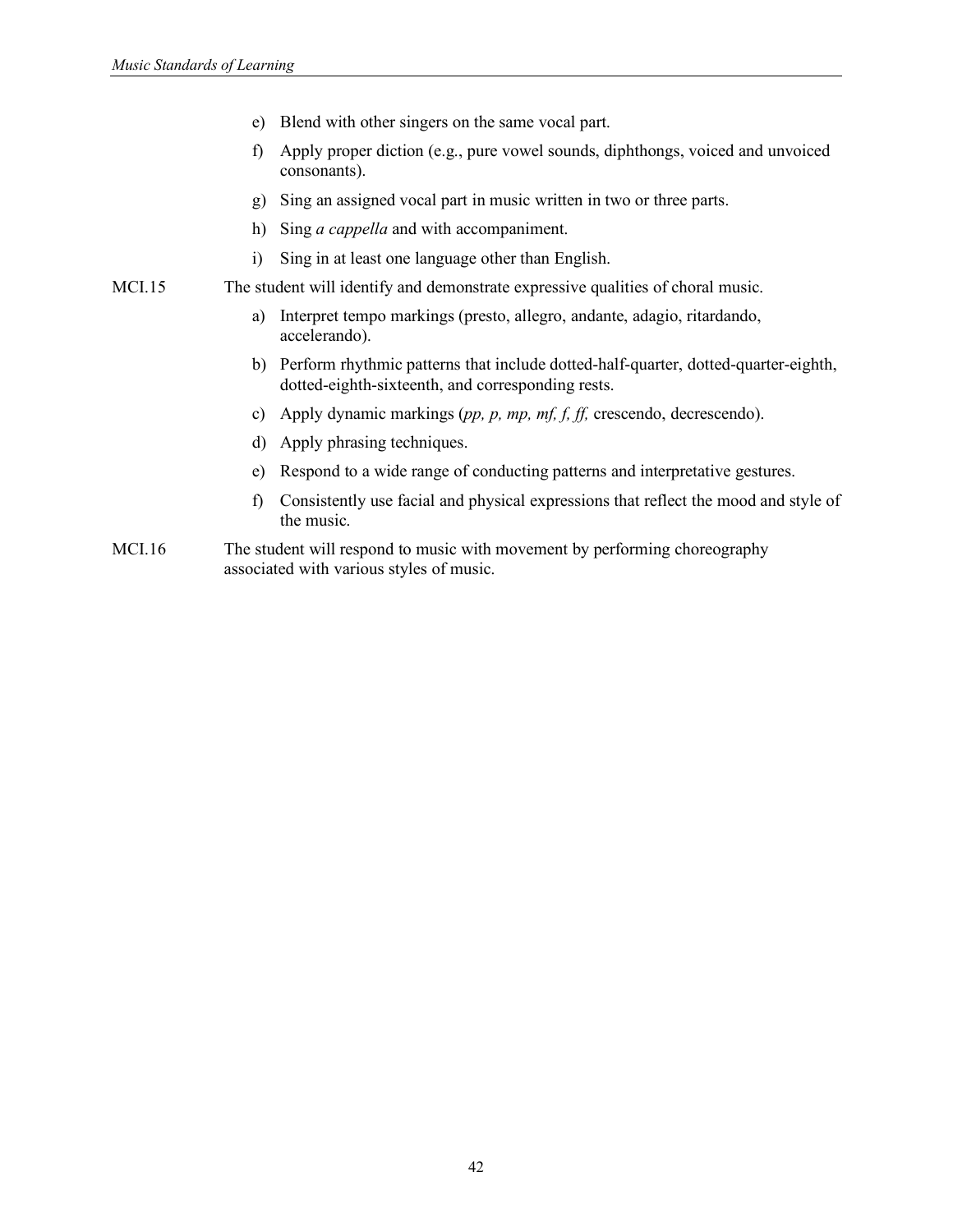- e) Blend with other singers on the same vocal part.
- f) Apply proper diction (e.g., pure vowel sounds, diphthongs, voiced and unvoiced consonants).
- g) Sing an assigned vocal part in music written in two or three parts.
- h) Sing *a cappella* and with accompaniment.
- i) Sing in at least one language other than English.
- MCI.15 The student will identify and demonstrate expressive qualities of choral music.
	- a) Interpret tempo markings (presto, allegro, andante, adagio, ritardando, accelerando).
	- b) Perform rhythmic patterns that include dotted-half-quarter, dotted-quarter-eighth, dotted-eighth-sixteenth, and corresponding rests.
	- c) Apply dynamic markings (*pp, p, mp, mf, f, ff,* crescendo, decrescendo).
	- d) Apply phrasing techniques.
	- e) Respond to a wide range of conducting patterns and interpretative gestures.
	- f) Consistently use facial and physical expressions that reflect the mood and style of the music.
- MCI.16 The student will respond to music with movement by performing choreography associated with various styles of music.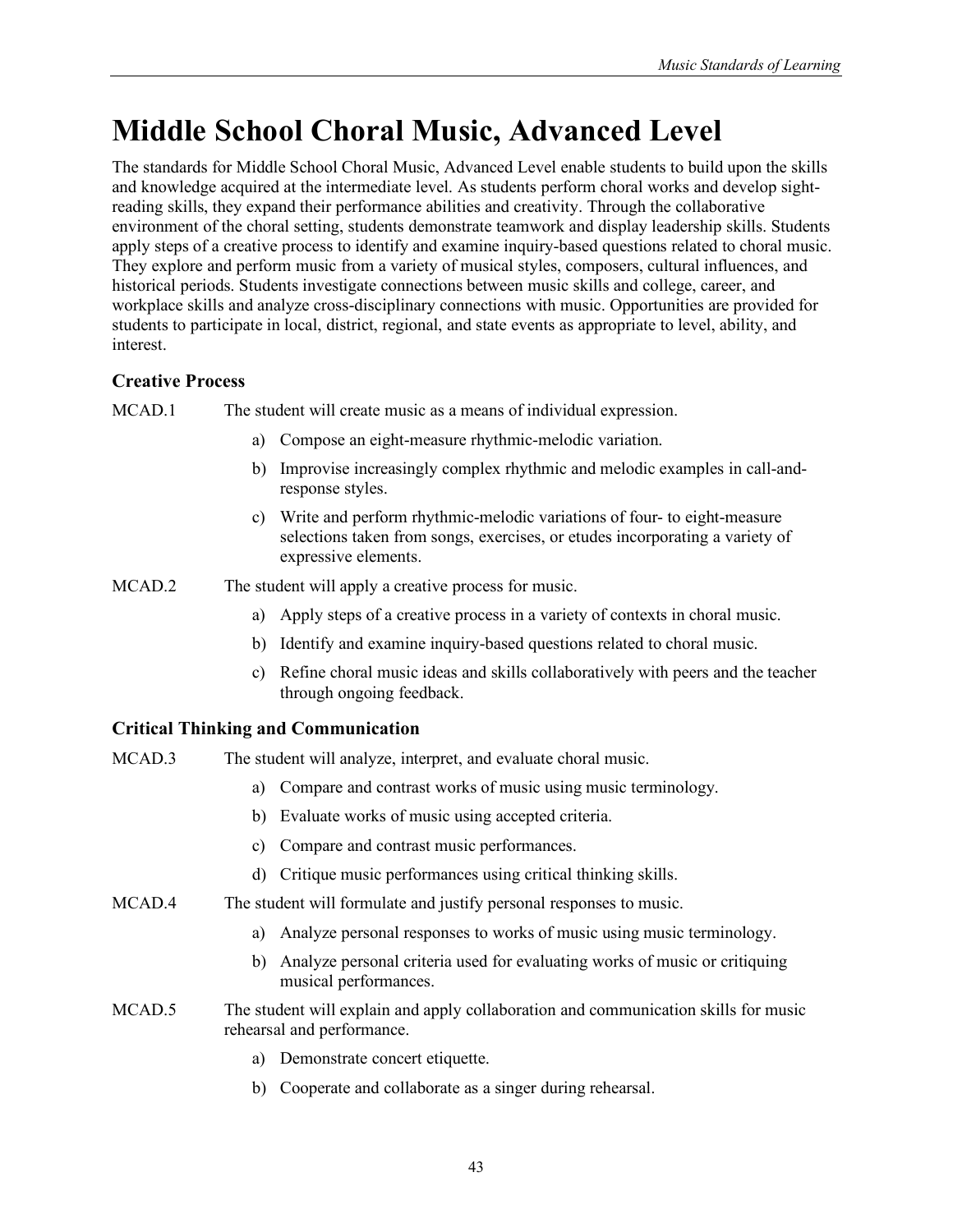# **Middle School Choral Music, Advanced Level**

The standards for Middle School Choral Music, Advanced Level enable students to build upon the skills and knowledge acquired at the intermediate level. As students perform choral works and develop sightreading skills, they expand their performance abilities and creativity. Through the collaborative environment of the choral setting, students demonstrate teamwork and display leadership skills. Students apply steps of a creative process to identify and examine inquiry-based questions related to choral music. They explore and perform music from a variety of musical styles, composers, cultural influences, and historical periods. Students investigate connections between music skills and college, career, and workplace skills and analyze cross-disciplinary connections with music. Opportunities are provided for students to participate in local, district, regional, and state events as appropriate to level, ability, and interest.

# **Creative Process**

MCAD.1 The student will create music as a means of individual expression.

- a) Compose an eight-measure rhythmic-melodic variation.
- b) Improvise increasingly complex rhythmic and melodic examples in call-andresponse styles.
- c) Write and perform rhythmic-melodic variations of four- to eight-measure selections taken from songs, exercises, or etudes incorporating a variety of expressive elements.
- MCAD.2 The student will apply a creative process for music.
	- a) Apply steps of a creative process in a variety of contexts in choral music.
	- b) Identify and examine inquiry-based questions related to choral music.
	- c) Refine choral music ideas and skills collaboratively with peers and the teacher through ongoing feedback.

| MCAD.3 | The student will analyze, interpret, and evaluate choral music.                                                   |
|--------|-------------------------------------------------------------------------------------------------------------------|
|        | Compare and contrast works of music using music terminology.<br>a)                                                |
|        | b) Evaluate works of music using accepted criteria.                                                               |
|        | Compare and contrast music performances.<br>C)                                                                    |
|        | d) Critique music performances using critical thinking skills.                                                    |
| MCAD.4 | The student will formulate and justify personal responses to music.                                               |
|        | Analyze personal responses to works of music using music terminology.<br>a)                                       |
|        | Analyze personal criteria used for evaluating works of music or critiquing<br>b)<br>musical performances.         |
| MCAD.5 | The student will explain and apply collaboration and communication skills for music<br>rehearsal and performance. |
|        | Demonstrate concert etiquette.<br>a)                                                                              |
|        | Cooperate and collaborate as a singer during rehearsal.<br>b)                                                     |
|        |                                                                                                                   |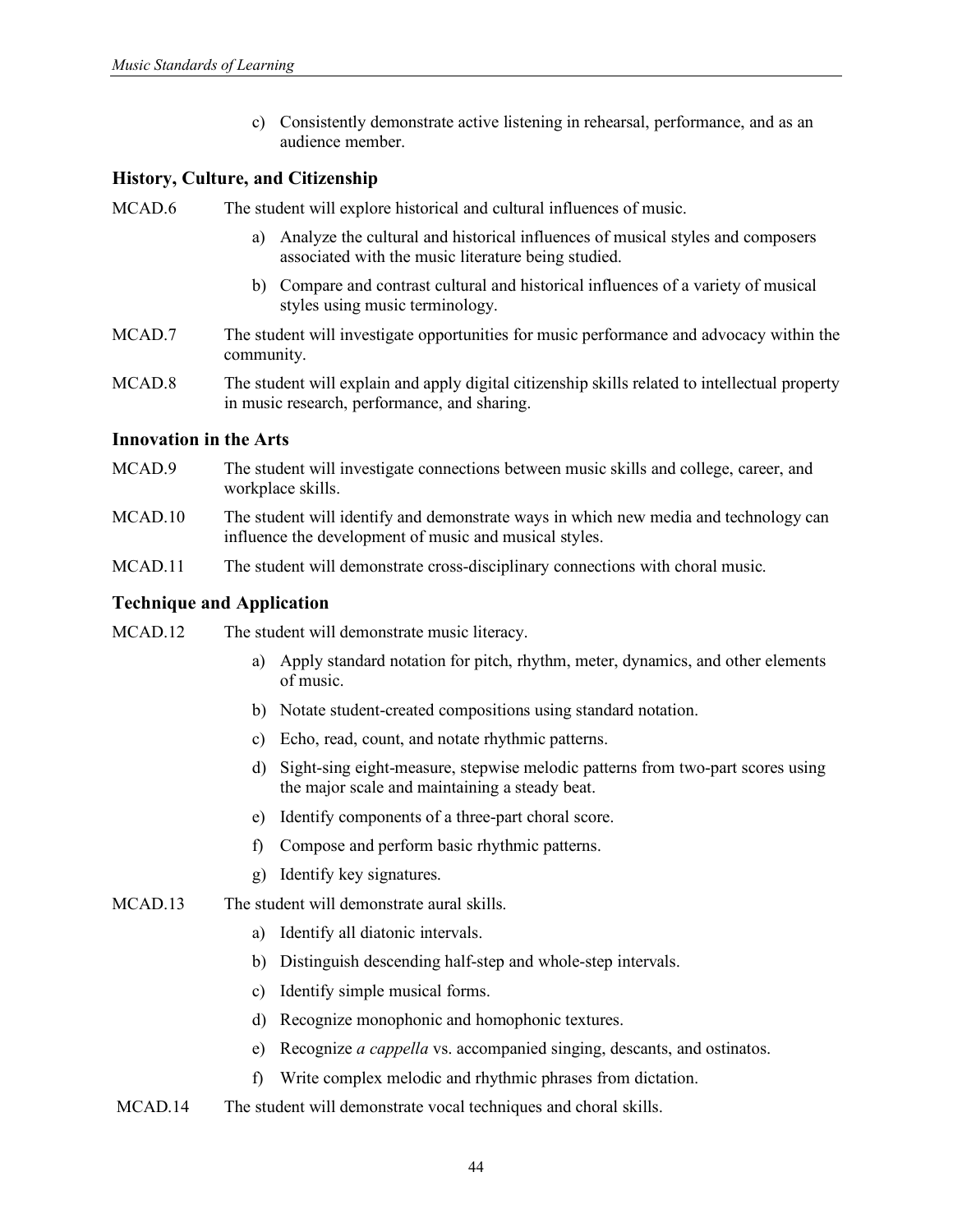c) Consistently demonstrate active listening in rehearsal, performance, and as an audience member.

#### **History, Culture, and Citizenship**

MCAD.6 The student will explore historical and cultural influences of music.

- a) Analyze the cultural and historical influences of musical styles and composers associated with the music literature being studied.
- b) Compare and contrast cultural and historical influences of a variety of musical styles using music terminology.
- MCAD.7 The student will investigate opportunities for music performance and advocacy within the community.
- MCAD.8 The student will explain and apply digital citizenship skills related to intellectual property in music research, performance, and sharing.

#### **Innovation in the Arts**

- MCAD.9 The student will investigate connections between music skills and college, career, and workplace skills.
- MCAD.10 The student will identify and demonstrate ways in which new media and technology can influence the development of music and musical styles.
- MCAD.11 The student will demonstrate cross-disciplinary connections with choral music.

- MCAD.12 The student will demonstrate music literacy.
	- a) Apply standard notation for pitch, rhythm, meter, dynamics, and other elements of music.
	- b) Notate student-created compositions using standard notation.
	- c) Echo, read, count, and notate rhythmic patterns.
	- d) Sight-sing eight-measure, stepwise melodic patterns from two-part scores using the major scale and maintaining a steady beat.
	- e) Identify components of a three-part choral score.
	- f) Compose and perform basic rhythmic patterns.
	- g) Identify key signatures.
- MCAD.13 The student will demonstrate aural skills.
	- a) Identify all diatonic intervals.
	- b) Distinguish descending half-step and whole-step intervals.
	- c) Identify simple musical forms.
	- d) Recognize monophonic and homophonic textures.
	- e) Recognize *a cappella* vs. accompanied singing, descants, and ostinatos.
	- f) Write complex melodic and rhythmic phrases from dictation.
- MCAD.14 The student will demonstrate vocal techniques and choral skills.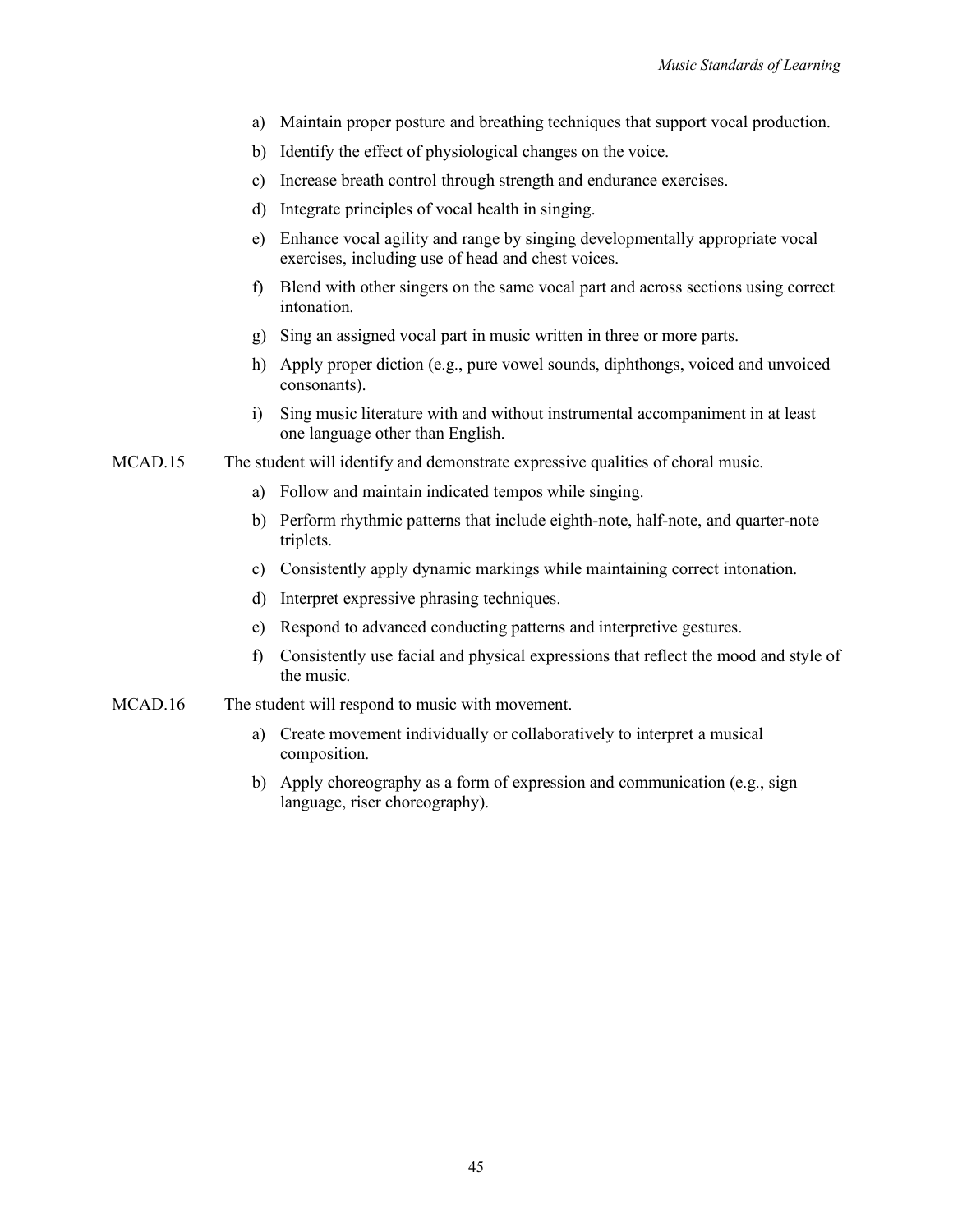- a) Maintain proper posture and breathing techniques that support vocal production.
- b) Identify the effect of physiological changes on the voice.
- c) Increase breath control through strength and endurance exercises.
- d) Integrate principles of vocal health in singing.
- e) Enhance vocal agility and range by singing developmentally appropriate vocal exercises, including use of head and chest voices.
- f) Blend with other singers on the same vocal part and across sections using correct intonation.
- g) Sing an assigned vocal part in music written in three or more parts.
- h) Apply proper diction (e.g., pure vowel sounds, diphthongs, voiced and unvoiced consonants).
- i) Sing music literature with and without instrumental accompaniment in at least one language other than English.

MCAD.15 The student will identify and demonstrate expressive qualities of choral music.

- a) Follow and maintain indicated tempos while singing.
- b) Perform rhythmic patterns that include eighth-note, half-note, and quarter-note triplets.
- c) Consistently apply dynamic markings while maintaining correct intonation.
- d) Interpret expressive phrasing techniques.
- e) Respond to advanced conducting patterns and interpretive gestures.
- f) Consistently use facial and physical expressions that reflect the mood and style of the music.
- MCAD.16 The student will respond to music with movement.
	- a) Create movement individually or collaboratively to interpret a musical composition.
	- b) Apply choreography as a form of expression and communication (e.g., sign language, riser choreography).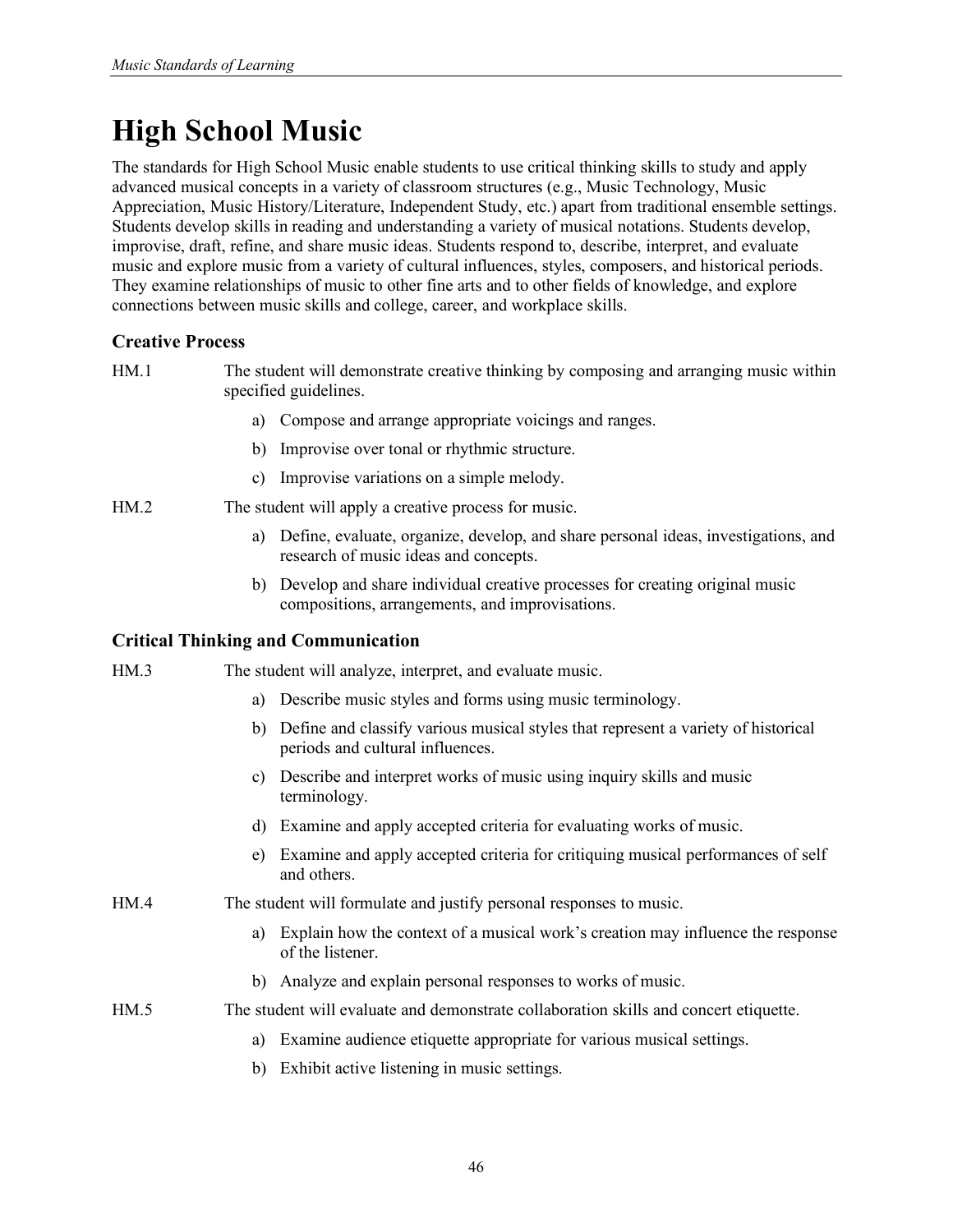# **High School Music**

The standards for High School Music enable students to use critical thinking skills to study and apply advanced musical concepts in a variety of classroom structures (e.g., Music Technology, Music Appreciation, Music History/Literature, Independent Study, etc.) apart from traditional ensemble settings. Students develop skills in reading and understanding a variety of musical notations. Students develop, improvise, draft, refine, and share music ideas. Students respond to, describe, interpret, and evaluate music and explore music from a variety of cultural influences, styles, composers, and historical periods. They examine relationships of music to other fine arts and to other fields of knowledge, and explore connections between music skills and college, career, and workplace skills.

## **Creative Process**

HM.1 The student will demonstrate creative thinking by composing and arranging music within specified guidelines.

- a) Compose and arrange appropriate voicings and ranges.
- b) Improvise over tonal or rhythmic structure.
- c) Improvise variations on a simple melody.
- HM.2 The student will apply a creative process for music.
	- a) Define, evaluate, organize, develop, and share personal ideas, investigations, and research of music ideas and concepts.
	- b) Develop and share individual creative processes for creating original music compositions, arrangements, and improvisations.

## **Critical Thinking and Communication**

HM.3 The student will analyze, interpret, and evaluate music.

- a) Describe music styles and forms using music terminology.
- b) Define and classify various musical styles that represent a variety of historical periods and cultural influences.
- c) Describe and interpret works of music using inquiry skills and music terminology.
- d) Examine and apply accepted criteria for evaluating works of music.
- e) Examine and apply accepted criteria for critiquing musical performances of self and others.
- HM.4 The student will formulate and justify personal responses to music.
	- a) Explain how the context of a musical work's creation may influence the response of the listener.
	- b) Analyze and explain personal responses to works of music.
- HM.5 The student will evaluate and demonstrate collaboration skills and concert etiquette.
	- a) Examine audience etiquette appropriate for various musical settings.
	- b) Exhibit active listening in music settings.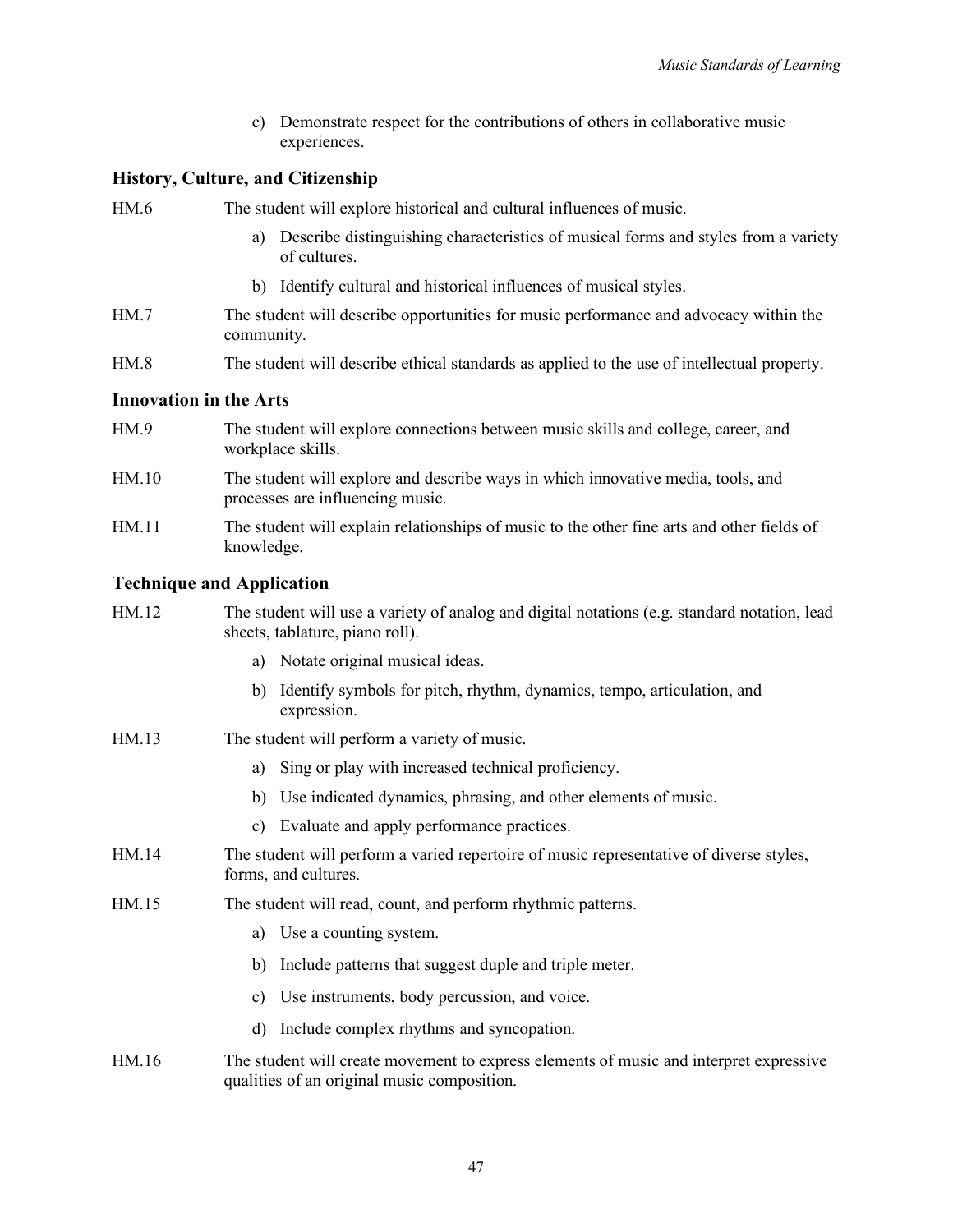c) Demonstrate respect for the contributions of others in collaborative music experiences.

#### **History, Culture, and Citizenship**

HM.6 The student will explore historical and cultural influences of music.

- a) Describe distinguishing characteristics of musical forms and styles from a variety of cultures.
- b) Identify cultural and historical influences of musical styles.
- HM.7 The student will describe opportunities for music performance and advocacy within the community.
- HM.8 The student will describe ethical standards as applied to the use of intellectual property.

#### **Innovation in the Arts**

- HM.9 The student will explore connections between music skills and college, career, and workplace skills.
- HM.10 The student will explore and describe ways in which innovative media, tools, and processes are influencing music.
- HM.11 The student will explain relationships of music to the other fine arts and other fields of knowledge.

| HM.12 | The student will use a variety of analog and digital notations (e.g. standard notation, lead<br>sheets, tablature, piano roll).       |
|-------|---------------------------------------------------------------------------------------------------------------------------------------|
|       | Notate original musical ideas.<br>a)                                                                                                  |
|       | Identify symbols for pitch, rhythm, dynamics, tempo, articulation, and<br>b)<br>expression.                                           |
| HM.13 | The student will perform a variety of music.                                                                                          |
|       | Sing or play with increased technical proficiency.<br>a)                                                                              |
|       | Use indicated dynamics, phrasing, and other elements of music.<br>b)                                                                  |
|       | c) Evaluate and apply performance practices.                                                                                          |
| HM.14 | The student will perform a varied repertoire of music representative of diverse styles,<br>forms, and cultures.                       |
| HM.15 | The student will read, count, and perform rhythmic patterns.                                                                          |
|       | Use a counting system.<br>a)                                                                                                          |
|       | Include patterns that suggest duple and triple meter.<br>b)                                                                           |
|       | Use instruments, body percussion, and voice.<br>c)                                                                                    |
|       | Include complex rhythms and syncopation.<br>d)                                                                                        |
| HM.16 | The student will create movement to express elements of music and interpret expressive<br>qualities of an original music composition. |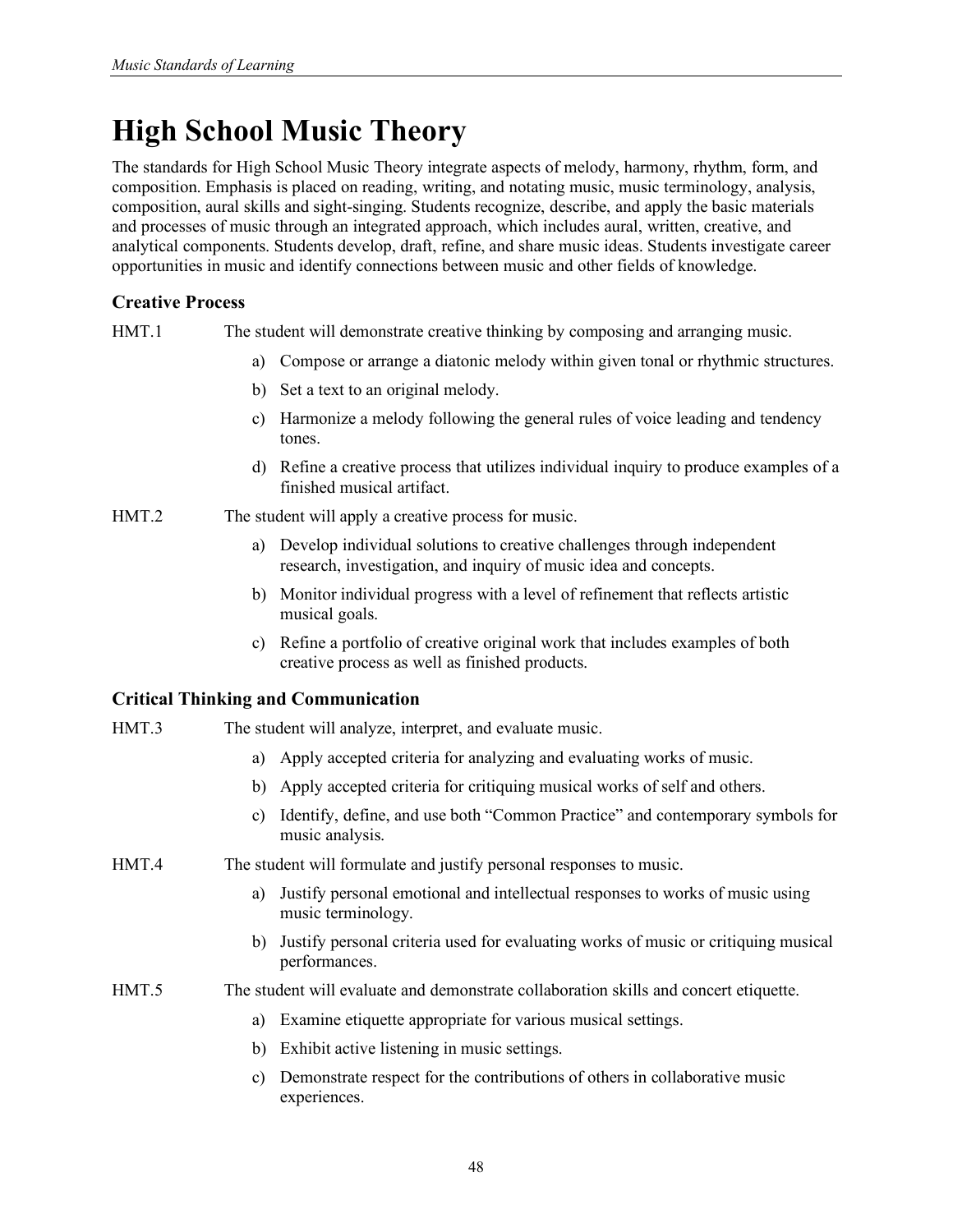# **High School Music Theory**

The standards for High School Music Theory integrate aspects of melody, harmony, rhythm, form, and composition. Emphasis is placed on reading, writing, and notating music, music terminology, analysis, composition, aural skills and sight-singing. Students recognize, describe, and apply the basic materials and processes of music through an integrated approach, which includes aural, written, creative, and analytical components. Students develop, draft, refine, and share music ideas. Students investigate career opportunities in music and identify connections between music and other fields of knowledge.

## **Creative Process**

HMT.1 The student will demonstrate creative thinking by composing and arranging music.

- a) Compose or arrange a diatonic melody within given tonal or rhythmic structures.
- b) Set a text to an original melody.
- c) Harmonize a melody following the general rules of voice leading and tendency tones.
- d) Refine a creative process that utilizes individual inquiry to produce examples of a finished musical artifact.
- HMT.2 The student will apply a creative process for music.
	- a) Develop individual solutions to creative challenges through independent research, investigation, and inquiry of music idea and concepts.
	- b) Monitor individual progress with a level of refinement that reflects artistic musical goals.
	- c) Refine a portfolio of creative original work that includes examples of both creative process as well as finished products.

- HMT.3 The student will analyze, interpret, and evaluate music.
	- a) Apply accepted criteria for analyzing and evaluating works of music.
	- b) Apply accepted criteria for critiquing musical works of self and others.
	- c) Identify, define, and use both "Common Practice" and contemporary symbols for music analysis.
- HMT.4 The student will formulate and justify personal responses to music.
	- a) Justify personal emotional and intellectual responses to works of music using music terminology.
	- b) Justify personal criteria used for evaluating works of music or critiquing musical performances.
- HMT.5 The student will evaluate and demonstrate collaboration skills and concert etiquette.
	- a) Examine etiquette appropriate for various musical settings.
	- b) Exhibit active listening in music settings.
	- c) Demonstrate respect for the contributions of others in collaborative music experiences.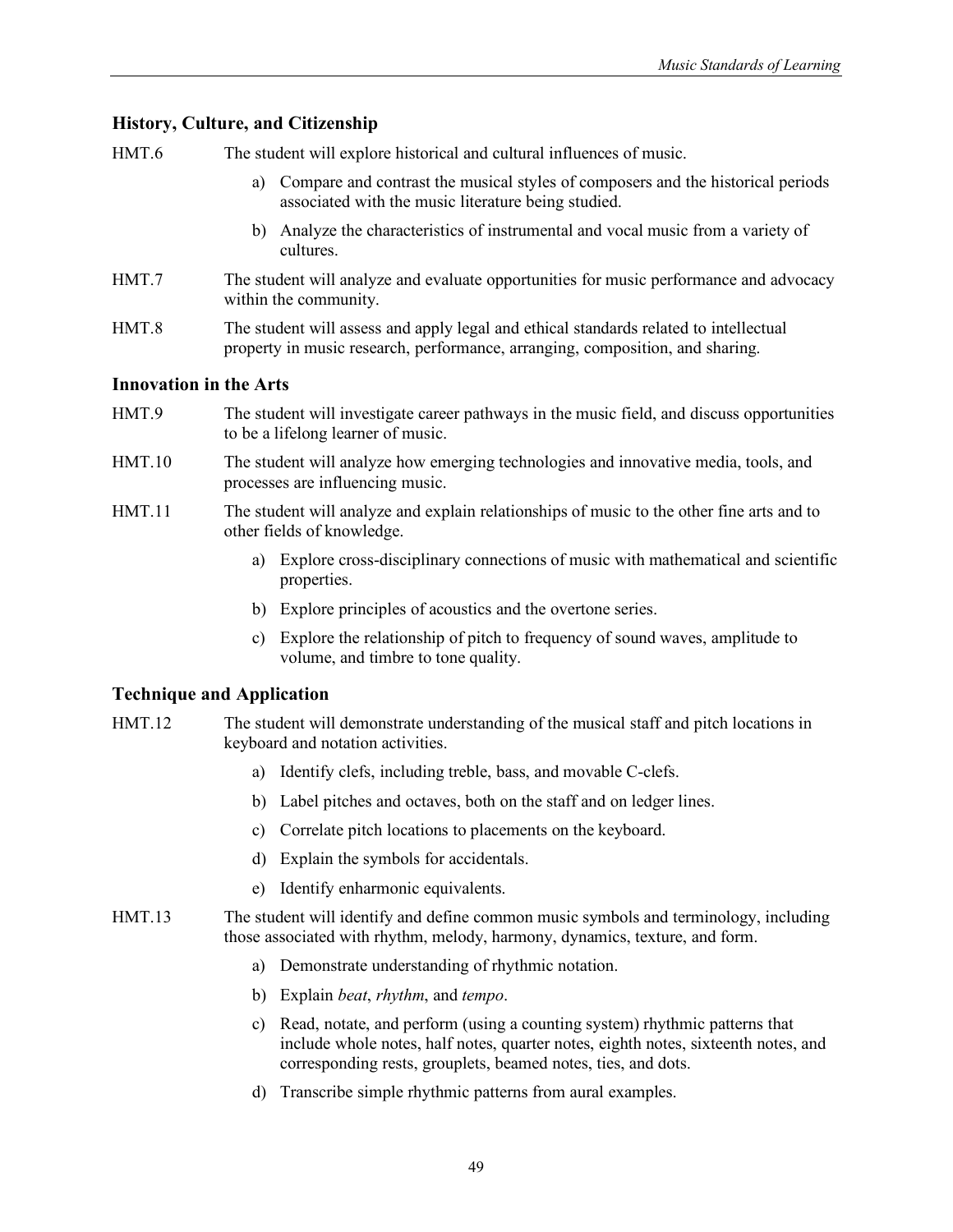HMT.6 The student will explore historical and cultural influences of music.

- a) Compare and contrast the musical styles of composers and the historical periods associated with the music literature being studied.
- b) Analyze the characteristics of instrumental and vocal music from a variety of cultures.
- HMT.7 The student will analyze and evaluate opportunities for music performance and advocacy within the community.
- HMT.8 The student will assess and apply legal and ethical standards related to intellectual property in music research, performance, arranging, composition, and sharing.

#### **Innovation in the Arts**

- HMT.9 The student will investigate career pathways in the music field, and discuss opportunities to be a lifelong learner of music.
- HMT.10 The student will analyze how emerging technologies and innovative media, tools, and processes are influencing music.
- HMT.11 The student will analyze and explain relationships of music to the other fine arts and to other fields of knowledge.
	- a) Explore cross-disciplinary connections of music with mathematical and scientific properties.
	- b) Explore principles of acoustics and the overtone series.
	- c) Explore the relationship of pitch to frequency of sound waves, amplitude to volume, and timbre to tone quality.

- HMT.12 The student will demonstrate understanding of the musical staff and pitch locations in keyboard and notation activities.
	- a) Identify clefs, including treble, bass, and movable C-clefs.
	- b) Label pitches and octaves, both on the staff and on ledger lines.
	- c) Correlate pitch locations to placements on the keyboard.
	- d) Explain the symbols for accidentals.
	- e) Identify enharmonic equivalents.
- HMT.13 The student will identify and define common music symbols and terminology, including those associated with rhythm, melody, harmony, dynamics, texture, and form.
	- a) Demonstrate understanding of rhythmic notation.
	- b) Explain *beat*, *rhythm*, and *tempo*.
	- c) Read, notate, and perform (using a counting system) rhythmic patterns that include whole notes, half notes, quarter notes, eighth notes, sixteenth notes, and corresponding rests, grouplets, beamed notes, ties, and dots.
	- d) Transcribe simple rhythmic patterns from aural examples.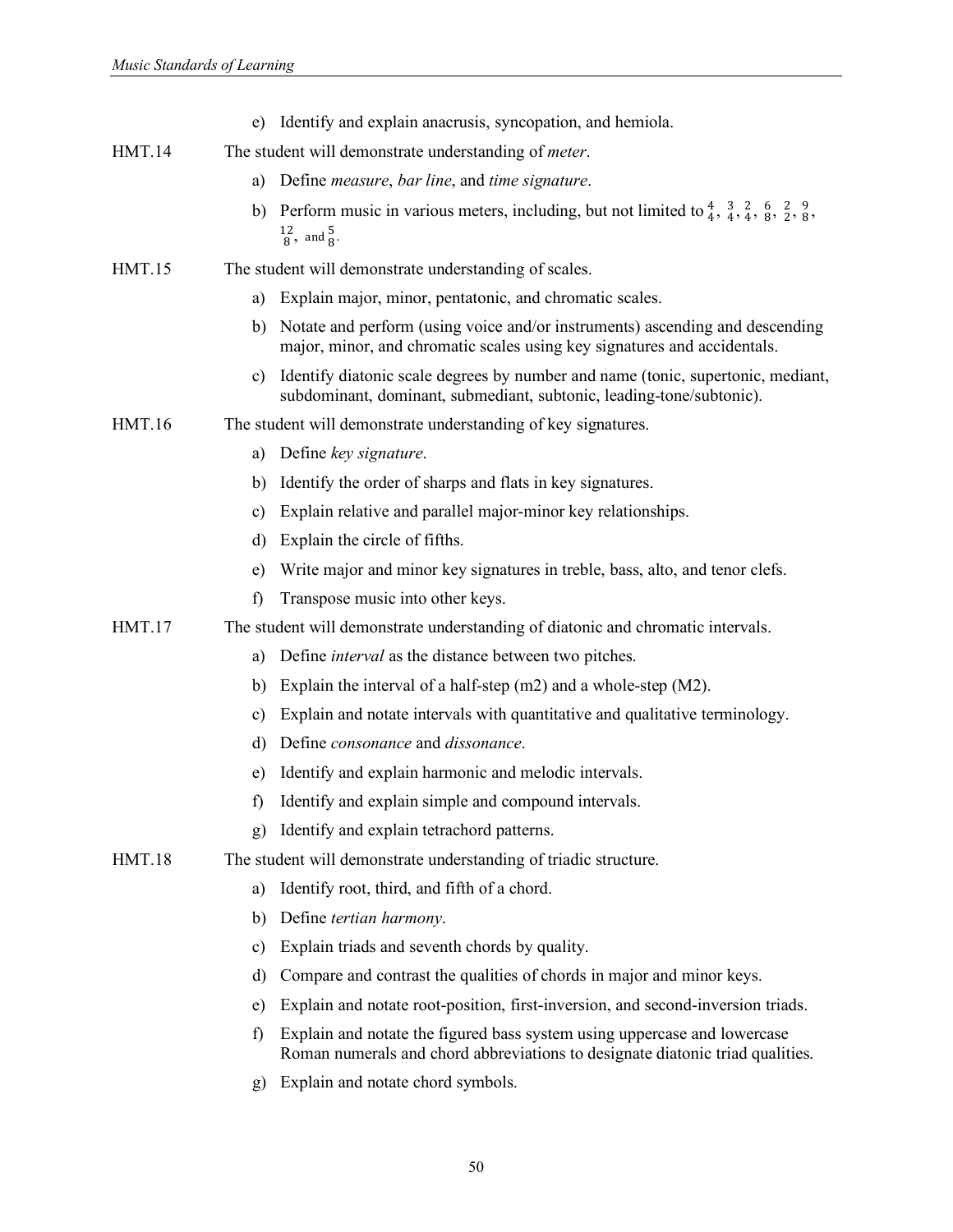|               | e) Identify and explain anacrusis, syncopation, and hemiola.                                                                                                                                                 |
|---------------|--------------------------------------------------------------------------------------------------------------------------------------------------------------------------------------------------------------|
| <b>HMT.14</b> | The student will demonstrate understanding of <i>meter</i> .                                                                                                                                                 |
|               | Define <i>measure</i> , bar line, and time signature.<br>a)                                                                                                                                                  |
|               | Perform music in various meters, including, but not limited to $\frac{4}{4}$ , $\frac{3}{4}$ , $\frac{2}{4}$ , $\frac{6}{8}$ , $\frac{2}{2}$ , $\frac{9}{8}$ ,<br>b)<br>$\frac{12}{8}$ , and $\frac{5}{8}$ . |
| <b>HMT.15</b> | The student will demonstrate understanding of scales.                                                                                                                                                        |
|               | Explain major, minor, pentatonic, and chromatic scales.<br>a)                                                                                                                                                |
|               | Notate and perform (using voice and/or instruments) ascending and descending<br>b)<br>major, minor, and chromatic scales using key signatures and accidentals.                                               |
|               | Identify diatonic scale degrees by number and name (tonic, supertonic, mediant,<br>C)<br>subdominant, dominant, submediant, subtonic, leading-tone/subtonic).                                                |
| <b>HMT.16</b> | The student will demonstrate understanding of key signatures.                                                                                                                                                |
|               | Define key signature.<br>a)                                                                                                                                                                                  |
|               | Identify the order of sharps and flats in key signatures.<br>b)                                                                                                                                              |
|               | Explain relative and parallel major-minor key relationships.<br>c)                                                                                                                                           |
|               | Explain the circle of fifths.<br>d)                                                                                                                                                                          |
|               | Write major and minor key signatures in treble, bass, alto, and tenor clefs.<br>e)                                                                                                                           |
|               | f)<br>Transpose music into other keys.                                                                                                                                                                       |
| <b>HMT.17</b> | The student will demonstrate understanding of diatonic and chromatic intervals.                                                                                                                              |
|               | Define <i>interval</i> as the distance between two pitches.<br>a)                                                                                                                                            |
|               | Explain the interval of a half-step $(m2)$ and a whole-step $(M2)$ .<br>b)                                                                                                                                   |
|               | Explain and notate intervals with quantitative and qualitative terminology.<br>c)                                                                                                                            |
|               | Define <i>consonance</i> and <i>dissonance</i> .<br>d)                                                                                                                                                       |
|               | Identify and explain harmonic and melodic intervals.<br>e)                                                                                                                                                   |
|               | Identify and explain simple and compound intervals.<br>f)                                                                                                                                                    |
|               | Identify and explain tetrachord patterns.<br>g)                                                                                                                                                              |
| <b>HMT.18</b> | The student will demonstrate understanding of triadic structure.                                                                                                                                             |
|               | Identify root, third, and fifth of a chord.<br>a)                                                                                                                                                            |
|               | Define tertian harmony.<br>b)                                                                                                                                                                                |
|               | Explain triads and seventh chords by quality.<br>c)                                                                                                                                                          |
|               | Compare and contrast the qualities of chords in major and minor keys.<br>d)                                                                                                                                  |
|               | Explain and notate root-position, first-inversion, and second-inversion triads.<br>e)                                                                                                                        |
|               | Explain and notate the figured bass system using uppercase and lowercase<br>f)<br>Roman numerals and chord abbreviations to designate diatonic triad qualities.                                              |
|               | Explain and notate chord symbols.<br>g)                                                                                                                                                                      |

50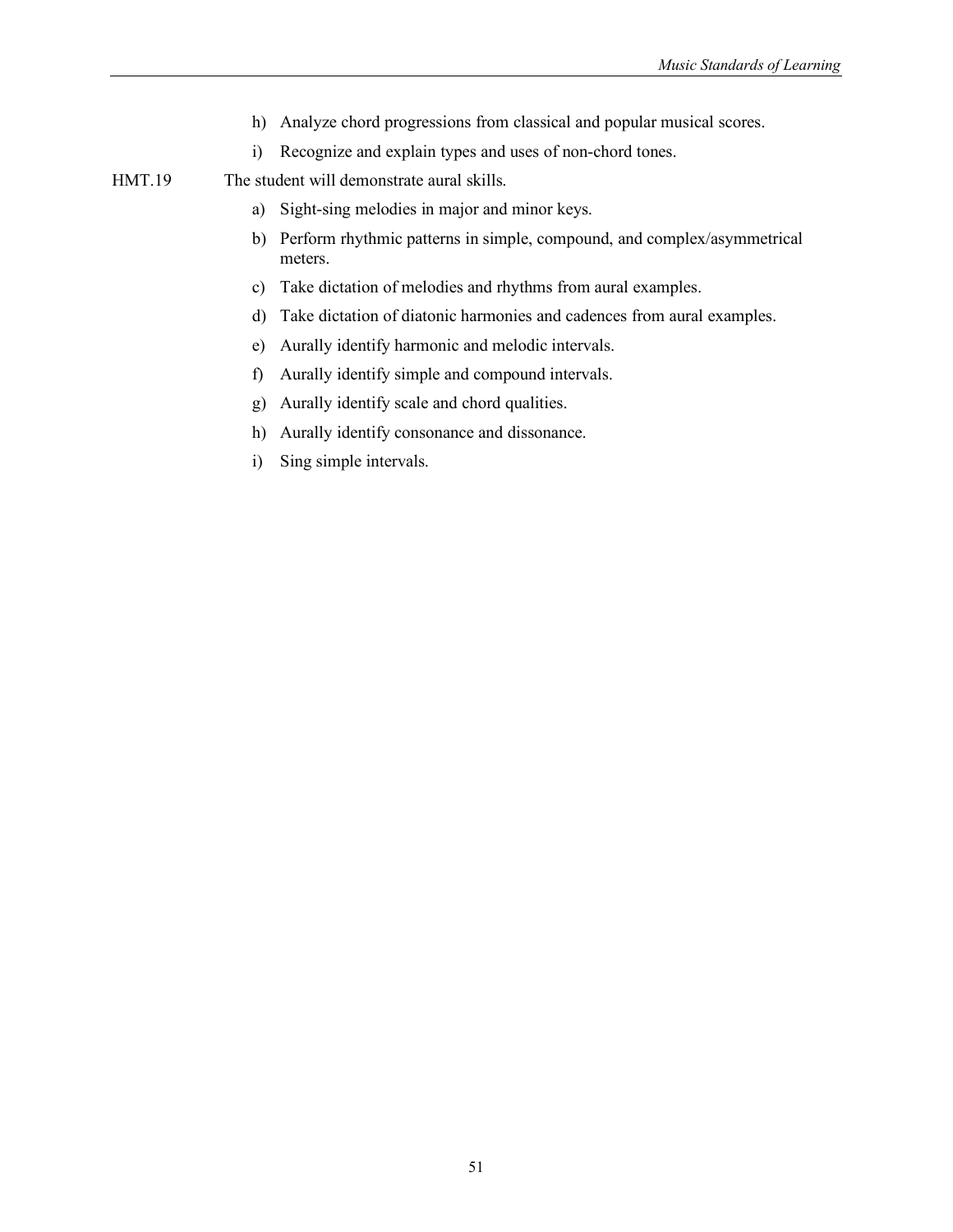- h) Analyze chord progressions from classical and popular musical scores.
- i) Recognize and explain types and uses of non-chord tones.

HMT.19 The student will demonstrate aural skills.

- a) Sight-sing melodies in major and minor keys.
- b) Perform rhythmic patterns in simple, compound, and complex/asymmetrical meters.
- c) Take dictation of melodies and rhythms from aural examples.
- d) Take dictation of diatonic harmonies and cadences from aural examples.
- e) Aurally identify harmonic and melodic intervals.
- f) Aurally identify simple and compound intervals.
- g) Aurally identify scale and chord qualities.
- h) Aurally identify consonance and dissonance.
- i) Sing simple intervals.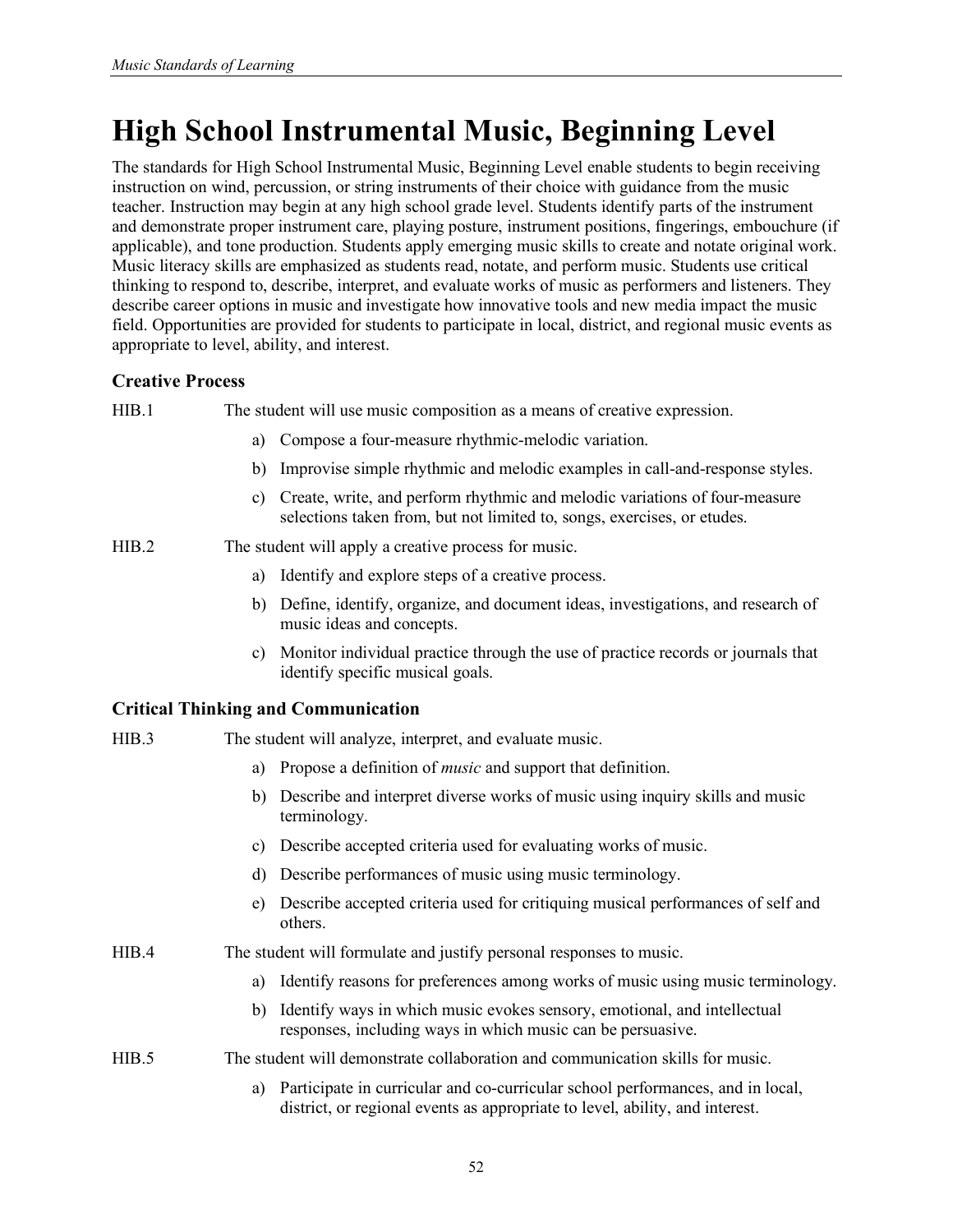# **High School Instrumental Music, Beginning Level**

The standards for High School Instrumental Music, Beginning Level enable students to begin receiving instruction on wind, percussion, or string instruments of their choice with guidance from the music teacher. Instruction may begin at any high school grade level. Students identify parts of the instrument and demonstrate proper instrument care, playing posture, instrument positions, fingerings, embouchure (if applicable), and tone production. Students apply emerging music skills to create and notate original work. Music literacy skills are emphasized as students read, notate, and perform music. Students use critical thinking to respond to, describe, interpret, and evaluate works of music as performers and listeners. They describe career options in music and investigate how innovative tools and new media impact the music field. Opportunities are provided for students to participate in local, district, and regional music events as appropriate to level, ability, and interest.

## **Creative Process**

HIB.1 The student will use music composition as a means of creative expression.

- a) Compose a four-measure rhythmic-melodic variation.
- b) Improvise simple rhythmic and melodic examples in call-and-response styles.
- c) Create, write, and perform rhythmic and melodic variations of four-measure selections taken from, but not limited to, songs, exercises, or etudes.
- HIB.2 The student will apply a creative process for music.
	- a) Identify and explore steps of a creative process.
	- b) Define, identify, organize, and document ideas, investigations, and research of music ideas and concepts.
	- c) Monitor individual practice through the use of practice records or journals that identify specific musical goals.

## **Critical Thinking and Communication**

| HIB.3 | The student will analyze, interpret, and evaluate music. |
|-------|----------------------------------------------------------|
|       |                                                          |

- a) Propose a definition of *music* and support that definition.
- b) Describe and interpret diverse works of music using inquiry skills and music terminology.
- c) Describe accepted criteria used for evaluating works of music.
- d) Describe performances of music using music terminology.
- e) Describe accepted criteria used for critiquing musical performances of self and others.

HIB.4 The student will formulate and justify personal responses to music.

- a) Identify reasons for preferences among works of music using music terminology.
- b) Identify ways in which music evokes sensory, emotional, and intellectual responses, including ways in which music can be persuasive.

#### HIB.5 The student will demonstrate collaboration and communication skills for music.

a) Participate in curricular and co-curricular school performances, and in local, district, or regional events as appropriate to level, ability, and interest.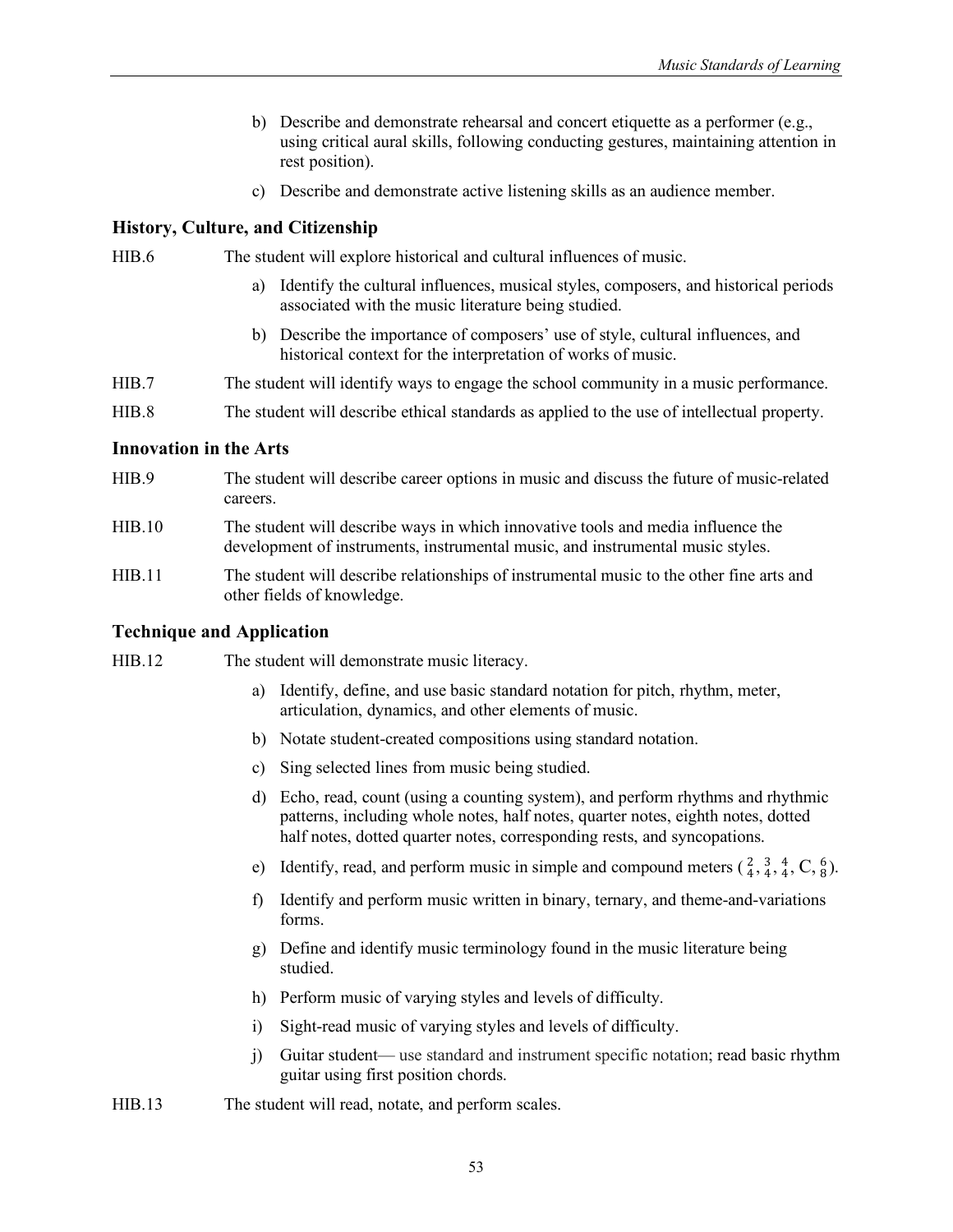- b) Describe and demonstrate rehearsal and concert etiquette as a performer (e.g., using critical aural skills, following conducting gestures, maintaining attention in rest position).
- c) Describe and demonstrate active listening skills as an audience member.

HIB.6 The student will explore historical and cultural influences of music.

- a) Identify the cultural influences, musical styles, composers, and historical periods associated with the music literature being studied.
- b) Describe the importance of composers' use of style, cultural influences, and historical context for the interpretation of works of music.
- HIB.7 The student will identify ways to engage the school community in a music performance.
- HIB.8 The student will describe ethical standards as applied to the use of intellectual property.

#### **Innovation in the Arts**

- HIB.9 The student will describe career options in music and discuss the future of music-related careers.
- HIB.10 The student will describe ways in which innovative tools and media influence the development of instruments, instrumental music, and instrumental music styles.
- HIB.11 The student will describe relationships of instrumental music to the other fine arts and other fields of knowledge.

#### **Technique and Application**

HIB.12 The student will demonstrate music literacy.

- a) Identify, define, and use basic standard notation for pitch, rhythm, meter, articulation, dynamics, and other elements of music.
- b) Notate student-created compositions using standard notation.
- c) Sing selected lines from music being studied.
- d) Echo, read, count (using a counting system), and perform rhythms and rhythmic patterns, including whole notes, half notes, quarter notes, eighth notes, dotted half notes, dotted quarter notes, corresponding rests, and syncopations.
- e) Identify, read, and perform music in simple and compound meters  $(\frac{2}{4}, \frac{3}{4}, \frac{4}{4}, C, \frac{6}{8})$ .
- f) Identify and perform music written in binary, ternary, and theme-and-variations forms.
- g) Define and identify music terminology found in the music literature being studied.
- h) Perform music of varying styles and levels of difficulty.
- i) Sight-read music of varying styles and levels of difficulty.
- j) Guitar student— use standard and instrument specific notation; read basic rhythm guitar using first position chords.
- HIB.13 The student will read, notate, and perform scales.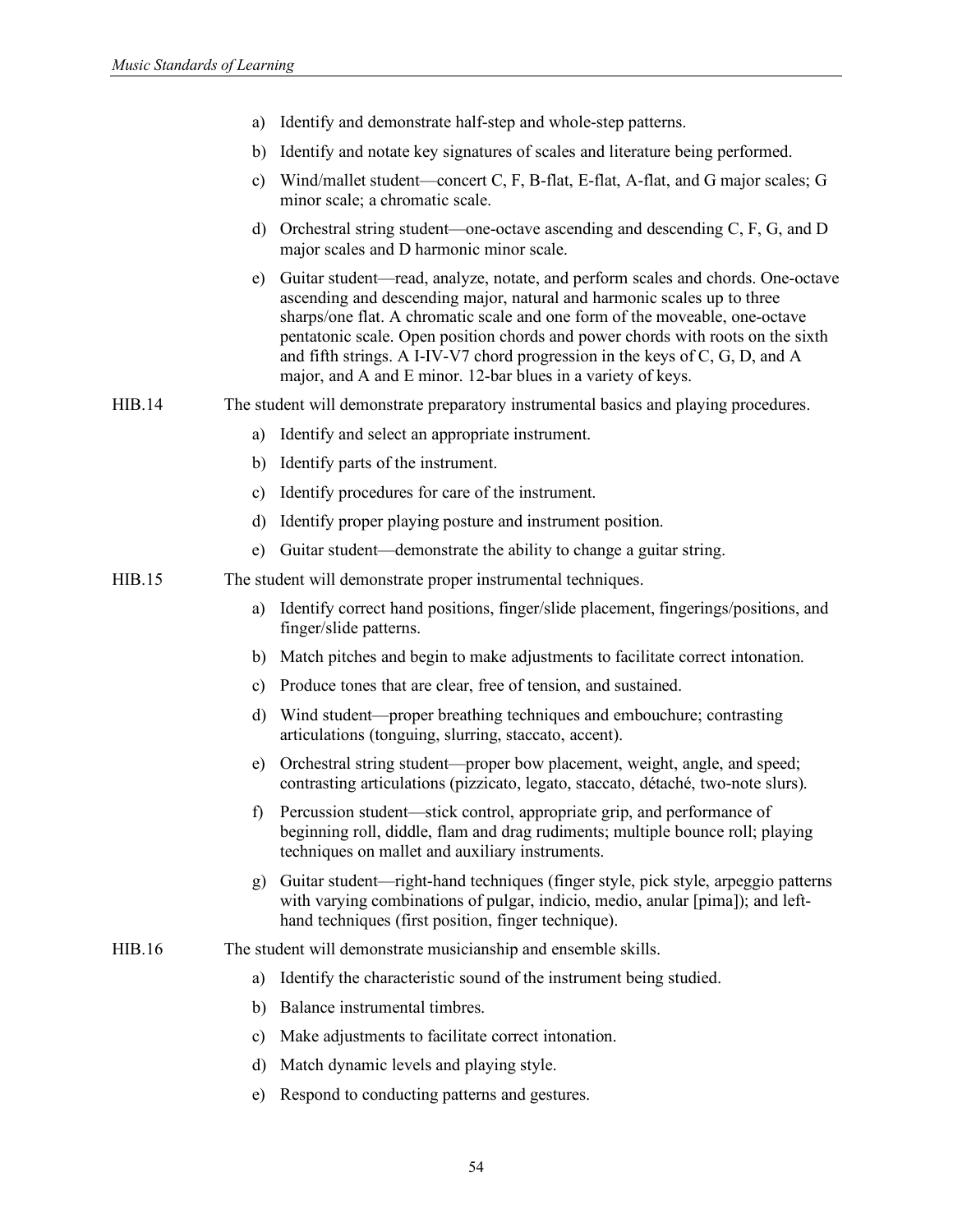|  |  |  |  | a) Identify and demonstrate half-step and whole-step patterns. |  |
|--|--|--|--|----------------------------------------------------------------|--|
|--|--|--|--|----------------------------------------------------------------|--|

- b) Identify and notate key signatures of scales and literature being performed.
- c) Wind/mallet student—concert C, F, B-flat, E-flat, A-flat, and G major scales; G minor scale; a chromatic scale.
- d) Orchestral string student—one-octave ascending and descending C, F, G, and D major scales and D harmonic minor scale.
- e) Guitar student—read, analyze, notate, and perform scales and chords. One-octave ascending and descending major, natural and harmonic scales up to three sharps/one flat. A chromatic scale and one form of the moveable, one-octave pentatonic scale. Open position chords and power chords with roots on the sixth and fifth strings. A I-IV-V7 chord progression in the keys of C, G, D, and A major, and A and E minor. 12-bar blues in a variety of keys.
- HIB.14 The student will demonstrate preparatory instrumental basics and playing procedures.
	- a) Identify and select an appropriate instrument.
	- b) Identify parts of the instrument.
	- c) Identify procedures for care of the instrument.
	- d) Identify proper playing posture and instrument position.
	- e) Guitar student—demonstrate the ability to change a guitar string.
- HIB.15 The student will demonstrate proper instrumental techniques.
	- a) Identify correct hand positions, finger/slide placement, fingerings/positions, and finger/slide patterns.
	- b) Match pitches and begin to make adjustments to facilitate correct intonation.
	- c) Produce tones that are clear, free of tension, and sustained.
	- d) Wind student—proper breathing techniques and embouchure; contrasting articulations (tonguing, slurring, staccato, accent).
	- e) Orchestral string student—proper bow placement, weight, angle, and speed; contrasting articulations (pizzicato, legato, staccato, détaché, two-note slurs).
	- f) Percussion student—stick control, appropriate grip, and performance of beginning roll, diddle, flam and drag rudiments; multiple bounce roll; playing techniques on mallet and auxiliary instruments.
	- g) Guitar student—right-hand techniques (finger style, pick style, arpeggio patterns with varying combinations of pulgar, indicio, medio, anular [pima]); and lefthand techniques (first position, finger technique).
- HIB.16 The student will demonstrate musicianship and ensemble skills.
	- a) Identify the characteristic sound of the instrument being studied.
	- b) Balance instrumental timbres.
	- c) Make adjustments to facilitate correct intonation.
	- d) Match dynamic levels and playing style.
	- e) Respond to conducting patterns and gestures.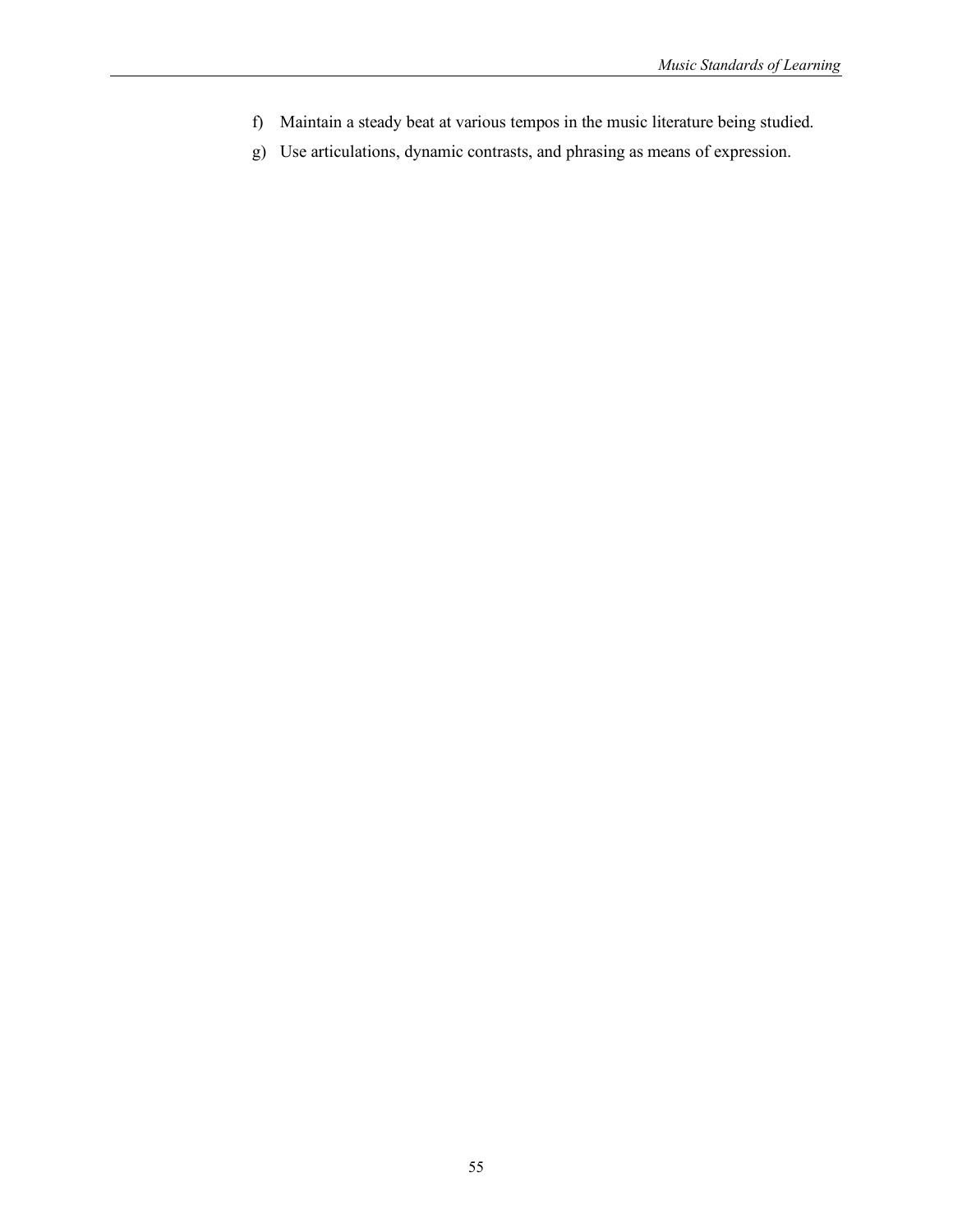- f) Maintain a steady beat at various tempos in the music literature being studied.
- g) Use articulations, dynamic contrasts, and phrasing as means of expression.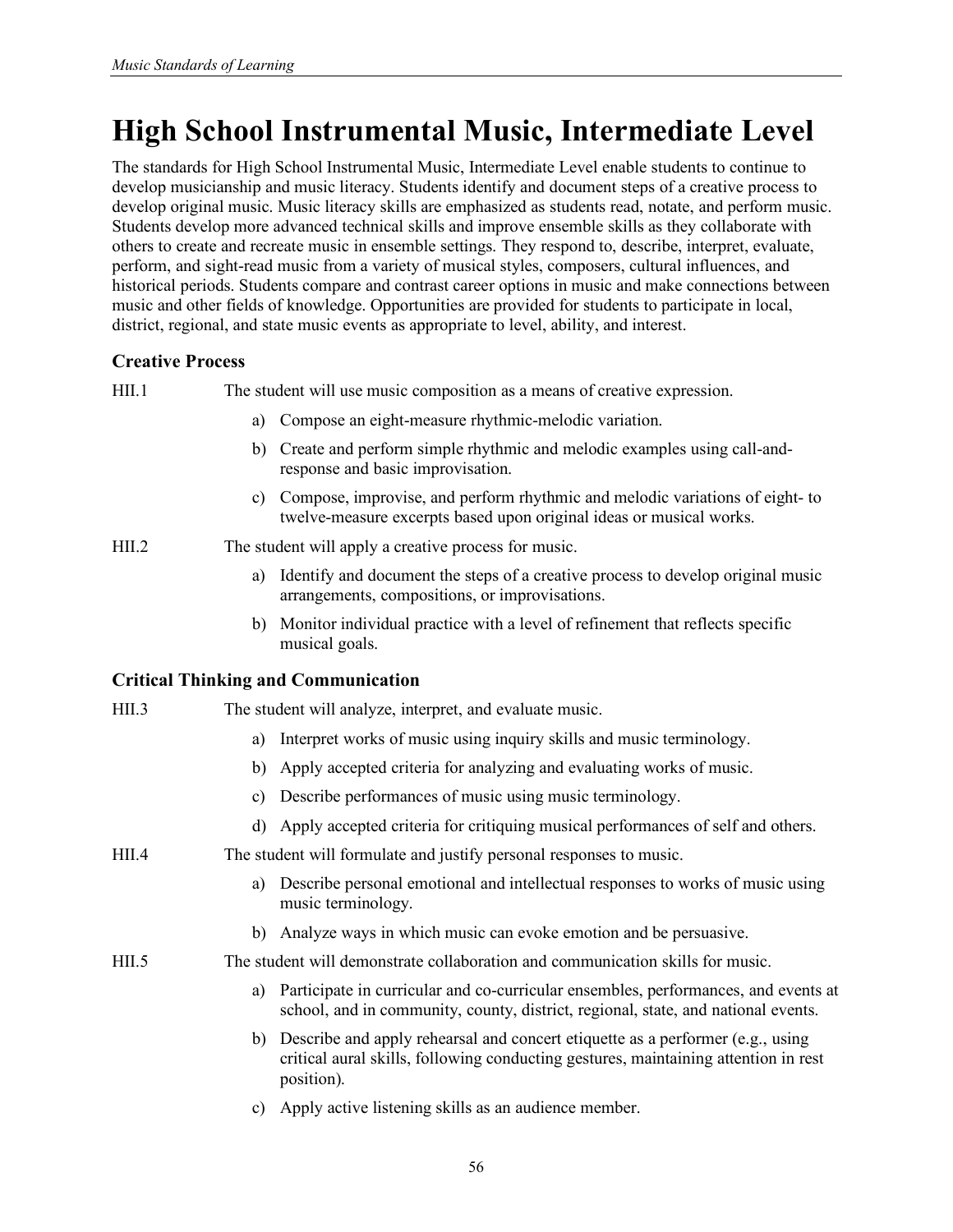# **High School Instrumental Music, Intermediate Level**

The standards for High School Instrumental Music, Intermediate Level enable students to continue to develop musicianship and music literacy. Students identify and document steps of a creative process to develop original music. Music literacy skills are emphasized as students read, notate, and perform music. Students develop more advanced technical skills and improve ensemble skills as they collaborate with others to create and recreate music in ensemble settings. They respond to, describe, interpret, evaluate, perform, and sight-read music from a variety of musical styles, composers, cultural influences, and historical periods. Students compare and contrast career options in music and make connections between music and other fields of knowledge. Opportunities are provided for students to participate in local, district, regional, and state music events as appropriate to level, ability, and interest.

## **Creative Process**

HII.1 The student will use music composition as a means of creative expression.

- a) Compose an eight-measure rhythmic-melodic variation.
- b) Create and perform simple rhythmic and melodic examples using call-andresponse and basic improvisation.
- c) Compose, improvise, and perform rhythmic and melodic variations of eight- to twelve-measure excerpts based upon original ideas or musical works.
- HII.2 The student will apply a creative process for music.
	- a) Identify and document the steps of a creative process to develop original music arrangements, compositions, or improvisations.
	- b) Monitor individual practice with a level of refinement that reflects specific musical goals.

| HII.3 |    | The student will analyze, interpret, and evaluate music.                                                                                                                            |
|-------|----|-------------------------------------------------------------------------------------------------------------------------------------------------------------------------------------|
|       | a) | Interpret works of music using inquiry skills and music terminology.                                                                                                                |
|       | b) | Apply accepted criteria for analyzing and evaluating works of music.                                                                                                                |
|       | C) | Describe performances of music using music terminology.                                                                                                                             |
|       | d) | Apply accepted criteria for critiquing musical performances of self and others.                                                                                                     |
| HII.4 |    | The student will formulate and justify personal responses to music.                                                                                                                 |
|       | a) | Describe personal emotional and intellectual responses to works of music using<br>music terminology.                                                                                |
|       |    | b) Analyze ways in which music can evoke emotion and be persuasive.                                                                                                                 |
| HII.5 |    | The student will demonstrate collaboration and communication skills for music.                                                                                                      |
|       | a) | Participate in curricular and co-curricular ensembles, performances, and events at<br>school, and in community, county, district, regional, state, and national events.             |
|       | b) | Describe and apply rehearsal and concert etiquette as a performer (e.g., using<br>critical aural skills, following conducting gestures, maintaining attention in rest<br>position). |
|       | C) | Apply active listening skills as an audience member.                                                                                                                                |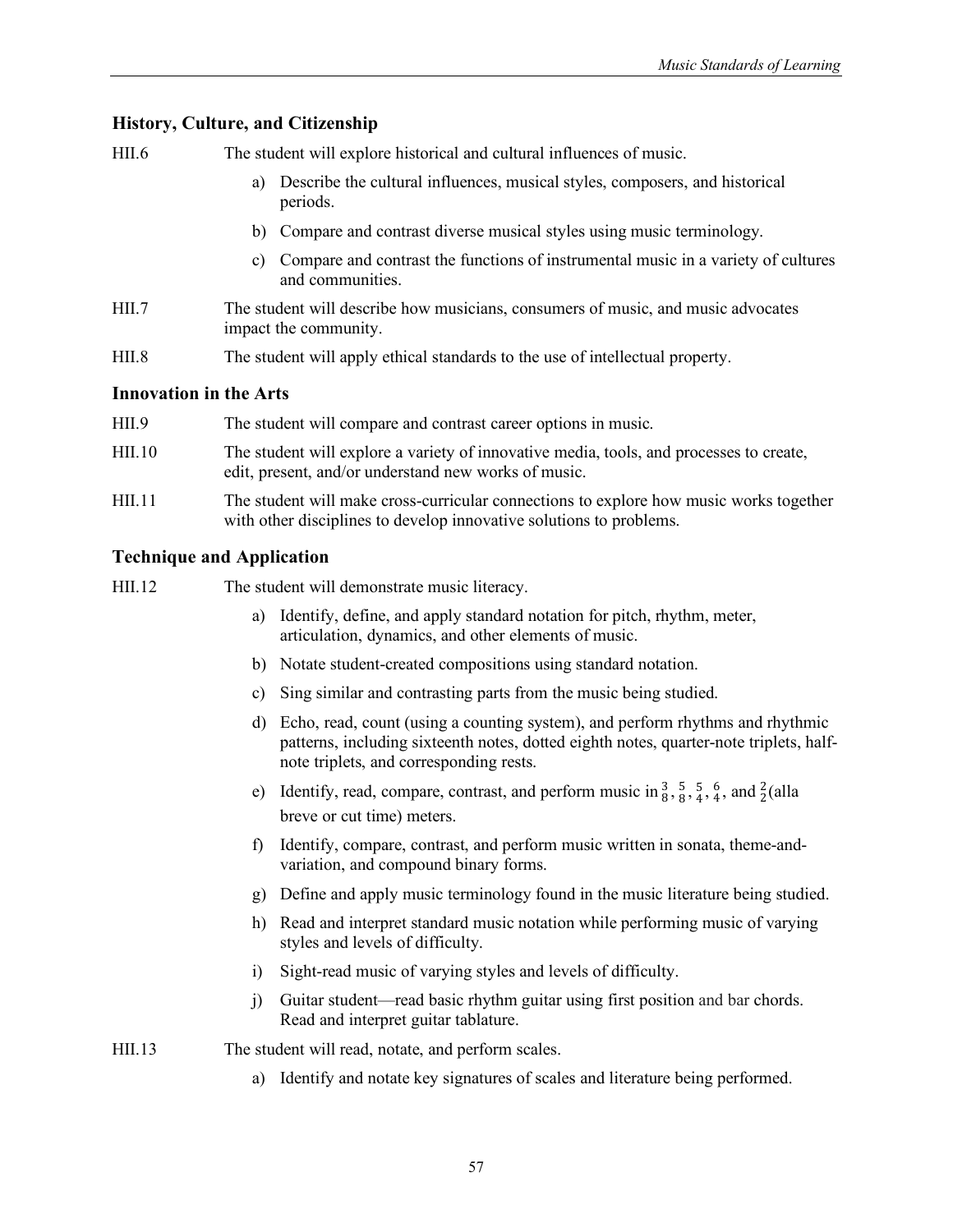HII.6 The student will explore historical and cultural influences of music.

- a) Describe the cultural influences, musical styles, composers, and historical periods.
- b) Compare and contrast diverse musical styles using music terminology.
- c) Compare and contrast the functions of instrumental music in a variety of cultures and communities.
- HII.7 The student will describe how musicians, consumers of music, and music advocates impact the community.
- HII.8 The student will apply ethical standards to the use of intellectual property.

#### **Innovation in the Arts**

| HII.9        | The student will compare and contrast career options in music.                                                                                                |
|--------------|---------------------------------------------------------------------------------------------------------------------------------------------------------------|
| HII.10       | The student will explore a variety of innovative media, tools, and processes to create,<br>edit, present, and/or understand new works of music.               |
| <b>HIL11</b> | The student will make cross-curricular connections to explore how music works together<br>with other disciplines to develop innovative solutions to problems. |

## **Technique and Application**

- HII.12 The student will demonstrate music literacy.
	- a) Identify, define, and apply standard notation for pitch, rhythm, meter, articulation, dynamics, and other elements of music.
	- b) Notate student-created compositions using standard notation.
	- c) Sing similar and contrasting parts from the music being studied.
	- d) Echo, read, count (using a counting system), and perform rhythms and rhythmic patterns, including sixteenth notes, dotted eighth notes, quarter-note triplets, halfnote triplets, and corresponding rests.
	- e) Identify, read, compare, contrast, and perform music in  $\frac{3}{8}$ ,  $\frac{5}{8}$ ,  $\frac{5}{4}$ ,  $\frac{6}{4}$ , and  $\frac{2}{2}$ (alla breve or cut time) meters.
	- f) Identify, compare, contrast, and perform music written in sonata, theme-andvariation, and compound binary forms.
	- g) Define and apply music terminology found in the music literature being studied.
	- h) Read and interpret standard music notation while performing music of varying styles and levels of difficulty.
	- i) Sight-read music of varying styles and levels of difficulty.
	- j) Guitar student—read basic rhythm guitar using first position and bar chords. Read and interpret guitar tablature.

HII.13 The student will read, notate, and perform scales.

a) Identify and notate key signatures of scales and literature being performed.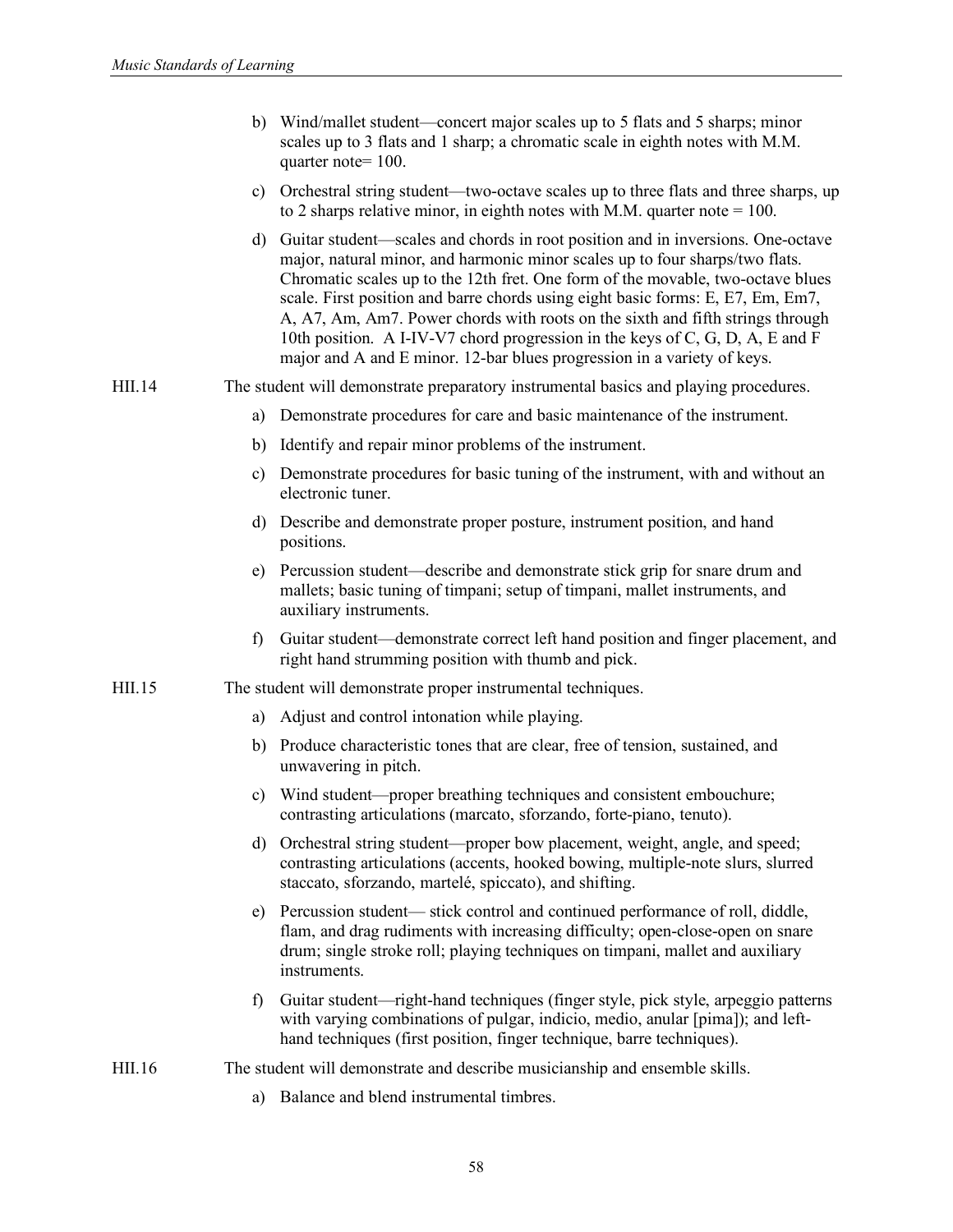|        |    | b) Wind/mallet student—concert major scales up to 5 flats and 5 sharps; minor<br>scales up to 3 flats and 1 sharp; a chromatic scale in eighth notes with M.M.<br>quarter note= 100.                                                                                                                                                                                                                                                                                                                                                                                                   |
|--------|----|----------------------------------------------------------------------------------------------------------------------------------------------------------------------------------------------------------------------------------------------------------------------------------------------------------------------------------------------------------------------------------------------------------------------------------------------------------------------------------------------------------------------------------------------------------------------------------------|
|        |    | c) Orchestral string student—two-octave scales up to three flats and three sharps, up<br>to 2 sharps relative minor, in eighth notes with M.M. quarter note = $100$ .                                                                                                                                                                                                                                                                                                                                                                                                                  |
|        |    | d) Guitar student—scales and chords in root position and in inversions. One-octave<br>major, natural minor, and harmonic minor scales up to four sharps/two flats.<br>Chromatic scales up to the 12th fret. One form of the movable, two-octave blues<br>scale. First position and barre chords using eight basic forms: E, E7, Em, Em7,<br>A, A7, Am, Am7. Power chords with roots on the sixth and fifth strings through<br>10th position. A I-IV-V7 chord progression in the keys of C, G, D, A, E and F<br>major and A and E minor. 12-bar blues progression in a variety of keys. |
| HII.14 |    | The student will demonstrate preparatory instrumental basics and playing procedures.                                                                                                                                                                                                                                                                                                                                                                                                                                                                                                   |
|        | a) | Demonstrate procedures for care and basic maintenance of the instrument.                                                                                                                                                                                                                                                                                                                                                                                                                                                                                                               |
|        | b) | Identify and repair minor problems of the instrument.                                                                                                                                                                                                                                                                                                                                                                                                                                                                                                                                  |
|        | c) | Demonstrate procedures for basic tuning of the instrument, with and without an<br>electronic tuner.                                                                                                                                                                                                                                                                                                                                                                                                                                                                                    |
|        |    | d) Describe and demonstrate proper posture, instrument position, and hand<br>positions.                                                                                                                                                                                                                                                                                                                                                                                                                                                                                                |
|        |    | e) Percussion student—describe and demonstrate stick grip for snare drum and<br>mallets; basic tuning of timpani; setup of timpani, mallet instruments, and<br>auxiliary instruments.                                                                                                                                                                                                                                                                                                                                                                                                  |
|        | f) | Guitar student—demonstrate correct left hand position and finger placement, and<br>right hand strumming position with thumb and pick.                                                                                                                                                                                                                                                                                                                                                                                                                                                  |
| HII.15 |    | The student will demonstrate proper instrumental techniques.                                                                                                                                                                                                                                                                                                                                                                                                                                                                                                                           |
|        | a) | Adjust and control intonation while playing.                                                                                                                                                                                                                                                                                                                                                                                                                                                                                                                                           |
|        |    | b) Produce characteristic tones that are clear, free of tension, sustained, and<br>unwavering in pitch.                                                                                                                                                                                                                                                                                                                                                                                                                                                                                |
|        |    | c) Wind student—proper breathing techniques and consistent embouchure;<br>contrasting articulations (marcato, sforzando, forte-piano, tenuto).                                                                                                                                                                                                                                                                                                                                                                                                                                         |
|        | d) | Orchestral string student—proper bow placement, weight, angle, and speed;<br>contrasting articulations (accents, hooked bowing, multiple-note slurs, slurred<br>staccato, sforzando, martelé, spiccato), and shifting.                                                                                                                                                                                                                                                                                                                                                                 |
|        |    | e) Percussion student— stick control and continued performance of roll, diddle,<br>flam, and drag rudiments with increasing difficulty; open-close-open on snare<br>drum; single stroke roll; playing techniques on timpani, mallet and auxiliary<br>instruments.                                                                                                                                                                                                                                                                                                                      |
|        | f) | Guitar student—right-hand techniques (finger style, pick style, arpeggio patterns<br>with varying combinations of pulgar, indicio, medio, anular [pima]); and left-<br>hand techniques (first position, finger technique, barre techniques).                                                                                                                                                                                                                                                                                                                                           |
| HII.16 |    | The student will demonstrate and describe musicianship and ensemble skills.                                                                                                                                                                                                                                                                                                                                                                                                                                                                                                            |
|        | a) | Balance and blend instrumental timbres.                                                                                                                                                                                                                                                                                                                                                                                                                                                                                                                                                |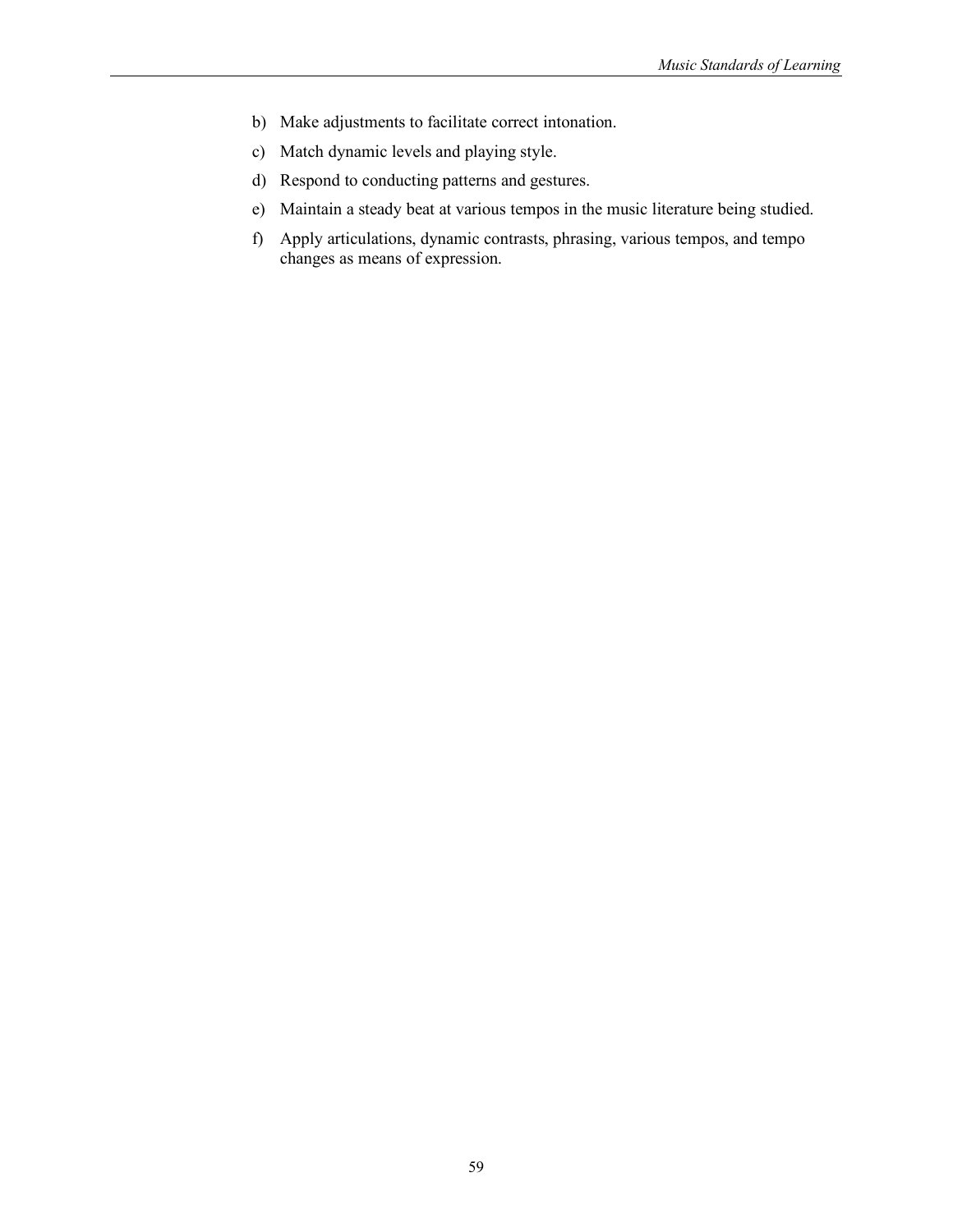- b) Make adjustments to facilitate correct intonation.
- c) Match dynamic levels and playing style.
- d) Respond to conducting patterns and gestures.
- e) Maintain a steady beat at various tempos in the music literature being studied.
- f) Apply articulations, dynamic contrasts, phrasing, various tempos, and tempo changes as means of expression.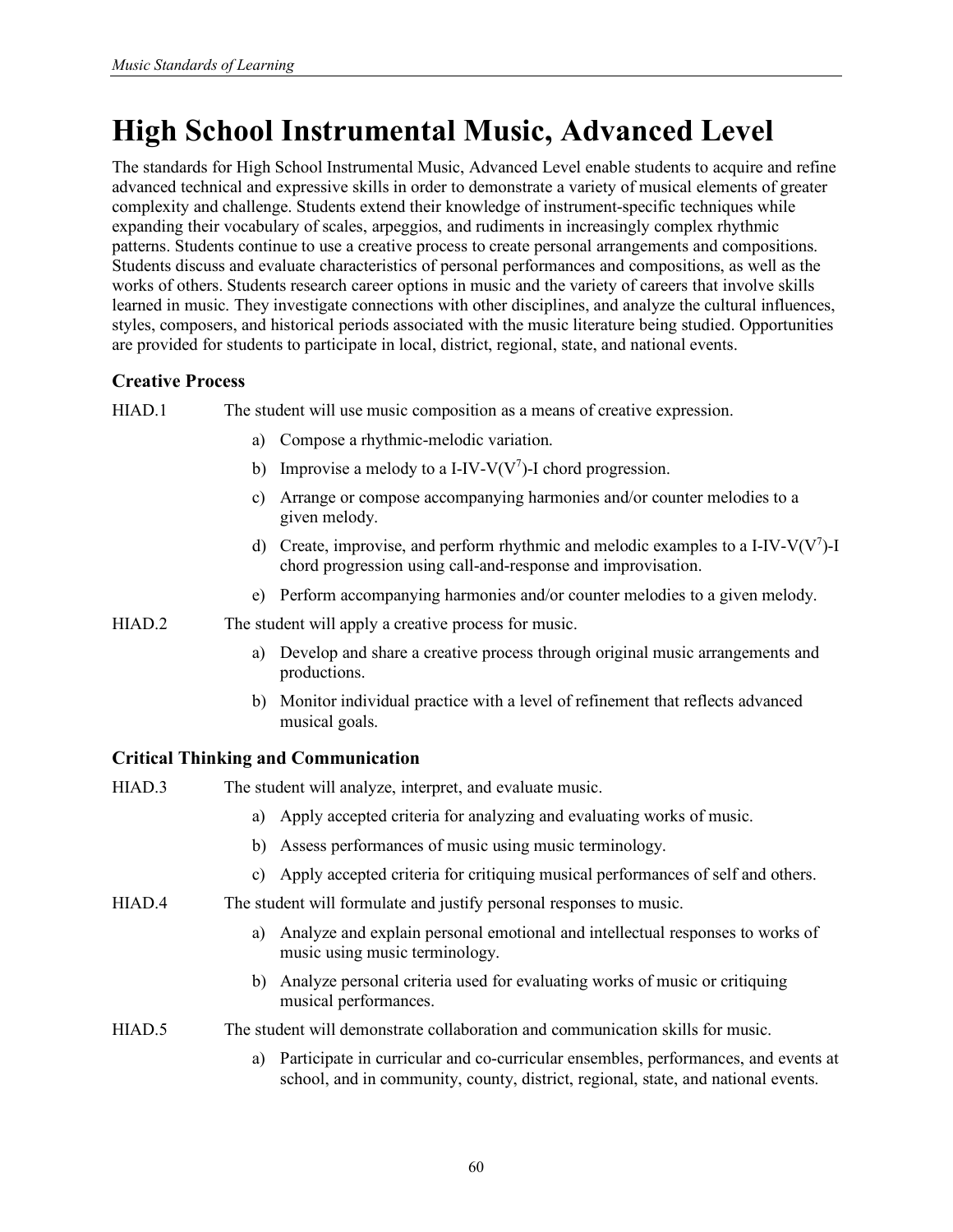# **High School Instrumental Music, Advanced Level**

The standards for High School Instrumental Music, Advanced Level enable students to acquire and refine advanced technical and expressive skills in order to demonstrate a variety of musical elements of greater complexity and challenge. Students extend their knowledge of instrument-specific techniques while expanding their vocabulary of scales, arpeggios, and rudiments in increasingly complex rhythmic patterns. Students continue to use a creative process to create personal arrangements and compositions. Students discuss and evaluate characteristics of personal performances and compositions, as well as the works of others. Students research career options in music and the variety of careers that involve skills learned in music. They investigate connections with other disciplines, and analyze the cultural influences, styles, composers, and historical periods associated with the music literature being studied. Opportunities are provided for students to participate in local, district, regional, state, and national events.

## **Creative Process**

HIAD.1 The student will use music composition as a means of creative expression.

- a) Compose a rhythmic-melodic variation.
- b) Improvise a melody to a I-IV-V( $V^7$ )-I chord progression.
- c) Arrange or compose accompanying harmonies and/or counter melodies to a given melody.
- d) Create, improvise, and perform rhythmic and melodic examples to a I-IV-V( $V^7$ )-I chord progression using call-and-response and improvisation.
- e) Perform accompanying harmonies and/or counter melodies to a given melody.
- HIAD.2 The student will apply a creative process for music.
	- a) Develop and share a creative process through original music arrangements and productions.
	- b) Monitor individual practice with a level of refinement that reflects advanced musical goals.

| HIAD.3 | The student will analyze, interpret, and evaluate music.                                                                                                                      |
|--------|-------------------------------------------------------------------------------------------------------------------------------------------------------------------------------|
|        | Apply accepted criteria for analyzing and evaluating works of music.<br>a)                                                                                                    |
|        | Assess performances of music using music terminology.<br>b)                                                                                                                   |
|        | c) Apply accepted criteria for critiquing musical performances of self and others.                                                                                            |
| HIAD.4 | The student will formulate and justify personal responses to music.                                                                                                           |
|        | Analyze and explain personal emotional and intellectual responses to works of<br>a)<br>music using music terminology.                                                         |
|        | Analyze personal criteria used for evaluating works of music or critiquing<br>b)<br>musical performances.                                                                     |
| HIAD.5 | The student will demonstrate collaboration and communication skills for music.                                                                                                |
|        | Participate in curricular and co-curricular ensembles, performances, and events at<br>a)<br>school, and in community, county, district, regional, state, and national events. |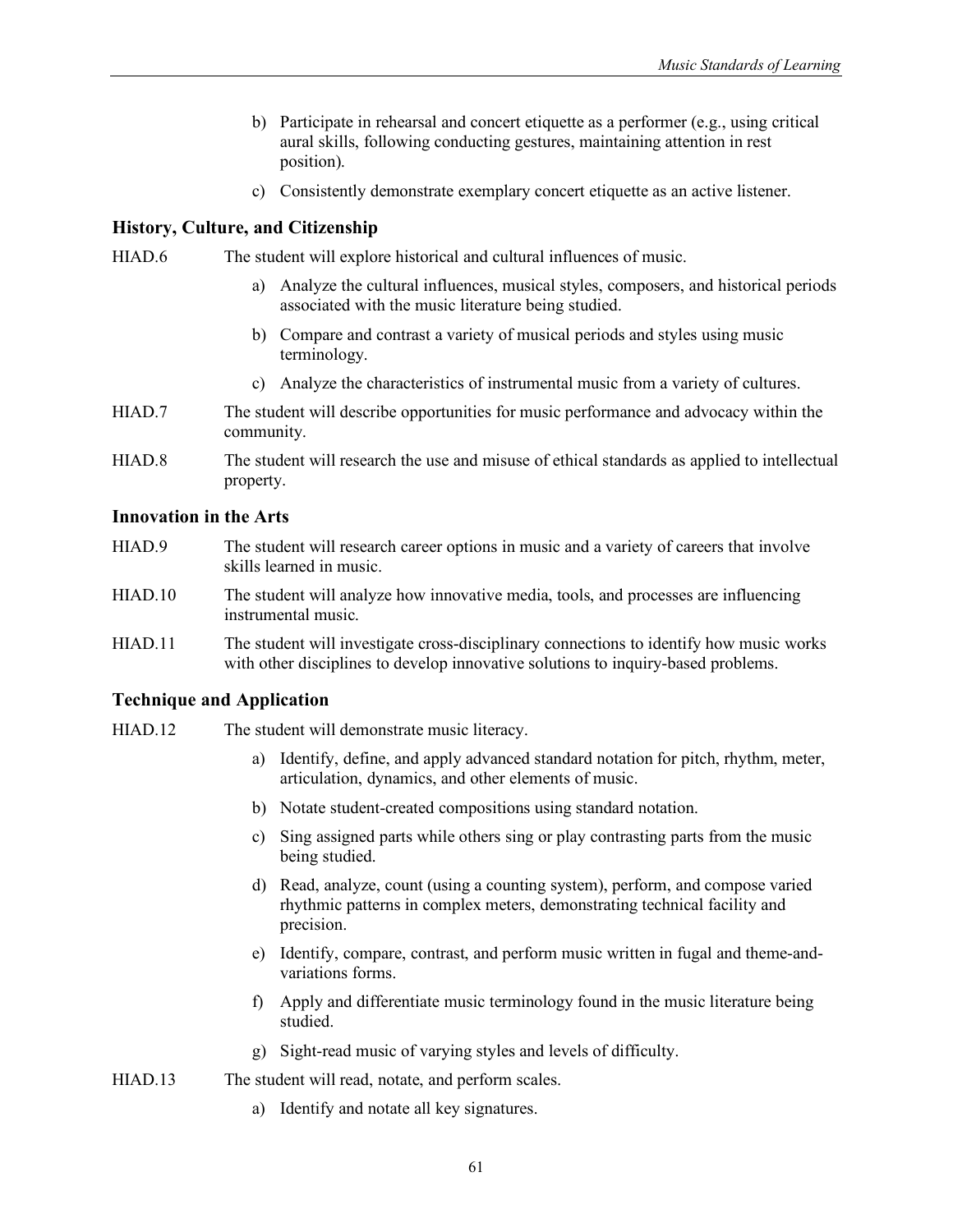- b) Participate in rehearsal and concert etiquette as a performer (e.g., using critical aural skills, following conducting gestures, maintaining attention in rest position).
- c) Consistently demonstrate exemplary concert etiquette as an active listener.

HIAD.6 The student will explore historical and cultural influences of music.

- a) Analyze the cultural influences, musical styles, composers, and historical periods associated with the music literature being studied.
- b) Compare and contrast a variety of musical periods and styles using music terminology.
- c) Analyze the characteristics of instrumental music from a variety of cultures.
- HIAD.7 The student will describe opportunities for music performance and advocacy within the community.
- HIAD.8 The student will research the use and misuse of ethical standards as applied to intellectual property.

#### **Innovation in the Arts**

- HIAD.9 The student will research career options in music and a variety of careers that involve skills learned in music.
- HIAD.10 The student will analyze how innovative media, tools, and processes are influencing instrumental music.
- HIAD.11 The student will investigate cross-disciplinary connections to identify how music works with other disciplines to develop innovative solutions to inquiry-based problems.

## **Technique and Application**

- HIAD.12 The student will demonstrate music literacy.
	- a) Identify, define, and apply advanced standard notation for pitch, rhythm, meter, articulation, dynamics, and other elements of music.
	- b) Notate student-created compositions using standard notation.
	- c) Sing assigned parts while others sing or play contrasting parts from the music being studied.
	- d) Read, analyze, count (using a counting system), perform, and compose varied rhythmic patterns in complex meters, demonstrating technical facility and precision.
	- e) Identify, compare, contrast, and perform music written in fugal and theme-andvariations forms.
	- f) Apply and differentiate music terminology found in the music literature being studied.
	- g) Sight-read music of varying styles and levels of difficulty.

HIAD.13 The student will read, notate, and perform scales.

a) Identify and notate all key signatures.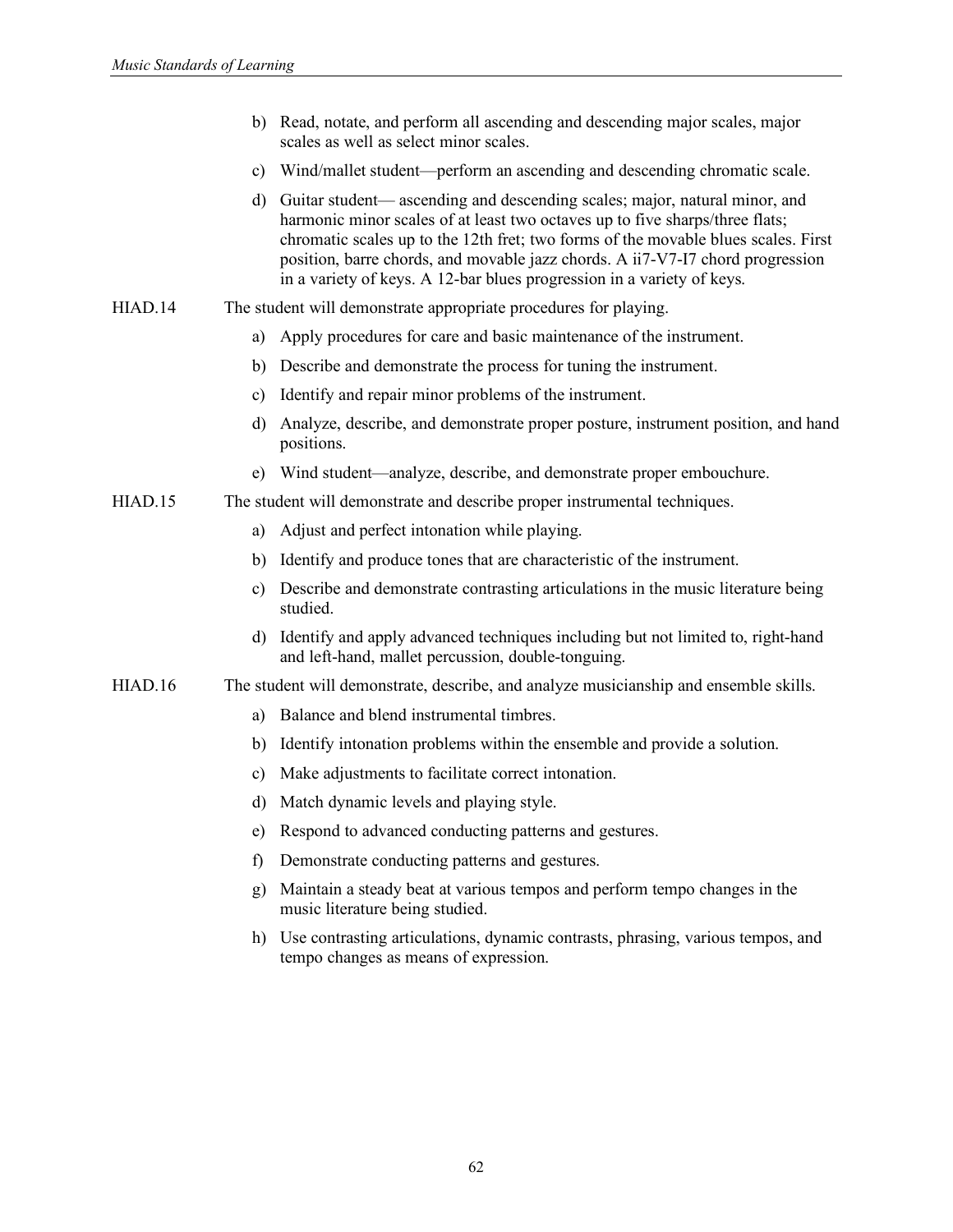| b) Read, notate, and perform all ascending and descending major scales, major |
|-------------------------------------------------------------------------------|
| scales as well as select minor scales.                                        |

- c) Wind/mallet student—perform an ascending and descending chromatic scale.
- d) Guitar student— ascending and descending scales; major, natural minor, and harmonic minor scales of at least two octaves up to five sharps/three flats; chromatic scales up to the 12th fret; two forms of the movable blues scales. First position, barre chords, and movable jazz chords. A ii7-V7-I7 chord progression in a variety of keys. A 12-bar blues progression in a variety of keys.
- HIAD.14 The student will demonstrate appropriate procedures for playing.
	- a) Apply procedures for care and basic maintenance of the instrument.
	- b) Describe and demonstrate the process for tuning the instrument.
	- c) Identify and repair minor problems of the instrument.
	- d) Analyze, describe, and demonstrate proper posture, instrument position, and hand positions.
	- e) Wind student—analyze, describe, and demonstrate proper embouchure.

#### HIAD.15 The student will demonstrate and describe proper instrumental techniques.

- a) Adjust and perfect intonation while playing.
- b) Identify and produce tones that are characteristic of the instrument.
- c) Describe and demonstrate contrasting articulations in the music literature being studied.
- d) Identify and apply advanced techniques including but not limited to, right-hand and left-hand, mallet percussion, double-tonguing.

#### HIAD.16 The student will demonstrate, describe, and analyze musicianship and ensemble skills.

- a) Balance and blend instrumental timbres.
- b) Identify intonation problems within the ensemble and provide a solution.
- c) Make adjustments to facilitate correct intonation.
- d) Match dynamic levels and playing style.
- e) Respond to advanced conducting patterns and gestures.
- f) Demonstrate conducting patterns and gestures.
- g) Maintain a steady beat at various tempos and perform tempo changes in the music literature being studied.
- h) Use contrasting articulations, dynamic contrasts, phrasing, various tempos, and tempo changes as means of expression.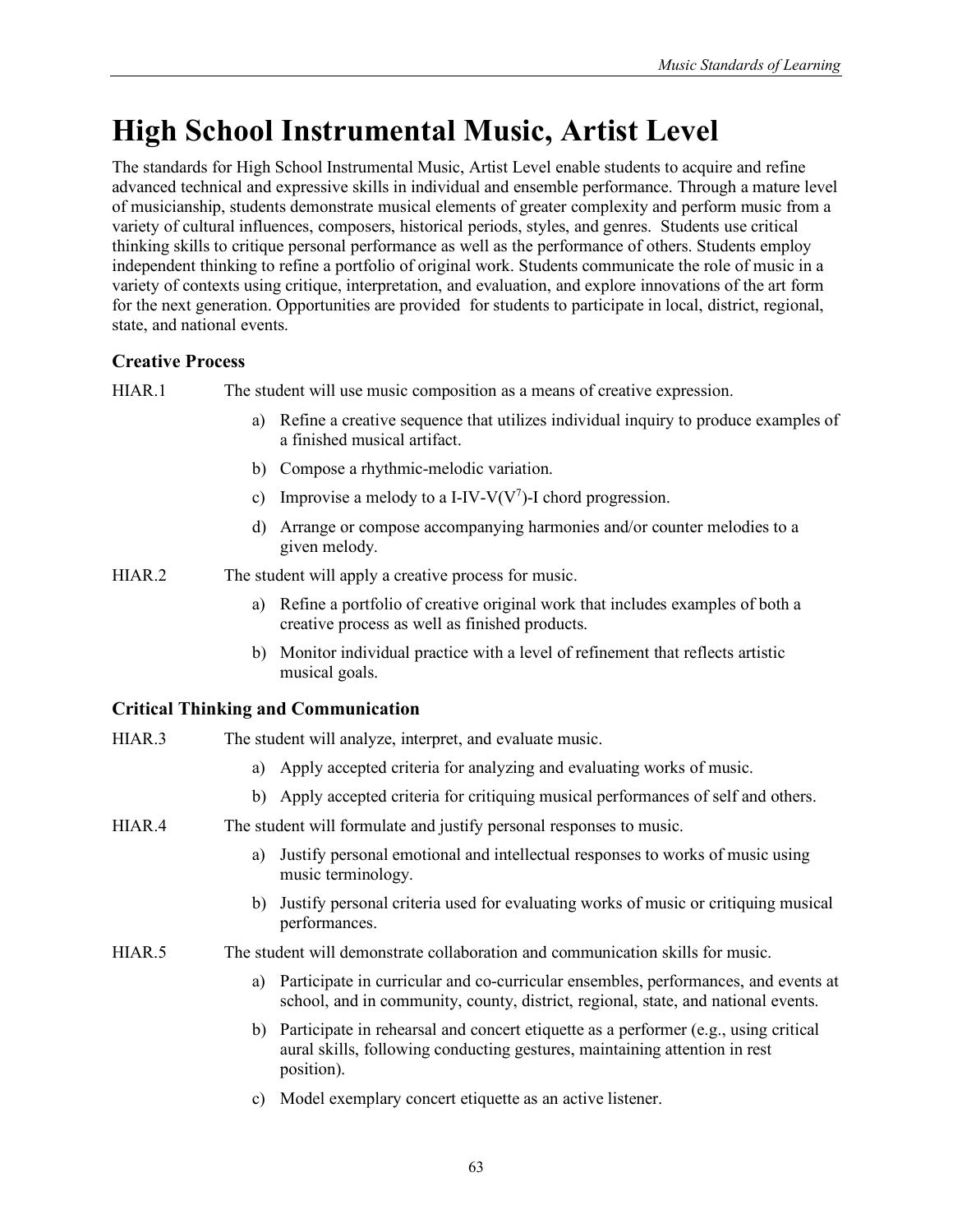# **High School Instrumental Music, Artist Level**

The standards for High School Instrumental Music, Artist Level enable students to acquire and refine advanced technical and expressive skills in individual and ensemble performance. Through a mature level of musicianship, students demonstrate musical elements of greater complexity and perform music from a variety of cultural influences, composers, historical periods, styles, and genres. Students use critical thinking skills to critique personal performance as well as the performance of others. Students employ independent thinking to refine a portfolio of original work. Students communicate the role of music in a variety of contexts using critique, interpretation, and evaluation, and explore innovations of the art form for the next generation. Opportunities are provided for students to participate in local, district, regional, state, and national events.

# **Creative Process**

HIAR.1 The student will use music composition as a means of creative expression.

- a) Refine a creative sequence that utilizes individual inquiry to produce examples of a finished musical artifact.
- b) Compose a rhythmic-melodic variation.
- c) Improvise a melody to a I-IV-V( $V^7$ )-I chord progression.
- d) Arrange or compose accompanying harmonies and/or counter melodies to a given melody.

HIAR.2 The student will apply a creative process for music.

- a) Refine a portfolio of creative original work that includes examples of both a creative process as well as finished products.
- b) Monitor individual practice with a level of refinement that reflects artistic musical goals.

# **Critical Thinking and Communication**

| HIAR.3 | The student will analyze, interpret, and evaluate music.                                                                                                                           |
|--------|------------------------------------------------------------------------------------------------------------------------------------------------------------------------------------|
|        | Apply accepted criteria for analyzing and evaluating works of music.<br>a)                                                                                                         |
|        | b) Apply accepted criteria for critiquing musical performances of self and others.                                                                                                 |
| HIAR.4 | The student will formulate and justify personal responses to music.                                                                                                                |
|        | Justify personal emotional and intellectual responses to works of music using<br>a)<br>music terminology.                                                                          |
|        | Justify personal criteria used for evaluating works of music or critiquing musical<br>b)<br>performances.                                                                          |
| HIAR.5 | The student will demonstrate collaboration and communication skills for music.                                                                                                     |
|        | Participate in curricular and co-curricular ensembles, performances, and events at<br>school, and in community, county, district, regional, state, and national events.            |
|        | b) Participate in rehearsal and concert etiquette as a performer (e.g., using critical<br>aural skills, following conducting gestures, maintaining attention in rest<br>position). |

c) Model exemplary concert etiquette as an active listener.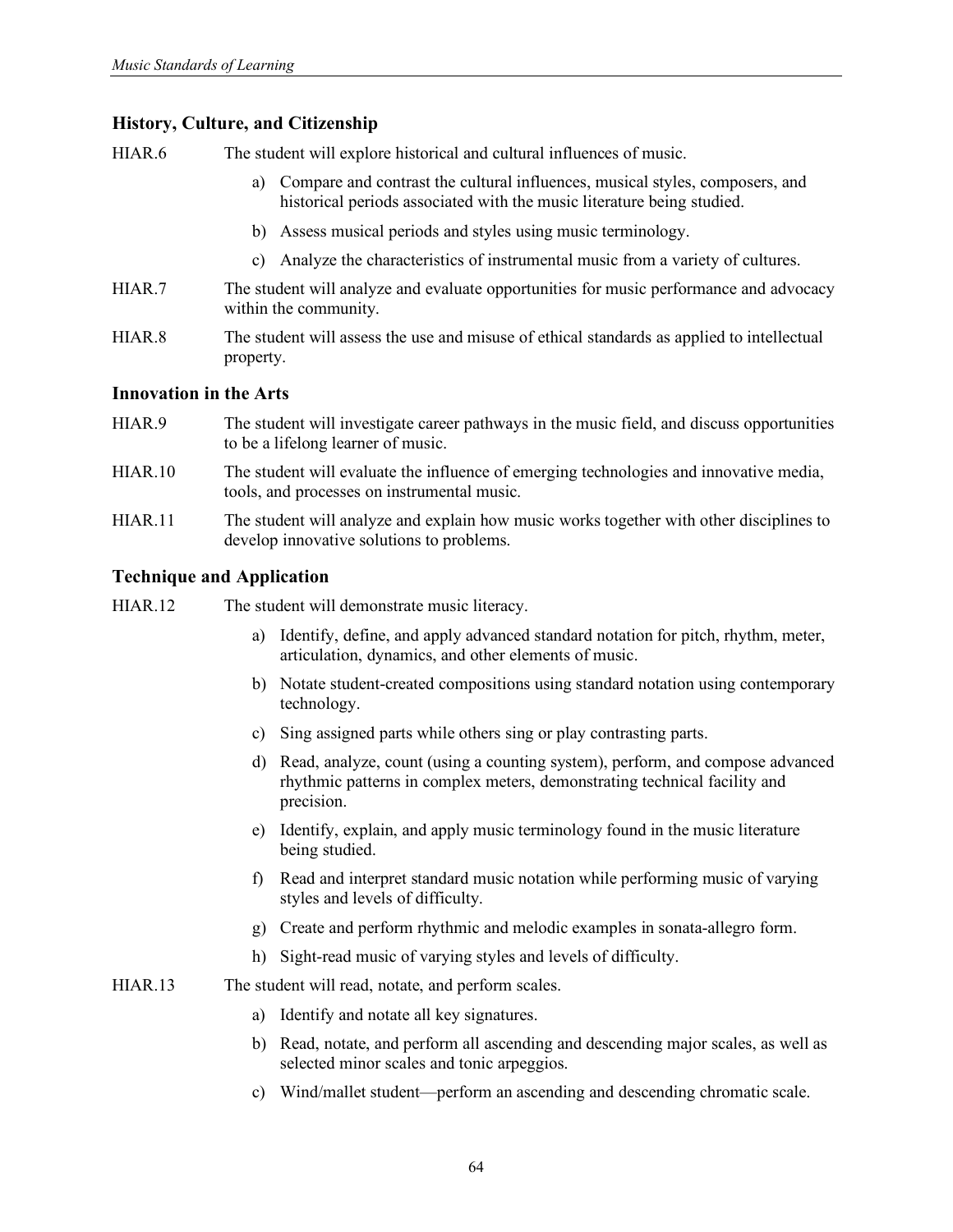HIAR.6 The student will explore historical and cultural influences of music.

- a) Compare and contrast the cultural influences, musical styles, composers, and historical periods associated with the music literature being studied.
- b) Assess musical periods and styles using music terminology.
- c) Analyze the characteristics of instrumental music from a variety of cultures.
- HIAR.7 The student will analyze and evaluate opportunities for music performance and advocacy within the community.
- HIAR.8 The student will assess the use and misuse of ethical standards as applied to intellectual property.

#### **Innovation in the Arts**

- HIAR.9 The student will investigate career pathways in the music field, and discuss opportunities to be a lifelong learner of music.
- HIAR.10 The student will evaluate the influence of emerging technologies and innovative media, tools, and processes on instrumental music.
- HIAR.11 The student will analyze and explain how music works together with other disciplines to develop innovative solutions to problems.

### **Technique and Application**

HIAR.12 The student will demonstrate music literacy.

- a) Identify, define, and apply advanced standard notation for pitch, rhythm, meter, articulation, dynamics, and other elements of music.
- b) Notate student-created compositions using standard notation using contemporary technology.
- c) Sing assigned parts while others sing or play contrasting parts.
- d) Read, analyze, count (using a counting system), perform, and compose advanced rhythmic patterns in complex meters, demonstrating technical facility and precision.
- e) Identify, explain, and apply music terminology found in the music literature being studied.
- f) Read and interpret standard music notation while performing music of varying styles and levels of difficulty.
- g) Create and perform rhythmic and melodic examples in sonata-allegro form.
- h) Sight-read music of varying styles and levels of difficulty.
- HIAR.13 The student will read, notate, and perform scales.
	- a) Identify and notate all key signatures.
	- b) Read, notate, and perform all ascending and descending major scales, as well as selected minor scales and tonic arpeggios.
	- c) Wind/mallet student—perform an ascending and descending chromatic scale.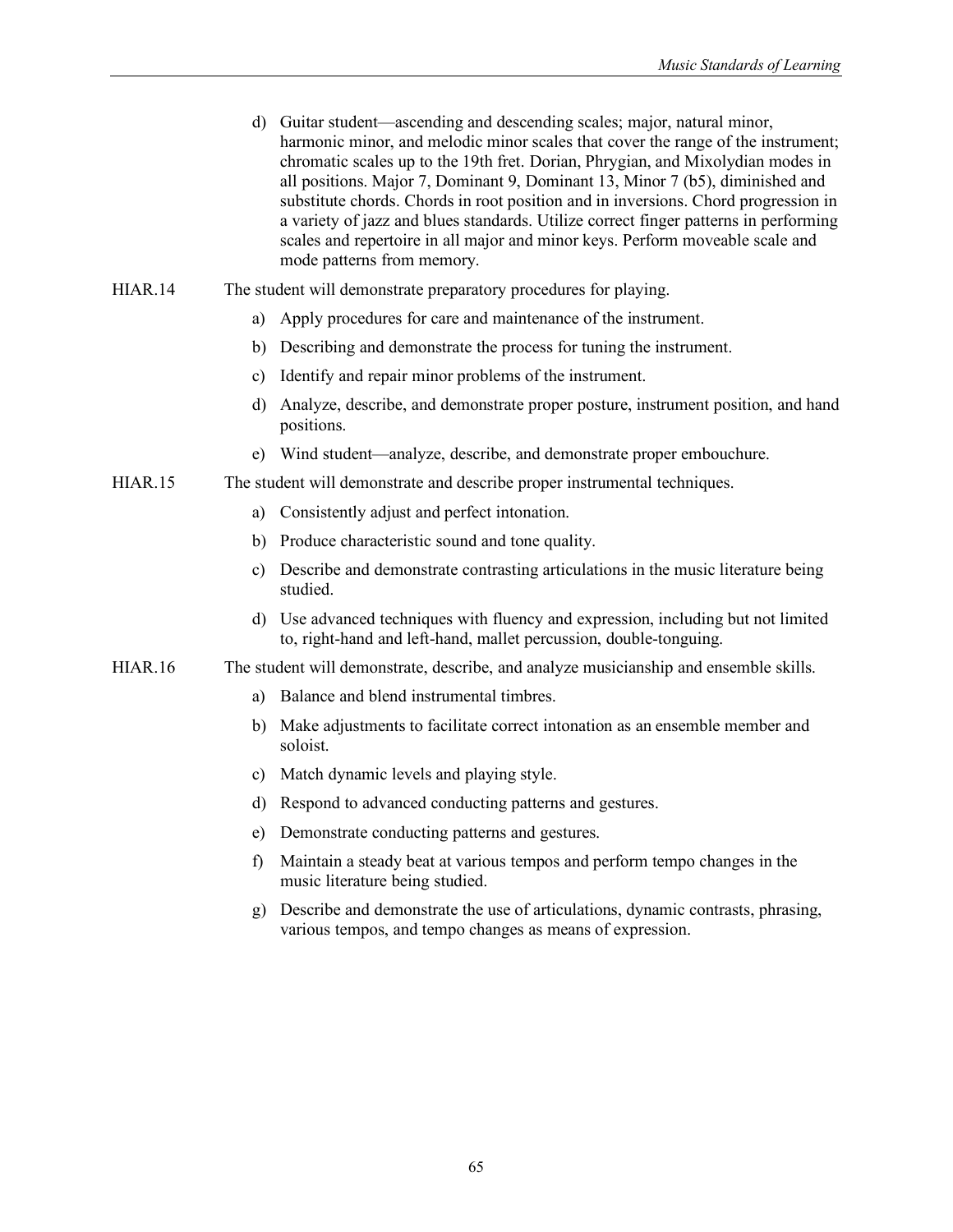| d) Guitar student—ascending and descending scales; major, natural minor,<br>harmonic minor, and melodic minor scales that cover the range of the instrument;<br>chromatic scales up to the 19th fret. Dorian, Phrygian, and Mixolydian modes in<br>all positions. Major 7, Dominant 9, Dominant 13, Minor 7 (b5), diminished and<br>substitute chords. Chords in root position and in inversions. Chord progression in<br>a variety of jazz and blues standards. Utilize correct finger patterns in performing<br>scales and repertoire in all major and minor keys. Perform moveable scale and |
|-------------------------------------------------------------------------------------------------------------------------------------------------------------------------------------------------------------------------------------------------------------------------------------------------------------------------------------------------------------------------------------------------------------------------------------------------------------------------------------------------------------------------------------------------------------------------------------------------|
| mode patterns from memory.                                                                                                                                                                                                                                                                                                                                                                                                                                                                                                                                                                      |
|                                                                                                                                                                                                                                                                                                                                                                                                                                                                                                                                                                                                 |

#### HIAR.14 The student will demonstrate preparatory procedures for playing.

- a) Apply procedures for care and maintenance of the instrument.
- b) Describing and demonstrate the process for tuning the instrument.
- c) Identify and repair minor problems of the instrument.
- d) Analyze, describe, and demonstrate proper posture, instrument position, and hand positions.
- e) Wind student—analyze, describe, and demonstrate proper embouchure.

#### HIAR.15 The student will demonstrate and describe proper instrumental techniques.

- a) Consistently adjust and perfect intonation.
- b) Produce characteristic sound and tone quality.
- c) Describe and demonstrate contrasting articulations in the music literature being studied.
- d) Use advanced techniques with fluency and expression, including but not limited to, right-hand and left-hand, mallet percussion, double-tonguing.
- HIAR.16 The student will demonstrate, describe, and analyze musicianship and ensemble skills.
	- a) Balance and blend instrumental timbres.
	- b) Make adjustments to facilitate correct intonation as an ensemble member and soloist.
	- c) Match dynamic levels and playing style.
	- d) Respond to advanced conducting patterns and gestures.
	- e) Demonstrate conducting patterns and gestures.
	- f) Maintain a steady beat at various tempos and perform tempo changes in the music literature being studied.
	- g) Describe and demonstrate the use of articulations, dynamic contrasts, phrasing, various tempos, and tempo changes as means of expression.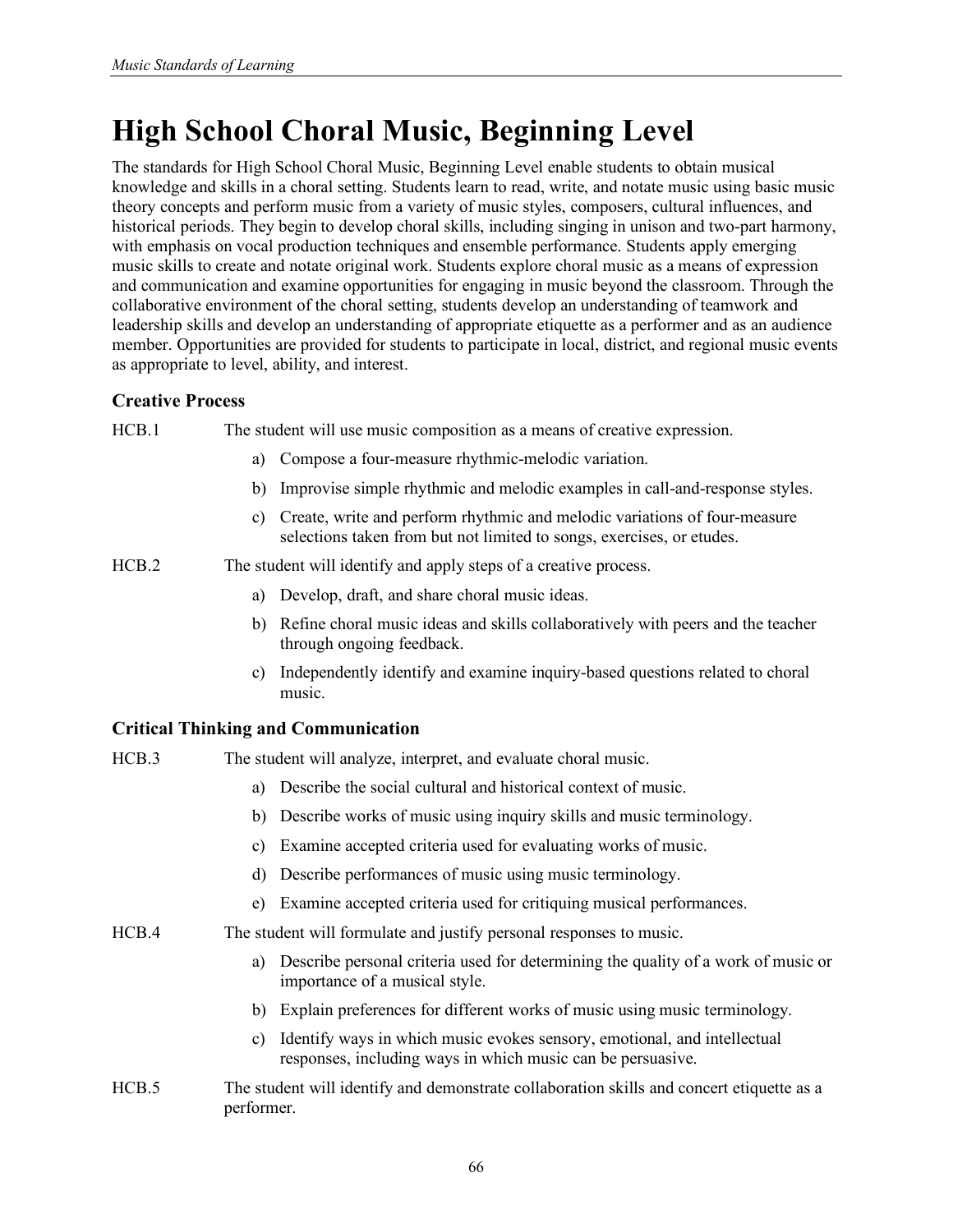# **High School Choral Music, Beginning Level**

The standards for High School Choral Music, Beginning Level enable students to obtain musical knowledge and skills in a choral setting. Students learn to read, write, and notate music using basic music theory concepts and perform music from a variety of music styles, composers, cultural influences, and historical periods. They begin to develop choral skills, including singing in unison and two-part harmony, with emphasis on vocal production techniques and ensemble performance. Students apply emerging music skills to create and notate original work. Students explore choral music as a means of expression and communication and examine opportunities for engaging in music beyond the classroom. Through the collaborative environment of the choral setting, students develop an understanding of teamwork and leadership skills and develop an understanding of appropriate etiquette as a performer and as an audience member. Opportunities are provided for students to participate in local, district, and regional music events as appropriate to level, ability, and interest.

# **Creative Process**

HCB.1 The student will use music composition as a means of creative expression.

- a) Compose a four-measure rhythmic-melodic variation.
- b) Improvise simple rhythmic and melodic examples in call-and-response styles.
- c) Create, write and perform rhythmic and melodic variations of four-measure selections taken from but not limited to songs, exercises, or etudes.
- HCB.2 The student will identify and apply steps of a creative process.
	- a) Develop, draft, and share choral music ideas.
	- b) Refine choral music ideas and skills collaboratively with peers and the teacher through ongoing feedback.
	- c) Independently identify and examine inquiry-based questions related to choral music.

# **Critical Thinking and Communication**

performer.

| HCB.3 | The student will analyze, interpret, and evaluate choral music.                                                                               |
|-------|-----------------------------------------------------------------------------------------------------------------------------------------------|
|       | Describe the social cultural and historical context of music.<br>a)                                                                           |
|       | b) Describe works of music using inquiry skills and music terminology.                                                                        |
|       | Examine accepted criteria used for evaluating works of music.<br>C)                                                                           |
|       | Describe performances of music using music terminology.<br>d)                                                                                 |
|       | Examine accepted criteria used for critiquing musical performances.<br>e)                                                                     |
| HCB.4 | The student will formulate and justify personal responses to music.                                                                           |
|       | Describe personal criteria used for determining the quality of a work of music or<br>a)<br>importance of a musical style.                     |
|       | b) Explain preferences for different works of music using music terminology.                                                                  |
|       | Identify ways in which music evokes sensory, emotional, and intellectual<br>C)<br>responses, including ways in which music can be persuasive. |
| HCB.5 | The student will identify and demonstrate collaboration skills and concert etiquette as a                                                     |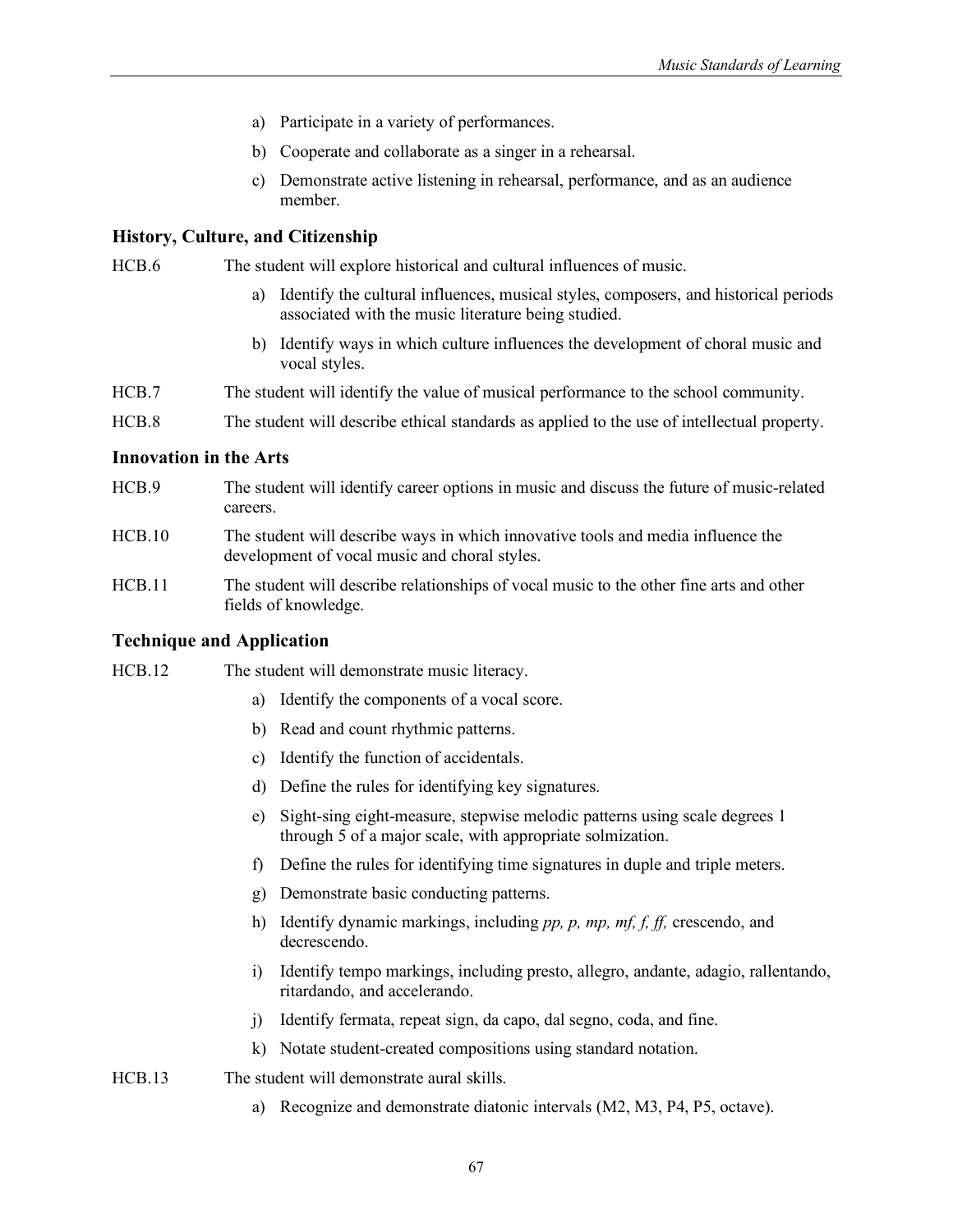- a) Participate in a variety of performances.
- b) Cooperate and collaborate as a singer in a rehearsal.
- c) Demonstrate active listening in rehearsal, performance, and as an audience member.

HCB.6 The student will explore historical and cultural influences of music.

- a) Identify the cultural influences, musical styles, composers, and historical periods associated with the music literature being studied.
- b) Identify ways in which culture influences the development of choral music and vocal styles.
- HCB.7 The student will identify the value of musical performance to the school community.
- HCB.8 The student will describe ethical standards as applied to the use of intellectual property.

#### **Innovation in the Arts**

- HCB.9 The student will identify career options in music and discuss the future of music-related careers.
- HCB.10 The student will describe ways in which innovative tools and media influence the development of vocal music and choral styles.
- HCB.11 The student will describe relationships of vocal music to the other fine arts and other fields of knowledge.

#### **Technique and Application**

HCB.12 The student will demonstrate music literacy.

- a) Identify the components of a vocal score.
- b) Read and count rhythmic patterns.
- c) Identify the function of accidentals.
- d) Define the rules for identifying key signatures.
- e) Sight-sing eight-measure, stepwise melodic patterns using scale degrees 1 through 5 of a major scale, with appropriate solmization.
- f) Define the rules for identifying time signatures in duple and triple meters.
- g) Demonstrate basic conducting patterns.
- h) Identify dynamic markings, including *pp, p, mp, mf, f, ff,* crescendo, and decrescendo.
- i) Identify tempo markings, including presto, allegro, andante, adagio, rallentando, ritardando, and accelerando.
- j) Identify fermata, repeat sign, da capo, dal segno, coda, and fine.
- k) Notate student-created compositions using standard notation.
- HCB.13 The student will demonstrate aural skills.
	- a) Recognize and demonstrate diatonic intervals (M2, M3, P4, P5, octave).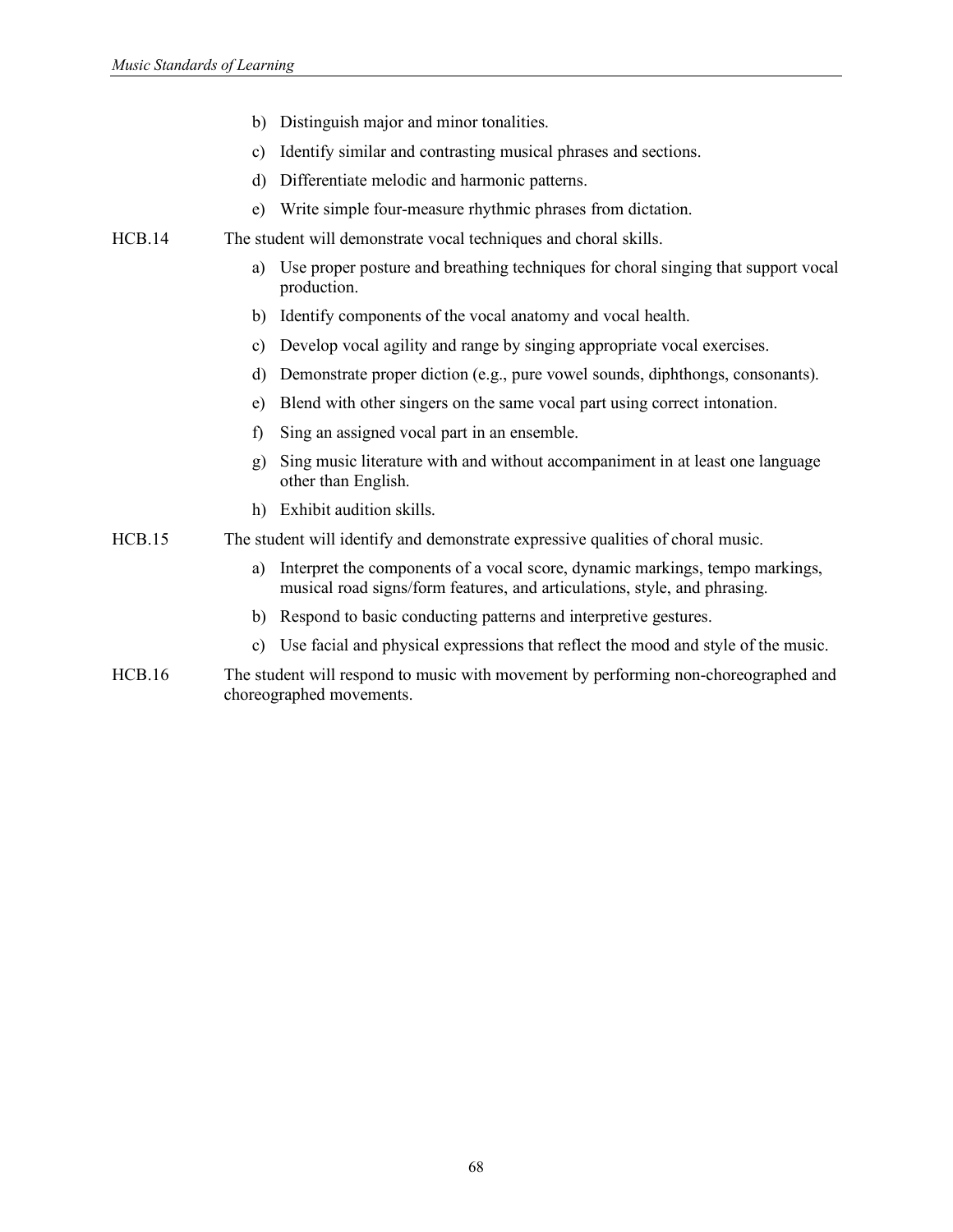- b) Distinguish major and minor tonalities.
- c) Identify similar and contrasting musical phrases and sections.
- d) Differentiate melodic and harmonic patterns.
- e) Write simple four-measure rhythmic phrases from dictation.
- HCB.14 The student will demonstrate vocal techniques and choral skills.
	- a) Use proper posture and breathing techniques for choral singing that support vocal production.
	- b) Identify components of the vocal anatomy and vocal health.
	- c) Develop vocal agility and range by singing appropriate vocal exercises.
	- d) Demonstrate proper diction (e.g., pure vowel sounds, diphthongs, consonants).
	- e) Blend with other singers on the same vocal part using correct intonation.
	- f) Sing an assigned vocal part in an ensemble.
	- g) Sing music literature with and without accompaniment in at least one language other than English.
	- h) Exhibit audition skills.
- HCB.15 The student will identify and demonstrate expressive qualities of choral music.
	- a) Interpret the components of a vocal score, dynamic markings, tempo markings, musical road signs/form features, and articulations, style, and phrasing.
	- b) Respond to basic conducting patterns and interpretive gestures.
	- c) Use facial and physical expressions that reflect the mood and style of the music.
- HCB.16 The student will respond to music with movement by performing non-choreographed and choreographed movements.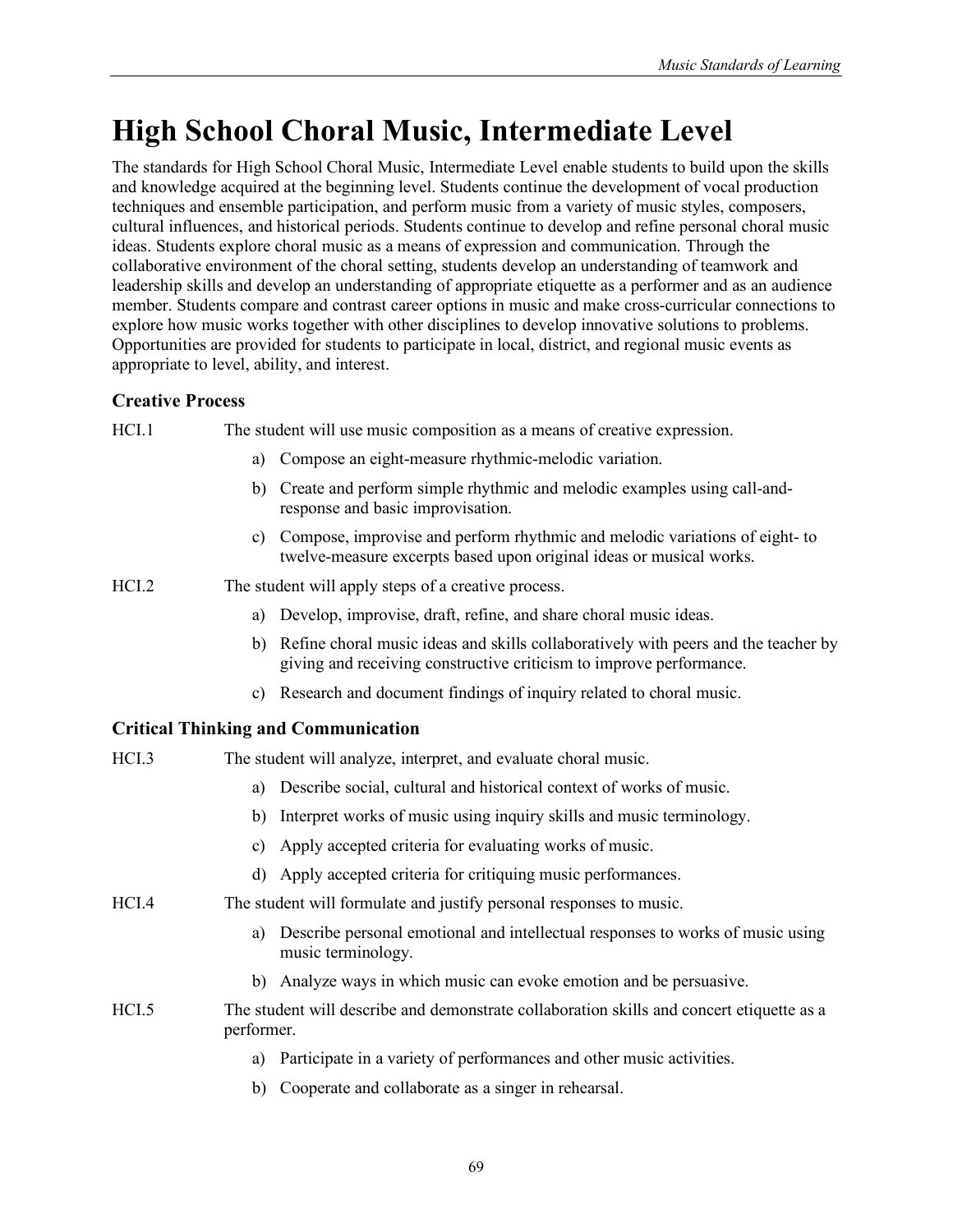# **High School Choral Music, Intermediate Level**

The standards for High School Choral Music, Intermediate Level enable students to build upon the skills and knowledge acquired at the beginning level. Students continue the development of vocal production techniques and ensemble participation, and perform music from a variety of music styles, composers, cultural influences, and historical periods. Students continue to develop and refine personal choral music ideas. Students explore choral music as a means of expression and communication. Through the collaborative environment of the choral setting, students develop an understanding of teamwork and leadership skills and develop an understanding of appropriate etiquette as a performer and as an audience member. Students compare and contrast career options in music and make cross-curricular connections to explore how music works together with other disciplines to develop innovative solutions to problems. Opportunities are provided for students to participate in local, district, and regional music events as appropriate to level, ability, and interest.

# **Creative Process**

| HCI.1   | The student will use music composition as a means of creative expression.                                                                                       |
|---------|-----------------------------------------------------------------------------------------------------------------------------------------------------------------|
|         | Compose an eight-measure rhythmic-melodic variation.<br>a)                                                                                                      |
|         | Create and perform simple rhythmic and melodic examples using call-and-<br>b)<br>response and basic improvisation.                                              |
|         | Compose, improvise and perform rhythmic and melodic variations of eight- to<br>C)<br>twelve-measure excerpts based upon original ideas or musical works.        |
| HCI.2   | The student will apply steps of a creative process.                                                                                                             |
|         | Develop, improvise, draft, refine, and share choral music ideas.<br>a)                                                                                          |
|         | Refine choral music ideas and skills collaboratively with peers and the teacher by<br>b)<br>giving and receiving constructive criticism to improve performance. |
|         | Research and document findings of inquiry related to choral music.<br>C)                                                                                        |
|         | <b>Critical Thinking and Communication</b>                                                                                                                      |
| $HCI$ 3 | The student will analyze interpret and evaluate choral music                                                                                                    |

| 1101.9 | The student will analyze, interpret, and evaluate choral music.                                            |
|--------|------------------------------------------------------------------------------------------------------------|
|        | Describe social, cultural and historical context of works of music.<br>a)                                  |
|        | Interpret works of music using inquiry skills and music terminology.<br>b)                                 |
|        | Apply accepted criteria for evaluating works of music.<br>C)                                               |
|        | d) Apply accepted criteria for critiquing music performances.                                              |
| HCI.4  | The student will formulate and justify personal responses to music.                                        |
|        | Describe personal emotional and intellectual responses to works of music using<br>a)<br>music terminology. |
|        | b) Analyze ways in which music can evoke emotion and be persuasive.                                        |
| HCI.5  | The student will describe and demonstrate collaboration skills and concert etiquette as a<br>performer.    |
|        | Participate in a variety of performances and other music activities.<br>a)                                 |
|        | Cooperate and collaborate as a singer in rehearsal.<br>b)                                                  |
|        |                                                                                                            |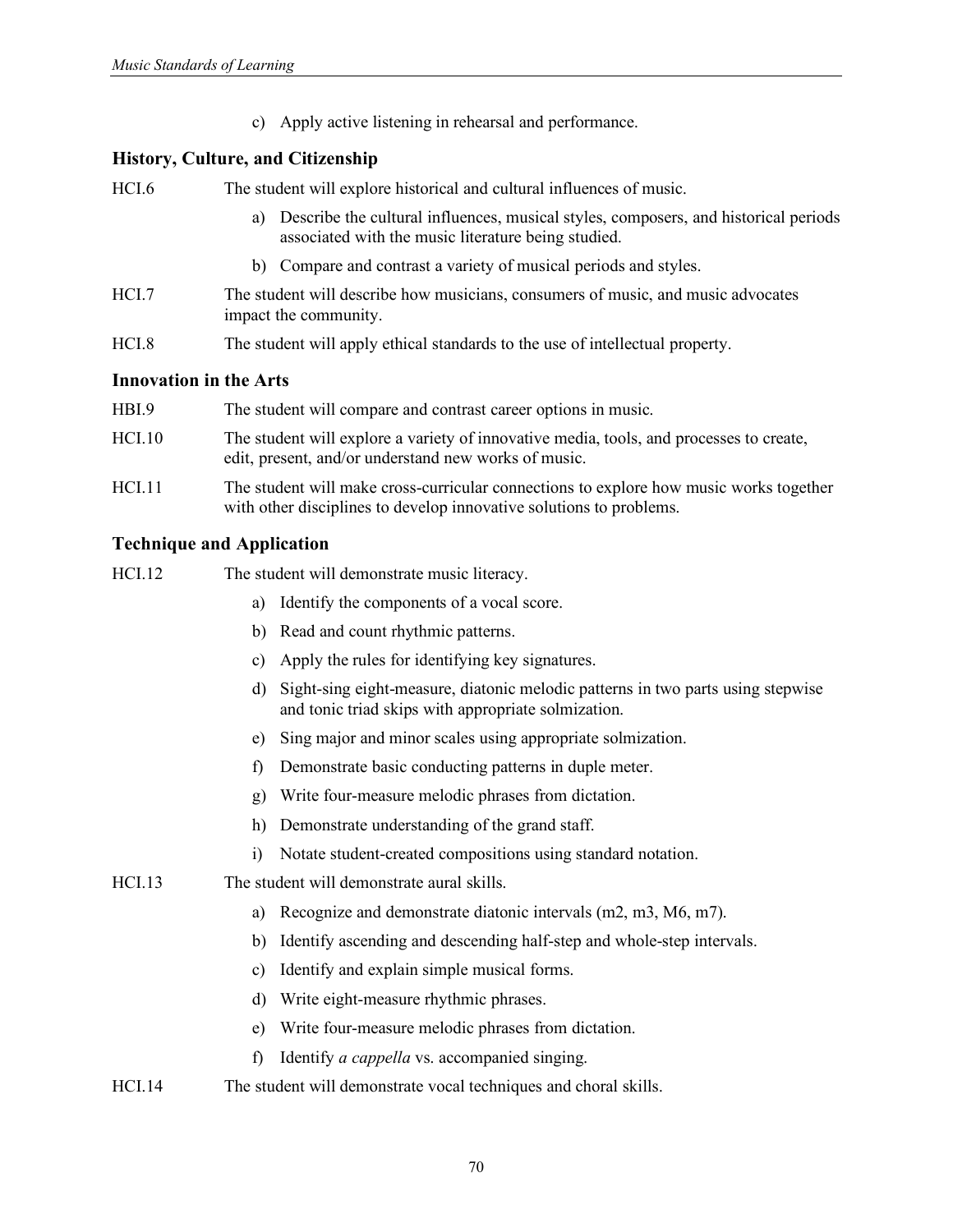c) Apply active listening in rehearsal and performance.

### **History, Culture, and Citizenship**

| HCI.6                         | The student will explore historical and cultural influences of music.                                                                            |
|-------------------------------|--------------------------------------------------------------------------------------------------------------------------------------------------|
|                               | Describe the cultural influences, musical styles, composers, and historical periods<br>a)<br>associated with the music literature being studied. |
|                               | b) Compare and contrast a variety of musical periods and styles.                                                                                 |
| HCI.7                         | The student will describe how musicians, consumers of music, and music advocates<br>impact the community.                                        |
| HCI.8                         | The student will apply ethical standards to the use of intellectual property.                                                                    |
| <b>Innovation in the Arts</b> |                                                                                                                                                  |
| HBI.9                         | The student will compare and contrast career options in music.                                                                                   |
|                               |                                                                                                                                                  |

- HCI.10 The student will explore a variety of innovative media, tools, and processes to create, edit, present, and/or understand new works of music.
- HCI.11 The student will make cross-curricular connections to explore how music works together with other disciplines to develop innovative solutions to problems.

# **Technique and Application**

| HCI.12 | The student will demonstrate music literacy. |  |
|--------|----------------------------------------------|--|
|        |                                              |  |

- a) Identify the components of a vocal score.
- b) Read and count rhythmic patterns.
- c) Apply the rules for identifying key signatures.
- d) Sight-sing eight-measure, diatonic melodic patterns in two parts using stepwise and tonic triad skips with appropriate solmization.
- e) Sing major and minor scales using appropriate solmization.
- f) Demonstrate basic conducting patterns in duple meter.
- g) Write four-measure melodic phrases from dictation.
- h) Demonstrate understanding of the grand staff.
- i) Notate student-created compositions using standard notation.
- HCI.13 The student will demonstrate aural skills.
	- a) Recognize and demonstrate diatonic intervals (m2, m3, M6, m7).
	- b) Identify ascending and descending half-step and whole-step intervals.
	- c) Identify and explain simple musical forms.
	- d) Write eight-measure rhythmic phrases.
	- e) Write four-measure melodic phrases from dictation.
	- f) Identify *a cappella* vs. accompanied singing.
- HCI.14 The student will demonstrate vocal techniques and choral skills.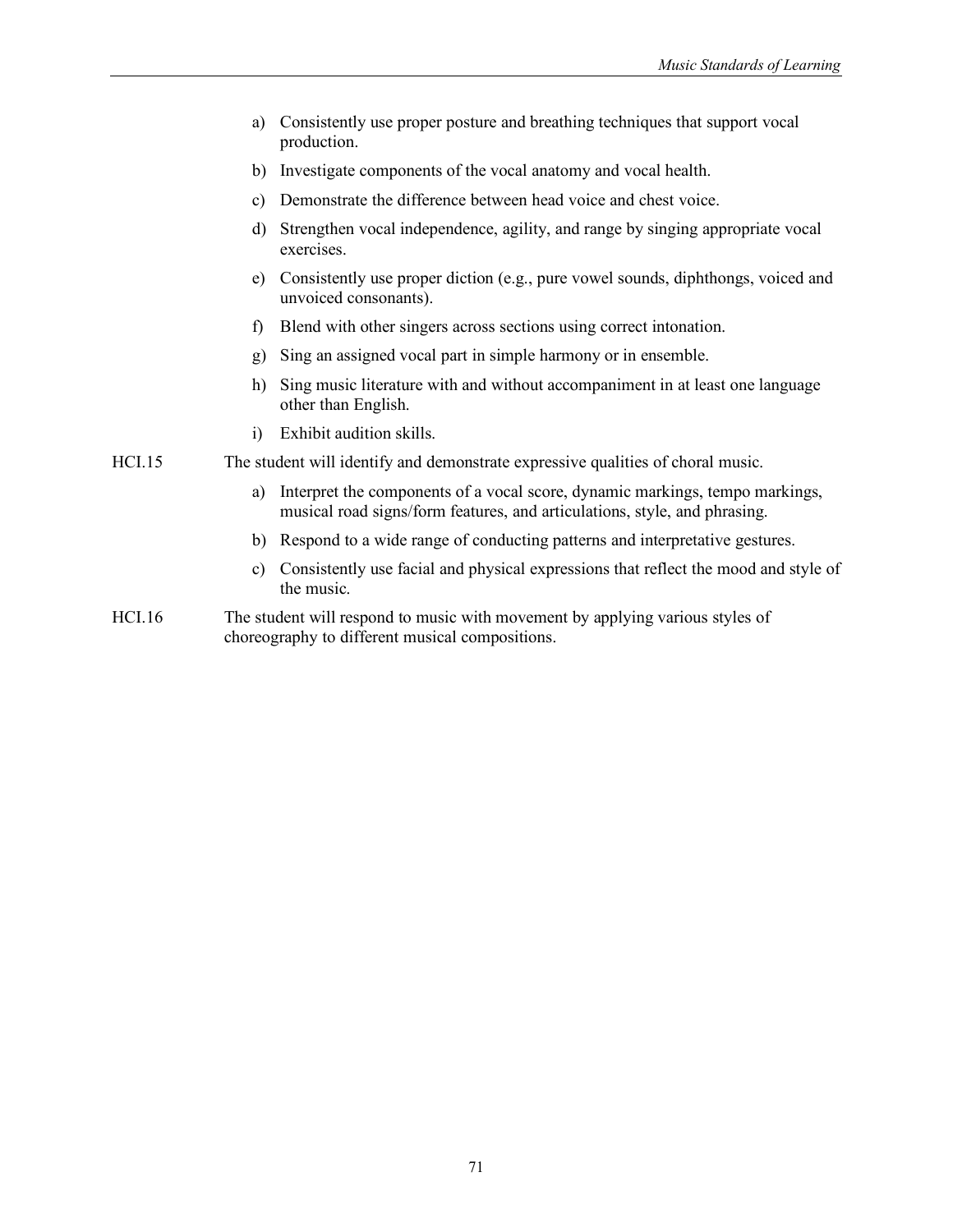| a) Consistently use proper posture and breathing techniques that support vocal |
|--------------------------------------------------------------------------------|
| production.                                                                    |

- b) Investigate components of the vocal anatomy and vocal health.
- c) Demonstrate the difference between head voice and chest voice.
- d) Strengthen vocal independence, agility, and range by singing appropriate vocal exercises.
- e) Consistently use proper diction (e.g., pure vowel sounds, diphthongs, voiced and unvoiced consonants).
- f) Blend with other singers across sections using correct intonation.
- g) Sing an assigned vocal part in simple harmony or in ensemble.
- h) Sing music literature with and without accompaniment in at least one language other than English.
- i) Exhibit audition skills.
- HCI.15 The student will identify and demonstrate expressive qualities of choral music.
	- a) Interpret the components of a vocal score, dynamic markings, tempo markings, musical road signs/form features, and articulations, style, and phrasing.
	- b) Respond to a wide range of conducting patterns and interpretative gestures.
	- c) Consistently use facial and physical expressions that reflect the mood and style of the music.
- HCI.16 The student will respond to music with movement by applying various styles of choreography to different musical compositions.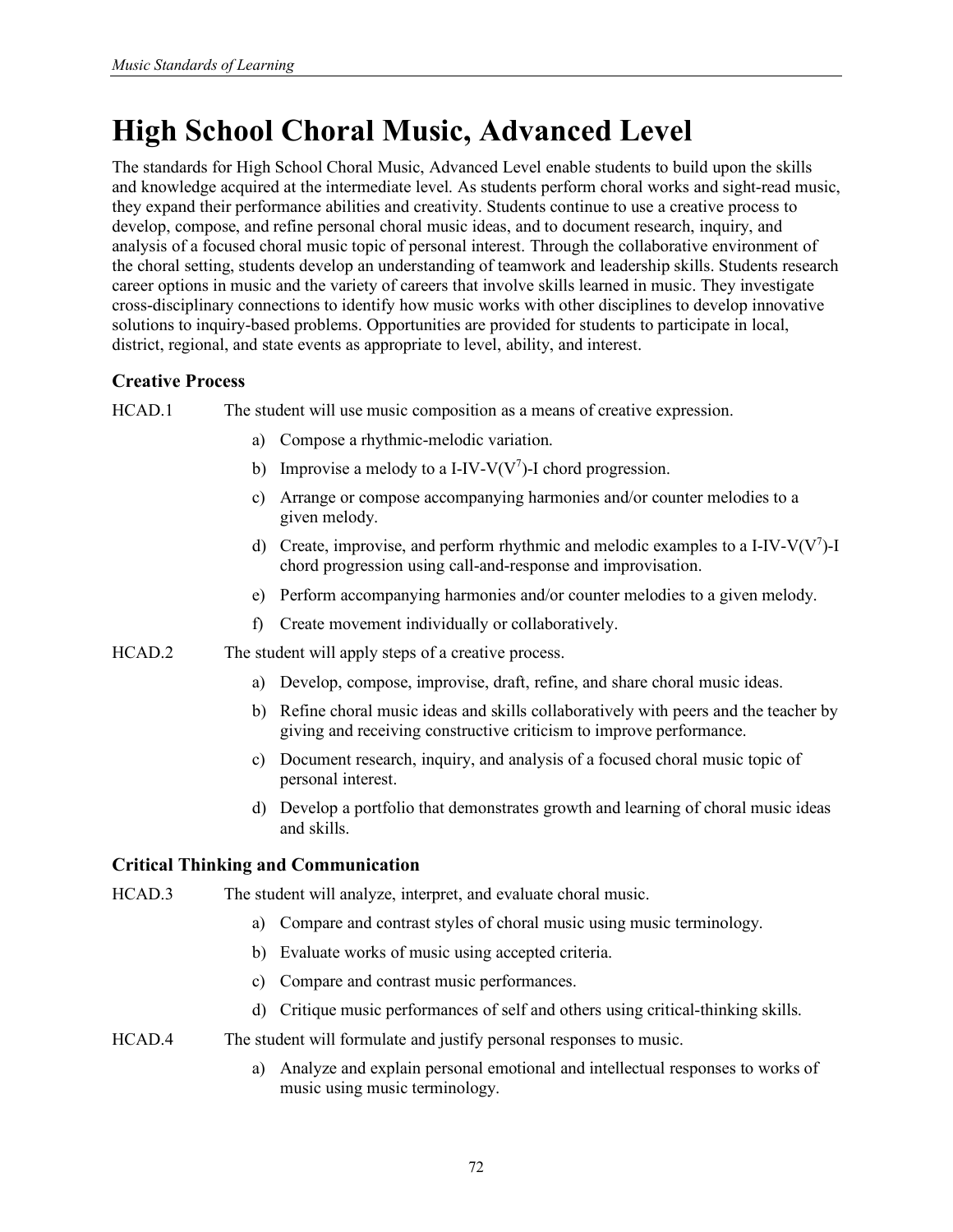# **High School Choral Music, Advanced Level**

The standards for High School Choral Music, Advanced Level enable students to build upon the skills and knowledge acquired at the intermediate level. As students perform choral works and sight-read music, they expand their performance abilities and creativity. Students continue to use a creative process to develop, compose, and refine personal choral music ideas, and to document research, inquiry, and analysis of a focused choral music topic of personal interest. Through the collaborative environment of the choral setting, students develop an understanding of teamwork and leadership skills. Students research career options in music and the variety of careers that involve skills learned in music. They investigate cross-disciplinary connections to identify how music works with other disciplines to develop innovative solutions to inquiry-based problems. Opportunities are provided for students to participate in local, district, regional, and state events as appropriate to level, ability, and interest.

# **Creative Process**

HCAD.1 The student will use music composition as a means of creative expression.

- a) Compose a rhythmic-melodic variation.
- b) Improvise a melody to a I-IV-V( $V^7$ )-I chord progression.
- c) Arrange or compose accompanying harmonies and/or counter melodies to a given melody.
- d) Create, improvise, and perform rhythmic and melodic examples to a I-IV-V( $V^7$ )-I chord progression using call-and-response and improvisation.
- e) Perform accompanying harmonies and/or counter melodies to a given melody.
- f) Create movement individually or collaboratively.
- HCAD.2 The student will apply steps of a creative process.
	- a) Develop, compose, improvise, draft, refine, and share choral music ideas.
	- b) Refine choral music ideas and skills collaboratively with peers and the teacher by giving and receiving constructive criticism to improve performance.
	- c) Document research, inquiry, and analysis of a focused choral music topic of personal interest.
	- d) Develop a portfolio that demonstrates growth and learning of choral music ideas and skills.

### **Critical Thinking and Communication**

- HCAD.3 The student will analyze, interpret, and evaluate choral music.
	- a) Compare and contrast styles of choral music using music terminology.
	- b) Evaluate works of music using accepted criteria.
	- c) Compare and contrast music performances.
	- d) Critique music performances of self and others using critical-thinking skills.
- HCAD.4 The student will formulate and justify personal responses to music.
	- a) Analyze and explain personal emotional and intellectual responses to works of music using music terminology.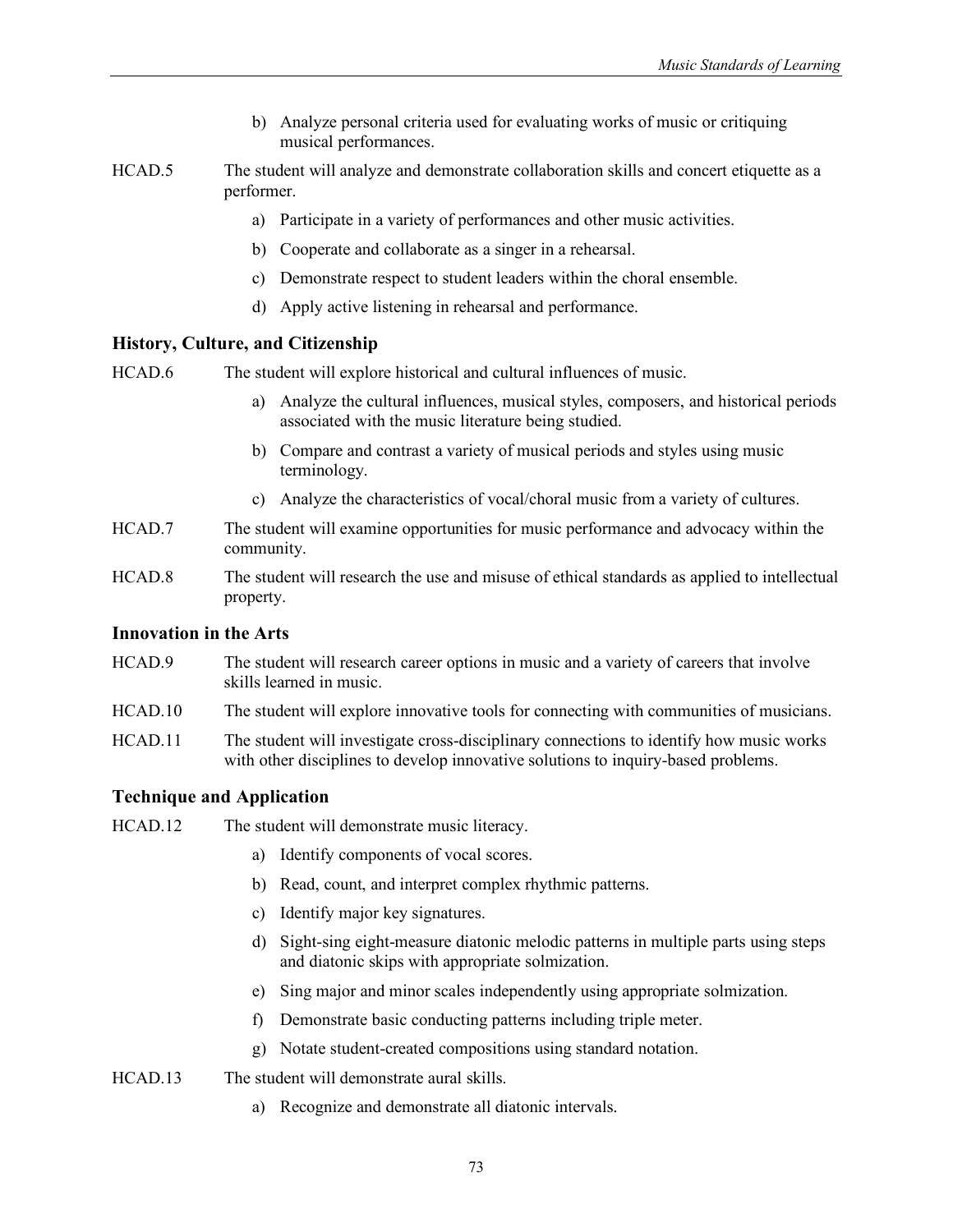- b) Analyze personal criteria used for evaluating works of music or critiquing musical performances.
- HCAD.5 The student will analyze and demonstrate collaboration skills and concert etiquette as a performer.
	- a) Participate in a variety of performances and other music activities.
	- b) Cooperate and collaborate as a singer in a rehearsal.
	- c) Demonstrate respect to student leaders within the choral ensemble.
	- d) Apply active listening in rehearsal and performance.

HCAD.6 The student will explore historical and cultural influences of music.

- a) Analyze the cultural influences, musical styles, composers, and historical periods associated with the music literature being studied.
- b) Compare and contrast a variety of musical periods and styles using music terminology.
- c) Analyze the characteristics of vocal/choral music from a variety of cultures.
- HCAD.7 The student will examine opportunities for music performance and advocacy within the community.
- HCAD.8 The student will research the use and misuse of ethical standards as applied to intellectual property.

### **Innovation in the Arts**

- HCAD.9 The student will research career options in music and a variety of careers that involve skills learned in music.
- HCAD.10 The student will explore innovative tools for connecting with communities of musicians.
- HCAD.11 The student will investigate cross-disciplinary connections to identify how music works with other disciplines to develop innovative solutions to inquiry-based problems.

#### **Technique and Application**

- HCAD.12 The student will demonstrate music literacy.
	- a) Identify components of vocal scores.
	- b) Read, count, and interpret complex rhythmic patterns.
	- c) Identify major key signatures.
	- d) Sight-sing eight-measure diatonic melodic patterns in multiple parts using steps and diatonic skips with appropriate solmization.
	- e) Sing major and minor scales independently using appropriate solmization.
	- f) Demonstrate basic conducting patterns including triple meter.
	- g) Notate student-created compositions using standard notation.
- HCAD.13 The student will demonstrate aural skills.
	- a) Recognize and demonstrate all diatonic intervals.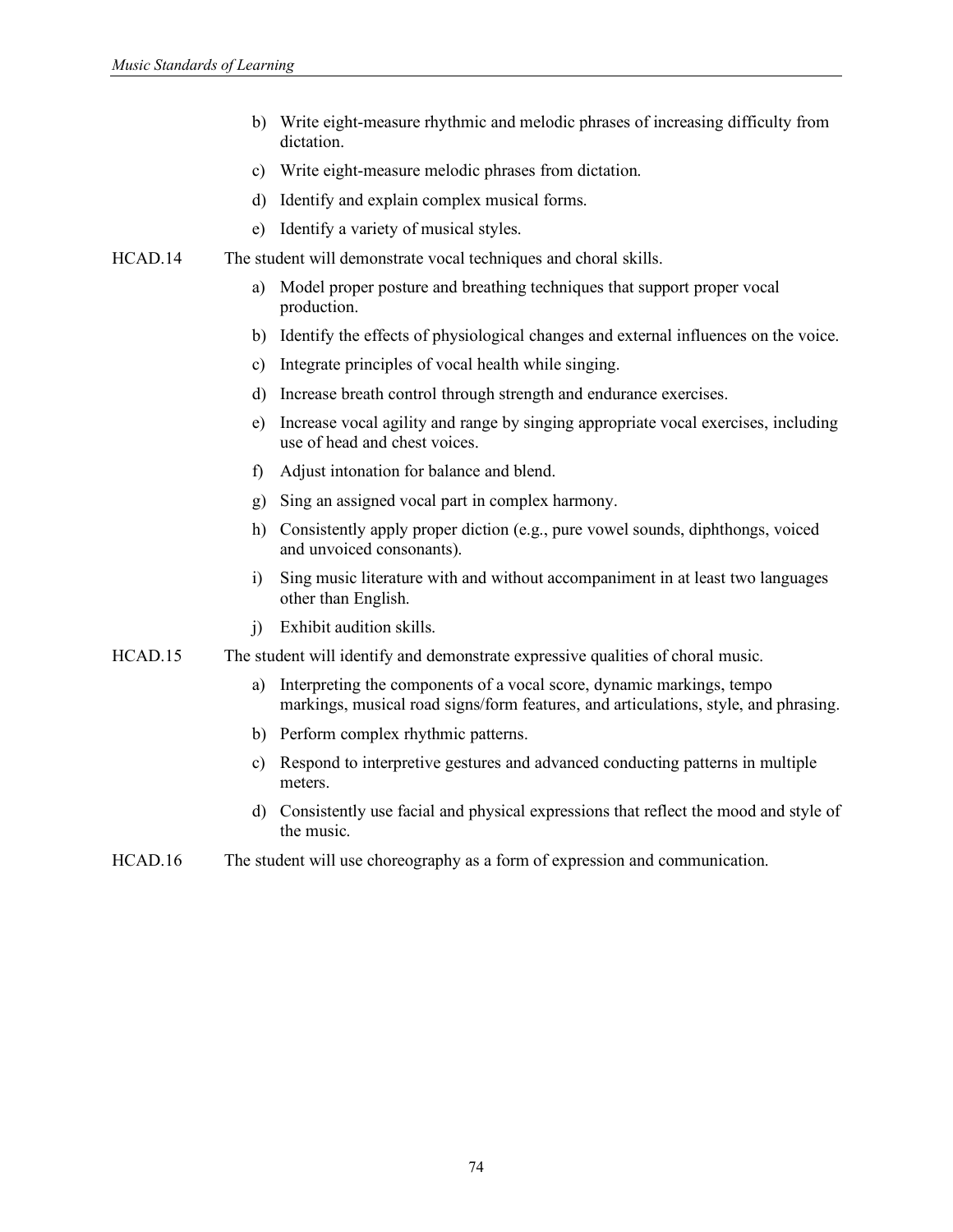- b) Write eight-measure rhythmic and melodic phrases of increasing difficulty from dictation.
- c) Write eight-measure melodic phrases from dictation.
- d) Identify and explain complex musical forms.
- e) Identify a variety of musical styles.
- HCAD.14 The student will demonstrate vocal techniques and choral skills.
	- a) Model proper posture and breathing techniques that support proper vocal production.
	- b) Identify the effects of physiological changes and external influences on the voice.
	- c) Integrate principles of vocal health while singing.
	- d) Increase breath control through strength and endurance exercises.
	- e) Increase vocal agility and range by singing appropriate vocal exercises, including use of head and chest voices.
	- f) Adjust intonation for balance and blend.
	- g) Sing an assigned vocal part in complex harmony.
	- h) Consistently apply proper diction (e.g., pure vowel sounds, diphthongs, voiced and unvoiced consonants).
	- i) Sing music literature with and without accompaniment in at least two languages other than English.
	- j) Exhibit audition skills.
- HCAD.15 The student will identify and demonstrate expressive qualities of choral music.
	- a) Interpreting the components of a vocal score, dynamic markings, tempo markings, musical road signs/form features, and articulations, style, and phrasing.
	- b) Perform complex rhythmic patterns.
	- c) Respond to interpretive gestures and advanced conducting patterns in multiple meters.
	- d) Consistently use facial and physical expressions that reflect the mood and style of the music.
- HCAD.16 The student will use choreography as a form of expression and communication.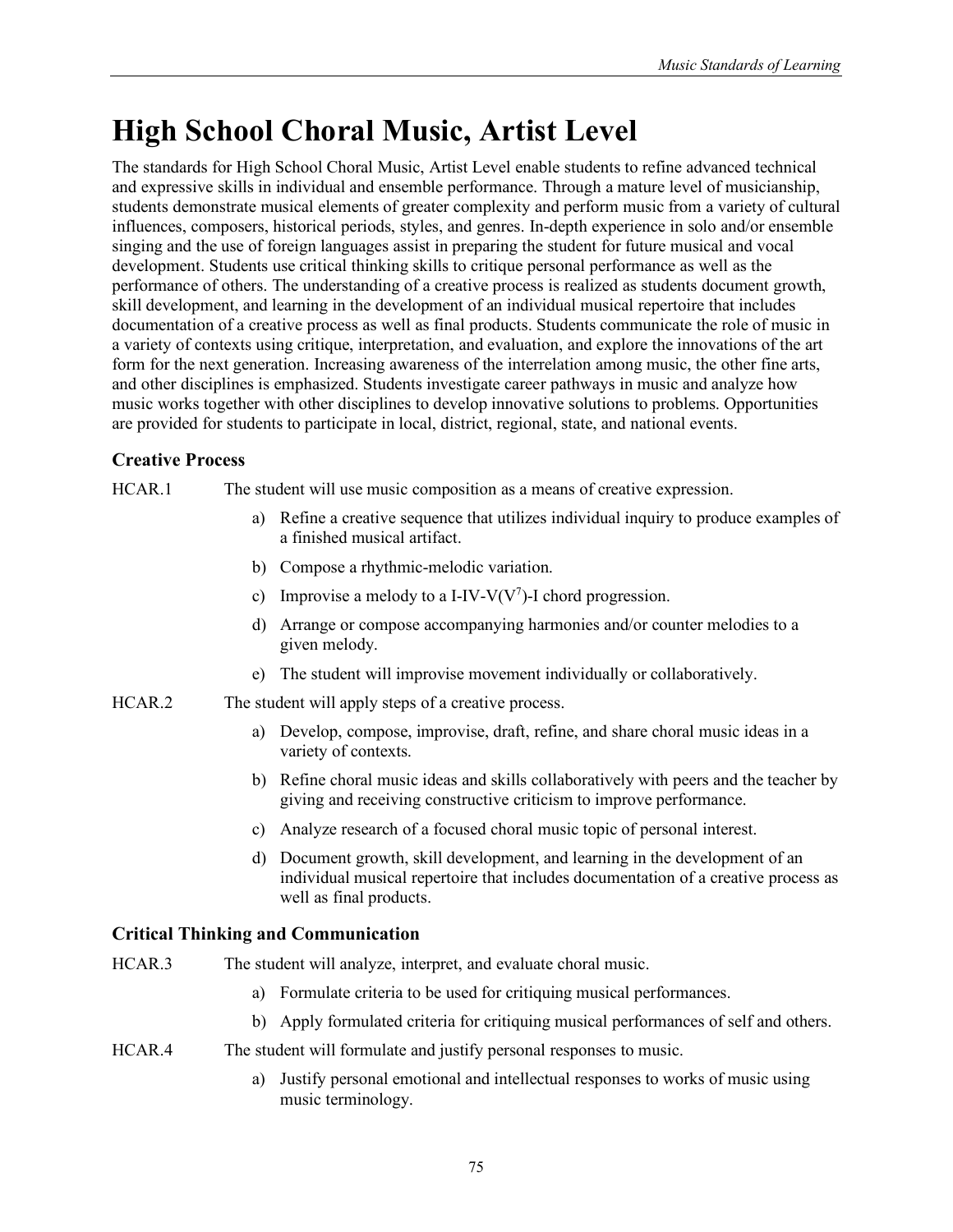# **High School Choral Music, Artist Level**

The standards for High School Choral Music, Artist Level enable students to refine advanced technical and expressive skills in individual and ensemble performance. Through a mature level of musicianship, students demonstrate musical elements of greater complexity and perform music from a variety of cultural influences, composers, historical periods, styles, and genres. In-depth experience in solo and/or ensemble singing and the use of foreign languages assist in preparing the student for future musical and vocal development. Students use critical thinking skills to critique personal performance as well as the performance of others. The understanding of a creative process is realized as students document growth, skill development, and learning in the development of an individual musical repertoire that includes documentation of a creative process as well as final products. Students communicate the role of music in a variety of contexts using critique, interpretation, and evaluation, and explore the innovations of the art form for the next generation. Increasing awareness of the interrelation among music, the other fine arts, and other disciplines is emphasized. Students investigate career pathways in music and analyze how music works together with other disciplines to develop innovative solutions to problems. Opportunities are provided for students to participate in local, district, regional, state, and national events.

# **Creative Process**

HCAR.1 The student will use music composition as a means of creative expression.

- a) Refine a creative sequence that utilizes individual inquiry to produce examples of a finished musical artifact.
- b) Compose a rhythmic-melodic variation.
- c) Improvise a melody to a I-IV-V( $V^7$ )-I chord progression.
- d) Arrange or compose accompanying harmonies and/or counter melodies to a given melody.
- e) The student will improvise movement individually or collaboratively.
- HCAR.2 The student will apply steps of a creative process.
	- a) Develop, compose, improvise, draft, refine, and share choral music ideas in a variety of contexts.
	- b) Refine choral music ideas and skills collaboratively with peers and the teacher by giving and receiving constructive criticism to improve performance.
	- c) Analyze research of a focused choral music topic of personal interest.
	- d) Document growth, skill development, and learning in the development of an individual musical repertoire that includes documentation of a creative process as well as final products.

# **Critical Thinking and Communication**

- HCAR.3 The student will analyze, interpret, and evaluate choral music.
	- a) Formulate criteria to be used for critiquing musical performances.
	- b) Apply formulated criteria for critiquing musical performances of self and others.
- HCAR.4 The student will formulate and justify personal responses to music.
	- a) Justify personal emotional and intellectual responses to works of music using music terminology.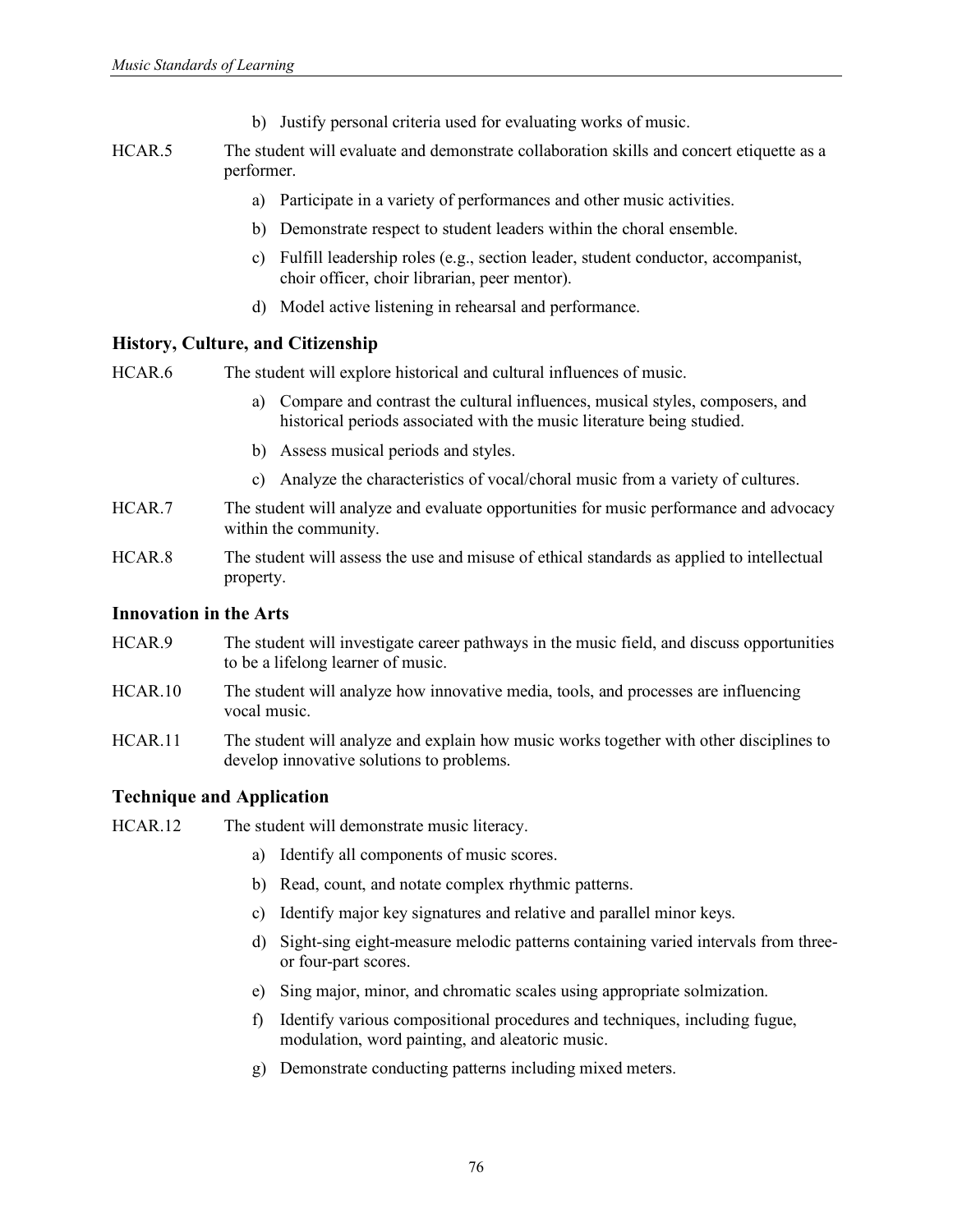- b) Justify personal criteria used for evaluating works of music.
- HCAR.5 The student will evaluate and demonstrate collaboration skills and concert etiquette as a performer.
	- a) Participate in a variety of performances and other music activities.
	- b) Demonstrate respect to student leaders within the choral ensemble.
	- c) Fulfill leadership roles (e.g., section leader, student conductor, accompanist, choir officer, choir librarian, peer mentor).
	- d) Model active listening in rehearsal and performance.

HCAR.6 The student will explore historical and cultural influences of music.

- a) Compare and contrast the cultural influences, musical styles, composers, and historical periods associated with the music literature being studied.
- b) Assess musical periods and styles.
- c) Analyze the characteristics of vocal/choral music from a variety of cultures.
- HCAR.7 The student will analyze and evaluate opportunities for music performance and advocacy within the community.
- HCAR.8 The student will assess the use and misuse of ethical standards as applied to intellectual property.

#### **Innovation in the Arts**

- HCAR.9 The student will investigate career pathways in the music field, and discuss opportunities to be a lifelong learner of music.
- HCAR.10 The student will analyze how innovative media, tools, and processes are influencing vocal music.
- HCAR.11 The student will analyze and explain how music works together with other disciplines to develop innovative solutions to problems.

#### **Technique and Application**

- HCAR.12 The student will demonstrate music literacy.
	- a) Identify all components of music scores.
	- b) Read, count, and notate complex rhythmic patterns.
	- c) Identify major key signatures and relative and parallel minor keys.
	- d) Sight-sing eight-measure melodic patterns containing varied intervals from threeor four-part scores.
	- e) Sing major, minor, and chromatic scales using appropriate solmization.
	- f) Identify various compositional procedures and techniques, including fugue, modulation, word painting, and aleatoric music.
	- g) Demonstrate conducting patterns including mixed meters.